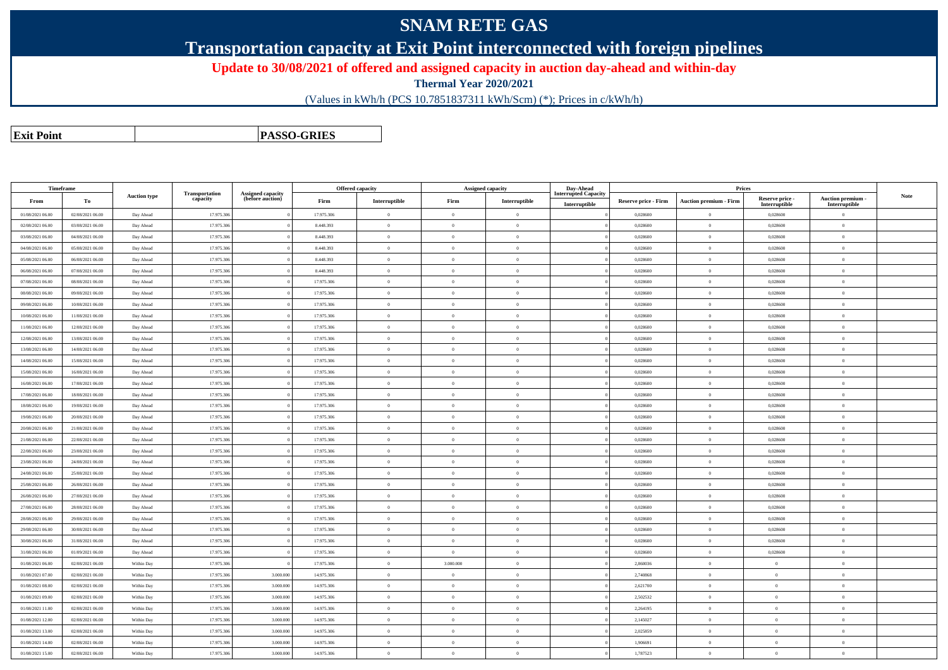## **SNAM RETE GAS**

**Transportation capacity at Exit Point interconnected with foreign pipelines**

**Update to 30/08/2021 of offered and assigned capacity in auction day-ahead and within-day**

**Thermal Year 2020/2021**

(Values in kWh/h (PCS 10.7851837311 kWh/Scm) (\*); Prices in c/kWh/h)

**Exit PointPASSO-GRIES**

|                  | Timeframe        |                     |                            |                                       |            | Offered capacity |                | <b>Assigned capacity</b> | Day-Ahead                   |                             | Prices                        |                 |                   |             |
|------------------|------------------|---------------------|----------------------------|---------------------------------------|------------|------------------|----------------|--------------------------|-----------------------------|-----------------------------|-------------------------------|-----------------|-------------------|-------------|
| From             | To               | <b>Auction type</b> | Transportation<br>capacity | Assigned capacity<br>(before auction) | Firm       | Interruptible    | Firm           | Interruptible            | <b>Interrupted Capacity</b> | <b>Reserve price - Firm</b> | <b>Auction premium - Firm</b> | Reserve price - | Auction premium - | <b>Note</b> |
|                  |                  |                     |                            |                                       |            |                  |                |                          | Interruptible               |                             |                               | Interruptible   | Interruptible     |             |
| 01/08/2021 06:00 | 02/08/2021 06:00 | Day Ahead           | 17.975.306                 |                                       | 17.975.306 | $\overline{0}$   | $\overline{0}$ | $\overline{0}$           |                             | 0,028600                    | $\overline{0}$                | 0,028600        | $\overline{0}$    |             |
| 02/08/2021 06:00 | 03/08/2021 06:00 | Day Ahead           | 17.975.306                 |                                       | 8.448.393  | $\overline{0}$   | $\theta$       | $\overline{0}$           |                             | 0,028600                    | $\bf{0}$                      | 0,028600        | $\overline{0}$    |             |
| 03/08/2021 06:00 | 04/08/2021 06:00 | Day Ahead           | 17.975.306                 |                                       | 8.448.393  | $\overline{0}$   | $\theta$       | $\overline{0}$           |                             | 0,028600                    | $\overline{0}$                | 0,028600        | $\overline{0}$    |             |
| 04/08/2021 06:00 | 05/08/2021 06:00 | Day Ahead           | 17.975.306                 |                                       | 8.448.393  | $\overline{0}$   | $\theta$       | $\overline{0}$           |                             | 0,028600                    | $\theta$                      | 0,028600        | $\overline{0}$    |             |
| 05/08/2021 06:00 | 06/08/2021 06:00 | Day Ahead           | 17.975.306                 |                                       | 8.448.393  | $\overline{0}$   | $\mathbf{0}$   | $\overline{0}$           |                             | 0,028600                    | $\bf{0}$                      | 0,028600        | $\overline{0}$    |             |
| 06/08/2021 06:00 | 07/08/2021 06:00 | Day Ahead           | 17.975.306                 |                                       | 8.448.393  | $\,$ 0           | $\theta$       | $\overline{0}$           |                             | 0,028600                    | $\bf{0}$                      | 0,028600        | $\overline{0}$    |             |
| 07/08/2021 06:00 | 08/08/2021 06:00 | Day Ahead           | 17.975.306                 |                                       | 17.975.306 | $\overline{0}$   | $\theta$       | $\overline{0}$           |                             | 0,028600                    | $\overline{0}$                | 0,028600        | $\Omega$          |             |
| 08/08/2021 06:00 | 09/08/2021 06:00 | Day Ahead           | 17.975.306                 |                                       | 17.975.306 | $\overline{0}$   | $\Omega$       | $\theta$                 |                             | 0,028600                    | $\theta$                      | 0,028600        | $\theta$          |             |
| 09/08/2021 06:00 | 10/08/2021 06:00 | Day Ahead           | 17.975.306                 |                                       | 17.975.306 | $\overline{0}$   | $\theta$       | $\overline{0}$           |                             | 0,028600                    | $\bf{0}$                      | 0,028600        | $\overline{0}$    |             |
| 10/08/2021 06:00 | 11/08/2021 06:00 | Day Ahead           | 17.975.306                 |                                       | 17.975.306 | $\overline{0}$   | $\theta$       | $\overline{0}$           |                             | 0,028600                    | $\overline{0}$                | 0,028600        | $\overline{0}$    |             |
| 11/08/2021 06:00 | 12/08/2021 06:00 | Day Ahead           | 17.975.306                 |                                       | 17.975.306 | $\overline{0}$   | $\theta$       | $\overline{0}$           |                             | 0,028600                    | $\theta$                      | 0,028600        | $\overline{0}$    |             |
| 12/08/2021 06:00 | 13/08/2021 06:00 | Day Ahead           | 17.975.306                 |                                       | 17.975.306 | $\theta$         | $\theta$       | $\overline{0}$           |                             | 0,028600                    | $\theta$                      | 0,028600        | $\overline{0}$    |             |
| 13/08/2021 06:00 | 14/08/2021 06:00 | Day Ahead           | 17.975.306                 |                                       | 17.975.306 | $\,$ 0           | $\overline{0}$ | $\bf{0}$                 |                             | 0,028600                    | $\bf{0}$                      | 0,028600        | $\overline{0}$    |             |
| 14/08/2021 06:00 | 15/08/2021 06:00 | Day Ahead           | 17.975.306                 |                                       | 17.975.306 | $\overline{0}$   | $\theta$       | $\overline{0}$           |                             | 0,028600                    | $\theta$                      | 0,028600        | $\overline{0}$    |             |
| 15/08/2021 06:00 | 16/08/2021 06:00 | Day Ahead           | 17.975.306                 |                                       | 17.975.306 | $\overline{0}$   | $\Omega$       | $\overline{0}$           |                             | 0,028600                    | $\theta$                      | 0,028600        | $\overline{0}$    |             |
| 16/08/2021 06:00 | 17/08/2021 06:00 | Day Ahead           | 17.975.306                 |                                       | 17.975.306 | $\,$ 0           | $\overline{0}$ | $\overline{0}$           |                             | 0,028600                    | $\bf{0}$                      | 0,028600        | $\overline{0}$    |             |
| 17/08/2021 06:00 | 18/08/2021 06:00 | Day Ahead           | 17.975.306                 |                                       | 17.975.306 | $\,$ 0           | $\,$ 0 $\,$    | $\overline{0}$           |                             | 0,028600                    | $\bf{0}$                      | 0,028600        | $\overline{0}$    |             |
| 18/08/2021 06:00 | 19/08/2021 06:00 | Day Ahead           | 17.975.306                 |                                       | 17.975.306 | $\overline{0}$   | $\Omega$       | $\overline{0}$           |                             | 0,028600                    | $\theta$                      | 0,028600        | $\overline{0}$    |             |
| 19/08/2021 06:00 | 20/08/2021 06:00 | Day Ahead           | 17.975.306                 |                                       | 17.975.306 | $\overline{0}$   | $\theta$       | $\overline{0}$           |                             | 0,028600                    | $\bf{0}$                      | 0,028600        | $\overline{0}$    |             |
| 20/08/2021 06:00 | 21/08/2021 06:00 | Day Ahead           | 17.975.306                 |                                       | 17.975.306 | $\,$ 0           | $\theta$       | $\overline{0}$           |                             | 0,028600                    | $\overline{0}$                | 0,028600        | $\overline{0}$    |             |
| 21/08/2021 06:00 | 22/08/2021 06:00 | Day Ahead           | 17.975.306                 |                                       | 17.975.306 | $\overline{0}$   | $\theta$       | $\overline{0}$           |                             | 0,028600                    | $\overline{0}$                | 0,028600        | $\overline{0}$    |             |
| 22/08/2021 06:00 | 23/08/2021 06:00 | Day Ahead           | 17.975.306                 |                                       | 17.975.306 | $\overline{0}$   | $\theta$       | $\overline{0}$           |                             | 0,028600                    | $\overline{0}$                | 0,028600        | $\overline{0}$    |             |
| 23/08/2021 06:00 | 24/08/2021 06:00 | Day Ahead           | 17.975.306                 |                                       | 17.975.306 | $\overline{0}$   | $\theta$       | $\overline{0}$           |                             | 0,028600                    | $\overline{0}$                | 0,028600        | $\overline{0}$    |             |
| 24/08/2021 06:00 | 25/08/2021 06:00 | Day Ahead           | 17.975.306                 |                                       | 17.975.306 | $\overline{0}$   | $\theta$       | $\overline{0}$           |                             | 0,028600                    | $\overline{0}$                | 0,028600        | $\overline{0}$    |             |
| 25/08/2021 06:00 | 26/08/2021 06:00 | Day Ahead           | 17.975.306                 |                                       | 17.975.306 | $\overline{0}$   | $\overline{0}$ | $\overline{0}$           |                             | 0,028600                    | $\overline{0}$                | 0,028600        | $\overline{0}$    |             |
| 26/08/2021 06:00 | 27/08/2021 06:00 | Day Ahead           | 17.975.30                  |                                       | 17.975.306 | $\overline{0}$   | $\theta$       | $\overline{0}$           |                             | 0,028600                    | $\overline{0}$                | 0,028600        | $\overline{0}$    |             |
| 27/08/2021 06:00 | 28/08/2021 06:00 | Day Ahead           | 17.975.306                 |                                       | 17.975.306 | $\overline{0}$   | $\theta$       | $\overline{0}$           |                             | 0,028600                    | $\overline{0}$                | 0,028600        | $\overline{0}$    |             |
| 28/08/2021 06:00 | 29/08/2021 06:00 | Day Ahead           | 17.975.306                 |                                       | 17.975.306 | $\overline{0}$   | $\Omega$       | $\theta$                 |                             | 0,028600                    | $\overline{0}$                | 0,028600        | $\overline{0}$    |             |
| 29/08/2021 06:00 | 30/08/2021 06:00 | Day Ahead           | 17.975.306                 |                                       | 17.975.306 | $\overline{0}$   | $\overline{0}$ | $\overline{0}$           |                             | 0,028600                    | $\overline{0}$                | 0,028600        | $\overline{0}$    |             |
| 30/08/2021 06:00 | 31/08/2021 06:00 | Day Ahead           | 17.975.306                 |                                       | 17.975.306 | $\overline{0}$   | $\theta$       | $\overline{0}$           |                             | 0,028600                    | $\overline{0}$                | 0,028600        | $\overline{0}$    |             |
| 31/08/2021 06:00 | 01/09/2021 06:00 | Day Ahead           | 17.975.306                 |                                       | 17.975.306 | $\overline{0}$   | $\overline{0}$ | $\overline{0}$           |                             | 0,028600                    | $\overline{0}$                | 0,028600        | $\overline{0}$    |             |
| 01/08/2021 06:00 | 02/08/2021 06:00 | Within Day          | 17.975.306                 |                                       | 17.975.306 | $\overline{0}$   | 3.000.000      | $\theta$                 |                             | 2,860036                    | $\overline{0}$                | $\overline{0}$  | $\overline{0}$    |             |
| 01/08/2021 07:00 | 02/08/2021 06:00 | Within Day          | 17.975.306                 | 3.000.000                             | 14.975.306 | $\overline{0}$   | $\theta$       | $\overline{0}$           |                             | 2,740868                    | $\bf{0}$                      | $\mathbf{0}$    | $\overline{0}$    |             |
| 01/08/2021 08:00 | 02/08/2021 06:00 | Within Day          | 17.975.306                 | 3.000.000                             | 14.975.306 | $\overline{0}$   | $\overline{0}$ | $\theta$                 |                             | 2,621700                    | $\overline{0}$                | $\overline{0}$  | $\overline{0}$    |             |
| 01/08/2021 09:00 | 02/08/2021 06:00 | Within Day          | 17.975.306                 | 3.000.000                             | 14.975.306 | $\overline{0}$   | $\theta$       | $\overline{0}$           |                             | 2,502532                    | $\overline{0}$                | $\overline{0}$  | $\overline{0}$    |             |
| 01/08/2021 11:00 | 02/08/2021 06:00 | Within Day          | 17.975.306                 | 3.000.000                             | 14.975.306 | $\overline{0}$   | $\overline{0}$ | $\overline{0}$           |                             | 2,264195                    | $\overline{0}$                | $\overline{0}$  | $\overline{0}$    |             |
| 01/08/2021 12:00 | 02/08/2021 06:00 | Within Day          | 17.975.306                 | 3.000.000                             | 14.975.306 | $\,$ 0           | $\theta$       | $\overline{0}$           |                             | 2,145027                    | $\overline{0}$                | $\mathbf{0}$    | $\overline{0}$    |             |
| 01/08/2021 13:00 | 02/08/2021 06:00 | Within Day          | 17.975.306                 | 3.000.000                             | 14.975.306 | $\overline{0}$   | $\theta$       | $\overline{0}$           |                             | 2,025859                    | $\overline{0}$                | $\overline{0}$  | $\overline{0}$    |             |
| 01/08/2021 14:00 | 02/08/2021 06:00 | Within Day          | 17.975.306                 | 3.000.000                             | 14.975.306 | $\overline{0}$   | $\Omega$       | $\overline{0}$           |                             | 1,906691                    | $\overline{0}$                | $\overline{0}$  | $\overline{0}$    |             |
| 01/08/2021 15:00 | 02/08/2021 06:00 | Within Day          | 17.975.306                 | 3.000.000                             | 14.975.306 | $\overline{0}$   | $\overline{0}$ | $\theta$                 |                             | 1,787523                    | $\theta$                      | $\overline{0}$  | $\overline{0}$    |             |
|                  |                  |                     |                            |                                       |            |                  |                |                          |                             |                             |                               |                 |                   |             |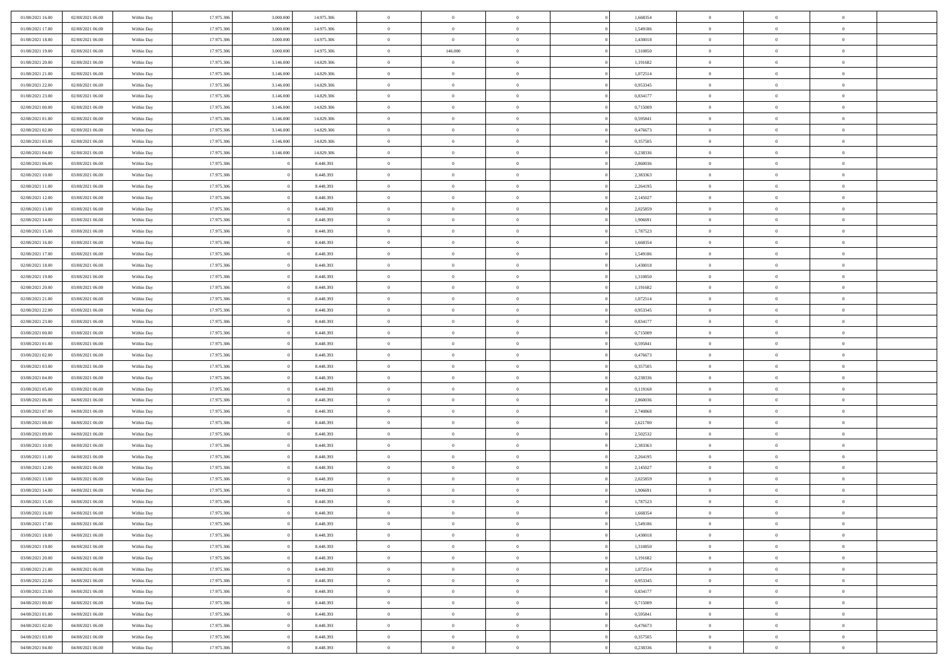| 01/08/2021 16:00 | 02/08/2021 06:00 | Within Day | 17.975.306 | 3.000.000 | 14.975.306 | $\,$ 0 $\,$    | $\overline{0}$                    | $\overline{0}$ |          | 1,668354 | $\bf{0}$       | $\overline{0}$ | $\,0\,$        |  |
|------------------|------------------|------------|------------|-----------|------------|----------------|-----------------------------------|----------------|----------|----------|----------------|----------------|----------------|--|
| 01/08/2021 17:00 | 02/08/2021 06:00 | Within Day | 17.975.306 | 3,000,000 | 14.975.306 | $\overline{0}$ | $\overline{0}$                    | $\mathbf{0}$   |          | 1,549186 | $\theta$       | $\overline{0}$ | $\theta$       |  |
| 01/08/2021 18:00 | 02/08/2021 06:00 | Within Dav | 17.975.306 | 3.000.000 | 14.975.306 | $\theta$       | $\overline{0}$                    | $\overline{0}$ |          | 1,430018 | $\mathbf{0}$   | $\overline{0}$ | $\overline{0}$ |  |
| 01/08/2021 19:00 | 02/08/2021 06:00 | Within Day | 17.975.306 | 3.000.000 | 14.975.306 | $\,$ 0 $\,$    | 146.000                           | $\overline{0}$ |          | 1,310850 | $\bf{0}$       | $\overline{0}$ | $\bf{0}$       |  |
| 01/08/2021 20:00 | 02/08/2021 06:00 | Within Day | 17.975.306 | 3.146.000 | 14.829.306 | $\bf{0}$       | $\overline{0}$                    | $\mathbf{0}$   |          | 1,191682 | $\bf{0}$       | $\bf{0}$       | $\,0\,$        |  |
| 01/08/2021 21:00 | 02/08/2021 06:00 | Within Dav | 17.975.306 | 3.146.000 | 14.829.306 | $\theta$       | $\overline{0}$                    | $\mathbf{0}$   |          | 1,072514 | $\mathbf{0}$   | $\overline{0}$ | $\overline{0}$ |  |
| 01/08/2021 22:00 | 02/08/2021 06:00 | Within Day | 17.975.306 | 3.146.000 | 14.829.306 | $\,$ 0 $\,$    | $\overline{0}$                    | $\overline{0}$ |          | 0,953345 | $\bf{0}$       | $\overline{0}$ | $\bf{0}$       |  |
| 01/08/2021 23:00 | 02/08/2021 06:00 | Within Day | 17.975.306 | 3.146.000 | 14.829.306 | $\overline{0}$ | $\overline{0}$                    | $\mathbf{0}$   |          | 0,834177 | $\,$ 0 $\,$    | $\overline{0}$ | $\overline{0}$ |  |
| 02/08/2021 00:00 | 02/08/2021 06:00 | Within Day | 17.975.306 | 3.146.000 | 14.829.306 | $\theta$       | $\overline{0}$                    | $\mathbf{0}$   |          | 0,715009 | $\mathbf{0}$   | $\overline{0}$ | $\overline{0}$ |  |
| 02/08/2021 01:00 | 02/08/2021 06:00 | Within Day | 17.975.306 | 3.146.000 | 14.829.306 | $\,$ 0 $\,$    | $\overline{0}$                    | $\Omega$       |          | 0,595841 | $\bf{0}$       | $\overline{0}$ | $\,0\,$        |  |
| 02/08/2021 02:00 | 02/08/2021 06:00 | Within Day | 17.975.306 | 3.146.000 | 14.829.306 | $\bf{0}$       | $\overline{0}$                    | $\mathbf{0}$   |          | 0,476673 | $\bf{0}$       | $\mathbf{0}$   | $\theta$       |  |
| 02/08/2021 03:00 | 02/08/2021 06:00 | Within Day | 17.975.306 | 3.146.000 | 14.829.306 | $\theta$       | $\overline{0}$                    | $\overline{0}$ |          | 0,357505 | $\mathbf{0}$   | $\overline{0}$ | $\overline{0}$ |  |
| 02/08/2021 04:00 | 02/08/2021 06:00 | Within Day | 17.975.306 | 3.146.000 | 14.829.306 | $\,$ 0 $\,$    | $\overline{0}$                    | $\overline{0}$ |          | 0,238336 | $\bf{0}$       | $\overline{0}$ | $\overline{0}$ |  |
| 02/08/2021 06:00 | 03/08/2021 06:00 | Within Day | 17.975.306 |           | 8.448.393  | $\bf{0}$       | $\overline{0}$                    | $\mathbf{0}$   |          | 2,860036 | $\bf{0}$       | $\mathbf{0}$   | $\,0\,$        |  |
| 02/08/2021 10:00 | 03/08/2021 06:00 | Within Dav | 17.975.306 |           | 8.448.393  | $\theta$       | $\overline{0}$                    | $\overline{0}$ |          | 2,383363 | $\mathbf{0}$   | $\overline{0}$ | $\overline{0}$ |  |
| 02/08/2021 11:00 | 03/08/2021 06:00 | Within Day | 17.975.306 |           | 8.448.393  | $\,$ 0 $\,$    | $\overline{0}$                    | $\Omega$       |          | 2,264195 | $\bf{0}$       | $\overline{0}$ | $\bf{0}$       |  |
| 02/08/2021 12:00 | 03/08/2021 06:00 | Within Day | 17.975.306 |           | 8.448.393  | $\,$ 0         | $\overline{0}$                    | $\mathbf{0}$   |          | 2,145027 | $\bf{0}$       | $\overline{0}$ | $\theta$       |  |
| 02/08/2021 13:00 | 03/08/2021 06:00 | Within Day | 17.975.306 |           | 8.448.393  | $\theta$       | $\overline{0}$                    | $\mathbf{0}$   |          | 2,025859 | $\mathbf{0}$   | $\overline{0}$ | $\overline{0}$ |  |
| 02/08/2021 14:00 | 03/08/2021 06:00 | Within Day | 17.975.306 |           | 8.448.393  | $\,$ 0 $\,$    | $\overline{0}$                    | $\Omega$       |          | 1,906691 | $\bf{0}$       | $\overline{0}$ | $\,0\,$        |  |
| 02/08/2021 15:00 | 03/08/2021 06:00 | Within Day | 17.975.306 |           | 8.448.393  | $\bf{0}$       | $\overline{0}$                    | $\mathbf{0}$   |          | 1,787523 | $\bf{0}$       | $\mathbf{0}$   | $\overline{0}$ |  |
| 02/08/2021 16:00 | 03/08/2021 06:00 | Within Dav | 17.975.306 |           | 8.448.393  | $\theta$       | $\overline{0}$                    | $\overline{0}$ |          | 1,668354 | $\mathbf{0}$   | $\overline{0}$ | $\overline{0}$ |  |
| 02/08/2021 17:00 | 03/08/2021 06:00 | Within Day | 17.975.306 |           | 8.448.393  | $\,$ 0 $\,$    | $\overline{0}$                    | $\overline{0}$ |          | 1,549186 | $\bf{0}$       | $\overline{0}$ | $\bf{0}$       |  |
| 02/08/2021 18:00 | 03/08/2021 06:00 | Within Day | 17.975.306 |           | 8.448.393  | $\bf{0}$       | $\overline{0}$                    | $\mathbf{0}$   |          | 1,430018 | $\bf{0}$       | $\bf{0}$       | $\,0\,$        |  |
| 02/08/2021 19:00 | 03/08/2021 06:00 | Within Day | 17.975.306 |           | 8.448.393  | $\theta$       | $\overline{0}$                    | $\mathbf{0}$   |          | 1,310850 | $\mathbf{0}$   | $\overline{0}$ | $\overline{0}$ |  |
| 02/08/2021 20:00 | 03/08/2021 06:00 | Within Day | 17.975.306 |           | 8.448.393  | $\,$ 0 $\,$    | $\overline{0}$                    | $\overline{0}$ |          | 1,191682 | $\bf{0}$       | $\overline{0}$ | $\bf{0}$       |  |
| 02/08/2021 21:00 | 03/08/2021 06:00 | Within Day | 17.975.306 |           | 8.448.393  | $\,$ 0         | $\overline{0}$                    | $\mathbf{0}$   |          | 1,072514 | $\bf{0}$       | $\overline{0}$ | $\overline{0}$ |  |
| 02/08/2021 22:00 | 03/08/2021 06:00 | Within Day | 17.975.306 |           | 8.448.393  | $\theta$       | $\overline{0}$                    | $\mathbf{0}$   |          | 0,953345 | $\mathbf{0}$   | $\overline{0}$ | $\overline{0}$ |  |
| 02/08/2021 23:00 | 03/08/2021 06:00 | Within Day | 17.975.306 |           | 8.448.393  | $\,$ 0 $\,$    | $\overline{0}$                    | $\Omega$       |          | 0,834177 | $\bf{0}$       | $\overline{0}$ | $\bf{0}$       |  |
| 03/08/2021 00:00 | 03/08/2021 06:00 | Within Day | 17.975.306 |           | 8.448.393  | $\bf{0}$       | $\overline{0}$                    | $\mathbf{0}$   |          | 0,715009 | $\bf{0}$       | $\mathbf{0}$   | $\overline{0}$ |  |
| 03/08/2021 01:00 | 03/08/2021 06:00 | Within Day | 17.975.306 |           | 8.448.393  | $\theta$       | $\overline{0}$                    | $\overline{0}$ |          | 0,595841 | $\mathbf{0}$   | $\overline{0}$ | $\overline{0}$ |  |
| 03/08/2021 02:00 | 03/08/2021 06:00 | Within Day | 17.975.306 |           | 8.448.393  | $\,$ 0 $\,$    | $\overline{0}$                    | $\overline{0}$ |          | 0,476673 | $\,$ 0         | $\overline{0}$ | $\,$ 0 $\,$    |  |
| 03/08/2021 03:00 | 03/08/2021 06:00 | Within Day | 17.975.306 |           | 8.448.393  | $\bf{0}$       | $\overline{0}$                    | $\mathbf{0}$   |          | 0,357505 | $\bf{0}$       | $\mathbf{0}$   | $\overline{0}$ |  |
| 03/08/2021 04:00 | 03/08/2021 06:00 | Within Dav | 17.975.306 |           | 8.448.393  | $\theta$       | $\overline{0}$                    | $\overline{0}$ |          | 0,238336 | $\mathbf{0}$   | $\overline{0}$ | $\overline{0}$ |  |
| 03/08/2021 05:00 | 03/08/2021 06:00 | Within Day | 17.975.306 |           | 8.448.393  | $\theta$       | $\overline{0}$                    | $\overline{0}$ |          | 0,119168 | $\,$ 0         | $\overline{0}$ | $\theta$       |  |
| 03/08/2021 06:00 | 04/08/2021 06:00 | Within Day | 17.975.306 |           | 8.448.393  | $\bf{0}$       | $\overline{0}$                    | $\mathbf{0}$   |          | 2,860036 | $\mathbf{0}$   | $\overline{0}$ | $\overline{0}$ |  |
| 03/08/2021 07:00 | 04/08/2021 06:00 | Within Day | 17.975.306 |           | 8.448.393  | $\theta$       | $\overline{0}$                    | $\mathbf{0}$   |          | 2,740868 | $\mathbf{0}$   | $\overline{0}$ | $\overline{0}$ |  |
| 03/08/2021 08:00 | 04/08/2021 06:00 | Within Day | 17.975.306 |           | 8.448.393  | $\theta$       | $\overline{0}$                    | $\overline{0}$ |          | 2,621700 | $\,$ 0         | $\overline{0}$ | $\theta$       |  |
| 03/08/2021 09:00 | 04/08/2021 06:00 | Within Day | 17.975.306 |           | 8.448.393  | $\bf{0}$       | $\overline{0}$                    | $\mathbf{0}$   |          | 2,502532 | $\bf{0}$       | $\mathbf{0}$   | $\overline{0}$ |  |
| 03/08/2021 10:00 | 04/08/2021 06:00 | Within Day | 17.975.306 |           | 8.448.393  | $\theta$       | $\overline{0}$                    | $\overline{0}$ |          | 2,383363 | $\mathbf{0}$   | $\overline{0}$ | $\overline{0}$ |  |
| 03/08/2021 11:00 | 04/08/2021 06:00 | Within Day | 17.975.306 |           | 8.448.393  | $\,$ 0 $\,$    | $\overline{0}$                    | $\overline{0}$ |          | 2,264195 | $\,$ 0         | $\overline{0}$ | $\,$ 0 $\,$    |  |
| 03/08/2021 12:00 | 04/08/2021 06:00 | Within Day | 17.975.306 |           | 8.448.393  | $\bf{0}$       | $\,$ 0 $\,$                       | $\overline{0}$ |          | 2,145027 | $\,$ 0 $\,$    | $\overline{0}$ | $\overline{0}$ |  |
| 03/08/2021 13:00 | 04/08/2021 06:00 | Within Day | 17.975.306 |           | 8.448.393  | $\theta$       | $\overline{0}$                    | $\mathbf{0}$   |          | 2,025859 | $\mathbf{0}$   | $\overline{0}$ | $\overline{0}$ |  |
| 03/08/2021 14:00 | 04/08/2021 06:00 | Within Day | 17.975.306 |           | 8.448.393  | $\theta$       | $\overline{0}$                    | $\overline{0}$ |          | 1,906691 | $\,$ 0         | $\overline{0}$ | $\theta$       |  |
| 03/08/2021 15:00 | 04/08/2021 06:00 | Within Day | 17.975.306 |           | 8.448.393  | $\bf{0}$       | $\overline{0}$                    | $\mathbf{0}$   |          | 1,787523 | $\mathbf{0}$   | $\overline{0}$ | $\overline{0}$ |  |
| 03/08/2021 16:00 | 04/08/2021 06:00 | Within Day | 17.975.306 |           | 8.448.393  | $\overline{0}$ | $\theta$                          |                |          | 1,668354 | $\overline{0}$ | $\theta$       | $\theta$       |  |
| 03/08/2021 17:00 | 04/08/2021 06:00 | Within Day | 17.975.306 |           | 8.448.393  | $\,$ 0 $\,$    | $\overline{0}$                    | $\overline{0}$ |          | 1,549186 | $\,$ 0 $\,$    | $\bf{0}$       | $\,$ 0 $\,$    |  |
| 03/08/2021 18:00 | 04/08/2021 06:00 | Within Day | 17.975.306 |           | 8.448.393  | $\bf{0}$       | $\hspace{0.1cm} 0 \hspace{0.1cm}$ | $\overline{0}$ |          | 1,430018 | $\,$ 0 $\,$    | $\overline{0}$ | $\overline{0}$ |  |
| 03/08/2021 19:00 | 04/08/2021 06:00 | Within Day | 17.975.306 |           | 8.448.393  | $\,$ 0 $\,$    | $\overline{0}$                    | $\overline{0}$ |          | 1,310850 | $\,$ 0 $\,$    | $\bf{0}$       | $\mathbf{0}$   |  |
| 03/08/2021 20:00 | 04/08/2021 06:00 | Within Day | 17.975.306 |           | 8.448.393  | $\,$ 0 $\,$    | $\overline{0}$                    | $\overline{0}$ | $\theta$ | 1,191682 | $\,$ 0 $\,$    | $\bf{0}$       | $\,$ 0 $\,$    |  |
| 03/08/2021 21:00 | 04/08/2021 06:00 | Within Day | 17.975.306 |           | 8.448.393  | $\,$ 0 $\,$    | $\,$ 0 $\,$                       | $\overline{0}$ |          | 1,072514 | $\,$ 0 $\,$    | $\overline{0}$ | $\overline{0}$ |  |
| 03/08/2021 22:00 | 04/08/2021 06:00 | Within Day | 17.975.306 |           | 8.448.393  | $\overline{0}$ | $\overline{0}$                    | $\overline{0}$ |          | 0,953345 | $\mathbf{0}$   | $\bf{0}$       | $\overline{0}$ |  |
| 03/08/2021 23:00 | 04/08/2021 06:00 | Within Day | 17.975.306 |           | 8.448.393  | $\,$ 0 $\,$    | $\overline{0}$                    | $\overline{0}$ |          | 0,834177 | $\,$ 0 $\,$    | $\bf{0}$       | $\,$ 0 $\,$    |  |
| 04/08/2021 00:00 | 04/08/2021 06:00 | Within Day | 17.975.306 |           | 8.448.393  | $\bf{0}$       | $\overline{0}$                    | $\overline{0}$ |          | 0,715009 | $\,$ 0 $\,$    | $\overline{0}$ | $\mathbf{0}$   |  |
| 04/08/2021 01:00 | 04/08/2021 06:00 | Within Day | 17.975.306 |           | 8.448.393  | $\mathbf{0}$   | $\overline{0}$                    | $\overline{0}$ |          | 0,595841 | $\,$ 0 $\,$    | $\bf{0}$       | $\overline{0}$ |  |
| 04/08/2021 02:00 | 04/08/2021 06:00 | Within Day | 17.975.306 |           | 8.448.393  | $\,$ 0 $\,$    | $\overline{0}$                    | $\overline{0}$ |          | 0,476673 | $\,$ 0 $\,$    | $\bf{0}$       | $\,$ 0 $\,$    |  |
| 04/08/2021 03:00 | 04/08/2021 06:00 | Within Day | 17.975.306 |           | 8.448.393  | $\,$ 0 $\,$    | $\,$ 0 $\,$                       | $\overline{0}$ |          | 0,357505 | $\,$ 0 $\,$    | $\overline{0}$ | $\overline{0}$ |  |
| 04/08/2021 04:00 | 04/08/2021 06:00 | Within Day | 17.975.306 |           | 8.448.393  | $\theta$       | $\overline{0}$                    | $\overline{0}$ |          | 0,238336 | $\,$ 0 $\,$    | $\overline{0}$ | $\overline{0}$ |  |
|                  |                  |            |            |           |            |                |                                   |                |          |          |                |                |                |  |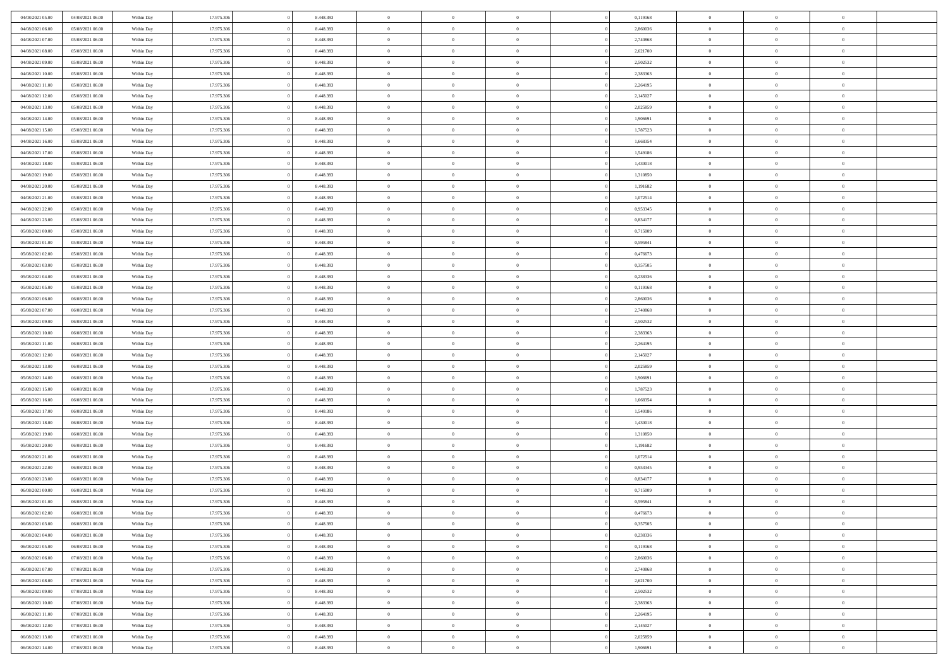| 04/08/2021 05:00                     | 04/08/2021 06:00                     | Within Day               | 17.975.306               | 8.448.393              | $\,$ 0 $\,$             | $\overline{0}$                    | $\overline{0}$                   |          | 0,119168             | $\bf{0}$                     | $\overline{0}$                   | $\,0\,$                          |  |
|--------------------------------------|--------------------------------------|--------------------------|--------------------------|------------------------|-------------------------|-----------------------------------|----------------------------------|----------|----------------------|------------------------------|----------------------------------|----------------------------------|--|
| 04/08/2021 06:00                     | 05/08/2021 06:00                     | Within Day               | 17.975.306               | 8.448.393              | $\theta$                | $\overline{0}$                    | $\mathbf{0}$                     |          | 2,860036             | $\theta$                     | $\overline{0}$                   | $\theta$                         |  |
| 04/08/2021 07:00                     | 05/08/2021 06:00                     | Within Day               | 17.975.306               | 8.448.393              | $\theta$                | $\overline{0}$                    | $\overline{0}$                   |          | 2,740868             | $\mathbf{0}$                 | $\overline{0}$                   | $\overline{0}$                   |  |
| 04/08/2021 08:00                     | 05/08/2021 06:00                     | Within Day               | 17.975.306               | 8.448.393              | $\,$ 0 $\,$             | $\overline{0}$                    | $\overline{0}$                   |          | 2,621700             | $\bf{0}$                     | $\overline{0}$                   | $\bf{0}$                         |  |
| 04/08/2021 09:00                     | 05/08/2021 06:00                     | Within Day               | 17.975.306               | 8.448.393              | $\bf{0}$                | $\overline{0}$                    | $\mathbf{0}$                     |          | 2,502532             | $\bf{0}$                     | $\overline{0}$                   | $\,0\,$                          |  |
| 04/08/2021 10:00                     | 05/08/2021 06:00                     | Within Day               | 17.975.306               | 8.448.393              | $\theta$                | $\overline{0}$                    | $\mathbf{0}$                     |          | 2,383363             | $\mathbf{0}$                 | $\overline{0}$                   | $\overline{0}$                   |  |
| 04/08/2021 11:00                     | 05/08/2021 06:00                     | Within Day               | 17.975.306               | 8.448.393              | $\,$ 0 $\,$             | $\overline{0}$                    | $\overline{0}$                   |          | 2,264195             | $\bf{0}$                     | $\overline{0}$                   | $\bf{0}$                         |  |
| 04/08/2021 12:00                     | 05/08/2021 06:00                     | Within Day               | 17.975.306               | 8.448.393              | $\overline{0}$          | $\overline{0}$                    | $\mathbf{0}$                     |          | 2,145027             | $\,$ 0 $\,$                  | $\overline{0}$                   | $\overline{0}$                   |  |
| 04/08/2021 13:00                     | 05/08/2021 06:00                     | Within Day               | 17.975.306               | 8.448.393              | $\theta$                | $\overline{0}$                    | $\mathbf{0}$                     |          | 2,025859             | $\mathbf{0}$                 | $\overline{0}$                   | $\overline{0}$                   |  |
| 04/08/2021 14:00                     | 05/08/2021 06:00                     | Within Day               | 17.975.306               | 8.448.393              | $\,$ 0 $\,$             | $\overline{0}$                    | $\Omega$                         |          | 1,906691             | $\bf{0}$                     | $\overline{0}$                   | $\,0\,$                          |  |
| 04/08/2021 15:00                     | 05/08/2021 06:00                     | Within Day               | 17.975.306               | 8.448.393              | $\bf{0}$                | $\overline{0}$                    | $\mathbf{0}$                     |          | 1,787523             | $\bf{0}$                     | $\overline{0}$                   | $\theta$                         |  |
| 04/08/2021 16:00                     | 05/08/2021 06:00                     | Within Day               | 17.975.306               | 8.448.393              | $\theta$                | $\overline{0}$                    | $\overline{0}$                   |          | 1,668354             | $\mathbf{0}$                 | $\overline{0}$                   | $\overline{0}$                   |  |
| 04/08/2021 17:00                     | 05/08/2021 06:00                     | Within Day               | 17.975.306               | 8.448.393              | $\,$ 0 $\,$             | $\overline{0}$                    | $\overline{0}$                   |          | 1,549186             | $\bf{0}$                     | $\overline{0}$                   | $\overline{0}$                   |  |
| 04/08/2021 18:00                     | 05/08/2021 06:00                     | Within Day               | 17.975.306               | 8.448.393              | $\bf{0}$                | $\overline{0}$                    | $\mathbf{0}$                     |          | 1,430018             | $\bf{0}$                     | $\mathbf{0}$                     | $\,0\,$                          |  |
| 04/08/2021 19:00                     | 05/08/2021 06:00                     | Within Dav               | 17.975.306               | 8.448.393              | $\overline{0}$          | $\overline{0}$                    | $\overline{0}$                   |          | 1,310850             | $\mathbf{0}$                 | $\overline{0}$                   | $\overline{0}$                   |  |
| 04/08/2021 20:00                     | 05/08/2021 06:00                     | Within Day               | 17.975.306               | 8.448.393              | $\,$ 0 $\,$             | $\overline{0}$                    | $\Omega$                         |          | 1,191682             | $\bf{0}$                     | $\overline{0}$                   | $\bf{0}$                         |  |
| 04/08/2021 21:00                     | 05/08/2021 06:00                     | Within Day               | 17.975.306               | 8.448.393              | $\,$ 0                  | $\overline{0}$                    | $\mathbf{0}$                     |          | 1,072514             | $\,$ 0 $\,$                  | $\overline{0}$                   | $\theta$                         |  |
| 04/08/2021 22:00                     | 05/08/2021 06:00                     | Within Day               | 17.975.306               | 8.448.393              | $\theta$                | $\overline{0}$                    | $\mathbf{0}$                     |          | 0,953345             | $\mathbf{0}$                 | $\overline{0}$                   | $\overline{0}$                   |  |
| 04/08/2021 23:00                     | 05/08/2021 06:00                     | Within Day               | 17.975.306               | 8.448.393              | $\,$ 0 $\,$             | $\overline{0}$                    | $\Omega$                         |          | 0,834177             | $\bf{0}$                     | $\overline{0}$                   | $\,0\,$                          |  |
| 05/08/2021 00:00                     | 05/08/2021 06:00                     |                          | 17.975.306               | 8.448.393              | $\bf{0}$                | $\overline{0}$                    | $\mathbf{0}$                     |          | 0,715009             | $\bf{0}$                     | $\mathbf{0}$                     | $\overline{0}$                   |  |
| 05/08/2021 01:00                     | 05/08/2021 06:00                     | Within Day<br>Within Day | 17.975.306               | 8.448.393              | $\theta$                | $\overline{0}$                    | $\overline{0}$                   |          | 0,595841             | $\mathbf{0}$                 | $\overline{0}$                   | $\overline{0}$                   |  |
| 05/08/2021 02:00                     | 05/08/2021 06:00                     |                          | 17.975.306               | 8.448.393              | $\,$ 0 $\,$             | $\overline{0}$                    | $\overline{0}$                   |          | 0,476673             | $\bf{0}$                     | $\overline{0}$                   | $\bf{0}$                         |  |
|                                      |                                      | Within Day               |                          |                        |                         |                                   |                                  |          |                      |                              |                                  |                                  |  |
| 05/08/2021 03:00                     | 05/08/2021 06:00<br>05/08/2021 06:00 | Within Day               | 17.975.306               | 8.448.393              | $\bf{0}$<br>$\theta$    | $\overline{0}$                    | $\mathbf{0}$                     |          | 0,357505             | $\bf{0}$<br>$\mathbf{0}$     | $\overline{0}$                   | $\,0\,$<br>$\overline{0}$        |  |
| 05/08/2021 04:00<br>05/08/2021 05:00 | 05/08/2021 06:00                     | Within Day               | 17.975.306               | 8.448.393              |                         | $\overline{0}$                    | $\mathbf{0}$<br>$\overline{0}$   |          | 0,238336             |                              | $\overline{0}$<br>$\overline{0}$ |                                  |  |
|                                      |                                      | Within Day               | 17.975.306               | 8.448.393              | $\,$ 0 $\,$             | $\overline{0}$                    |                                  |          | 0,119168             | $\bf{0}$                     | $\overline{0}$                   | $\bf{0}$                         |  |
| 05/08/2021 06:00                     | 06/08/2021 06:00                     | Within Day               | 17.975.306               | 8.448.393              | $\,$ 0                  | $\overline{0}$                    | $\mathbf{0}$                     |          | 2,860036             | $\bf{0}$                     |                                  | $\overline{0}$                   |  |
| 05/08/2021 07:00                     | 06/08/2021 06:00                     | Within Day               | 17.975.306               | 8.448.393              | $\theta$                | $\overline{0}$                    | $\mathbf{0}$                     |          | 2,740868             | $\mathbf{0}$                 | $\overline{0}$                   | $\overline{0}$                   |  |
| 05/08/2021 09:00                     | 06/08/2021 06:00                     | Within Day               | 17.975.306               | 8.448.393              | $\,$ 0 $\,$             | $\overline{0}$                    | $\Omega$                         |          | 2,502532             | $\bf{0}$                     | $\overline{0}$                   | $\bf{0}$                         |  |
| 05/08/2021 10:00                     | 06/08/2021 06:00                     | Within Day               | 17.975.306               | 8.448.393              | $\bf{0}$                | $\overline{0}$                    | $\mathbf{0}$                     |          | 2,383363             | $\bf{0}$                     | $\mathbf{0}$                     | $\overline{0}$                   |  |
| 05/08/2021 11:00                     | 06/08/2021 06:00                     | Within Day               | 17.975.306               | 8.448.393              | $\theta$                | $\overline{0}$                    | $\overline{0}$                   |          | 2,264195             | $\mathbf{0}$                 | $\overline{0}$                   | $\overline{0}$                   |  |
| 05/08/2021 12:00                     | 06/08/2021 06:00                     | Within Day               | 17.975.306               | 8.448.393              | $\,$ 0 $\,$             | $\overline{0}$                    | $\overline{0}$                   |          | 2,145027             | $\,$ 0                       | $\overline{0}$                   | $\,$ 0 $\,$                      |  |
| 05/08/2021 13:00                     | 06/08/2021 06:00                     | Within Day               | 17.975.306               | 8.448.393              | $\bf{0}$<br>$\theta$    | $\overline{0}$                    | $\mathbf{0}$                     |          | 2,025859             | $\bf{0}$<br>$\mathbf{0}$     | $\mathbf{0}$                     | $\overline{0}$<br>$\overline{0}$ |  |
| 05/08/2021 14:00                     | 06/08/2021 06:00                     | Within Dav               | 17.975.306               | 8.448.393              |                         | $\overline{0}$                    | $\overline{0}$                   |          | 1,906691             |                              | $\overline{0}$                   | $\theta$                         |  |
| 05/08/2021 15:00                     | 06/08/2021 06:00                     | Within Day               | 17.975.306               | 8.448.393              | $\theta$                | $\overline{0}$                    | $\overline{0}$                   |          | 1,787523             | $\,$ 0                       | $\overline{0}$<br>$\overline{0}$ | $\overline{0}$                   |  |
| 05/08/2021 16:00<br>05/08/2021 17:00 | 06/08/2021 06:00<br>06/08/2021 06:00 | Within Day<br>Within Day | 17.975.306<br>17.975.306 | 8.448.393<br>8.448.393 | $\bf{0}$<br>$\theta$    | $\overline{0}$<br>$\overline{0}$  | $\mathbf{0}$                     |          | 1,668354<br>1,549186 | $\mathbf{0}$<br>$\mathbf{0}$ | $\overline{0}$                   | $\overline{0}$                   |  |
|                                      |                                      |                          |                          |                        | $\theta$                |                                   | $\mathbf{0}$<br>$\overline{0}$   |          |                      | $\,$ 0                       | $\overline{0}$                   | $\theta$                         |  |
| 05/08/2021 18:00<br>05/08/2021 19:00 | 06/08/2021 06:00<br>06/08/2021 06:00 | Within Day<br>Within Day | 17.975.306<br>17.975.306 | 8.448.393<br>8.448.393 | $\bf{0}$                | $\overline{0}$<br>$\overline{0}$  | $\mathbf{0}$                     |          | 1,430018<br>1,310850 | $\bf{0}$                     | $\mathbf{0}$                     | $\overline{0}$                   |  |
| 05/08/2021 20:00                     | 06/08/2021 06:00                     | Within Day               | 17.975.306               | 8.448.393              | $\theta$                | $\overline{0}$                    | $\overline{0}$                   |          | 1,191682             | $\mathbf{0}$                 | $\overline{0}$                   | $\overline{0}$                   |  |
|                                      |                                      |                          |                          |                        | $\,$ 0 $\,$             |                                   | $\overline{0}$                   |          |                      | $\,$ 0                       | $\overline{0}$                   | $\,$ 0 $\,$                      |  |
| 05/08/2021 21:00<br>05/08/2021 22:00 | 06/08/2021 06:00<br>06/08/2021 06:00 | Within Day<br>Within Day | 17.975.306<br>17.975.306 | 8.448.393<br>8.448.393 | $\,$ 0                  | $\overline{0}$<br>$\,$ 0 $\,$     | $\overline{0}$                   |          | 1,072514<br>0,953345 | $\,$ 0 $\,$                  | $\overline{0}$                   | $\overline{0}$                   |  |
| 05/08/2021 23:00                     | 06/08/2021 06:00                     | Within Day               | 17.975.306               | 8.448.393              | $\theta$                | $\overline{0}$                    | $\mathbf{0}$                     |          | 0,834177             | $\mathbf{0}$                 | $\overline{0}$                   | $\overline{0}$                   |  |
| 06/08/2021 00:00                     | 06/08/2021 06:00                     | Within Day               | 17.975.306               | 8.448.393              | $\theta$                | $\overline{0}$                    | $\overline{0}$                   |          | 0,715009             | $\,$ 0                       | $\overline{0}$                   | $\theta$                         |  |
| 06/08/2021 01:00                     | 06/08/2021 06:00                     | Within Day               | 17.975.306               | 8.448.393              | $\bf{0}$                | $\overline{0}$                    | $\mathbf{0}$                     |          | 0,595841             | $\,$ 0 $\,$                  | $\overline{0}$                   | $\overline{0}$                   |  |
| 06/08/2021 02:00                     | 06/08/2021 06:00                     | Within Day               | 17.975.306               | 8.448.393              | $\overline{0}$          | $\theta$                          |                                  |          | 0,476673             | $\overline{0}$               | $\theta$                         | $\theta$                         |  |
| 06/08/2021 03:00                     | 06/08/2021 06:00                     | Within Day               | 17.975.306               | 8.448.393              | $\,$ 0 $\,$             | $\overline{0}$                    | $\overline{0}$                   |          | 0,357505             | $\,$ 0 $\,$                  | $\bf{0}$                         | $\,$ 0 $\,$                      |  |
| 06/08/2021 04:00                     | 06/08/2021 06:00                     | Within Day               | 17.975.306               | 8.448.393              | $\bf{0}$                | $\hspace{0.1cm} 0 \hspace{0.1cm}$ | $\overline{0}$                   |          | 0,238336             | $\,$ 0 $\,$                  | $\overline{0}$                   | $\overline{0}$                   |  |
| 06/08/2021 05:00                     | 06/08/2021 06:00                     | Within Day               | 17.975.306               | 8.448.393              | $\mathbf{0}$            | $\overline{0}$                    | $\overline{0}$                   |          | 0,119168             | $\,$ 0 $\,$                  | $\bf{0}$                         | $\mathbf{0}$                     |  |
| 06/08/2021 06:00                     | 07/08/2021 06:00                     | Within Day               | 17.975.306               | 8.448.393              | $\,$ 0 $\,$             | $\overline{0}$                    | $\overline{0}$                   | $\theta$ | 2,860036             | $\,$ 0 $\,$                  | $\bf{0}$                         | $\,$ 0 $\,$                      |  |
| 06/08/2021 07:00                     | 07/08/2021 06:00                     | Within Day               | 17.975.306               | 8.448.393              | $\,$ 0 $\,$             | $\,$ 0 $\,$                       | $\overline{0}$                   |          | 2,740868             | $\,$ 0 $\,$                  | $\overline{0}$                   | $\overline{0}$                   |  |
| 06/08/2021 08:00                     | 07/08/2021 06:00                     | Within Day               | 17.975.306               | 8.448.393              | $\mathbf{0}$            | $\overline{0}$                    | $\overline{0}$                   |          | 2,621700             | $\mathbf{0}$                 | $\bf{0}$                         | $\overline{0}$                   |  |
|                                      |                                      |                          |                          |                        |                         |                                   |                                  |          |                      |                              |                                  |                                  |  |
| 06/08/2021 09:00                     | 07/08/2021 06:00                     | Within Day               | 17.975.306               | 8.448.393              | $\,$ 0 $\,$             | $\overline{0}$                    | $\overline{0}$<br>$\overline{0}$ |          | 2,502532             | $\,$ 0 $\,$                  | $\bf{0}$<br>$\overline{0}$       | $\,$ 0 $\,$                      |  |
| 06/08/2021 10:00                     | 07/08/2021 06:00<br>07/08/2021 06:00 | Within Day               | 17.975.306<br>17.975.306 | 8.448.393              | $\bf{0}$<br>$\,$ 0 $\,$ | $\overline{0}$                    |                                  |          | 2,383363             | $\,$ 0 $\,$<br>$\,$ 0 $\,$   |                                  | $\mathbf{0}$                     |  |
| 06/08/2021 11:00                     |                                      | Within Day               |                          | 8.448.393              |                         | $\overline{0}$                    | $\overline{0}$                   |          | 2,264195             |                              | $\bf{0}$                         | $\overline{0}$                   |  |
| 06/08/2021 12:00                     | 07/08/2021 06:00                     | Within Day               | 17.975.306               | 8.448.393              | $\,$ 0 $\,$             | $\overline{0}$                    | $\overline{0}$                   |          | 2,145027             | $\,$ 0 $\,$                  | $\bf{0}$                         | $\,$ 0 $\,$                      |  |
| 06/08/2021 13:00                     | 07/08/2021 06:00                     | Within Day               | 17.975.306               | 8.448.393              | $\,$ 0 $\,$             | $\,$ 0 $\,$                       | $\overline{0}$                   |          | 2,025859             | $\,$ 0 $\,$                  | $\overline{0}$                   | $\overline{0}$                   |  |
| 06/08/2021 14:00                     | 07/08/2021 06:00                     | Within Day               | 17.975.306               | 8.448.393              | $\theta$                | $\overline{0}$                    | $\overline{0}$                   |          | 1,906691             | $\mathbf{0}$                 | $\mathbf{0}$                     | $\overline{0}$                   |  |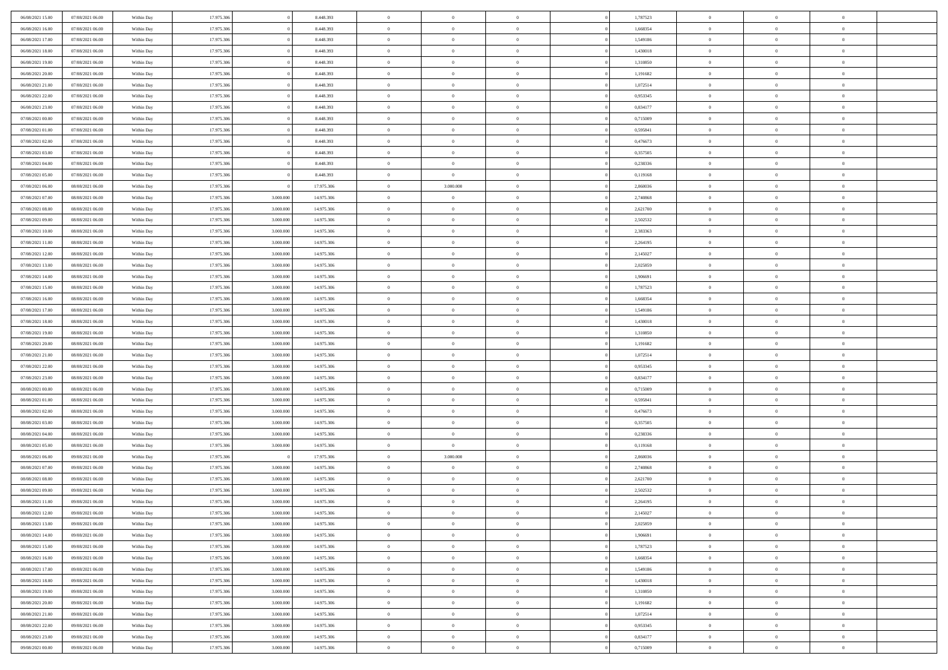| 06/08/2021 15:00 | 07/08/2021 06:00 | Within Day | 17.975.306 |           | 8.448.393  | $\bf{0}$       | $\overline{0}$ | $\overline{0}$ | 1,787523 | $\bf{0}$       | $\bf{0}$       | $\bf{0}$       |  |
|------------------|------------------|------------|------------|-----------|------------|----------------|----------------|----------------|----------|----------------|----------------|----------------|--|
| 06/08/2021 16:00 | 07/08/2021 06:00 | Within Day | 17.975.306 |           | 8.448.393  | $\overline{0}$ | $\overline{0}$ | $\Omega$       | 1.668354 | $\overline{0}$ | $\mathbf{0}$   | $\theta$       |  |
| 06/08/2021 17:00 | 07/08/2021 06:00 | Within Day | 17.975.306 |           | 8.448.393  | $\overline{0}$ | $\overline{0}$ | $\overline{0}$ | 1,549186 | $\bf{0}$       | $\overline{0}$ | $\overline{0}$ |  |
| 06/08/2021 18:00 | 07/08/2021 06:00 | Within Day | 17.975.306 |           | 8.448.393  | $\bf{0}$       | $\overline{0}$ | $\overline{0}$ | 1,430018 | $\bf{0}$       | $\bf{0}$       | $\bf{0}$       |  |
| 06/08/2021 19:00 | 07/08/2021 06:00 | Within Day | 17.975.306 |           | 8.448.393  | $\bf{0}$       | $\overline{0}$ | $\overline{0}$ | 1,310850 | $\bf{0}$       | $\bf{0}$       | $\bf{0}$       |  |
| 06/08/2021 20:00 | 07/08/2021 06:00 | Within Day | 17.975.306 |           | 8.448.393  | $\overline{0}$ | $\overline{0}$ | $\overline{0}$ | 1,191682 | $\overline{0}$ | $\bf{0}$       | $\theta$       |  |
| 06/08/2021 21:00 | 07/08/2021 06:00 | Within Day | 17.975.306 |           | 8.448.393  | $\bf{0}$       | $\overline{0}$ | $\overline{0}$ | 1,072514 | $\bf{0}$       | $\bf{0}$       | $\bf{0}$       |  |
| 06/08/2021 22:00 | 07/08/2021 06:00 | Within Day | 17.975.306 |           | 8.448.393  | $\overline{0}$ | $\overline{0}$ | $\overline{0}$ | 0,953345 | $\bf{0}$       | $\mathbf{0}$   | $\overline{0}$ |  |
| 06/08/2021 23:00 | 07/08/2021 06:00 | Within Day | 17.975.306 |           | 8.448.393  | $\overline{0}$ | $\overline{0}$ | $\overline{0}$ | 0,834177 | $\overline{0}$ | $\overline{0}$ | $\overline{0}$ |  |
| 07/08/2021 00:00 | 07/08/2021 06:00 | Within Day | 17.975.306 |           | 8.448.393  | $\bf{0}$       | $\bf{0}$       | $\Omega$       | 0,715009 | $\bf{0}$       | $\bf{0}$       | $\bf{0}$       |  |
| 07/08/2021 01:00 | 07/08/2021 06:00 | Within Day | 17.975.306 |           | 8.448.393  | $\overline{0}$ | $\overline{0}$ | $\overline{0}$ | 0.595841 | $\bf{0}$       | $\mathbf{0}$   | $\theta$       |  |
| 07/08/2021 02:00 | 07/08/2021 06:00 | Within Day | 17.975.306 |           | 8.448.393  | $\overline{0}$ | $\overline{0}$ | $\overline{0}$ | 0,476673 | $\bf{0}$       | $\overline{0}$ | $\overline{0}$ |  |
| 07/08/2021 03:00 | 07/08/2021 06:00 | Within Day | 17.975.306 |           | 8.448.393  | $\bf{0}$       | $\overline{0}$ | $\overline{0}$ | 0,357505 | $\bf{0}$       | $\bf{0}$       | $\bf{0}$       |  |
| 07/08/2021 04:00 | 07/08/2021 06:00 | Within Day | 17.975.306 |           | 8.448.393  | $\bf{0}$       | $\overline{0}$ | $\overline{0}$ | 0,238336 | $\bf{0}$       | $\bf{0}$       | $\bf{0}$       |  |
| 07/08/2021 05:00 | 07/08/2021 06:00 | Within Day | 17.975.306 |           | 8.448.393  | $\overline{0}$ | $\overline{0}$ | $\overline{0}$ | 0,119168 | $\overline{0}$ | $\overline{0}$ | $\overline{0}$ |  |
| 07/08/2021 06:00 | 08/08/2021 06:00 | Within Day | 17.975.306 |           | 17.975.306 | $\bf{0}$       | 3.000.000      | $\Omega$       | 2,860036 | $\bf{0}$       | $\bf{0}$       | $\bf{0}$       |  |
| 07/08/2021 07:00 | 08/08/2021 06:00 | Within Day | 17.975.306 | 3.000.000 | 14.975.306 | $\,$ 0         | $\overline{0}$ | $\overline{0}$ | 2,740868 | $\bf{0}$       | $\mathbf{0}$   | $\overline{0}$ |  |
| 07/08/2021 08:00 | 08/08/2021 06:00 | Within Day | 17.975.306 | 3.000.000 | 14.975.306 | $\overline{0}$ | $\overline{0}$ | $\overline{0}$ | 2,621700 | $\overline{0}$ | $\overline{0}$ | $\theta$       |  |
| 07/08/2021 09:00 | 08/08/2021 06:00 | Within Day | 17.975.306 | 3.000.000 | 14.975.306 | $\bf{0}$       | $\overline{0}$ | $\Omega$       | 2,502532 | $\bf{0}$       | $\bf{0}$       | $\bf{0}$       |  |
| 07/08/2021 10:00 | 08/08/2021 06:00 | Within Day | 17.975.306 | 3.000.00  | 14.975.306 | $\bf{0}$       | $\overline{0}$ | $\overline{0}$ | 2,383363 | $\bf{0}$       | $\bf{0}$       | $\,0\,$        |  |
| 07/08/2021 11:00 | 08/08/2021 06:00 | Within Day | 17.975.306 | 3.000.000 | 14.975.306 | $\overline{0}$ | $\overline{0}$ | $\overline{0}$ | 2,264195 | $\bf{0}$       | $\overline{0}$ | $\overline{0}$ |  |
| 07/08/2021 12:00 | 08/08/2021 06:00 | Within Day | 17.975.306 | 3.000.000 | 14.975.306 | $\bf{0}$       | $\overline{0}$ | $\overline{0}$ | 2,145027 | $\bf{0}$       | $\bf{0}$       | $\bf{0}$       |  |
| 07/08/2021 13:00 | 08/08/2021 06:00 | Within Day | 17.975.306 | 3.000.000 | 14.975.306 | $\bf{0}$       | $\overline{0}$ | $\overline{0}$ | 2,025859 | $\bf{0}$       | $\bf{0}$       | $\bf{0}$       |  |
| 07/08/2021 14:00 | 08/08/2021 06:00 | Within Day | 17.975.306 | 3.000.000 | 14.975.306 | $\overline{0}$ | $\overline{0}$ | $\overline{0}$ | 1,906691 | $\overline{0}$ | $\bf{0}$       | $\theta$       |  |
| 07/08/2021 15:00 | 08/08/2021 06:00 | Within Day | 17.975.306 | 3.000.000 | 14.975.306 | $\bf{0}$       | $\overline{0}$ | $\overline{0}$ | 1,787523 | $\bf{0}$       | $\bf{0}$       | $\bf{0}$       |  |
| 07/08/2021 16:00 | 08/08/2021 06:00 | Within Day | 17.975.306 | 3.000.00  | 14.975.306 | $\overline{0}$ | $\overline{0}$ | $\overline{0}$ | 1,668354 | $\bf{0}$       | $\mathbf{0}$   | $\overline{0}$ |  |
| 07/08/2021 17:00 | 08/08/2021 06:00 | Within Day | 17.975.306 | 3.000.000 | 14.975.306 | $\overline{0}$ | $\overline{0}$ | $\overline{0}$ | 1,549186 | $\overline{0}$ | $\overline{0}$ | $\overline{0}$ |  |
| 07/08/2021 18:00 | 08/08/2021 06:00 | Within Day | 17.975.306 | 3.000.000 | 14.975.306 | $\bf{0}$       | $\overline{0}$ | $\Omega$       | 1,430018 | $\bf{0}$       | $\overline{0}$ | $\bf{0}$       |  |
| 07/08/2021 19:00 | 08/08/2021 06:00 | Within Day | 17.975.306 | 3.000.00  | 14.975.306 | $\bf{0}$       | $\overline{0}$ | $\overline{0}$ | 1,310850 | $\bf{0}$       | $\bf{0}$       | $\bf{0}$       |  |
| 07/08/2021 20:00 | 08/08/2021 06:00 | Within Day | 17.975.306 | 3.000.000 | 14.975.306 | $\overline{0}$ | $\overline{0}$ | $\overline{0}$ | 1,191682 | $\bf{0}$       | $\overline{0}$ | $\theta$       |  |
| 07/08/2021 21:00 | 08/08/2021 06:00 | Within Day | 17.975.306 | 3.000.000 | 14.975.306 | $\,$ 0         | $\overline{0}$ | $\overline{0}$ | 1,072514 | $\bf{0}$       | $\overline{0}$ | $\,$ 0         |  |
| 07/08/2021 22:00 | 08/08/2021 06:00 | Within Day | 17.975.306 | 3.000.000 | 14.975.306 | $\bf{0}$       | $\overline{0}$ | $\overline{0}$ | 0,953345 | $\bf{0}$       | $\bf{0}$       | $\bf{0}$       |  |
| 07/08/2021 23:00 | 08/08/2021 06:00 | Within Day | 17.975.306 | 3.000.000 | 14.975.306 | $\overline{0}$ | $\overline{0}$ | $\overline{0}$ | 0,834177 | $\overline{0}$ | $\overline{0}$ | $\overline{0}$ |  |
| 08/08/2021 00:00 | 08/08/2021 06:00 | Within Day | 17.975.306 | 3.000.000 | 14.975.306 | $\overline{0}$ | $\overline{0}$ | $\theta$       | 0,715009 | $\bf{0}$       | $\overline{0}$ | $\,$ 0         |  |
| 08/08/2021 01:00 | 08/08/2021 06:00 | Within Day | 17.975.306 | 3.000,00  | 14.975.306 | $\bf{0}$       | $\overline{0}$ | $\overline{0}$ | 0,595841 | $\mathbf{0}$   | $\overline{0}$ | $\theta$       |  |
| 08/08/2021 02:00 | 08/08/2021 06:00 | Within Day | 17.975.306 | 3.000.000 | 14.975.306 | $\overline{0}$ | $\overline{0}$ | $\overline{0}$ | 0,476673 | $\overline{0}$ | $\overline{0}$ | $\overline{0}$ |  |
| 08/08/2021 03:00 | 08/08/2021 06:00 | Within Day | 17.975.306 | 3.000.000 | 14.975.306 | $\overline{0}$ | $\overline{0}$ | $\overline{0}$ | 0,357505 | $\bf{0}$       | $\overline{0}$ | $\,$ 0         |  |
| 08/08/2021 04:00 | 08/08/2021 06:00 | Within Day | 17.975.306 | 3.000.00  | 14.975.306 | $\bf{0}$       | $\overline{0}$ | $\overline{0}$ | 0,238336 | $\bf{0}$       | $\bf{0}$       | $\bf{0}$       |  |
| 08/08/2021 05:00 | 08/08/2021 06:00 | Within Day | 17.975.306 | 3.000.000 | 14.975.306 | $\overline{0}$ | $\overline{0}$ | $\overline{0}$ | 0,119168 | $\bf{0}$       | $\overline{0}$ | $\overline{0}$ |  |
| 08/08/2021 06:00 | 09/08/2021 06:00 | Within Day | 17.975.306 |           | 17.975.306 | $\,$ 0         | 3.000.000      | $\overline{0}$ | 2,860036 | $\bf{0}$       | $\bf{0}$       | $\,$ 0         |  |
| 08/08/2021 07:00 | 09/08/2021 06:00 | Within Day | 17.975.306 | 3.000.000 | 14.975.306 | $\bf{0}$       | $\overline{0}$ | $\overline{0}$ | 2,740868 | $\bf{0}$       | $\overline{0}$ | $\bf{0}$       |  |
| 08/08/2021 08:00 | 09/08/2021 06:00 | Within Day | 17.975.306 | 3.000.000 | 14.975.306 | $\overline{0}$ | $\overline{0}$ | $\overline{0}$ | 2,621700 | $\overline{0}$ | $\overline{0}$ | $\overline{0}$ |  |
| 08/08/2021 09:00 | 09/08/2021 06:00 | Within Day | 17.975.306 | 3.000.000 | 14.975.306 | $\overline{0}$ | $\overline{0}$ | $\overline{0}$ | 2,502532 | $\overline{0}$ | $\overline{0}$ | $\,$ 0         |  |
| 08/08/2021 11:00 | 09/08/2021 06:00 | Within Day | 17.975.306 | 3.000.000 | 14.975.306 | $\,$ 0 $\,$    | $\overline{0}$ | $\overline{0}$ | 2,264195 | $\bf{0}$       | $\overline{0}$ | $\,0\,$        |  |
| 08/08/2021 12:00 | 09/08/2021 06:00 | Within Day | 17.975.306 | 3.000.000 | 14.975.306 | $\overline{0}$ | $\theta$       |                | 2,145027 | $\overline{0}$ | $\Omega$       | $\overline{0}$ |  |
| 08/08/2021 13:00 | 09/08/2021 06:00 | Within Day | 17.975.306 | 3.000.000 | 14.975.306 | $\,$ 0         | $\overline{0}$ | $\overline{0}$ | 2,025859 | $\bf{0}$       | $\bf{0}$       | $\,$ 0         |  |
| 08/08/2021 14:00 | 09/08/2021 06:00 | Within Day | 17.975.306 | 3.000.00  | 14.975.306 | $\bf{0}$       | $\,$ 0 $\,$    | $\overline{0}$ | 1.906691 | $\bf{0}$       | $\overline{0}$ | $\overline{0}$ |  |
| 08/08/2021 15:00 | 09/08/2021 06:00 | Within Day | 17.975.306 | 3.000.000 | 14.975.306 | $\mathbf{0}$   | $\overline{0}$ | $\overline{0}$ | 1,787523 | $\overline{0}$ | $\bf{0}$       | $\mathbf{0}$   |  |
| 08/08/2021 16:00 | 09/08/2021 06:00 | Within Day | 17.975.306 | 3.000.000 | 14.975.306 | $\,$ 0 $\,$    | $\overline{0}$ | $\overline{0}$ | 1,668354 | $\,$ 0 $\,$    | $\overline{0}$ | $\,0\,$        |  |
| 08/08/2021 17:00 | 09/08/2021 06:00 | Within Day | 17.975.306 | 3.000.000 | 14.975.306 | $\,$ 0 $\,$    | $\,$ 0 $\,$    | $\overline{0}$ | 1,549186 | $\bf{0}$       | $\overline{0}$ | $\overline{0}$ |  |
| 08/08/2021 18:00 | 09/08/2021 06:00 | Within Day | 17.975.306 | 3.000.000 | 14.975.306 | $\mathbf{0}$   | $\overline{0}$ | $\overline{0}$ | 1,430018 | $\overline{0}$ | $\overline{0}$ | $\mathbf{0}$   |  |
| 08/08/2021 19:00 | 09/08/2021 06:00 | Within Day | 17.975.306 | 3.000.000 | 14.975.306 | $\,$ 0 $\,$    | $\overline{0}$ | $\overline{0}$ | 1,310850 | $\bf{0}$       | $\overline{0}$ | $\,0\,$        |  |
| 08/08/2021 20:00 | 09/08/2021 06:00 | Within Day | 17.975.306 | 3.000.000 | 14.975.306 | $\mathbf{0}$   | $\overline{0}$ | $\overline{0}$ | 1,191682 | $\,$ 0 $\,$    | $\mathbf{0}$   | $\overline{0}$ |  |
| 08/08/2021 21:00 | 09/08/2021 06:00 | Within Day | 17.975.306 | 3.000.000 | 14.975.306 | $\mathbf{0}$   | $\overline{0}$ | $\overline{0}$ | 1,072514 | $\overline{0}$ | $\overline{0}$ | $\mathbf{0}$   |  |
| 08/08/2021 22:00 | 09/08/2021 06:00 | Within Day | 17.975.306 | 3.000.000 | 14.975.306 | $\,$ 0 $\,$    | $\overline{0}$ | $\overline{0}$ | 0,953345 | $\bf{0}$       | $\overline{0}$ | $\,0\,$        |  |
| 08/08/2021 23:00 | 09/08/2021 06:00 | Within Day | 17.975.306 | 3.000.000 | 14.975.306 | $\bf{0}$       | $\overline{0}$ | $\overline{0}$ | 0.834177 | $\bf{0}$       | $\overline{0}$ | $\overline{0}$ |  |
| 09/08/2021 00:00 | 09/08/2021 06:00 | Within Day | 17.975.306 | 3.000.000 | 14.975.306 | $\overline{0}$ | $\overline{0}$ | $\overline{0}$ | 0,715009 | $\bf{0}$       | $\overline{0}$ | $\overline{0}$ |  |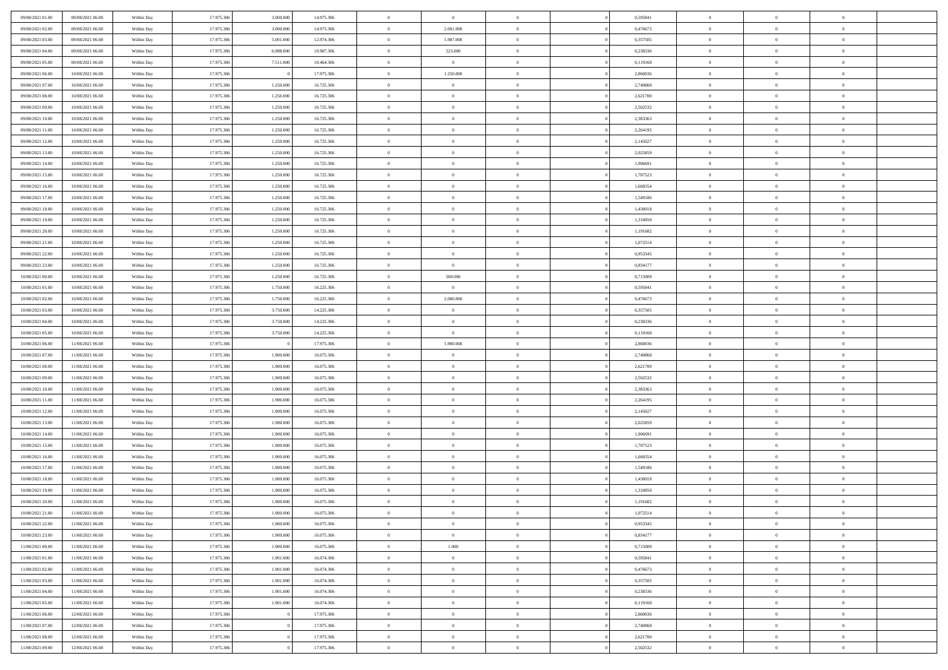| 09/08/2021 01:00                     | 09/08/2021 06:00                     | Within Day               | 17.975.306               | 3.000.000              | 14.975.306               | $\,$ 0 $\,$          | $\overline{0}$                | $\overline{0}$                 |          | 0,595841             | $\bf{0}$                    | $\overline{0}$                   | $\,0\,$              |  |
|--------------------------------------|--------------------------------------|--------------------------|--------------------------|------------------------|--------------------------|----------------------|-------------------------------|--------------------------------|----------|----------------------|-----------------------------|----------------------------------|----------------------|--|
| 09/08/2021 02:00                     | 09/08/2021 06:00                     | Within Day               | 17.975.306               | 3,000,000              | 14.975.306               | $\overline{0}$       | 2.001.000                     | $\mathbf{0}$                   |          | 0,476673             | $\theta$                    | $\overline{0}$                   | $\theta$             |  |
| 09/08/2021 03:00                     | 09/08/2021 06:00                     | Within Dav               | 17.975.306               | 5.001.000              | 12.974.306               | $\theta$             | 1.987.000                     | $\mathbf{0}$                   |          | 0,357505             | $\mathbf{0}$                | $\overline{0}$                   | $\overline{0}$       |  |
| 09/08/2021 04:00                     | 09/08/2021 06:00                     | Within Day               | 17.975.306               | 6.988.000              | 10.987.306               | $\,$ 0 $\,$          | 523.000                       | $\overline{0}$                 |          | 0,238336             | $\bf{0}$                    | $\overline{0}$                   | $\bf{0}$             |  |
| 09/08/2021 05:00                     | 09/08/2021 06:00                     | Within Day               | 17.975.306               | 7.511.000              | 10.464.306               | $\,$ 0               | $\overline{0}$                | $\mathbf{0}$                   |          | 0,119168             | $\bf{0}$                    | $\bf{0}$                         | $\,0\,$              |  |
| 09/08/2021 06:00                     | 10/08/2021 06:00                     | Within Dav               | 17.975.306               |                        | 17.975.306               | $\theta$             | 1.250.000                     | $\mathbf{0}$                   |          | 2,860036             | $\mathbf{0}$                | $\overline{0}$                   | $\overline{0}$       |  |
| 09/08/2021 07:00                     | 10/08/2021 06:00                     | Within Day               | 17.975.306               | 1.250.000              | 16.725.306               | $\,$ 0 $\,$          | $\overline{0}$                | $\overline{0}$                 |          | 2,740868             | $\bf{0}$                    | $\overline{0}$                   | $\,0\,$              |  |
| 09/08/2021 08:00                     | 10/08/2021 06:00                     | Within Day               | 17.975.306               | 1.250.000              | 16.725.306               | $\,$ 0               | $\overline{0}$                | $\mathbf{0}$                   |          | 2,621700             | $\,$ 0 $\,$                 | $\overline{0}$                   | $\theta$             |  |
| 09/08/2021 09:00                     | 10/08/2021 06:00                     | Within Day               | 17.975.306               | 1.250.000              | 16.725.306               | $\theta$             | $\overline{0}$                | $\mathbf{0}$                   |          | 2,502532             | $\mathbf{0}$                | $\overline{0}$                   | $\overline{0}$       |  |
| 09/08/2021 10:00                     | 10/08/2021 06:00                     | Within Day               | 17.975.306               | 1.250.000              | 16.725.306               | $\,$ 0 $\,$          | $\overline{0}$                | $\Omega$                       |          | 2,383363             | $\bf{0}$                    | $\overline{0}$                   | $\,0\,$              |  |
| 09/08/2021 11:00                     | 10/08/2021 06:00                     | Within Day               | 17.975.306               | 1.250.000              | 16.725.306               | $\bf{0}$             | $\overline{0}$                | $\mathbf{0}$                   |          | 2,264195             | $\bf{0}$                    | $\mathbf{0}$                     | $\theta$             |  |
| 09/08/2021 12:00                     | 10/08/2021 06:00                     | Within Dav               | 17.975.306               | 1.250.000              | 16.725.306               | $\theta$             | $\overline{0}$                | $\overline{0}$                 |          | 2,145027             | $\mathbf{0}$                | $\overline{0}$                   | $\overline{0}$       |  |
| 09/08/2021 13:00                     | 10/08/2021 06:00                     | Within Day               | 17.975.306               | 1.250.000              | 16.725.306               | $\,$ 0 $\,$          | $\overline{0}$                | $\overline{0}$                 |          | 2,025859             | $\bf{0}$                    | $\overline{0}$                   | $\bf{0}$             |  |
| 09/08/2021 14:00                     | 10/08/2021 06:00                     | Within Day               | 17.975.306               | 1.250.000              | 16.725.306               | $\,$ 0               | $\overline{0}$                | $\mathbf{0}$                   |          | 1,906691             | $\bf{0}$                    | $\theta$                         | $\,0\,$              |  |
| 09/08/2021 15:00                     | 10/08/2021 06:00                     | Within Dav               | 17.975.306               | 1.250.000              | 16.725.306               | $\theta$             | $\overline{0}$                | $\overline{0}$                 |          | 1,787523             | $\mathbf{0}$                | $\overline{0}$                   | $\overline{0}$       |  |
| 09/08/2021 16:00                     | 10/08/2021 06:00                     | Within Day               | 17.975.306               | 1.250.000              | 16.725.306               | $\,$ 0 $\,$          | $\overline{0}$                | $\Omega$                       |          | 1,668354             | $\bf{0}$                    | $\overline{0}$                   | $\bf{0}$             |  |
| 09/08/2021 17:00                     | 10/08/2021 06:00                     | Within Day               | 17.975.306               | 1.250.000              | 16.725.306               | $\,$ 0               | $\overline{0}$                | $\mathbf{0}$                   |          | 1,549186             | $\,$ 0 $\,$                 | $\overline{0}$                   | $\theta$             |  |
| 09/08/2021 18:00                     | 10/08/2021 06:00                     | Within Day               | 17.975.306               | 1.250.000              | 16.725.306               | $\theta$             | $\overline{0}$                | $\mathbf{0}$                   |          | 1,430018             | $\mathbf{0}$                | $\overline{0}$                   | $\overline{0}$       |  |
| 09/08/2021 19:00                     | 10/08/2021 06:00                     | Within Day               | 17.975.306               | 1.250.000              | 16.725.306               | $\,$ 0 $\,$          | $\overline{0}$                | $\Omega$                       |          | 1,310850             | $\bf{0}$                    | $\overline{0}$                   | $\,0\,$              |  |
| 09/08/2021 20:00                     | 10/08/2021 06:00                     | Within Day               | 17.975.306               | 1.250.000              | 16.725.306               | $\bf{0}$             | $\overline{0}$                | $\mathbf{0}$                   |          | 1,191682             | $\bf{0}$                    | $\mathbf{0}$                     | $\theta$             |  |
| 09/08/2021 21:00                     | 10/08/2021 06:00                     | Within Day               | 17.975.306               | 1.250.000              | 16.725.306               | $\theta$             | $\overline{0}$                | $\mathbf{0}$                   |          | 1,072514             | $\mathbf{0}$                | $\overline{0}$                   | $\overline{0}$       |  |
| 09/08/2021 22:00                     | 10/08/2021 06:00                     | Within Day               | 17.975.306               | 1.250.000              | 16.725.306               | $\,$ 0 $\,$          | $\overline{0}$                | $\overline{0}$                 |          | 0,953345             | $\bf{0}$                    | $\overline{0}$                   | $\bf{0}$             |  |
| 09/08/2021 23:00                     | 10/08/2021 06:00                     | Within Day               | 17.975.306               | 1.250.000              | 16.725.306               | $\,$ 0               | $\overline{0}$                | $\mathbf{0}$                   |          | 0,834177             | $\bf{0}$                    | $\overline{0}$                   | $\,0\,$              |  |
| 10/08/2021 00:00                     | 10/08/2021 06:00                     | Within Day               | 17.975.306               | 1.250.000              | 16.725.306               | $\theta$             | 500.000                       | $\mathbf{0}$                   |          | 0,715009             | $\mathbf{0}$                | $\overline{0}$                   | $\overline{0}$       |  |
| 10/08/2021 01:00                     | 10/08/2021 06:00                     | Within Day               | 17.975.306               | 1.750.000              | 16.225.306               | $\,$ 0 $\,$          | $\overline{0}$                | $\overline{0}$                 |          | 0,595841             | $\bf{0}$                    | $\overline{0}$                   | $\,0\,$              |  |
| 10/08/2021 02:00                     | 10/08/2021 06:00                     | Within Day               | 17.975.306               | 1.750.000              | 16.225.306               | $\,$ 0               | 2.000.000                     | $\mathbf{0}$                   |          | 0,476673             | $\mathbf{0}$                | $\overline{0}$                   | $\theta$             |  |
| 10/08/2021 03:00                     | 10/08/2021 06:00                     | Within Day               | 17.975.306               | 3.750.000              | 14.225.306               | $\theta$             | $\overline{0}$                | $\overline{0}$                 |          | 0,357505             | $\mathbf{0}$                | $\overline{0}$                   | $\overline{0}$       |  |
| 10/08/2021 04:00                     | 10/08/2021 06:00                     | Within Day               | 17.975.306               | 3.750.000              | 14.225.306               | $\,$ 0 $\,$          | $\overline{0}$                | $\Omega$                       |          | 0,238336             | $\bf{0}$                    | $\overline{0}$                   | $\,0\,$              |  |
| 10/08/2021 05:00                     | 10/08/2021 06:00                     | Within Day               | 17.975.306               | 3.750.000              | 14.225.306               | $\bf{0}$             | $\overline{0}$                | $\mathbf{0}$                   |          | 0,119168             | $\bf{0}$                    | $\mathbf{0}$                     | $\overline{0}$       |  |
| 10/08/2021 06:00                     | 11/08/2021 06:00                     | Within Day               | 17.975.306               |                        | 17.975.306               | $\theta$             | 1.900.000                     | $\overline{0}$                 |          | 2,860036             | $\mathbf{0}$                | $\overline{0}$                   | $\overline{0}$       |  |
| 10/08/2021 07:00                     | 11/08/2021 06:00                     | Within Day               | 17.975.306               | 1.900.000              | 16.075.306               | $\,$ 0 $\,$          | $\overline{0}$                | $\overline{0}$                 |          | 2,740868             | $\,$ 0                      | $\overline{0}$                   | $\,$ 0 $\,$          |  |
| 10/08/2021 08:00                     | 11/08/2021 06:00                     | Within Day               | 17.975.306               | 1.900.000              | 16.075.306               | $\,$ 0               | $\overline{0}$                | $\mathbf{0}$                   |          | 2,621700             | $\bf{0}$                    | $\mathbf{0}$                     | $\overline{0}$       |  |
| 10/08/2021 09:00                     | 11/08/2021 06:00                     | Within Day               | 17.975.306               | 1.900.000              | 16.075.306               | $\theta$             | $\overline{0}$                | $\overline{0}$                 |          | 2,502532             | $\mathbf{0}$                | $\overline{0}$                   | $\overline{0}$       |  |
| 10/08/2021 10:00                     | 11/08/2021 06:00                     | Within Day               | 17.975.306               | 1.900.000              | 16.075.306               | $\theta$             | $\overline{0}$                | $\overline{0}$                 |          | 2,383363             | $\,$ 0                      | $\overline{0}$                   | $\theta$             |  |
| 10/08/2021 11:00                     | 11/08/2021 06:00                     | Within Day               | 17.975.306               | 1.900,000              | 16.075.306               | $\bf{0}$             | $\overline{0}$                | $\mathbf{0}$                   |          | 2,264195             | $\mathbf{0}$                | $\overline{0}$                   | $\overline{0}$       |  |
| 10/08/2021 12:00                     | 11/08/2021 06:00                     | Within Day               | 17.975.306               | 1.900.000              | 16.075.306               | $\theta$             | $\overline{0}$                | $\mathbf{0}$                   |          | 2,145027             | $\mathbf{0}$                | $\overline{0}$                   | $\overline{0}$       |  |
| 10/08/2021 13:00                     | 11/08/2021 06:00                     | Within Day               | 17.975.306               | 1.900.000              | 16.075.306               | $\theta$             | $\overline{0}$                | $\overline{0}$                 |          | 2,025859             | $\,$ 0                      | $\overline{0}$                   | $\theta$             |  |
| 10/08/2021 14:00                     | 11/08/2021 06:00                     | Within Day               | 17.975.306               | 1.900,000              | 16.075.306               | $\bf{0}$             | $\overline{0}$                | $\mathbf{0}$                   |          | 1,906691             | $\bf{0}$                    | $\mathbf{0}$                     | $\bf{0}$             |  |
| 10/08/2021 15:00                     | 11/08/2021 06:00                     | Within Day               | 17.975.306               | 1.900.000              | 16.075.306               | $\theta$             | $\overline{0}$                | $\overline{0}$                 |          | 1,787523             | $\mathbf{0}$                | $\overline{0}$                   | $\overline{0}$       |  |
| 10/08/2021 16:00                     | 11/08/2021 06:00                     | Within Day               | 17.975.306               | 1.900.000              | 16.075.306               | $\,$ 0 $\,$          | $\overline{0}$                | $\overline{0}$                 |          | 1,668354             | $\,$ 0                      | $\overline{0}$<br>$\overline{0}$ | $\,$ 0 $\,$          |  |
| 10/08/2021 17:00<br>10/08/2021 18:00 | 11/08/2021 06:00<br>11/08/2021 06:00 | Within Day<br>Within Day | 17.975.306<br>17.975.306 | 1.900.000<br>1.900.000 | 16.075.306<br>16.075.306 | $\bf{0}$<br>$\theta$ | $\,$ 0 $\,$<br>$\overline{0}$ | $\overline{0}$<br>$\mathbf{0}$ |          | 1,549186<br>1,430018 | $\,$ 0 $\,$<br>$\mathbf{0}$ | $\overline{0}$                   | $\bf{0}$<br>$\theta$ |  |
| 10/08/2021 19:00                     | 11/08/2021 06:00                     | Within Day               | 17.975.306               | 1.900.000              | 16.075.306               | $\theta$             | $\overline{0}$                | $\overline{0}$                 |          | 1,310850             | $\,$ 0                      | $\overline{0}$                   | $\theta$             |  |
| 10/08/2021 20:00                     | 11/08/2021 06:00                     | Within Day               | 17.975.306               | 1.900.000              | 16.075.306               | $\,$ 0               | $\overline{0}$                | $\mathbf{0}$                   |          | 1,191682             | $\,$ 0 $\,$                 | $\overline{0}$                   | $\bf{0}$             |  |
| 10/08/2021 21:00                     | 11/08/2021 06:00                     | Within Day               | 17.975.306               | 1.900.000              | 16.075.306               | $\overline{0}$       | $\theta$                      |                                |          | 1,072514             | $\overline{0}$              | $^{\circ}$                       | $\theta$             |  |
| 10/08/2021 22:00                     | 11/08/2021 06:00                     | Within Day               | 17.975.306               | 1.900.000              | 16.075.306               | $\,$ 0 $\,$          | $\overline{0}$                | $\overline{0}$                 |          | 0,953345             | $\,$ 0 $\,$                 | $\bf{0}$                         | $\theta$             |  |
| 10/08/2021 23:00                     | 11/08/2021 06:00                     | Within Day               | 17.975.306               | 1.900.000              | 16.075.306               | $\bf{0}$             | $\overline{0}$                | $\overline{0}$                 |          | 0,834177             | $\,$ 0 $\,$                 | $\overline{0}$                   | $\overline{0}$       |  |
| 11/08/2021 00:00                     | 11/08/2021 06:00                     | Within Day               | 17.975.306               | 1.900.000              | 16.075.306               | $\mathbf{0}$         | 1.000                         | $\overline{0}$                 |          | 0,715009             | $\,$ 0 $\,$                 | $\bf{0}$                         | $\mathbf{0}$         |  |
| 11/08/2021 01:00                     | 11/08/2021 06:00                     | Within Day               | 17.975.306               | 1.901.000              | 16.074.306               | $\,0\,$              | $\overline{0}$                | $\overline{0}$                 | $\theta$ | 0,595841             | $\,$ 0 $\,$                 | $\bf{0}$                         | $\,$ 0 $\,$          |  |
| 11/08/2021 02:00                     | 11/08/2021 06:00                     | Within Day               | 17.975.306               | 1.901.000              | 16.074.306               | $\,$ 0 $\,$          | $\,$ 0 $\,$                   | $\overline{0}$                 |          | 0,476673             | $\,$ 0 $\,$                 | $\overline{0}$                   | $\overline{0}$       |  |
| 11/08/2021 03:00                     | 11/08/2021 06:00                     | Within Day               | 17.975.306               | 1.901.000              | 16.074.306               | $\mathbf{0}$         | $\overline{0}$                | $\overline{0}$                 |          | 0,357505             | $\mathbf{0}$                | $\overline{0}$                   | $\overline{0}$       |  |
| 11/08/2021 04:00                     | 11/08/2021 06:00                     | Within Day               | 17.975.306               | 1.901.000              | 16.074.306               | $\,$ 0 $\,$          | $\overline{0}$                | $\overline{0}$                 |          | 0,238336             | $\,$ 0 $\,$                 | $\mathbf{0}$                     | $\,$ 0 $\,$          |  |
| 11/08/2021 05:00                     | 11/08/2021 06:00                     | Within Day               | 17.975.306               | 1.901.000              | 16.074.306               | $\overline{0}$       | $\overline{0}$                | $\overline{0}$                 |          | 0,119168             | $\mathbf{0}$                | $\overline{0}$                   | $\overline{0}$       |  |
| 11/08/2021 06:00                     | 12/08/2021 06:00                     | Within Day               | 17.975.306               |                        | 17.975.306               | $\mathbf{0}$         | $\overline{0}$                | $\overline{0}$                 |          | 2,860036             | $\mathbf{0}$                | $\bf{0}$                         | $\overline{0}$       |  |
| 11/08/2021 07:00                     | 12/08/2021 06:00                     | Within Day               | 17.975.306               |                        | 17.975.306               | $\,0\,$              | $\overline{0}$                | $\overline{0}$                 |          | 2,740868             | $\,$ 0 $\,$                 | $\overline{0}$                   | $\,$ 0 $\,$          |  |
| 11/08/2021 08:00                     | 12/08/2021 06:00                     | Within Day               | 17.975.306               |                        | 17.975.306               | $\,$ 0 $\,$          | $\,$ 0 $\,$                   | $\overline{0}$                 |          | 2,621700             | $\,$ 0 $\,$                 | $\overline{0}$                   | $\overline{0}$       |  |
| 11/08/2021 09:00                     | 12/08/2021 06:00                     | Within Day               | 17.975.306               |                        | 17.975.306               | $\theta$             | $\overline{0}$                | $\overline{0}$                 |          | 2,502532             | $\,$ 0 $\,$                 | $\overline{0}$                   | $\overline{0}$       |  |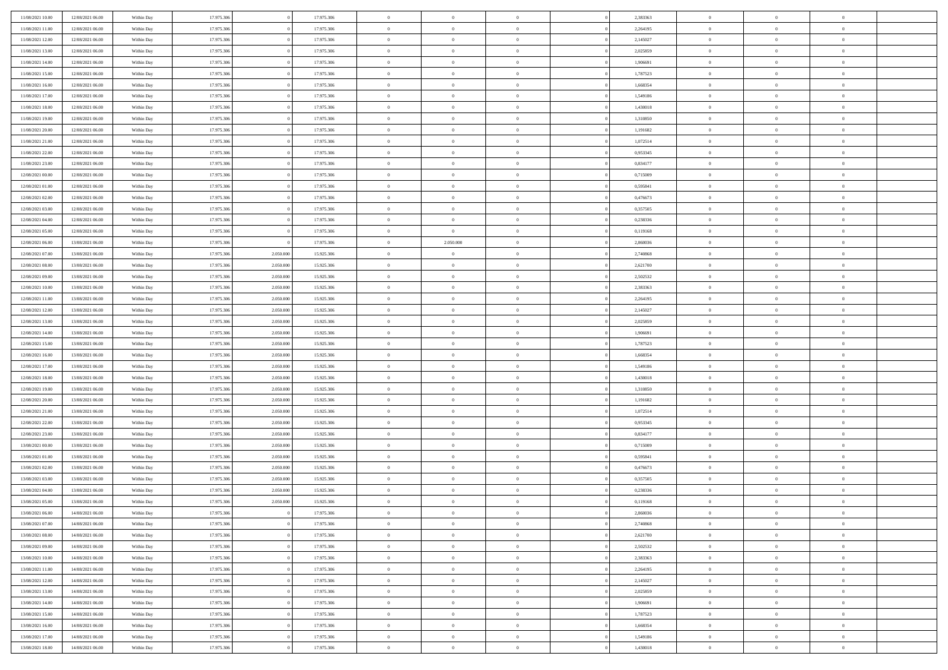| 11/08/2021 10:00 | 12/08/2021 06:00                     | Within Day | 17.975.306               |           | 17.975.306               | $\,$ 0 $\,$    | $\overline{0}$                | $\overline{0}$ |          | 2,383363 | $\bf{0}$       | $\overline{0}$             | $\,0\,$        |  |
|------------------|--------------------------------------|------------|--------------------------|-----------|--------------------------|----------------|-------------------------------|----------------|----------|----------|----------------|----------------------------|----------------|--|
| 11/08/2021 11:00 | 12/08/2021 06:00                     | Within Day | 17.975.306               |           | 17.975.306               | $\overline{0}$ | $\overline{0}$                | $\mathbf{0}$   |          | 2,264195 | $\theta$       | $\overline{0}$             | $\theta$       |  |
| 11/08/2021 12:00 | 12/08/2021 06:00                     | Within Day | 17.975.306               |           | 17.975.306               | $\theta$       | $\overline{0}$                | $\overline{0}$ |          | 2,145027 | $\mathbf{0}$   | $\overline{0}$             | $\overline{0}$ |  |
| 11/08/2021 13:00 | 12/08/2021 06:00                     | Within Day | 17.975.306               |           | 17.975.306               | $\,$ 0 $\,$    | $\overline{0}$                | $\overline{0}$ |          | 2,025859 | $\bf{0}$       | $\overline{0}$             | $\bf{0}$       |  |
| 11/08/2021 14:00 | 12/08/2021 06:00                     | Within Day | 17.975.306               |           | 17.975.306               | $\bf{0}$       | $\overline{0}$                | $\mathbf{0}$   |          | 1,906691 | $\bf{0}$       | $\bf{0}$                   | $\,0\,$        |  |
| 11/08/2021 15:00 | 12/08/2021 06:00                     | Within Day | 17.975.306               |           | 17.975.306               | $\theta$       | $\overline{0}$                | $\mathbf{0}$   |          | 1,787523 | $\mathbf{0}$   | $\overline{0}$             | $\overline{0}$ |  |
| 11/08/2021 16:00 | 12/08/2021 06:00                     | Within Day | 17.975.306               |           | 17.975.306               | $\,$ 0 $\,$    | $\overline{0}$                | $\overline{0}$ |          | 1,668354 | $\bf{0}$       | $\overline{0}$             | $\bf{0}$       |  |
|                  |                                      |            |                          |           |                          |                |                               |                |          |          |                |                            |                |  |
| 11/08/2021 17:00 | 12/08/2021 06:00                     | Within Day | 17.975.306               |           | 17.975.306               | $\overline{0}$ | $\overline{0}$                | $\mathbf{0}$   |          | 1,549186 | $\,$ 0 $\,$    | $\overline{0}$             | $\overline{0}$ |  |
| 11/08/2021 18:00 | 12/08/2021 06:00                     | Within Day | 17.975.306               |           | 17.975.306               | $\theta$       | $\overline{0}$                | $\mathbf{0}$   |          | 1,430018 | $\mathbf{0}$   | $\overline{0}$             | $\overline{0}$ |  |
| 11/08/2021 19:00 | 12/08/2021 06:00                     | Within Day | 17.975.306               |           | 17.975.306               | $\,$ 0 $\,$    | $\overline{0}$                | $\Omega$       |          | 1,310850 | $\bf{0}$       | $\overline{0}$             | $\,0\,$        |  |
| 11/08/2021 20:00 | 12/08/2021 06:00                     | Within Day | 17.975.306               |           | 17.975.306               | $\bf{0}$       | $\overline{0}$                | $\mathbf{0}$   |          | 1,191682 | $\bf{0}$       | $\mathbf{0}$               | $\theta$       |  |
| 11/08/2021 21:00 | 12/08/2021 06:00                     | Within Day | 17.975.306               |           | 17.975.306               | $\theta$       | $\overline{0}$                | $\overline{0}$ |          | 1,072514 | $\mathbf{0}$   | $\overline{0}$             | $\overline{0}$ |  |
| 11/08/2021 22:00 | 12/08/2021 06:00                     | Within Day | 17.975.306               |           | 17.975.306               | $\,$ 0 $\,$    | $\overline{0}$                | $\overline{0}$ |          | 0,953345 | $\bf{0}$       | $\overline{0}$             | $\bf{0}$       |  |
| 11/08/2021 23:00 | 12/08/2021 06:00                     | Within Day | 17.975.306               |           | 17.975.306               | $\bf{0}$       | $\overline{0}$                | $\mathbf{0}$   |          | 0,834177 | $\bf{0}$       | $\mathbf{0}$               | $\,0\,$        |  |
| 12/08/2021 00:00 | 12/08/2021 06:00                     | Within Day | 17.975.306               |           | 17.975.306               | $\theta$       | $\overline{0}$                | $\overline{0}$ |          | 0,715009 | $\mathbf{0}$   | $\overline{0}$             | $\overline{0}$ |  |
| 12/08/2021 01:00 | 12/08/2021 06:00                     | Within Day | 17.975.306               |           | 17.975.306               | $\,$ 0 $\,$    | $\overline{0}$                | $\Omega$       |          | 0,595841 | $\bf{0}$       | $\overline{0}$             | $\bf{0}$       |  |
| 12/08/2021 02:00 | 12/08/2021 06:00                     | Within Day | 17.975.306               |           | 17.975.306               | $\,$ 0         | $\overline{0}$                | $\mathbf{0}$   |          | 0,476673 | $\,$ 0 $\,$    | $\overline{0}$             | $\theta$       |  |
| 12/08/2021 03:00 | 12/08/2021 06:00                     | Within Day | 17.975.306               |           | 17.975.306               | $\theta$       | $\overline{0}$                | $\mathbf{0}$   |          | 0,357505 | $\mathbf{0}$   | $\overline{0}$             | $\overline{0}$ |  |
| 12/08/2021 04:00 | 12/08/2021 06:00                     | Within Day | 17.975.306               |           | 17.975.306               | $\,$ 0 $\,$    | $\overline{0}$                | $\Omega$       |          | 0,238336 | $\bf{0}$       | $\overline{0}$             | $\,0\,$        |  |
| 12/08/2021 05:00 | 12/08/2021 06:00                     | Within Day | 17.975.306               |           | 17.975.306               | $\bf{0}$       | $\overline{0}$                | $\mathbf{0}$   |          | 0,119168 | $\bf{0}$       | $\mathbf{0}$               | $\overline{0}$ |  |
| 12/08/2021 06:00 | 13/08/2021 06:00                     | Within Dav | 17.975.306               |           | 17.975.306               | $\theta$       | 2.050.000                     | $\mathbf{0}$   |          | 2,860036 | $\mathbf{0}$   | $\overline{0}$             | $\overline{0}$ |  |
| 12/08/2021 07:00 | 13/08/2021 06:00                     | Within Day | 17.975.306               | 2.050.000 | 15.925.306               | $\,$ 0 $\,$    | $\overline{0}$                | $\overline{0}$ |          | 2,740868 | $\bf{0}$       | $\overline{0}$             | $\bf{0}$       |  |
| 12/08/2021 08:00 | 13/08/2021 06:00                     | Within Day | 17.975.306               | 2.050.000 | 15.925.306               | $\,$ 0         | $\overline{0}$                | $\mathbf{0}$   |          | 2,621700 | $\,$ 0 $\,$    | $\overline{0}$             | $\,0\,$        |  |
| 12/08/2021 09:00 | 13/08/2021 06:00                     | Within Dav | 17.975.306               | 2.050.000 | 15.925.306               | $\theta$       | $\overline{0}$                | $\mathbf{0}$   |          | 2,502532 | $\mathbf{0}$   | $\overline{0}$             | $\overline{0}$ |  |
| 12/08/2021 10:00 | 13/08/2021 06:00                     | Within Day | 17.975.306               | 2.050.000 | 15.925.306               | $\,$ 0 $\,$    | $\overline{0}$                | $\overline{0}$ |          | 2,383363 | $\bf{0}$       | $\overline{0}$             | $\bf{0}$       |  |
| 12/08/2021 11:00 | 13/08/2021 06:00                     | Within Day | 17.975.306               | 2.050,000 | 15.925.306               | $\,$ 0         | $\overline{0}$                | $\mathbf{0}$   |          | 2,264195 | $\mathbf{0}$   | $\overline{0}$             | $\overline{0}$ |  |
| 12/08/2021 12:00 | 13/08/2021 06:00                     | Within Day | 17.975.306               | 2.050.000 | 15.925.306               | $\theta$       | $\overline{0}$                | $\mathbf{0}$   |          | 2,145027 | $\mathbf{0}$   | $\bf{0}$                   | $\overline{0}$ |  |
| 12/08/2021 13:00 | 13/08/2021 06:00                     | Within Day | 17.975.306               | 2.050.000 | 15.925.306               | $\,$ 0 $\,$    | $\overline{0}$                | $\Omega$       |          | 2,025859 | $\bf{0}$       | $\overline{0}$             | $\bf{0}$       |  |
| 12/08/2021 14:00 | 13/08/2021 06:00                     | Within Day | 17.975.306               | 2.050,000 | 15.925.306               | $\bf{0}$       | $\overline{0}$                | $\mathbf{0}$   |          | 1,906691 | $\bf{0}$       | $\mathbf{0}$               | $\overline{0}$ |  |
| 12/08/2021 15:00 | 13/08/2021 06:00                     | Within Day | 17.975.306               | 2.050.000 | 15.925.306               | $\theta$       | $\overline{0}$                | $\overline{0}$ |          | 1,787523 | $\mathbf{0}$   | $\overline{0}$             | $\overline{0}$ |  |
| 12/08/2021 16:00 | 13/08/2021 06:00                     | Within Day | 17.975.306               | 2.050.000 | 15.925.306               | $\,$ 0 $\,$    | $\overline{0}$                | $\overline{0}$ |          | 1,668354 | $\,$ 0         | $\overline{0}$             | $\,$ 0 $\,$    |  |
| 12/08/2021 17:00 | 13/08/2021 06:00                     | Within Day | 17.975.306               | 2.050.000 | 15.925.306               | $\bf{0}$       | $\overline{0}$                | $\mathbf{0}$   |          | 1,549186 | $\bf{0}$       | $\mathbf{0}$               | $\overline{0}$ |  |
| 12/08/2021 18:00 | 13/08/2021 06:00                     | Within Dav | 17.975.306               | 2.050.000 | 15.925.306               | $\theta$       | $\overline{0}$                | $\overline{0}$ |          | 1,430018 | $\mathbf{0}$   | $\overline{0}$             | $\overline{0}$ |  |
| 12/08/2021 19:00 | 13/08/2021 06:00                     | Within Day | 17.975.306               | 2.050.000 | 15.925.306               | $\theta$       | $\overline{0}$                | $\overline{0}$ |          | 1,310850 | $\,$ 0         | $\overline{0}$             | $\theta$       |  |
| 12/08/2021 20:00 | 13/08/2021 06:00                     | Within Day | 17.975.306               | 2.050,000 | 15.925.306               | $\bf{0}$       | $\overline{0}$                | $\mathbf{0}$   |          | 1,191682 | $\mathbf{0}$   | $\overline{0}$             | $\overline{0}$ |  |
| 12/08/2021 21:00 | 13/08/2021 06:00                     | Within Day | 17.975.306               | 2.050.000 | 15.925.306               | $\theta$       | $\overline{0}$                | $\mathbf{0}$   |          | 1,072514 | $\mathbf{0}$   | $\overline{0}$             | $\overline{0}$ |  |
| 12/08/2021 22:00 | 13/08/2021 06:00                     | Within Day | 17.975.306               | 2.050.000 | 15.925.306               | $\theta$       | $\overline{0}$                | $\overline{0}$ |          | 0,953345 | $\,$ 0         | $\overline{0}$             | $\theta$       |  |
| 12/08/2021 23:00 | 13/08/2021 06:00                     | Within Day | 17.975.306               | 2.050,000 | 15.925.306               | $\bf{0}$       | $\overline{0}$                | $\mathbf{0}$   |          | 0,834177 | $\bf{0}$       | $\mathbf{0}$               | $\overline{0}$ |  |
| 13/08/2021 00:00 | 13/08/2021 06:00                     | Within Day | 17.975.306               | 2.050.000 | 15.925.306               | $\theta$       | $\overline{0}$                | $\overline{0}$ |          | 0,715009 | $\mathbf{0}$   | $\overline{0}$             | $\overline{0}$ |  |
| 13/08/2021 01:00 | 13/08/2021 06:00                     | Within Day | 17.975.306               | 2.050.000 | 15.925.306               | $\,$ 0 $\,$    | $\overline{0}$                | $\overline{0}$ |          | 0,595841 | $\,$ 0         | $\overline{0}$             | $\,$ 0 $\,$    |  |
| 13/08/2021 02:00 | 13/08/2021 06:00                     | Within Day | 17.975.306               | 2.050.000 | 15.925.306               | $\,$ 0         | $\,$ 0 $\,$                   | $\overline{0}$ |          | 0,476673 | $\,$ 0 $\,$    | $\overline{0}$             | $\overline{0}$ |  |
| 13/08/2021 03:00 | 13/08/2021 06:00                     | Within Dav | 17.975.306               | 2.050.000 | 15.925.306               | $\theta$       | $\overline{0}$                | $\mathbf{0}$   |          | 0,357505 | $\mathbf{0}$   | $\overline{0}$             | $\theta$       |  |
| 13/08/2021 04:00 | 13/08/2021 06:00                     | Within Day | 17.975.306               | 2.050.000 | 15.925.306               | $\theta$       | $\overline{0}$                | $\overline{0}$ |          | 0,238336 | $\,$ 0         | $\overline{0}$             | $\theta$       |  |
| 13/08/2021 05:00 | 13/08/2021 06:00                     | Within Day | 17.975.306               | 2.050.000 | 15.925.306               | $\bf{0}$       | $\overline{0}$                | $\mathbf{0}$   |          | 0,119168 | $\,$ 0 $\,$    | $\overline{0}$             | $\overline{0}$ |  |
| 13/08/2021 06:00 | 14/08/2021 06:00                     | Within Day | 17.975.306               | $\Omega$  | 17.975.306               | $\overline{0}$ | $\theta$                      |                |          | 2,860036 | $\overline{0}$ | $\theta$                   | $\theta$       |  |
| 13/08/2021 07:00 | 14/08/2021 06:00                     | Within Day | 17.975.306               |           | 17.975.306               | $\,$ 0 $\,$    | $\overline{0}$                | $\overline{0}$ |          | 2,740868 | $\,$ 0 $\,$    | $\bf{0}$                   | $\,$ 0 $\,$    |  |
| 13/08/2021 08:00 | 14/08/2021 06:00                     | Within Day | 17.975.306               |           | 17.975.306               | $\bf{0}$       | $\,$ 0 $\,$                   | $\overline{0}$ |          | 2,621700 | $\,$ 0 $\,$    | $\overline{0}$             | $\overline{0}$ |  |
| 13/08/2021 09:00 | 14/08/2021 06:00                     | Within Day | 17.975.306               |           | 17.975.306               | $\mathbf{0}$   | $\overline{0}$                | $\overline{0}$ |          | 2,502532 | $\,$ 0 $\,$    | $\bf{0}$                   | $\mathbf{0}$   |  |
|                  |                                      |            |                          |           |                          |                |                               |                |          |          |                |                            |                |  |
| 13/08/2021 10:00 | 14/08/2021 06:00                     | Within Day | 17.975.306<br>17.975.306 |           | 17.975.306<br>17.975.306 | $\,$ 0 $\,$    | $\overline{0}$<br>$\,$ 0 $\,$ | $\overline{0}$ | $\theta$ | 2,383363 | $\,$ 0 $\,$    | $\bf{0}$<br>$\overline{0}$ | $\,$ 0 $\,$    |  |
| 13/08/2021 11:00 | 14/08/2021 06:00<br>14/08/2021 06:00 | Within Day | 17.975.306               |           |                          | $\,$ 0 $\,$    |                               | $\overline{0}$ |          | 2,264195 | $\,$ 0 $\,$    |                            | $\overline{0}$ |  |
| 13/08/2021 12:00 |                                      | Within Day |                          |           | 17.975.306               | $\overline{0}$ | $\overline{0}$                | $\overline{0}$ |          | 2,145027 | $\mathbf{0}$   | $\bf{0}$                   | $\overline{0}$ |  |
| 13/08/2021 13:00 | 14/08/2021 06:00                     | Within Day | 17.975.306               |           | 17.975.306               | $\,$ 0 $\,$    | $\overline{0}$                | $\overline{0}$ |          | 2,025859 | $\,$ 0 $\,$    | $\bf{0}$                   | $\,$ 0 $\,$    |  |
| 13/08/2021 14:00 | 14/08/2021 06:00                     | Within Day | 17.975.306               |           | 17.975.306               | $\bf{0}$       | $\overline{0}$                | $\overline{0}$ |          | 1,906691 | $\,$ 0 $\,$    | $\overline{0}$             | $\mathbf{0}$   |  |
| 13/08/2021 15:00 | 14/08/2021 06:00                     | Within Day | 17.975.306               |           | 17.975.306               | $\mathbf{0}$   | $\overline{0}$                | $\overline{0}$ |          | 1,787523 | $\,$ 0 $\,$    | $\bf{0}$                   | $\overline{0}$ |  |
| 13/08/2021 16:00 | 14/08/2021 06:00                     | Within Day | 17.975.306               |           | 17.975.306               | $\,$ 0 $\,$    | $\overline{0}$                | $\overline{0}$ |          | 1,668354 | $\,$ 0 $\,$    | $\bf{0}$                   | $\,$ 0 $\,$    |  |
| 13/08/2021 17:00 | 14/08/2021 06:00                     | Within Day | 17.975.306               |           | 17.975.306               | $\mathbf{0}$   | $\,$ 0 $\,$                   | $\overline{0}$ |          | 1,549186 | $\,$ 0 $\,$    | $\overline{0}$             | $\overline{0}$ |  |
| 13/08/2021 18:00 | 14/08/2021 06:00                     | Within Day | 17.975.306               |           | 17.975.306               | $\theta$       | $\overline{0}$                | $\overline{0}$ |          | 1,430018 | $\mathbf{0}$   | $\overline{0}$             | $\overline{0}$ |  |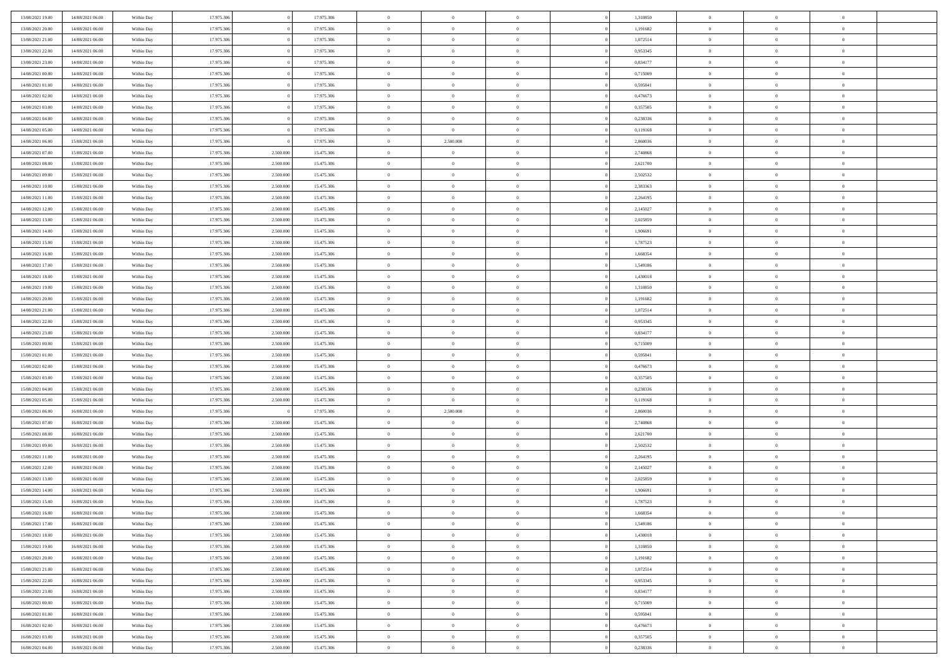| 13/08/2021 19:00 | 14/08/2021 06:00 | Within Day | 17.975.306 |           | 17.975.306 | $\,$ 0 $\,$    | $\overline{0}$ | $\overline{0}$ |          | 1,310850 | $\bf{0}$       | $\overline{0}$ | $\,0\,$        |  |
|------------------|------------------|------------|------------|-----------|------------|----------------|----------------|----------------|----------|----------|----------------|----------------|----------------|--|
| 13/08/2021 20:00 | 14/08/2021 06:00 | Within Day | 17.975.306 |           | 17.975.306 | $\overline{0}$ | $\overline{0}$ | $\mathbf{0}$   |          | 1,191682 | $\theta$       | $\overline{0}$ | $\theta$       |  |
| 13/08/2021 21:00 | 14/08/2021 06:00 | Within Dav | 17.975.306 |           | 17.975.306 | $\theta$       | $\overline{0}$ | $\overline{0}$ |          | 1,072514 | $\mathbf{0}$   | $\overline{0}$ | $\overline{0}$ |  |
| 13/08/2021 22:00 | 14/08/2021 06:00 | Within Day | 17.975.306 |           | 17.975.306 | $\,$ 0 $\,$    | $\overline{0}$ | $\overline{0}$ |          | 0,953345 | $\bf{0}$       | $\overline{0}$ | $\bf{0}$       |  |
| 13/08/2021 23:00 | 14/08/2021 06:00 | Within Day | 17.975.306 |           | 17.975.306 | $\bf{0}$       | $\overline{0}$ | $\mathbf{0}$   |          | 0,834177 | $\bf{0}$       | $\theta$       | $\,0\,$        |  |
| 14/08/2021 00:00 | 14/08/2021 06:00 | Within Dav | 17.975.306 |           | 17.975.306 | $\theta$       | $\overline{0}$ | $\mathbf{0}$   |          | 0,715009 | $\mathbf{0}$   | $\overline{0}$ | $\overline{0}$ |  |
| 14/08/2021 01:00 | 14/08/2021 06:00 | Within Day | 17.975.306 |           | 17.975.306 | $\,$ 0 $\,$    | $\overline{0}$ | $\overline{0}$ |          | 0,595841 | $\bf{0}$       | $\overline{0}$ | $\,0\,$        |  |
| 14/08/2021 02:00 | 14/08/2021 06:00 | Within Day | 17.975.306 |           | 17.975.306 | $\overline{0}$ | $\overline{0}$ | $\mathbf{0}$   |          | 0,476673 | $\,$ 0 $\,$    | $\overline{0}$ | $\theta$       |  |
| 14/08/2021 03:00 | 14/08/2021 06:00 | Within Day | 17.975.306 |           | 17.975.306 | $\theta$       | $\overline{0}$ | $\mathbf{0}$   |          | 0,357505 | $\mathbf{0}$   | $\overline{0}$ | $\overline{0}$ |  |
| 14/08/2021 04:00 | 14/08/2021 06:00 | Within Day | 17.975.306 |           | 17.975.306 | $\,$ 0 $\,$    | $\overline{0}$ | $\Omega$       |          | 0,238336 | $\bf{0}$       | $\overline{0}$ | $\,0\,$        |  |
| 14/08/2021 05:00 | 14/08/2021 06:00 | Within Day | 17.975.306 |           | 17.975.306 | $\bf{0}$       | $\overline{0}$ | $\mathbf{0}$   |          | 0,119168 | $\bf{0}$       | $\mathbf{0}$   | $\theta$       |  |
| 14/08/2021 06:00 | 15/08/2021 06:00 | Within Dav | 17.975.306 |           | 17.975.306 | $\theta$       | 2.500.000      | $\mathbf{0}$   |          | 2,860036 | $\mathbf{0}$   | $\overline{0}$ | $\overline{0}$ |  |
| 14/08/2021 07:00 | 15/08/2021 06:00 | Within Day | 17.975.306 | 2.500.000 | 15.475.306 | $\,$ 0 $\,$    | $\overline{0}$ | $\overline{0}$ |          | 2,740868 | $\bf{0}$       | $\overline{0}$ | $\bf{0}$       |  |
| 14/08/2021 08:00 | 15/08/2021 06:00 | Within Day | 17.975.306 | 2.500.000 | 15.475.306 | $\bf{0}$       | $\overline{0}$ | $\mathbf{0}$   |          | 2,621700 | $\bf{0}$       | $\theta$       | $\,0\,$        |  |
| 14/08/2021 09:00 | 15/08/2021 06:00 | Within Dav | 17.975.306 | 2.500.000 | 15.475.306 | $\theta$       | $\overline{0}$ | $\overline{0}$ |          | 2,502532 | $\mathbf{0}$   | $\overline{0}$ | $\overline{0}$ |  |
| 14/08/2021 10:00 | 15/08/2021 06:00 | Within Day | 17.975.306 | 2.500.000 | 15.475.306 | $\,$ 0 $\,$    | $\overline{0}$ | $\Omega$       |          | 2,383363 | $\bf{0}$       | $\overline{0}$ | $\bf{0}$       |  |
| 14/08/2021 11:00 | 15/08/2021 06:00 | Within Day | 17.975.306 | 2.500,000 | 15.475.306 | $\,$ 0         | $\overline{0}$ | $\mathbf{0}$   |          | 2,264195 | $\,$ 0 $\,$    | $\overline{0}$ | $\theta$       |  |
| 14/08/2021 12:00 | 15/08/2021 06:00 | Within Day | 17.975.306 | 2.500.000 | 15.475.306 | $\theta$       | $\overline{0}$ | $\mathbf{0}$   |          | 2,145027 | $\mathbf{0}$   | $\overline{0}$ | $\overline{0}$ |  |
| 14/08/2021 13:00 | 15/08/2021 06:00 | Within Day | 17.975.306 | 2.500.000 | 15.475.306 | $\,$ 0 $\,$    | $\overline{0}$ | $\Omega$       |          | 2,025859 | $\bf{0}$       | $\overline{0}$ | $\,0\,$        |  |
| 14/08/2021 14:00 | 15/08/2021 06:00 | Within Day | 17.975.306 | 2.500,000 | 15.475.306 | $\bf{0}$       | $\overline{0}$ | $\mathbf{0}$   |          | 1,906691 | $\bf{0}$       | $\mathbf{0}$   | $\theta$       |  |
| 14/08/2021 15:00 | 15/08/2021 06:00 | Within Dav | 17.975.306 | 2.500.000 | 15.475.306 | $\theta$       | $\overline{0}$ | $\mathbf{0}$   |          | 1,787523 | $\mathbf{0}$   | $\overline{0}$ | $\overline{0}$ |  |
| 14/08/2021 16:00 | 15/08/2021 06:00 | Within Day | 17.975.306 | 2.500.000 | 15.475.306 | $\,$ 0 $\,$    | $\overline{0}$ | $\overline{0}$ |          | 1,668354 | $\bf{0}$       | $\overline{0}$ | $\bf{0}$       |  |
| 14/08/2021 17:00 | 15/08/2021 06:00 | Within Day | 17.975.306 | 2.500.000 | 15.475.306 | $\bf{0}$       | $\overline{0}$ | $\mathbf{0}$   |          | 1,549186 | $\bf{0}$       | $\overline{0}$ | $\,0\,$        |  |
| 14/08/2021 18:00 | 15/08/2021 06:00 | Within Dav | 17.975.306 | 2.500.000 | 15.475.306 | $\theta$       | $\overline{0}$ | $\mathbf{0}$   |          | 1,430018 | $\mathbf{0}$   | $\overline{0}$ | $\overline{0}$ |  |
| 14/08/2021 19:00 | 15/08/2021 06:00 | Within Day | 17.975.306 | 2.500.000 | 15.475.306 | $\,$ 0 $\,$    | $\overline{0}$ | $\overline{0}$ |          | 1,310850 | $\bf{0}$       | $\overline{0}$ | $\,0\,$        |  |
| 14/08/2021 20:00 | 15/08/2021 06:00 | Within Day | 17.975.306 | 2.500,000 | 15.475.306 | $\,$ 0         | $\overline{0}$ | $\mathbf{0}$   |          | 1,191682 | $\mathbf{0}$   | $\overline{0}$ | $\theta$       |  |
| 14/08/2021 21:00 | 15/08/2021 06:00 | Within Day | 17.975.306 | 2.500.000 | 15.475.306 | $\theta$       | $\overline{0}$ | $\mathbf{0}$   |          | 1,072514 | $\mathbf{0}$   | $\overline{0}$ | $\overline{0}$ |  |
| 14/08/2021 22:00 | 15/08/2021 06:00 | Within Day | 17.975.306 | 2.500.000 | 15.475.306 | $\,$ 0 $\,$    | $\overline{0}$ | $\overline{0}$ |          | 0,953345 | $\bf{0}$       | $\overline{0}$ | $\,0\,$        |  |
| 14/08/2021 23:00 | 15/08/2021 06:00 | Within Day | 17.975.306 | 2.500,000 | 15.475.306 | $\bf{0}$       | $\overline{0}$ | $\mathbf{0}$   |          | 0,834177 | $\bf{0}$       | $\mathbf{0}$   | $\overline{0}$ |  |
| 15/08/2021 00:00 | 15/08/2021 06:00 | Within Dav | 17.975.306 | 2.500.000 | 15.475.306 | $\theta$       | $\overline{0}$ | $\overline{0}$ |          | 0,715009 | $\mathbf{0}$   | $\overline{0}$ | $\overline{0}$ |  |
| 15/08/2021 01:00 | 15/08/2021 06:00 | Within Day | 17.975.306 | 2.500.000 | 15.475.306 | $\,$ 0 $\,$    | $\overline{0}$ | $\overline{0}$ |          | 0,595841 | $\,$ 0         | $\overline{0}$ | $\,$ 0 $\,$    |  |
| 15/08/2021 02:00 | 15/08/2021 06:00 | Within Day | 17.975.306 | 2.500.000 | 15.475.306 | $\bf{0}$       | $\overline{0}$ | $\mathbf{0}$   |          | 0,476673 | $\bf{0}$       | $\mathbf{0}$   | $\bf{0}$       |  |
| 15/08/2021 03:00 | 15/08/2021 06:00 | Within Dav | 17.975.306 | 2.500.000 | 15.475.306 | $\theta$       | $\overline{0}$ | $\mathbf{0}$   |          | 0,357505 | $\mathbf{0}$   | $\overline{0}$ | $\overline{0}$ |  |
| 15/08/2021 04:00 | 15/08/2021 06:00 | Within Day | 17.975.306 | 2.500.000 | 15.475.306 | $\theta$       | $\overline{0}$ | $\overline{0}$ |          | 0,238336 | $\,$ 0         | $\overline{0}$ | $\theta$       |  |
| 15/08/2021 05:00 | 15/08/2021 06:00 | Within Day | 17.975.306 | 2.500.000 | 15.475.306 | $\bf{0}$       | $\overline{0}$ | $\mathbf{0}$   |          | 0,119168 | $\mathbf{0}$   | $\overline{0}$ | $\overline{0}$ |  |
| 15/08/2021 06:00 | 16/08/2021 06:00 | Within Day | 17.975.306 |           | 17.975.306 | $\theta$       | 2.500.000      | $\mathbf{0}$   |          | 2,860036 | $\mathbf{0}$   | $\overline{0}$ | $\overline{0}$ |  |
| 15/08/2021 07:00 | 16/08/2021 06:00 | Within Day | 17.975.306 | 2.500.000 | 15.475.306 | $\theta$       | $\overline{0}$ | $\overline{0}$ |          | 2,740868 | $\,$ 0         | $\overline{0}$ | $\theta$       |  |
| 15/08/2021 08:00 | 16/08/2021 06:00 | Within Day | 17.975.306 | 2.500.000 | 15.475.306 | $\bf{0}$       | $\overline{0}$ | $\mathbf{0}$   |          | 2,621700 | $\bf{0}$       | $\mathbf{0}$   | $\bf{0}$       |  |
| 15/08/2021 09:00 | 16/08/2021 06:00 | Within Day | 17.975.306 | 2.500.000 | 15.475.306 | $\theta$       | $\overline{0}$ | $\overline{0}$ |          | 2,502532 | $\mathbf{0}$   | $\overline{0}$ | $\overline{0}$ |  |
| 15/08/2021 11:00 | 16/08/2021 06:00 | Within Day | 17.975.306 | 2.500.000 | 15.475.306 | $\,$ 0 $\,$    | $\overline{0}$ | $\overline{0}$ |          | 2,264195 | $\,$ 0         | $\overline{0}$ | $\,$ 0 $\,$    |  |
| 15/08/2021 12:00 | 16/08/2021 06:00 | Within Day | 17.975.306 | 2.500.000 | 15.475.306 | $\,$ 0         | $\,$ 0 $\,$    | $\overline{0}$ |          | 2,145027 | $\,$ 0 $\,$    | $\overline{0}$ | $\bf{0}$       |  |
| 15/08/2021 13:00 | 16/08/2021 06:00 | Within Dav | 17.975.306 | 2.500.000 | 15.475.306 | $\theta$       | $\overline{0}$ | $\mathbf{0}$   |          | 2,025859 | $\mathbf{0}$   | $\overline{0}$ | $\theta$       |  |
| 15/08/2021 14:00 | 16/08/2021 06:00 | Within Day | 17.975.306 | 2.500.000 | 15.475.306 | $\overline{0}$ | $\overline{0}$ | $\overline{0}$ |          | 1,906691 | $\,$ 0         | $\overline{0}$ | $\theta$       |  |
| 15/08/2021 15:00 | 16/08/2021 06:00 | Within Day | 17.975.306 | 2.500.000 | 15.475.306 | $\bf{0}$       | $\overline{0}$ | $\mathbf{0}$   |          | 1,787523 | $\,$ 0 $\,$    | $\overline{0}$ | $\bf{0}$       |  |
| 15/08/2021 16:00 | 16/08/2021 06:00 | Within Day | 17.975.306 | 2.500.000 | 15.475.306 | $\overline{0}$ | $\theta$       |                |          | 1,668354 | $\overline{0}$ | $\theta$       | $\theta$       |  |
| 15/08/2021 17:00 | 16/08/2021 06:00 | Within Day | 17.975.306 | 2.500.000 | 15.475.306 | $\,$ 0 $\,$    | $\overline{0}$ | $\overline{0}$ |          | 1,549186 | $\,$ 0 $\,$    | $\bf{0}$       | $\theta$       |  |
| 15/08/2021 18:00 | 16/08/2021 06:00 | Within Day | 17.975.306 | 2.500.000 | 15.475.306 | $\bf{0}$       | $\,$ 0 $\,$    | $\overline{0}$ |          | 1,430018 | $\,$ 0 $\,$    | $\overline{0}$ | $\overline{0}$ |  |
| 15/08/2021 19:00 | 16/08/2021 06:00 | Within Day | 17.975.306 | 2.500.000 | 15.475.306 | $\,$ 0 $\,$    | $\overline{0}$ | $\overline{0}$ |          | 1,310850 | $\,$ 0 $\,$    | $\bf{0}$       | $\overline{0}$ |  |
| 15/08/2021 20:00 | 16/08/2021 06:00 | Within Day | 17.975.306 | 2.500.000 | 15.475.306 | $\,$ 0 $\,$    | $\overline{0}$ | $\overline{0}$ | $\theta$ | 1,191682 | $\,$ 0 $\,$    | $\bf{0}$       | $\,$ 0 $\,$    |  |
| 15/08/2021 21:00 | 16/08/2021 06:00 | Within Day | 17.975.306 | 2.500.000 | 15.475.306 | $\,$ 0 $\,$    | $\,$ 0 $\,$    | $\overline{0}$ |          | 1,072514 | $\,$ 0 $\,$    | $\overline{0}$ | $\overline{0}$ |  |
| 15/08/2021 22:00 | 16/08/2021 06:00 | Within Day | 17.975.306 | 2.500.000 | 15.475.306 | $\mathbf{0}$   | $\overline{0}$ | $\overline{0}$ |          | 0,953345 | $\mathbf{0}$   | $\bf{0}$       | $\overline{0}$ |  |
| 15/08/2021 23:00 | 16/08/2021 06:00 | Within Day | 17.975.306 | 2.500.000 | 15.475.306 | $\,$ 0 $\,$    | $\overline{0}$ | $\overline{0}$ |          | 0,834177 | $\,$ 0 $\,$    | $\bf{0}$       | $\,$ 0 $\,$    |  |
| 16/08/2021 00:00 | 16/08/2021 06:00 | Within Day | 17.975.306 | 2.500.000 | 15.475.306 | $\bf{0}$       | $\overline{0}$ | $\overline{0}$ |          | 0,715009 | $\,$ 0 $\,$    | $\overline{0}$ | $\overline{0}$ |  |
| 16/08/2021 01:00 | 16/08/2021 06:00 | Within Day | 17.975.306 | 2.500.000 | 15.475.306 | $\,$ 0 $\,$    | $\overline{0}$ | $\overline{0}$ |          | 0,595841 | $\,$ 0 $\,$    | $\bf{0}$       | $\overline{0}$ |  |
| 16/08/2021 02:00 | 16/08/2021 06:00 | Within Day | 17.975.306 | 2.500.000 | 15.475.306 | $\,$ 0 $\,$    | $\overline{0}$ | $\overline{0}$ |          | 0,476673 | $\,$ 0 $\,$    | $\mathbf{0}$   | $\,$ 0 $\,$    |  |
| 16/08/2021 03:00 | 16/08/2021 06:00 | Within Day | 17.975.306 | 2.500.000 | 15.475.306 | $\,$ 0 $\,$    | $\,$ 0 $\,$    | $\overline{0}$ |          | 0,357505 | $\,$ 0 $\,$    | $\overline{0}$ | $\overline{0}$ |  |
| 16/08/2021 04:00 | 16/08/2021 06:00 | Within Day | 17.975.306 | 2.500.000 | 15.475.306 | $\theta$       | $\overline{0}$ | $\overline{0}$ |          | 0,238336 | $\,$ 0 $\,$    | $\mathbf{0}$   | $\overline{0}$ |  |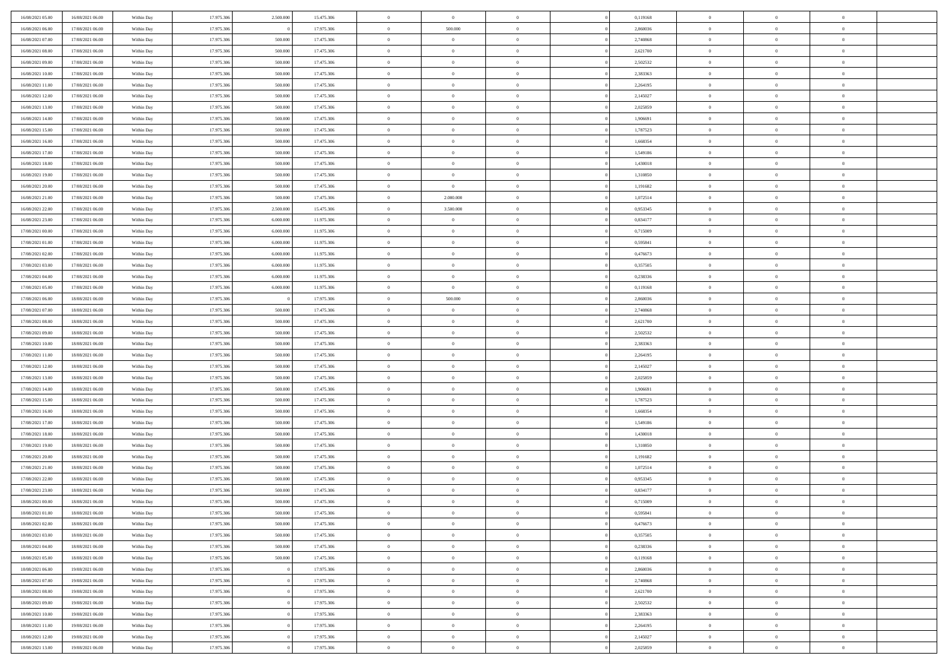| 16/08/2021 05:00                     | 16/08/2021 06:00                     | Within Day               | 17.975.306               | 2.500.000          | 15.475.306               | $\overline{0}$                | $\overline{0}$                   | $\Omega$                         | 0,119168             | $\bf{0}$                 | $\overline{0}$             | $\bf{0}$                   |  |
|--------------------------------------|--------------------------------------|--------------------------|--------------------------|--------------------|--------------------------|-------------------------------|----------------------------------|----------------------------------|----------------------|--------------------------|----------------------------|----------------------------|--|
| 16/08/2021 06:00                     | 17/08/2021 06:00                     | Within Dav               | 17.975.306               |                    | 17.975.306               | $\overline{0}$                | 500.000                          | $\overline{0}$                   | 2,860036             | $\mathbf{0}$             | $\bf{0}$                   | $\overline{0}$             |  |
| 16/08/2021 07:00                     | 17/08/2021 06:00                     | Within Day               | 17.975.306               | 500.000            | 17.475.306               | $\theta$                      | $\overline{0}$                   | $\overline{0}$                   | 2,740868             | $\,$ 0                   | $\overline{0}$             | $\,$ 0 $\,$                |  |
| 16/08/2021 08:00                     | 17/08/2021 06:00                     | Within Day               | 17.975.306               | 500,000            | 17.475.306               | $\mathbf{0}$                  | $\overline{0}$                   | $\mathbf{0}$                     | 2,621700             | $\bf{0}$                 | $\mathbf{0}$               | $\theta$                   |  |
| 16/08/2021 09:00                     | 17/08/2021 06:00                     | Within Dav               | 17.975.306               | 500.000            | 17.475.306               | $\mathbf{0}$                  | $\overline{0}$                   | $\overline{0}$                   | 2,502532             | $\mathbf{0}$             | $\bf{0}$                   | $\overline{0}$             |  |
| 16/08/2021 10:00                     | 17/08/2021 06:00                     | Within Day               | 17.975.306               | 500.000            | 17.475.306               | $\theta$                      | $\overline{0}$                   | $\bf{0}$                         | 2,383363             | $\,$ 0                   | $\overline{0}$             | $\,$ 0 $\,$                |  |
| 16/08/2021 11:00                     | 17/08/2021 06:00                     | Within Day               | 17.975.306               | 500.000            | 17.475.306               | $\,$ 0 $\,$                   | $\overline{0}$                   | $\mathbf{0}$                     | 2,264195             | $\bf{0}$                 | $\overline{0}$             | $\theta$                   |  |
| 16/08/2021 12:00                     | 17/08/2021 06:00                     | Within Dav               | 17.975.306               | 500.000            | 17.475.306               | $\overline{0}$                | $\overline{0}$                   | $\overline{0}$                   | 2,145027             | $\mathbf{0}$             | $\bf{0}$                   | $\overline{0}$             |  |
| 16/08/2021 13:00                     | 17/08/2021 06:00                     | Within Day               | 17.975.306               | 500.000            | 17.475.306               | $\theta$                      | $\overline{0}$                   | $\bf{0}$                         | 2,025859             | $\,$ 0                   | $\overline{0}$             | $\,$ 0 $\,$                |  |
| 16/08/2021 14:00                     | 17/08/2021 06:00                     | Within Day               | 17.975.306               | 500,000            | 17.475.306               | $\mathbf{0}$                  | $\overline{0}$                   | $\mathbf{0}$                     | 1.906691             | $\bf{0}$                 | $\mathbf{0}$               | $\theta$                   |  |
| 16/08/2021 15:00                     | 17/08/2021 06:00                     | Within Dav               | 17.975.306               | 500.000            | 17.475.306               | $\mathbf{0}$                  | $\overline{0}$                   | $\overline{0}$                   | 1,787523             | $\mathbf{0}$             | $\bf{0}$                   | $\overline{0}$             |  |
| 16/08/2021 16:00                     | 17/08/2021 06:00                     | Within Day               | 17.975.306               | 500.000            | 17.475.306               | $\theta$                      | $\overline{0}$                   | $\overline{0}$                   | 1,668354             | $\,$ 0                   | $\overline{0}$             | $\,$ 0 $\,$                |  |
| 16/08/2021 17:00                     | 17/08/2021 06:00                     | Within Day               | 17.975.306               | 500,000            | 17.475.306               | $\theta$                      | $\overline{0}$                   | $\mathbf{0}$                     | 1,549186             | $\bf{0}$                 | $\mathbf{0}$               | $\theta$                   |  |
| 16/08/2021 18:00                     | 17/08/2021 06:00                     | Within Dav               | 17.975.306               | 500.000            | 17.475.306               | $\mathbf{0}$                  | $\overline{0}$                   | $\overline{0}$                   | 1,430018             | $\mathbf{0}$             | $\bf{0}$                   | $\overline{0}$             |  |
| 16/08/2021 19:00                     | 17/08/2021 06:00                     | Within Day               | 17.975.306               | 500.000            | 17.475.306               | $\theta$                      | $\overline{0}$                   | $\overline{0}$                   | 1,310850             | $\,$ 0                   | $\overline{0}$             | $\,$ 0 $\,$                |  |
| 16/08/2021 20:00                     | 17/08/2021 06:00                     | Within Day               | 17.975.306               | 500,000            | 17.475.306               | $\bf{0}$                      | $\overline{0}$                   | $\mathbf{0}$                     | 1,191682             | $\bf{0}$                 | $\overline{0}$             | $\bf{0}$                   |  |
| 16/08/2021 21:00                     | 17/08/2021 06:00                     | Within Dav               | 17.975.306               | 500.000            | 17.475.306               | $\overline{0}$                | 2.000.000                        | $\overline{0}$                   | 1,072514             | $\mathbf{0}$             | $\bf{0}$                   | $\overline{0}$             |  |
| 16/08/2021 22:00                     | 17/08/2021 06:00                     | Within Day               | 17.975.306               | 2.500.000          | 15.475.306               | $\theta$                      | 3.500.000                        | $\bf{0}$                         | 0,953345             | $\,$ 0                   | $\overline{0}$             | $\,$ 0 $\,$                |  |
| 16/08/2021 23:00                     | 17/08/2021 06:00                     | Within Day               | 17.975.306               | 6,000,000          | 11.975.306               | $\bf{0}$                      | $\overline{0}$                   | $\mathbf{0}$                     | 0.834177             | $\theta$                 | $\mathbf{0}$               | $\theta$                   |  |
| 17/08/2021 00:00                     | 17/08/2021 06:00                     | Within Dav               | 17.975.306               | 6.000.000          | 11.975.306               | $\overline{0}$                | $\overline{0}$                   | $\overline{0}$                   | 0,715009             | $\mathbf{0}$             | $\bf{0}$                   | $\overline{0}$             |  |
| 17/08/2021 01:00                     | 17/08/2021 06:00                     | Within Day               | 17.975.306               | 6.000.000          | 11.975.306               | $\theta$                      | $\overline{0}$                   | $\overline{0}$                   | 0,595841             | $\,$ 0                   | $\overline{0}$             | $\,$ 0 $\,$                |  |
| 17/08/2021 02:00                     | 17/08/2021 06:00                     | Within Day               | 17.975.306               | 6,000,000          | 11.975.306               | $\theta$                      | $\overline{0}$                   | $\mathbf{0}$                     | 0.476673             | $\bf{0}$                 | $\mathbf{0}$               | $\theta$                   |  |
| 17/08/2021 03:00                     | 17/08/2021 06:00                     | Within Dav               | 17.975.306               | 6.000.000          | 11.975.306               | $\mathbf{0}$                  | $\overline{0}$                   | $\overline{0}$                   | 0,357505             | $\mathbf{0}$             | $\bf{0}$                   | $\overline{0}$             |  |
| 17/08/2021 04:00                     | 17/08/2021 06:00                     | Within Day               | 17.975.306               | 6.000.000          | 11.975.306               | $\theta$                      | $\overline{0}$                   | $\overline{0}$                   | 0,238336             | $\,$ 0                   | $\overline{0}$             | $\,$ 0 $\,$                |  |
| 17/08/2021 05:00                     | 17/08/2021 06:00                     | Within Day               | 17.975.306               | 6.000.000          | 11.975.306               | $\bf{0}$                      | $\overline{0}$                   | $\mathbf{0}$                     | 0,119168             | $\bf{0}$                 | $\overline{0}$             | $\bf{0}$                   |  |
| 17/08/2021 06:00                     | 18/08/2021 06:00                     | Within Dav               | 17.975.306               |                    | 17.975.306               | $\overline{0}$                | 500.000                          | $\overline{0}$                   | 2,860036             | $\mathbf{0}$             | $\bf{0}$                   | $\overline{0}$             |  |
| 17/08/2021 07:00                     | 18/08/2021 06:00                     | Within Day               | 17.975.306               | 500.000            | 17.475.306               | $\theta$                      | $\overline{0}$                   | $\overline{0}$                   | 2,740868             | $\,$ 0                   | $\overline{0}$             | $\,$ 0 $\,$                |  |
| 17/08/2021 08:00                     | 18/08/2021 06:00                     | Within Day               | 17.975.306               | 500,000            | 17.475.306               | $\overline{0}$                | $\overline{0}$                   | $\mathbf{0}$                     | 2,621700             | $\bf{0}$                 | $\mathbf{0}$               | $\theta$                   |  |
| 17/08/2021 09:00                     | 18/08/2021 06:00                     | Within Dav               | 17.975.306               | 500.000            | 17.475.306               | $\mathbf{0}$                  | $\overline{0}$                   | $\overline{0}$                   | 2,502532             | $\mathbf{0}$             | $\bf{0}$                   | $\overline{0}$             |  |
| 17/08/2021 10:00                     | 18/08/2021 06:00                     | Within Day               | 17.975.306               | 500.000            | 17.475.306               | $\theta$                      | $\overline{0}$                   | $\overline{0}$                   | 2,383363             | $\,$ 0                   | $\overline{0}$             | $\,$ 0 $\,$                |  |
| 17/08/2021 11:00                     | 18/08/2021 06:00                     | Within Day               | 17.975.306               | 500.000            | 17.475.306               | $\,$ 0 $\,$                   | $\overline{0}$                   | $\overline{0}$                   | 2,264195             | $\bf{0}$                 | $\overline{0}$             | $\,0\,$                    |  |
| 17/08/2021 12:00                     | 18/08/2021 06:00                     | Within Dav               | 17.975.306               | 500.000            | 17.475.306               | $\overline{0}$                | $\overline{0}$                   | $\overline{0}$                   | 2,145027             | $\mathbf{0}$             | $\bf{0}$                   | $\overline{0}$             |  |
| 17/08/2021 13:00                     | 18/08/2021 06:00                     | Within Day               | 17.975.306               | 500.000            | 17.475.306               | $\theta$                      | $\overline{0}$                   | $\bf{0}$                         | 2,025859             | $\,$ 0                   | $\overline{0}$             | $\,$ 0 $\,$                |  |
| 17/08/2021 14:00<br>17/08/2021 15:00 | 18/08/2021 06:00<br>18/08/2021 06:00 | Within Day<br>Within Dav | 17.975.306<br>17.975.306 | 500.000<br>500.000 | 17.475.306<br>17.475.306 | $\,$ 0 $\,$<br>$\overline{0}$ | $\overline{0}$<br>$\overline{0}$ | $\overline{0}$<br>$\overline{0}$ | 1,906691<br>1,787523 | $\bf{0}$<br>$\mathbf{0}$ | $\overline{0}$<br>$\bf{0}$ | $\bf{0}$<br>$\overline{0}$ |  |
| 17/08/2021 16:00                     | 18/08/2021 06:00                     | Within Day               | 17.975.306               | 500.000            | 17.475.306               | $\theta$                      | $\overline{0}$                   | $\overline{0}$                   | 1,668354             | $\,$ 0                   | $\overline{0}$             | $\,$ 0 $\,$                |  |
| 17/08/2021 17:00                     | 18/08/2021 06:00                     | Within Day               | 17.975.306               | 500.000            | 17.475.306               | $\,$ 0 $\,$                   | $\overline{0}$                   | $\overline{0}$                   | 1,549186             | $\bf{0}$                 | $\overline{0}$             | $\,0\,$                    |  |
| 17/08/2021 18:00                     | 18/08/2021 06:00                     | Within Dav               | 17.975.306               | 500.000            | 17.475.306               | $\overline{0}$                | $\overline{0}$                   | $\overline{0}$                   | 1,430018             | $\mathbf{0}$             | $\bf{0}$                   | $\overline{0}$             |  |
| 17/08/2021 19:00                     | 18/08/2021 06:00                     | Within Day               | 17.975.306               | 500.000            | 17.475.306               | $\theta$                      | $\overline{0}$                   | $\overline{0}$                   | 1,310850             | $\,$ 0                   | $\overline{0}$             | $\,$ 0 $\,$                |  |
| 17/08/2021 20:00                     | 18/08/2021 06:00                     | Within Day               | 17.975.306               | 500.000            | 17.475.306               | $\,$ 0 $\,$                   | $\overline{0}$                   | $\overline{0}$                   | 1,191682             | $\bf{0}$                 | $\overline{0}$             | $\,0\,$                    |  |
| 17/08/2021 21:00                     | 18/08/2021 06:00                     | Within Dav               | 17.975.306               | 500.000            | 17.475.306               | $\overline{0}$                | $\overline{0}$                   | $\overline{0}$                   | 1,072514             | $\mathbf{0}$             | $\bf{0}$                   | $\overline{0}$             |  |
| 17/08/2021 22:00                     | 18/08/2021 06:00                     | Within Day               | 17.975.306               | 500.000            | 17.475.306               | $\theta$                      | $\overline{0}$                   | $\bf{0}$                         | 0,953345             | $\,$ 0                   | $\overline{0}$             | $\,$ 0 $\,$                |  |
| 17/08/2021 23:00                     | 18/08/2021 06:00                     | Within Day               | 17.975.306               | 500.000            | 17.475.306               | $\,$ 0 $\,$                   | $\overline{0}$                   | $\overline{0}$                   | 0,834177             | $\bf{0}$                 | $\overline{0}$             | $\,0\,$                    |  |
| 18/08/2021 00:00                     | 18/08/2021 06:00                     | Within Dav               | 17.975.306               | 500.000            | 17.475.306               | $\theta$                      | $\overline{0}$                   | $\overline{0}$                   | 0,715009             | $\mathbf{0}$             | $\bf{0}$                   | $\overline{0}$             |  |
| 18/08/2021 01:00                     | 18/08/2021 06:00                     | Within Day               | 17.975.306               | 500.000            | 17.475.306               | $\overline{0}$                | $\overline{0}$                   | $\overline{0}$                   | 0,595841             | $\overline{0}$           | $\overline{0}$             | $\theta$                   |  |
| 18/08/2021 02:00                     | 18/08/2021 06:00                     | Within Day               | 17.975.306               | 500.000            | 17.475.306               | $\bf{0}$                      | $\overline{0}$                   | $\overline{0}$                   | 0,476673             | $\mathbf{0}$             | $\overline{0}$             | $\bf{0}$                   |  |
| 18/08/2021 03:00                     | 18/08/2021 06:00                     | Within Day               | 17.975.306               | 500.000            | 17.475.306               | $\overline{0}$                | $\overline{0}$                   | $\overline{0}$                   | 0,357505             | $\overline{0}$           | $\overline{0}$             | $\overline{0}$             |  |
| 18/08/2021 04:00                     | 18/08/2021 06:00                     | Within Day               | 17.975.306               | 500.000            | 17.475.306               | $\,$ 0                        | $\overline{0}$                   | $\overline{0}$                   | 0,238336             | $\,$ 0 $\,$              | $\,$ 0 $\,$                | $\,$ 0 $\,$                |  |
| 18/08/2021 05:00                     | 18/08/2021 06:00                     | Within Day               | 17.975.306               | 500.000            | 17.475.306               | $\bf{0}$                      | $\overline{0}$                   | $\overline{0}$                   | 0,119168             | $\mathbf{0}$             | $\overline{0}$             | $\bf{0}$                   |  |
| 18/08/2021 06:00                     | 19/08/2021 06:00                     | Within Day               | 17.975.306               |                    | 17.975.306               | $\mathbf{0}$                  | $\overline{0}$                   | $\overline{0}$                   | 2,860036             | $\,$ 0 $\,$              | $\bf{0}$                   | $\overline{0}$             |  |
| 18/08/2021 07:00                     | 19/08/2021 06:00                     | Within Day               | 17.975.306               |                    | 17.975.306               | $\,$ 0 $\,$                   | $\overline{0}$                   | $\overline{0}$                   | 2,740868             | $\,$ 0 $\,$              | $\overline{0}$             | $\,$ 0 $\,$                |  |
| 18/08/2021 08:00                     | 19/08/2021 06:00                     | Within Day               | 17.975.306               |                    | 17.975.306               | $\bf{0}$                      | $\overline{0}$                   | $\overline{0}$                   | 2,621700             | $\overline{0}$           | $\overline{0}$             | $\overline{0}$             |  |
| 18/08/2021 09:00                     | 19/08/2021 06:00                     | Within Day               | 17.975.306               |                    | 17.975.306               | $\mathbf{0}$                  | $\overline{0}$                   | $\overline{0}$                   | 2,502532             | $\,$ 0 $\,$              | $\bf{0}$                   | $\overline{0}$             |  |
| 18/08/2021 10:00                     | 19/08/2021 06:00                     | Within Day               | 17.975.306               |                    | 17.975.306               | $\,$ 0                        | $\overline{0}$                   | $\overline{0}$                   | 2,383363             | $\,$ 0 $\,$              | $\,$ 0 $\,$                | $\,$ 0 $\,$                |  |
| 18/08/2021 11:00                     | 19/08/2021 06:00                     | Within Day               | 17.975.306               |                    | 17.975.306               | $\bf{0}$                      | $\overline{0}$                   | $\overline{0}$                   | 2,264195             | $\mathbf{0}$             | $\overline{0}$             | $\bf{0}$                   |  |
| 18/08/2021 12:00                     | 19/08/2021 06:00                     | Within Day               | 17.975.306               |                    | 17.975.306               | $\mathbf{0}$                  | $\overline{0}$                   | $\overline{0}$                   | 2,145027             | $\overline{0}$           | $\bf{0}$                   | $\overline{0}$             |  |
| 18/08/2021 13:00                     | 19/08/2021 06:00                     | Within Day               | 17.975.306               |                    | 17.975.306               | $\,$ 0 $\,$                   | $\overline{0}$                   | $\overline{0}$                   | 2,025859             | $\,$ 0 $\,$              | $\overline{0}$             | $\,$ 0 $\,$                |  |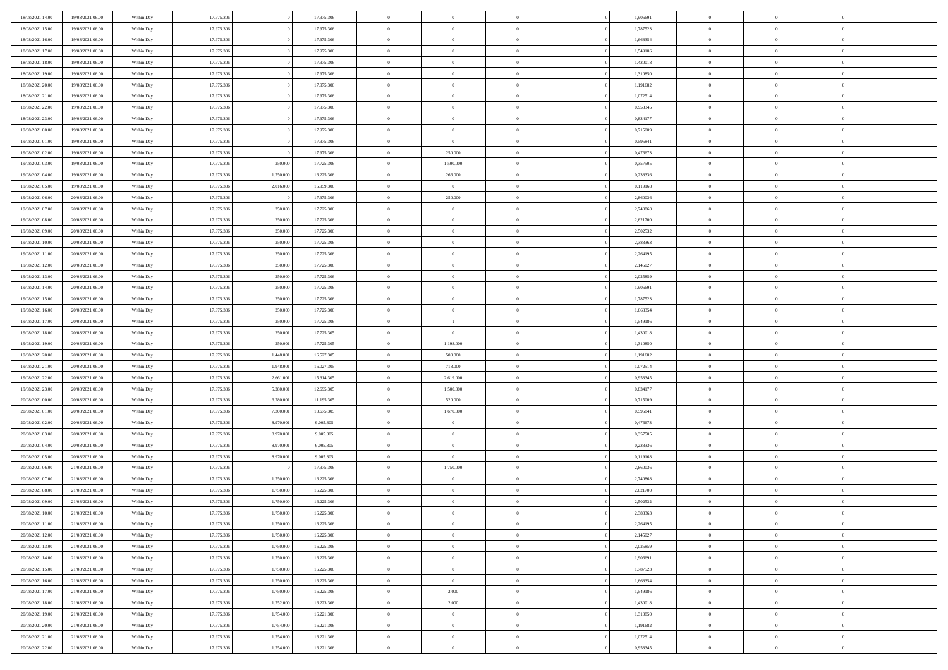| 18/08/2021 14:00                     | 19/08/2021 06:00                     | Within Day               | 17.975.306               |                        | 17.975.306             | $\bf{0}$                    | $\overline{0}$                   | $\Omega$                   | 1,906691             | $\bf{0}$                 | $\overline{0}$                   | $\bf{0}$                  |  |
|--------------------------------------|--------------------------------------|--------------------------|--------------------------|------------------------|------------------------|-----------------------------|----------------------------------|----------------------------|----------------------|--------------------------|----------------------------------|---------------------------|--|
| 18/08/2021 15:00                     | 19/08/2021 06:00                     | Within Dav               | 17.975.306               |                        | 17.975.306             | $\theta$                    | $\overline{0}$                   | $\overline{0}$             | 1,787523             | $\mathbf{0}$             | $\bf{0}$                         | $\overline{0}$            |  |
| 18/08/2021 16:00                     | 19/08/2021 06:00                     | Within Day               | 17.975.306               |                        | 17.975.306             | $\bf{0}$                    | $\overline{0}$                   | $\overline{0}$             | 1,668354             | $\,$ 0                   | $\overline{0}$                   | $\,$ 0 $\,$               |  |
| 18/08/2021 17:00                     | 19/08/2021 06:00                     | Within Day               | 17.975.306               |                        | 17.975.306             | $\mathbf{0}$                | $\overline{0}$                   | $\mathbf{0}$               | 1,549186             | $\bf{0}$                 | $\mathbf{0}$                     | $\theta$                  |  |
| 18/08/2021 18:00                     | 19/08/2021 06:00                     | Within Dav               | 17.975.306               |                        | 17.975.306             | $\mathbf{0}$                | $\overline{0}$                   | $\overline{0}$             | 1,430018             | $\mathbf{0}$             | $\bf{0}$                         | $\overline{0}$            |  |
| 18/08/2021 19:00                     | 19/08/2021 06:00                     | Within Day               | 17.975.306               |                        | 17.975.306             | $\theta$                    | $\overline{0}$                   | $\bf{0}$                   | 1,310850             | $\,$ 0                   | $\overline{0}$                   | $\,$ 0 $\,$               |  |
| 18/08/2021 20:00                     | 19/08/2021 06:00                     | Within Day               | 17.975.306               |                        | 17.975.306             | $\bf{0}$                    | $\overline{0}$                   | $\Omega$                   | 1,191682             | $\bf{0}$                 | $\mathbf{0}$                     | $\theta$                  |  |
| 18/08/2021 21:00                     | 19/08/2021 06:00                     | Within Dav               | 17.975.306               |                        | 17.975.306             | $\overline{0}$              | $\overline{0}$                   | $\overline{0}$             | 1,072514             | $\mathbf{0}$             | $\bf{0}$                         | $\overline{0}$            |  |
| 18/08/2021 22:00                     | 19/08/2021 06:00                     | Within Day               | 17.975.306               |                        | 17.975.306             | $\theta$                    | $\overline{0}$                   | $\bf{0}$                   | 0,953345             | $\,$ 0                   | $\overline{0}$                   | $\,$ 0 $\,$               |  |
| 18/08/2021 23:00                     | 19/08/2021 06:00                     | Within Day               | 17.975.306               |                        | 17.975.306             | $\mathbf{0}$                | $\overline{0}$                   | $\mathbf{0}$               | 0.834177             | $\bf{0}$                 | $\mathbf{0}$                     | $\theta$                  |  |
| 19/08/2021 00:00                     | 19/08/2021 06:00                     | Within Dav               | 17.975.306               |                        | 17.975.306             | $\mathbf{0}$                | $\overline{0}$                   | $\overline{0}$             | 0,715009             | $\mathbf{0}$             | $\bf{0}$                         | $\overline{0}$            |  |
| 19/08/2021 01:00                     | 19/08/2021 06:00                     | Within Day               | 17.975.306               |                        | 17.975.306             | $\theta$                    | $\overline{0}$                   | $\bf{0}$                   | 0,595841             | $\,$ 0                   | $\overline{0}$                   | $\,$ 0 $\,$               |  |
| 19/08/2021 02:00                     | 19/08/2021 06:00                     | Within Day               | 17.975.306               |                        | 17.975.306             | $\mathbf{0}$                | 250,000                          | $\mathbf{0}$               | 0.476673             | $\bf{0}$                 | $\mathbf{0}$                     | $\theta$                  |  |
| 19/08/2021 03:00                     | 19/08/2021 06:00                     | Within Dav               | 17.975.306               | 250.000                | 17.725.306             | $\overline{0}$              | 1.500.000                        | $\overline{0}$             | 0,357505             | $\mathbf{0}$             | $\bf{0}$                         | $\overline{0}$            |  |
| 19/08/2021 04:00                     | 19/08/2021 06:00                     | Within Day               | 17.975.306               | 1.750.000              | 16.225.306             | $\theta$                    | 266.000                          | $\overline{0}$             | 0,238336             | $\,$ 0                   | $\overline{0}$                   | $\,$ 0 $\,$               |  |
| 19/08/2021 05:00                     | 19/08/2021 06:00                     | Within Day               | 17.975.306               | 2.016.000              | 15.959.306             | $\bf{0}$                    | $\overline{0}$                   | $\mathbf{0}$               | 0,119168             | $\bf{0}$                 | $\mathbf{0}$                     | $\theta$                  |  |
| 19/08/2021 06:00                     | 20/08/2021 06:00                     | Within Day               | 17.975.306               |                        | 17.975.306             | $\overline{0}$              | 250.000                          | $\overline{0}$             | 2,860036             | $\mathbf{0}$             | $\bf{0}$                         | $\overline{0}$            |  |
| 19/08/2021 07:00                     | 20/08/2021 06:00                     | Within Day               | 17.975.306               | 250.000                | 17.725.306             | $\theta$                    | $\overline{0}$                   | $\bf{0}$                   | 2,740868             | $\,$ 0                   | $\overline{0}$                   | $\,0\,$                   |  |
| 19/08/2021 08:00                     | 20/08/2021 06:00                     | Within Day               | 17.975.306               | 250.000                | 17.725.306             | $\mathbf{0}$                | $\overline{0}$                   | $\mathbf{0}$               | 2,621700             | $\bf{0}$                 | $\mathbf{0}$                     | $\theta$                  |  |
| 19/08/2021 09:00                     | 20/08/2021 06:00                     | Within Day               | 17.975.306               | 250.000                | 17.725.306             | $\overline{0}$              | $\overline{0}$                   | $\overline{0}$             | 2,502532             | $\mathbf{0}$             | $\bf{0}$                         | $\overline{0}$            |  |
| 19/08/2021 10:00                     | 20/08/2021 06:00                     | Within Day               | 17.975.306               | 250.000                | 17.725.306             | $\theta$                    | $\overline{0}$                   | $\bf{0}$                   | 2,383363             | $\,$ 0                   | $\overline{0}$                   | $\,$ 0 $\,$               |  |
| 19/08/2021 11:00                     | 20/08/2021 06:00                     | Within Day               | 17.975.306               | 250.000                | 17.725.306             | $\mathbf{0}$                | $\overline{0}$                   | $\mathbf{0}$               | 2.264195             | $\bf{0}$                 | $\mathbf{0}$                     | $\theta$                  |  |
| 19/08/2021 12:00                     | 20/08/2021 06:00                     | Within Day               | 17.975.306               | 250.000                | 17.725.306             | $\mathbf{0}$                | $\overline{0}$                   | $\overline{0}$             | 2,145027             | $\mathbf{0}$             | $\bf{0}$                         | $\overline{0}$            |  |
| 19/08/2021 13:00                     | 20/08/2021 06:00                     | Within Day               | 17.975.306               | 250.000                | 17.725.306             | $\theta$                    | $\overline{0}$                   | $\bf{0}$                   | 2,025859             | $\,$ 0                   | $\overline{0}$                   | $\,$ 0 $\,$               |  |
| 19/08/2021 14:00                     | 20/08/2021 06:00                     | Within Day               | 17.975.306               | 250.000                | 17.725.306             | $\bf{0}$                    | $\overline{0}$                   | $\mathbf{0}$               | 1.906691             | $\bf{0}$                 | $\overline{0}$                   | $\bf{0}$                  |  |
| 19/08/2021 15:00                     | 20/08/2021 06:00                     | Within Day               | 17.975.306               | 250.000                | 17.725.306             | $\overline{0}$              | $\overline{0}$                   | $\overline{0}$             | 1,787523             | $\mathbf{0}$             | $\bf{0}$                         | $\overline{0}$            |  |
| 19/08/2021 16:00                     | 20/08/2021 06:00                     | Within Day               | 17.975.306               | 250.000                | 17.725.306             | $\theta$                    | $\overline{0}$                   | $\overline{0}$             | 1,668354             | $\,$ 0                   | $\overline{0}$                   | $\,$ 0 $\,$               |  |
| 19/08/2021 17:00                     | 20/08/2021 06:00                     | Within Day               | 17.975.306               | 250.000                | 17.725.306             | $\overline{0}$              | $\mathbf{1}$                     | $\mathbf{0}$               | 1,549186             | $\bf{0}$                 | $\mathbf{0}$                     | $\theta$                  |  |
| 19/08/2021 18:00                     | 20/08/2021 06:00                     | Within Day               | 17.975.306               | 250.001                | 17.725.305             | $\mathbf{0}$                | $\overline{0}$                   | $\overline{0}$             | 1,430018             | $\mathbf{0}$             | $\bf{0}$                         | $\overline{0}$            |  |
| 19/08/2021 19:00                     | 20/08/2021 06:00                     | Within Day               | 17.975.306               | 250.001                | 17.725.305             | $\theta$                    | 1.198.000                        | $\bf{0}$                   | 1,310850             | $\,$ 0                   | $\overline{0}$                   | $\,$ 0 $\,$               |  |
| 19/08/2021 20:00                     | 20/08/2021 06:00                     | Within Day               | 17.975.306               | 1.448.001              | 16.527.305             | $\,$ 0 $\,$                 | 500.000                          | $\overline{0}$             | 1,191682             | $\bf{0}$                 | $\overline{0}$                   | $\,0\,$                   |  |
| 19/08/2021 21:00                     | 20/08/2021 06:00                     | Within Day               | 17.975.306               | 1.948.001              | 16.027.305             | $\overline{0}$              | 713.000                          | $\overline{0}$             | 1,072514             | $\mathbf{0}$             | $\bf{0}$                         | $\overline{0}$            |  |
| 19/08/2021 22:00                     | 20/08/2021 06:00                     | Within Day               | 17.975.306               | 2.661.001              | 15.314.305             | $\theta$                    | 2.619.000                        | $\overline{0}$             | 0,953345             | $\,$ 0                   | $\overline{0}$                   | $\,$ 0 $\,$               |  |
| 19/08/2021 23:00                     | 20/08/2021 06:00                     | Within Day               | 17.975.306               | 5.280.001              | 12.695.305             | $\,$ 0 $\,$                 | 1.500.000                        | $\overline{0}$             | 0,834177             | $\bf{0}$                 | $\overline{0}$                   | $\,0\,$                   |  |
| 20/08/2021 00:00                     | 20/08/2021 06:00                     | Within Day               | 17.975.306               | 6.780.001              | 11.195.305             | $\overline{0}$              | 520.000                          | $\overline{0}$             | 0,715009             | $\mathbf{0}$             | $\bf{0}$                         | $\overline{0}$            |  |
| 20/08/2021 01:00                     | 20/08/2021 06:00                     | Within Day               | 17.975.306               | 7.300.001              | 10.675.305             | $\theta$                    | 1.670.000                        | $\bf{0}$<br>$\overline{0}$ | 0,595841             | $\,$ 0                   | $\overline{0}$<br>$\overline{0}$ | $\,$ 0 $\,$               |  |
| 20/08/2021 02:00<br>20/08/2021 03:00 | 20/08/2021 06:00<br>20/08/2021 06:00 | Within Day<br>Within Day | 17.975.306<br>17.975.306 | 8.970.001<br>8.970.001 | 9.005.305<br>9.005.305 | $\,$ 0 $\,$<br>$\mathbf{0}$ | $\overline{0}$<br>$\overline{0}$ | $\overline{0}$             | 0,476673<br>0,357505 | $\bf{0}$<br>$\mathbf{0}$ | $\bf{0}$                         | $\,0\,$<br>$\overline{0}$ |  |
| 20/08/2021 04:00                     | 20/08/2021 06:00                     | Within Day               | 17.975.306               | 8.970.001              | 9.005.305              | $\theta$                    | $\overline{0}$                   | $\bf{0}$                   | 0,238336             | $\,$ 0                   | $\overline{0}$                   | $\,$ 0 $\,$               |  |
| 20/08/2021 05:00                     | 20/08/2021 06:00                     | Within Day               | 17.975.306               | 8.970.001              | 9.005.305              | $\,$ 0 $\,$                 | $\overline{0}$                   | $\Omega$                   | 0,119168             | $\bf{0}$                 | $\overline{0}$                   | $\,0\,$                   |  |
| 20/08/2021 06:00                     | 21/08/2021 06:00                     | Within Day               | 17.975.306               |                        | 17.975.306             | $\overline{0}$              | 1.750.000                        | $\overline{0}$             | 2,860036             | $\mathbf{0}$             | $\bf{0}$                         | $\overline{0}$            |  |
| 20/08/2021 07:00                     | 21/08/2021 06:00                     | Within Day               | 17.975.306               | 1.750.000              | 16.225.306             | $\theta$                    | $\overline{0}$                   | $\bf{0}$                   | 2,740868             | $\,$ 0                   | $\overline{0}$                   | $\,$ 0 $\,$               |  |
| 20/08/2021 08:00                     | 21/08/2021 06:00                     | Within Day               | 17.975.306               | 1.750.000              | 16.225.306             | $\,$ 0 $\,$                 | $\overline{0}$                   | $\overline{0}$             | 2,621700             | $\bf{0}$                 | $\overline{0}$                   | $\,0\,$                   |  |
| 20/08/2021 09:00                     | 21/08/2021 06:00                     | Within Dav               | 17.975.306               | 1.750.000              | 16.225.306             | $\theta$                    | $\overline{0}$                   | $\overline{0}$             | 2,502532             | $\mathbf{0}$             | $\bf{0}$                         | $\overline{0}$            |  |
| 20/08/2021 10:00                     | 21/08/2021 06:00                     | Within Day               | 17.975.306               | 1.750.000              | 16.225.306             | $\overline{0}$              | $\overline{0}$                   | $\overline{0}$             | 2,383363             | $\overline{0}$           | $\overline{0}$                   | $\theta$                  |  |
| 20/08/2021 11:00                     | 21/08/2021 06:00                     | Within Day               | 17.975.306               | 1.750.000              | 16.225.306             | $\bf{0}$                    | $\overline{0}$                   | $\overline{0}$             | 2,264195             | $\mathbf{0}$             | $\overline{0}$                   | $\bf{0}$                  |  |
| 20/08/2021 12:00                     | 21/08/2021 06:00                     | Within Day               | 17.975.306               | 1.750.000              | 16.225.306             | $\overline{0}$              | $\overline{0}$                   | $\overline{0}$             | 2,145027             | $\overline{0}$           | $\overline{0}$                   | $\overline{0}$            |  |
| 20/08/2021 13:00                     | 21/08/2021 06:00                     | Within Day               | 17.975.306               | 1.750.000              | 16.225.306             | $\,$ 0                      | $\overline{0}$                   | $\overline{0}$             | 2,025859             | $\,$ 0 $\,$              | $\,$ 0 $\,$                      | $\,$ 0 $\,$               |  |
| 20/08/2021 14:00                     | 21/08/2021 06:00                     | Within Day               | 17.975.306               | 1.750.000              | 16.225.306             | $\bf{0}$                    | $\overline{0}$                   | $\overline{0}$             | 1,906691             | $\mathbf{0}$             | $\overline{0}$                   | $\bf{0}$                  |  |
| 20/08/2021 15:00                     | 21/08/2021 06:00                     | Within Day               | 17.975.306               | 1.750.000              | 16.225.306             | $\,$ 0 $\,$                 | $\overline{0}$                   | $\overline{0}$             | 1,787523             | $\,$ 0 $\,$              | $\bf{0}$                         | $\mathbf{0}$              |  |
| 20/08/2021 16:00                     | 21/08/2021 06:00                     | Within Day               | 17.975.306               | 1.750.000              | 16.225.306             | $\,$ 0                      | $\overline{0}$                   | $\overline{0}$             | 1,668354             | $\,$ 0 $\,$              | $\overline{0}$                   | $\,$ 0 $\,$               |  |
| 20/08/2021 17:00                     | 21/08/2021 06:00                     | Within Day               | 17.975.306               | 1.750.000              | 16.225.306             | $\bf{0}$                    | 2.000                            | $\overline{0}$             | 1,549186             | $\overline{0}$           | $\overline{0}$                   | $\overline{0}$            |  |
| 20/08/2021 18:00                     | 21/08/2021 06:00                     | Within Day               | 17.975.306               | 1.752.000              | 16.223.306             | $\,$ 0 $\,$                 | 2.000                            | $\overline{0}$             | 1,430018             | $\,$ 0 $\,$              | $\overline{0}$                   | $\overline{0}$            |  |
| 20/08/2021 19:00                     | 21/08/2021 06:00                     | Within Day               | 17.975.306               | 1.754.000              | 16.221.306             | $\,$ 0                      | $\overline{0}$                   | $\overline{0}$             | 1,310850             | $\,$ 0 $\,$              | $\,$ 0 $\,$                      | $\,$ 0 $\,$               |  |
| 20/08/2021 20:00                     | 21/08/2021 06:00                     | Within Day               | 17.975.306               | 1.754.000              | 16.221.306             | $\bf{0}$                    | $\overline{0}$                   | $\overline{0}$             | 1,191682             | $\mathbf{0}$             | $\overline{0}$                   | $\bf{0}$                  |  |
| 20/08/2021 21:00                     | 21/08/2021 06:00                     | Within Day               | 17.975.306               | 1.754.000              | 16.221.306             | $\mathbf{0}$                | $\overline{0}$                   | $\overline{0}$             | 1,072514             | $\overline{0}$           | $\bf{0}$                         | $\overline{0}$            |  |
| 20/08/2021 22:00                     | 21/08/2021 06:00                     | Within Day               | 17.975.306               | 1.754.000              | 16.221.306             | $\,$ 0 $\,$                 | $\overline{0}$                   | $\overline{0}$             | 0,953345             | $\,$ 0 $\,$              | $\overline{0}$                   | $\,$ 0 $\,$               |  |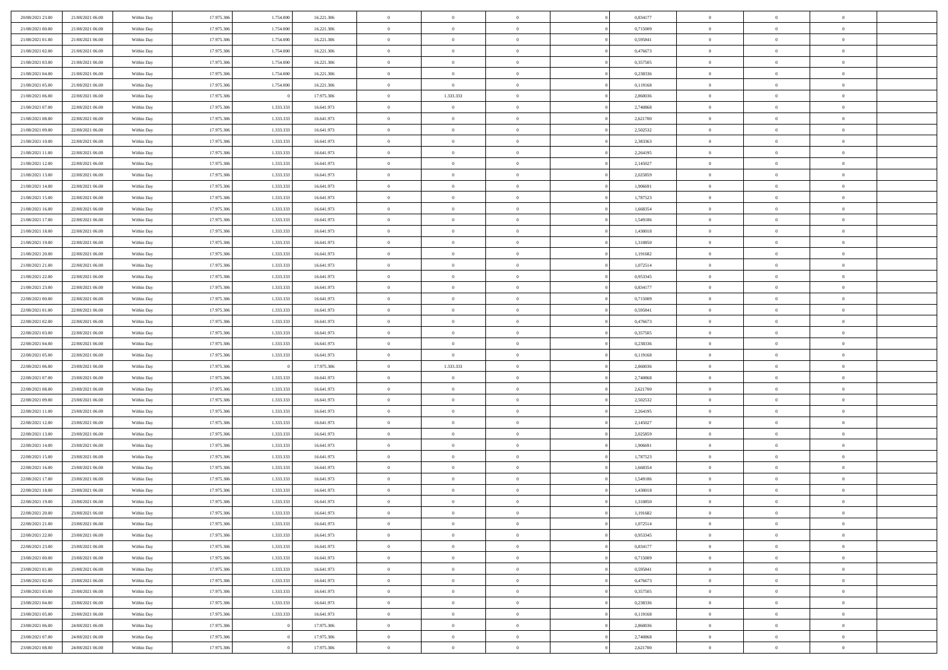| 20/08/2021 23:00 | 21/08/2021 06:00 | Within Day               | 17.975.306 | 1.754.000 | 16.221.306 | $\,$ 0 $\,$    | $\overline{0}$ | $\overline{0}$ |          | 0,834177 | $\bf{0}$       | $\overline{0}$ | $\,0\,$        |  |
|------------------|------------------|--------------------------|------------|-----------|------------|----------------|----------------|----------------|----------|----------|----------------|----------------|----------------|--|
| 21/08/2021 00:00 | 21/08/2021 06:00 | Within Day               | 17.975.306 | 1.754.000 | 16.221.306 | $\overline{0}$ | $\overline{0}$ | $\mathbf{0}$   |          | 0,715009 | $\theta$       | $\overline{0}$ | $\theta$       |  |
| 21/08/2021 01:00 | 21/08/2021 06:00 | Within Day               | 17.975.306 | 1.754.000 | 16.221.306 | $\theta$       | $\overline{0}$ | $\overline{0}$ |          | 0,595841 | $\mathbf{0}$   | $\overline{0}$ | $\overline{0}$ |  |
| 21/08/2021 02:00 | 21/08/2021 06:00 | Within Day               | 17.975.306 | 1.754.000 | 16.221.306 | $\,$ 0 $\,$    | $\overline{0}$ | $\overline{0}$ |          | 0,476673 | $\bf{0}$       | $\overline{0}$ | $\bf{0}$       |  |
| 21/08/2021 03:00 | 21/08/2021 06:00 | Within Day               | 17.975.306 | 1.754.000 | 16.221.306 | $\,$ 0         | $\overline{0}$ | $\mathbf{0}$   |          | 0,357505 | $\bf{0}$       | $\theta$       | $\,0\,$        |  |
| 21/08/2021 04:00 | 21/08/2021 06:00 | Within Day               | 17.975.306 | 1.754.000 | 16.221.306 | $\theta$       | $\overline{0}$ | $\mathbf{0}$   |          | 0,238336 | $\mathbf{0}$   | $\overline{0}$ | $\overline{0}$ |  |
| 21/08/2021 05:00 | 21/08/2021 06:00 | Within Day               | 17.975.306 | 1.754.000 | 16.221.306 | $\,$ 0 $\,$    | $\overline{0}$ | $\overline{0}$ |          | 0,119168 | $\bf{0}$       | $\overline{0}$ | $\bf{0}$       |  |
|                  |                  |                          |            |           |            | $\overline{0}$ |                |                |          |          |                | $\overline{0}$ |                |  |
| 21/08/2021 06:00 | 22/08/2021 06:00 | Within Day               | 17.975.306 |           | 17.975.306 |                | 1.333.333      | $\mathbf{0}$   |          | 2,860036 | $\,$ 0 $\,$    |                | $\theta$       |  |
| 21/08/2021 07:00 | 22/08/2021 06:00 | Within Day               | 17.975.306 | 1.333.333 | 16.641.973 | $\theta$       | $\sim$ 0       | $\overline{0}$ |          | 2,740868 | $\mathbf{0}$   | $\overline{0}$ | $\overline{0}$ |  |
| 21/08/2021 08:00 | 22/08/2021 06:00 | Within Day               | 17.975.306 | 1.333.333 | 16.641.973 | $\,$ 0 $\,$    | $\overline{0}$ | $\Omega$       |          | 2,621700 | $\bf{0}$       | $\overline{0}$ | $\bf{0}$       |  |
| 21/08/2021 09:00 | 22/08/2021 06:00 | Within Day               | 17.975.306 | 1.333.333 | 16.641.973 | $\bf{0}$       | $\overline{0}$ | $\mathbf{0}$   |          | 2,502532 | $\bf{0}$       | $\mathbf{0}$   | $\theta$       |  |
| 21/08/2021 10:00 | 22/08/2021 06:00 | Within Dav               | 17.975.306 | 1.333.333 | 16.641.973 | $\theta$       | $\overline{0}$ | $\overline{0}$ |          | 2,383363 | $\mathbf{0}$   | $\overline{0}$ | $\overline{0}$ |  |
| 21/08/2021 11:00 | 22/08/2021 06:00 | Within Day               | 17.975.306 | 1.333.333 | 16.641.973 | $\,$ 0 $\,$    | $\overline{0}$ | $\overline{0}$ |          | 2,264195 | $\bf{0}$       | $\overline{0}$ | $\bf{0}$       |  |
| 21/08/2021 12:00 | 22/08/2021 06:00 | Within Day               | 17.975.306 | 1.333.333 | 16.641.973 | $\bf{0}$       | $\overline{0}$ | $\mathbf{0}$   |          | 2,145027 | $\bf{0}$       | $\theta$       | $\,0\,$        |  |
| 21/08/2021 13:00 | 22/08/2021 06:00 | Within Dav               | 17.975.306 | 1.333.333 | 16.641.973 | $\theta$       | $\overline{0}$ | $\mathbf{0}$   |          | 2,025859 | $\mathbf{0}$   | $\overline{0}$ | $\overline{0}$ |  |
| 21/08/2021 14:00 | 22/08/2021 06:00 | Within Day               | 17.975.306 | 1.333.333 | 16.641.973 | $\,$ 0 $\,$    | $\overline{0}$ | $\Omega$       |          | 1,906691 | $\bf{0}$       | $\overline{0}$ | $\bf{0}$       |  |
| 21/08/2021 15:00 | 22/08/2021 06:00 | Within Day               | 17.975.306 | 1.333.333 | 16.641.973 | $\,$ 0         | $\overline{0}$ | $\mathbf{0}$   |          | 1,787523 | $\bf{0}$       | $\overline{0}$ | $\theta$       |  |
| 21/08/2021 16:00 | 22/08/2021 06:00 | Within Day               | 17.975.306 | 1.333.333 | 16.641.973 | $\theta$       | $\overline{0}$ | $\mathbf{0}$   |          | 1,668354 | $\mathbf{0}$   | $\overline{0}$ | $\overline{0}$ |  |
| 21/08/2021 17:00 | 22/08/2021 06:00 | Within Day               | 17.975.306 | 1.333.333 | 16.641.973 | $\,$ 0 $\,$    | $\overline{0}$ | $\Omega$       |          | 1,549186 | $\bf{0}$       | $\overline{0}$ | $\,0\,$        |  |
| 21/08/2021 18:00 | 22/08/2021 06:00 | Within Day               | 17.975.306 | 1.333.333 | 16.641.973 | $\bf{0}$       | $\overline{0}$ | $\mathbf{0}$   |          | 1,430018 | $\bf{0}$       | $\mathbf{0}$   | $\theta$       |  |
| 21/08/2021 19:00 | 22/08/2021 06:00 | Within Dav               | 17.975.306 | 1.333.333 | 16.641.973 | $\theta$       | $\overline{0}$ | $\mathbf{0}$   |          | 1,310850 | $\mathbf{0}$   | $\overline{0}$ | $\overline{0}$ |  |
| 21/08/2021 20:00 | 22/08/2021 06:00 | Within Day               | 17.975.306 | 1.333.333 | 16.641.973 | $\,$ 0 $\,$    | $\overline{0}$ | $\overline{0}$ |          | 1,191682 | $\bf{0}$       | $\overline{0}$ | $\bf{0}$       |  |
| 21/08/2021 21:00 | 22/08/2021 06:00 | Within Day               | 17.975.306 | 1.333.333 | 16.641.973 | $\,$ 0         | $\overline{0}$ | $\mathbf{0}$   |          | 1,072514 | $\bf{0}$       | $\overline{0}$ | $\,0\,$        |  |
| 21/08/2021 22:00 | 22/08/2021 06:00 | Within Dav               | 17.975.306 | 1.333.333 | 16.641.973 | $\theta$       | $\overline{0}$ | $\mathbf{0}$   |          | 0,953345 | $\mathbf{0}$   | $\overline{0}$ | $\overline{0}$ |  |
| 21/08/2021 23:00 | 22/08/2021 06:00 | Within Day               | 17.975.306 | 1.333.333 | 16.641.973 | $\,$ 0 $\,$    | $\overline{0}$ | $\overline{0}$ |          | 0,834177 | $\bf{0}$       | $\overline{0}$ | $\bf{0}$       |  |
| 22/08/2021 00:00 | 22/08/2021 06:00 | Within Day               | 17.975.306 | 1.333.333 | 16.641.973 | $\,$ 0         | $\overline{0}$ | $\mathbf{0}$   |          | 0,715009 | $\mathbf{0}$   | $\overline{0}$ | $\theta$       |  |
| 22/08/2021 01:00 | 22/08/2021 06:00 | Within Day               | 17.975.306 | 1.333.333 | 16.641.973 | $\theta$       | $\overline{0}$ | $\overline{0}$ |          | 0,595841 | $\mathbf{0}$   | $\overline{0}$ | $\overline{0}$ |  |
| 22/08/2021 02:00 | 22/08/2021 06:00 | Within Day               | 17.975.306 | 1.333.333 | 16.641.973 | $\,$ 0 $\,$    | $\overline{0}$ | $\Omega$       |          | 0,476673 | $\bf{0}$       | $\overline{0}$ | $\bf{0}$       |  |
| 22/08/2021 03:00 | 22/08/2021 06:00 | Within Day               | 17.975.306 | 1.333.333 | 16.641.973 | $\bf{0}$       | $\overline{0}$ | $\mathbf{0}$   |          | 0,357505 | $\bf{0}$       | $\mathbf{0}$   | $\overline{0}$ |  |
| 22/08/2021 04:00 | 22/08/2021 06:00 | Within Dav               | 17.975.306 | 1.333.333 | 16.641.973 | $\theta$       | $\overline{0}$ | $\overline{0}$ |          | 0,238336 | $\mathbf{0}$   | $\overline{0}$ | $\overline{0}$ |  |
| 22/08/2021 05:00 | 22/08/2021 06:00 | Within Day               | 17.975.306 | 1.333.333 | 16.641.973 | $\,$ 0 $\,$    | $\overline{0}$ | $\overline{0}$ |          | 0,119168 | $\,$ 0         | $\overline{0}$ | $\,$ 0 $\,$    |  |
| 22/08/2021 06:00 | 23/08/2021 06:00 | Within Day               | 17.975.306 |           | 17.975.306 | $\bf{0}$       | 1.333.333      | $\mathbf{0}$   |          | 2,860036 | $\bf{0}$       | $\overline{0}$ | $\overline{0}$ |  |
| 22/08/2021 07:00 | 23/08/2021 06:00 | Within Dav               | 17.975.306 | 1.333.333 | 16.641.973 | $\theta$       | $\sim$ 0       | $\mathbf{0}$   |          | 2,740868 | $\mathbf{0}$   | $\overline{0}$ | $\overline{0}$ |  |
| 22/08/2021 08:00 | 23/08/2021 06:00 | Within Day               | 17.975.306 | 1.333.333 | 16.641.973 | $\theta$       | $\overline{0}$ | $\overline{0}$ |          | 2,621700 | $\,$ 0         | $\overline{0}$ | $\theta$       |  |
| 22/08/2021 09:00 | 23/08/2021 06:00 |                          | 17.975.306 | 1.333.333 | 16.641.973 | $\bf{0}$       | $\overline{0}$ | $\mathbf{0}$   |          | 2,502532 | $\mathbf{0}$   | $\overline{0}$ | $\overline{0}$ |  |
| 22/08/2021 11:00 | 23/08/2021 06:00 | Within Day<br>Within Day | 17.975.306 | 1.333.333 | 16.641.973 | $\theta$       | $\overline{0}$ | $\mathbf{0}$   |          | 2,264195 | $\mathbf{0}$   | $\overline{0}$ | $\overline{0}$ |  |
|                  |                  |                          |            |           |            | $\theta$       | $\overline{0}$ | $\overline{0}$ |          |          | $\,$ 0         | $\overline{0}$ | $\theta$       |  |
| 22/08/2021 12:00 | 23/08/2021 06:00 | Within Day               | 17.975.306 | 1.333.333 | 16.641.973 |                |                |                |          | 2,145027 |                | $\mathbf{0}$   |                |  |
| 22/08/2021 13:00 | 23/08/2021 06:00 | Within Day               | 17.975.306 | 1.333.333 | 16.641.973 | $\bf{0}$       | $\overline{0}$ | $\mathbf{0}$   |          | 2,025859 | $\bf{0}$       |                | $\overline{0}$ |  |
| 22/08/2021 14:00 | 23/08/2021 06:00 | Within Day               | 17.975.306 | 1.333.333 | 16.641.973 | $\theta$       | $\overline{0}$ | $\overline{0}$ |          | 1,906691 | $\mathbf{0}$   | $\overline{0}$ | $\overline{0}$ |  |
| 22/08/2021 15:00 | 23/08/2021 06:00 | Within Day               | 17.975.306 | 1.333.333 | 16.641.973 | $\,$ 0 $\,$    | $\overline{0}$ | $\overline{0}$ |          | 1,787523 | $\,$ 0         | $\overline{0}$ | $\,$ 0 $\,$    |  |
| 22/08/2021 16:00 | 23/08/2021 06:00 | Within Day               | 17.975.306 | 1.333.333 | 16.641.973 | $\,$ 0         | $\,$ 0 $\,$    | $\overline{0}$ |          | 1,668354 | $\,$ 0 $\,$    | $\overline{0}$ | $\overline{0}$ |  |
| 22/08/2021 17:00 | 23/08/2021 06:00 | Within Dav               | 17.975.306 | 1.333.333 | 16.641.973 | $\theta$       | $\overline{0}$ | $\mathbf{0}$   |          | 1,549186 | $\mathbf{0}$   | $\overline{0}$ | $\theta$       |  |
| 22/08/2021 18:00 | 23/08/2021 06:00 | Within Day               | 17.975.306 | 1.333.333 | 16.641.973 | $\theta$       | $\overline{0}$ | $\overline{0}$ |          | 1,430018 | $\,$ 0         | $\overline{0}$ | $\theta$       |  |
| 22/08/2021 19:00 | 23/08/2021 06:00 | Within Day               | 17.975.306 | 1.333.333 | 16.641.973 | $\bf{0}$       | $\,$ 0 $\,$    | $\mathbf{0}$   |          | 1,310850 | $\,$ 0 $\,$    | $\overline{0}$ | $\bf{0}$       |  |
| 22/08/2021 20:00 | 23/08/2021 06:00 | Within Day               | 17.975.306 | 1.333.333 | 16.641.973 | $\overline{0}$ | $\theta$       |                |          | 1,191682 | $\overline{0}$ | $\theta$       | $\theta$       |  |
| 22/08/2021 21:00 | 23/08/2021 06:00 | Within Day               | 17.975.306 | 1.333.333 | 16.641.973 | $\,$ 0 $\,$    | $\overline{0}$ | $\overline{0}$ |          | 1,072514 | $\,$ 0 $\,$    | $\bf{0}$       | $\theta$       |  |
| 22/08/2021 22:00 | 23/08/2021 06:00 | Within Day               | 17.975.306 | 1.333.333 | 16.641.973 | $\bf{0}$       | $\,$ 0 $\,$    | $\overline{0}$ |          | 0,953345 | $\,$ 0 $\,$    | $\overline{0}$ | $\overline{0}$ |  |
| 22/08/2021 23:00 | 23/08/2021 06:00 | Within Day               | 17.975.306 | 1.333.333 | 16.641.973 | $\mathbf{0}$   | $\overline{0}$ | $\overline{0}$ |          | 0,834177 | $\,$ 0 $\,$    | $\bf{0}$       | $\mathbf{0}$   |  |
| 23/08/2021 00:00 | 23/08/2021 06:00 | Within Day               | 17.975.306 | 1.333.333 | 16.641.973 | $\,$ 0 $\,$    | $\overline{0}$ | $\overline{0}$ | $\theta$ | 0,715009 | $\,$ 0 $\,$    | $\bf{0}$       | $\,$ 0 $\,$    |  |
| 23/08/2021 01:00 | 23/08/2021 06:00 | Within Day               | 17.975.306 | 1.333.333 | 16.641.973 | $\,$ 0 $\,$    | $\,$ 0 $\,$    | $\overline{0}$ |          | 0,595841 | $\,$ 0 $\,$    | $\overline{0}$ | $\overline{0}$ |  |
| 23/08/2021 02:00 | 23/08/2021 06:00 | Within Day               | 17.975.306 | 1.333.333 | 16.641.973 | $\mathbf{0}$   | $\overline{0}$ | $\overline{0}$ |          | 0,476673 | $\mathbf{0}$   | $\overline{0}$ | $\overline{0}$ |  |
| 23/08/2021 03:00 | 23/08/2021 06:00 | Within Day               | 17.975.306 | 1.333.333 | 16.641.973 | $\,$ 0 $\,$    | $\overline{0}$ | $\overline{0}$ |          | 0,357505 | $\,$ 0 $\,$    | $\overline{0}$ | $\,$ 0 $\,$    |  |
| 23/08/2021 04:00 | 23/08/2021 06:00 | Within Day               | 17.975.306 | 1.333.333 | 16.641.973 | $\bf{0}$       | $\overline{0}$ | $\overline{0}$ |          | 0,238336 | $\mathbf{0}$   | $\overline{0}$ | $\overline{0}$ |  |
| 23/08/2021 05:00 | 23/08/2021 06:00 | Within Day               | 17.975.306 | 1.333.333 | 16.641.973 | $\mathbf{0}$   | $\overline{0}$ | $\overline{0}$ |          | 0,119168 | $\mathbf{0}$   | $\bf{0}$       | $\overline{0}$ |  |
| 23/08/2021 06:00 | 24/08/2021 06:00 | Within Day               | 17.975.306 |           | 17.975.306 | $\,$ 0 $\,$    | $\overline{0}$ | $\overline{0}$ |          | 2,860036 | $\,$ 0 $\,$    | $\mathbf{0}$   | $\,$ 0 $\,$    |  |
| 23/08/2021 07:00 | 24/08/2021 06:00 | Within Day               | 17.975.306 |           | 17.975.306 | $\,$ 0 $\,$    | $\,$ 0 $\,$    | $\overline{0}$ |          | 2,740868 | $\,$ 0 $\,$    | $\overline{0}$ | $\overline{0}$ |  |
| 23/08/2021 08:00 | 24/08/2021 06:00 | Within Day               | 17.975.306 |           | 17.975.306 | $\theta$       | $\overline{0}$ | $\overline{0}$ |          | 2,621700 | $\,$ 0 $\,$    | $\overline{0}$ | $\overline{0}$ |  |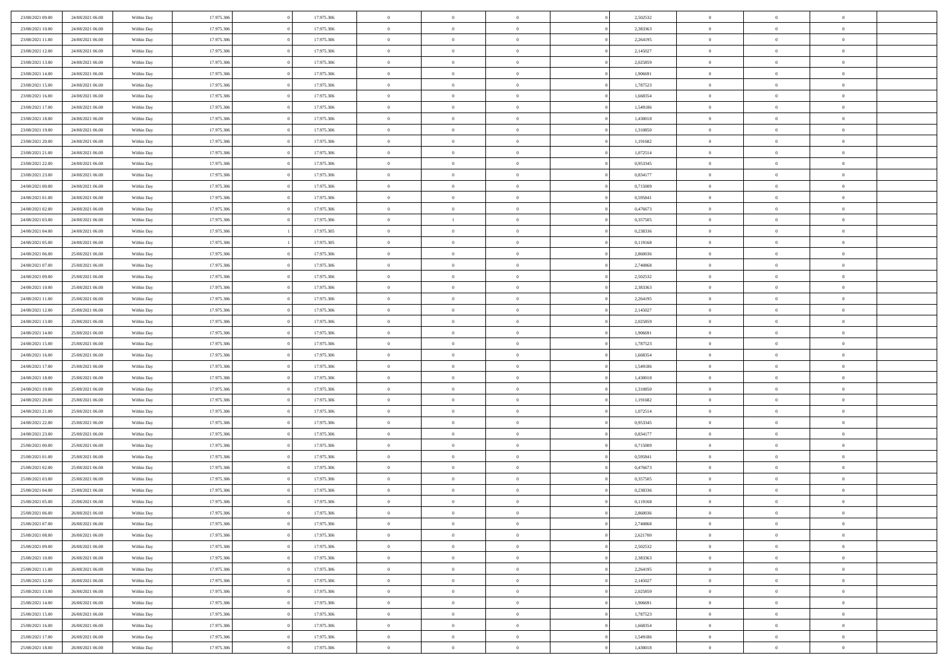| 23/08/2021 09:00 | 24/08/2021 06:00 | Within Day | 17.975.306 | 17.975.306 | $\,$ 0 $\,$    | $\overline{0}$                    | $\overline{0}$ |          | 2,502532 | $\bf{0}$       | $\overline{0}$ | $\,0\,$        |  |
|------------------|------------------|------------|------------|------------|----------------|-----------------------------------|----------------|----------|----------|----------------|----------------|----------------|--|
| 23/08/2021 10:00 | 24/08/2021 06:00 | Within Day | 17.975.306 | 17.975.306 | $\overline{0}$ | $\overline{0}$                    | $\mathbf{0}$   |          | 2,383363 | $\theta$       | $\overline{0}$ | $\theta$       |  |
| 23/08/2021 11:00 | 24/08/2021 06:00 | Within Day | 17.975.306 | 17.975.306 | $\theta$       | $\overline{0}$                    | $\overline{0}$ |          | 2,264195 | $\mathbf{0}$   | $\overline{0}$ | $\overline{0}$ |  |
| 23/08/2021 12:00 | 24/08/2021 06:00 | Within Day | 17.975.306 | 17.975.306 | $\,$ 0 $\,$    | $\overline{0}$                    | $\overline{0}$ |          | 2,145027 | $\bf{0}$       | $\overline{0}$ | $\bf{0}$       |  |
| 23/08/2021 13:00 | 24/08/2021 06:00 | Within Day | 17.975.306 | 17.975.306 | $\bf{0}$       | $\overline{0}$                    | $\mathbf{0}$   |          | 2,025859 | $\bf{0}$       | $\overline{0}$ | $\,0\,$        |  |
| 23/08/2021 14:00 | 24/08/2021 06:00 | Within Day | 17.975.306 | 17.975.306 | $\theta$       | $\overline{0}$                    | $\mathbf{0}$   |          | 1,906691 | $\mathbf{0}$   | $\overline{0}$ | $\overline{0}$ |  |
| 23/08/2021 15:00 | 24/08/2021 06:00 | Within Day | 17.975.306 | 17.975.306 | $\,$ 0 $\,$    | $\overline{0}$                    | $\overline{0}$ |          | 1,787523 | $\bf{0}$       | $\overline{0}$ | $\bf{0}$       |  |
|                  |                  |            |            |            | $\overline{0}$ |                                   |                |          |          |                | $\overline{0}$ | $\overline{0}$ |  |
| 23/08/2021 16:00 | 24/08/2021 06:00 | Within Day | 17.975.306 | 17.975.306 |                | $\overline{0}$                    | $\mathbf{0}$   |          | 1,668354 | $\,$ 0 $\,$    |                |                |  |
| 23/08/2021 17:00 | 24/08/2021 06:00 | Within Day | 17.975.306 | 17.975.306 | $\theta$       | $\overline{0}$                    | $\mathbf{0}$   |          | 1,549186 | $\mathbf{0}$   | $\overline{0}$ | $\overline{0}$ |  |
| 23/08/2021 18:00 | 24/08/2021 06:00 | Within Day | 17.975.306 | 17.975.306 | $\,$ 0 $\,$    | $\overline{0}$                    | $\Omega$       |          | 1,430018 | $\bf{0}$       | $\overline{0}$ | $\bf{0}$       |  |
| 23/08/2021 19:00 | 24/08/2021 06:00 | Within Day | 17.975.306 | 17.975.306 | $\bf{0}$       | $\overline{0}$                    | $\mathbf{0}$   |          | 1,310850 | $\bf{0}$       | $\overline{0}$ | $\theta$       |  |
| 23/08/2021 20:00 | 24/08/2021 06:00 | Within Day | 17.975.306 | 17.975.306 | $\theta$       | $\overline{0}$                    | $\overline{0}$ |          | 1,191682 | $\mathbf{0}$   | $\overline{0}$ | $\overline{0}$ |  |
| 23/08/2021 21:00 | 24/08/2021 06:00 | Within Day | 17.975.306 | 17.975.306 | $\,$ 0 $\,$    | $\overline{0}$                    | $\overline{0}$ |          | 1,072514 | $\bf{0}$       | $\overline{0}$ | $\overline{0}$ |  |
| 23/08/2021 22:00 | 24/08/2021 06:00 | Within Day | 17.975.306 | 17.975.306 | $\bf{0}$       | $\overline{0}$                    | $\mathbf{0}$   |          | 0,953345 | $\bf{0}$       | $\mathbf{0}$   | $\,0\,$        |  |
| 23/08/2021 23:00 | 24/08/2021 06:00 | Within Dav | 17.975.306 | 17.975.306 | $\theta$       | $\overline{0}$                    | $\overline{0}$ |          | 0,834177 | $\mathbf{0}$   | $\overline{0}$ | $\overline{0}$ |  |
| 24/08/2021 00:00 | 24/08/2021 06:00 | Within Day | 17.975.306 | 17.975.306 | $\,$ 0 $\,$    | $\overline{0}$                    | $\Omega$       |          | 0,715009 | $\bf{0}$       | $\overline{0}$ | $\bf{0}$       |  |
| 24/08/2021 01:00 | 24/08/2021 06:00 | Within Day | 17.975.306 | 17.975.306 | $\,$ 0         | $\overline{0}$                    | $\mathbf{0}$   |          | 0,595841 | $\,$ 0 $\,$    | $\overline{0}$ | $\theta$       |  |
| 24/08/2021 02:00 | 24/08/2021 06:00 | Within Day | 17.975.306 | 17.975.306 | $\theta$       | $\overline{0}$                    | $\mathbf{0}$   |          | 0,476673 | $\mathbf{0}$   | $\overline{0}$ | $\overline{0}$ |  |
| 24/08/2021 03:00 | 24/08/2021 06:00 | Within Day | 17.975.306 | 17.975.306 | $\,$ 0 $\,$    | $\mathbf{1}$                      | $\Omega$       |          | 0,357505 | $\bf{0}$       | $\overline{0}$ | $\bf{0}$       |  |
| 24/08/2021 04:00 | 24/08/2021 06:00 | Within Day | 17.975.306 | 17.975.305 | $\overline{0}$ | $\overline{0}$                    | $\mathbf{0}$   |          | 0,238336 | $\bf{0}$       | $\mathbf{0}$   | $\overline{0}$ |  |
| 24/08/2021 05:00 | 24/08/2021 06:00 | Within Day | 17.975.306 | 17.975.305 | $\theta$       | $\overline{0}$                    | $\overline{0}$ |          | 0,119168 | $\mathbf{0}$   | $\overline{0}$ | $\overline{0}$ |  |
| 24/08/2021 06:00 | 25/08/2021 06:00 | Within Day | 17.975.306 | 17.975.306 | $\,$ 0 $\,$    | $\overline{0}$                    | $\overline{0}$ |          | 2,860036 | $\bf{0}$       | $\overline{0}$ | $\bf{0}$       |  |
| 24/08/2021 07:00 | 25/08/2021 06:00 | Within Day | 17.975.306 | 17.975.306 | $\bf{0}$       | $\overline{0}$                    | $\mathbf{0}$   |          | 2,740868 | $\bf{0}$       | $\overline{0}$ | $\,0\,$        |  |
| 24/08/2021 09:00 | 25/08/2021 06:00 | Within Dav | 17.975.306 | 17.975.306 | $\theta$       | $\overline{0}$                    | $\mathbf{0}$   |          | 2,502532 | $\mathbf{0}$   | $\overline{0}$ | $\overline{0}$ |  |
| 24/08/2021 10:00 | 25/08/2021 06:00 | Within Day | 17.975.306 | 17.975.306 | $\,$ 0 $\,$    | $\overline{0}$                    | $\overline{0}$ |          | 2,383363 | $\bf{0}$       | $\overline{0}$ | $\bf{0}$       |  |
| 24/08/2021 11:00 | 25/08/2021 06:00 | Within Day | 17.975.306 | 17.975.306 | $\,$ 0         | $\overline{0}$                    | $\mathbf{0}$   |          | 2,264195 | $\mathbf{0}$   | $\overline{0}$ | $\overline{0}$ |  |
| 24/08/2021 12:00 | 25/08/2021 06:00 | Within Day | 17.975.306 | 17.975.306 | $\theta$       | $\overline{0}$                    | $\mathbf{0}$   |          | 2,145027 | $\mathbf{0}$   | $\overline{0}$ | $\overline{0}$ |  |
| 24/08/2021 13:00 | 25/08/2021 06:00 | Within Day | 17.975.306 | 17.975.306 | $\,$ 0 $\,$    | $\overline{0}$                    | $\Omega$       |          | 2,025859 | $\bf{0}$       | $\overline{0}$ | $\bf{0}$       |  |
| 24/08/2021 14:00 | 25/08/2021 06:00 | Within Day | 17.975.306 | 17.975.306 | $\bf{0}$       | $\overline{0}$                    | $\mathbf{0}$   |          | 1,906691 | $\bf{0}$       | $\mathbf{0}$   | $\overline{0}$ |  |
| 24/08/2021 15:00 | 25/08/2021 06:00 | Within Dav | 17.975.306 | 17.975.306 | $\theta$       | $\overline{0}$                    | $\overline{0}$ |          | 1,787523 | $\mathbf{0}$   | $\overline{0}$ | $\overline{0}$ |  |
| 24/08/2021 16:00 | 25/08/2021 06:00 | Within Day | 17.975.306 | 17.975.306 | $\theta$       | $\overline{0}$                    | $\overline{0}$ |          | 1,668354 | $\,$ 0         | $\overline{0}$ | $\,$ 0 $\,$    |  |
| 24/08/2021 17:00 | 25/08/2021 06:00 | Within Day | 17.975.306 | 17.975.306 | $\bf{0}$       | $\overline{0}$                    | $\mathbf{0}$   |          | 1,549186 | $\bf{0}$       | $\mathbf{0}$   | $\overline{0}$ |  |
| 24/08/2021 18:00 | 25/08/2021 06:00 | Within Dav | 17.975.306 | 17.975.306 | $\theta$       | $\overline{0}$                    | $\overline{0}$ |          | 1,430018 | $\mathbf{0}$   | $\overline{0}$ | $\overline{0}$ |  |
|                  |                  |            |            |            | $\theta$       | $\overline{0}$                    | $\overline{0}$ |          |          | $\,$ 0         | $\overline{0}$ | $\theta$       |  |
| 24/08/2021 19:00 | 25/08/2021 06:00 | Within Day | 17.975.306 | 17.975.306 |                |                                   |                |          | 1,310850 |                | $\overline{0}$ | $\overline{0}$ |  |
| 24/08/2021 20:00 | 25/08/2021 06:00 | Within Day | 17.975.306 | 17.975.306 | $\bf{0}$       | $\overline{0}$                    | $\mathbf{0}$   |          | 1,191682 | $\mathbf{0}$   |                |                |  |
| 24/08/2021 21:00 | 25/08/2021 06:00 | Within Day | 17.975.306 | 17.975.306 | $\theta$       | $\overline{0}$                    | $\mathbf{0}$   |          | 1,072514 | $\mathbf{0}$   | $\overline{0}$ | $\overline{0}$ |  |
| 24/08/2021 22:00 | 25/08/2021 06:00 | Within Day | 17.975.306 | 17.975.306 | $\theta$       | $\overline{0}$                    | $\overline{0}$ |          | 0,953345 | $\,$ 0         | $\overline{0}$ | $\theta$       |  |
| 24/08/2021 23:00 | 25/08/2021 06:00 | Within Day | 17.975.306 | 17.975.306 | $\bf{0}$       | $\overline{0}$                    | $\mathbf{0}$   |          | 0,834177 | $\bf{0}$       | $\mathbf{0}$   | $\overline{0}$ |  |
| 25/08/2021 00:00 | 25/08/2021 06:00 | Within Day | 17.975.306 | 17.975.306 | $\theta$       | $\overline{0}$                    | $\overline{0}$ |          | 0,715009 | $\mathbf{0}$   | $\overline{0}$ | $\overline{0}$ |  |
| 25/08/2021 01:00 | 25/08/2021 06:00 | Within Day | 17.975.306 | 17.975.306 | $\,$ 0 $\,$    | $\overline{0}$                    | $\overline{0}$ |          | 0,595841 | $\,$ 0         | $\overline{0}$ | $\,$ 0 $\,$    |  |
| 25/08/2021 02:00 | 25/08/2021 06:00 | Within Day | 17.975.306 | 17.975.306 | $\,$ 0         | $\,$ 0 $\,$                       | $\overline{0}$ |          | 0,476673 | $\,$ 0 $\,$    | $\overline{0}$ | $\overline{0}$ |  |
| 25/08/2021 03:00 | 25/08/2021 06:00 | Within Day | 17.975.306 | 17.975.306 | $\theta$       | $\overline{0}$                    | $\mathbf{0}$   |          | 0,357505 | $\mathbf{0}$   | $\overline{0}$ | $\overline{0}$ |  |
| 25/08/2021 04:00 | 25/08/2021 06:00 | Within Day | 17.975.306 | 17.975.306 | $\theta$       | $\overline{0}$                    | $\overline{0}$ |          | 0,238336 | $\,$ 0         | $\overline{0}$ | $\theta$       |  |
| 25/08/2021 05:00 | 25/08/2021 06:00 | Within Day | 17.975.306 | 17.975.306 | $\bf{0}$       | $\,$ 0 $\,$                       | $\mathbf{0}$   |          | 0,119168 | $\,$ 0 $\,$    | $\overline{0}$ | $\overline{0}$ |  |
| 25/08/2021 06:00 | 26/08/2021 06:00 | Within Day | 17.975.306 | 17.975.306 | $\overline{0}$ | $\theta$                          |                |          | 2,860036 | $\overline{0}$ | $\theta$       | $\theta$       |  |
| 25/08/2021 07:00 | 26/08/2021 06:00 | Within Day | 17.975.306 | 17.975.306 | $\,$ 0 $\,$    | $\overline{0}$                    | $\overline{0}$ |          | 2,740868 | $\,$ 0 $\,$    | $\bf{0}$       | $\,$ 0 $\,$    |  |
| 25/08/2021 08:00 | 26/08/2021 06:00 | Within Day | 17.975.306 | 17.975.306 | $\overline{0}$ | $\hspace{0.1cm} 0 \hspace{0.1cm}$ | $\overline{0}$ |          | 2,621700 | $\,$ 0 $\,$    | $\overline{0}$ | $\overline{0}$ |  |
| 25/08/2021 09:00 | 26/08/2021 06:00 | Within Day | 17.975.306 | 17.975.306 | $\mathbf{0}$   | $\overline{0}$                    | $\overline{0}$ |          | 2,502532 | $\,$ 0 $\,$    | $\bf{0}$       | $\mathbf{0}$   |  |
| 25/08/2021 10:00 | 26/08/2021 06:00 | Within Day | 17.975.306 | 17.975.306 | $\,$ 0 $\,$    | $\overline{0}$                    | $\overline{0}$ | $\theta$ | 2,383363 | $\,$ 0 $\,$    | $\bf{0}$       | $\,$ 0 $\,$    |  |
| 25/08/2021 11:00 | 26/08/2021 06:00 | Within Day | 17.975.306 | 17.975.306 | $\,$ 0 $\,$    | $\,$ 0 $\,$                       | $\overline{0}$ |          | 2,264195 | $\,$ 0 $\,$    | $\overline{0}$ | $\overline{0}$ |  |
| 25/08/2021 12:00 | 26/08/2021 06:00 | Within Day | 17.975.306 | 17.975.306 | $\mathbf{0}$   | $\overline{0}$                    | $\overline{0}$ |          | 2,145027 | $\mathbf{0}$   | $\bf{0}$       | $\overline{0}$ |  |
| 25/08/2021 13:00 | 26/08/2021 06:00 | Within Day | 17.975.306 | 17.975.306 | $\,$ 0 $\,$    | $\overline{0}$                    | $\overline{0}$ |          | 2,025859 | $\,$ 0 $\,$    | $\bf{0}$       | $\,$ 0 $\,$    |  |
| 25/08/2021 14:00 | 26/08/2021 06:00 | Within Day | 17.975.306 | 17.975.306 | $\overline{0}$ | $\overline{0}$                    | $\overline{0}$ |          | 1,906691 | $\,$ 0 $\,$    | $\overline{0}$ | $\mathbf{0}$   |  |
| 25/08/2021 15:00 | 26/08/2021 06:00 | Within Day | 17.975.306 | 17.975.306 | $\,$ 0 $\,$    | $\overline{0}$                    | $\overline{0}$ |          | 1,787523 | $\,$ 0 $\,$    | $\bf{0}$       | $\overline{0}$ |  |
| 25/08/2021 16:00 | 26/08/2021 06:00 | Within Day | 17.975.306 | 17.975.306 | $\,$ 0 $\,$    | $\overline{0}$                    | $\overline{0}$ |          | 1,668354 | $\,$ 0 $\,$    | $\bf{0}$       | $\,$ 0 $\,$    |  |
| 25/08/2021 17:00 | 26/08/2021 06:00 | Within Day | 17.975.306 | 17.975.306 | $\,$ 0 $\,$    | $\,$ 0 $\,$                       | $\overline{0}$ |          | 1,549186 | $\,$ 0 $\,$    | $\overline{0}$ | $\overline{0}$ |  |
| 25/08/2021 18:00 | 26/08/2021 06:00 | Within Day | 17.975.306 | 17.975.306 | $\theta$       | $\overline{0}$                    | $\overline{0}$ |          | 1,430018 | $\,$ 0 $\,$    | $\mathbf{0}$   | $\overline{0}$ |  |
|                  |                  |            |            |            |                |                                   |                |          |          |                |                |                |  |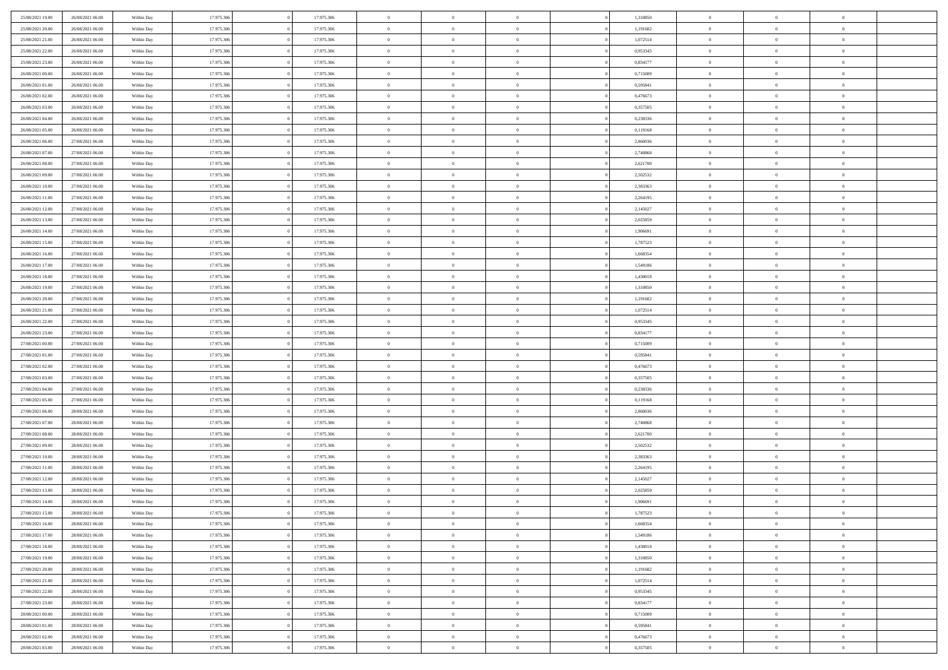| 25/08/2021 19:00 | 26/08/2021 06:00 | Within Day | 17.975.306 | 17.975.306 | $\,$ 0 $\,$    | $\overline{0}$                    | $\overline{0}$ |          | 1,310850 | $\bf{0}$       | $\overline{0}$ | $\,0\,$        |  |
|------------------|------------------|------------|------------|------------|----------------|-----------------------------------|----------------|----------|----------|----------------|----------------|----------------|--|
| 25/08/2021 20:00 | 26/08/2021 06:00 | Within Day | 17.975.306 | 17.975.306 | $\overline{0}$ | $\overline{0}$                    | $\mathbf{0}$   |          | 1,191682 | $\theta$       | $\overline{0}$ | $\theta$       |  |
| 25/08/2021 21:00 | 26/08/2021 06:00 | Within Day | 17.975.306 | 17.975.306 | $\theta$       | $\overline{0}$                    | $\overline{0}$ |          | 1,072514 | $\mathbf{0}$   | $\overline{0}$ | $\overline{0}$ |  |
| 25/08/2021 22:00 | 26/08/2021 06:00 | Within Day | 17.975.306 | 17.975.306 | $\,$ 0 $\,$    | $\overline{0}$                    | $\overline{0}$ |          | 0,953345 | $\bf{0}$       | $\overline{0}$ | $\bf{0}$       |  |
| 25/08/2021 23:00 | 26/08/2021 06:00 | Within Day | 17.975.306 | 17.975.306 | $\bf{0}$       | $\overline{0}$                    | $\mathbf{0}$   |          | 0,834177 | $\bf{0}$       | $\overline{0}$ | $\,0\,$        |  |
| 26/08/2021 00:00 | 26/08/2021 06:00 | Within Dav | 17.975.306 | 17.975.306 | $\theta$       | $\overline{0}$                    | $\mathbf{0}$   |          | 0,715009 | $\mathbf{0}$   | $\overline{0}$ | $\overline{0}$ |  |
| 26/08/2021 01:00 | 26/08/2021 06:00 | Within Day | 17.975.306 | 17.975.306 | $\,$ 0 $\,$    | $\overline{0}$                    | $\overline{0}$ |          | 0,595841 | $\bf{0}$       | $\overline{0}$ | $\bf{0}$       |  |
|                  |                  |            |            | 17.975.306 | $\overline{0}$ | $\overline{0}$                    | $\mathbf{0}$   |          |          | $\,$ 0 $\,$    | $\overline{0}$ | $\theta$       |  |
| 26/08/2021 02:00 | 26/08/2021 06:00 | Within Day | 17.975.306 |            |                |                                   |                |          | 0,476673 |                |                |                |  |
| 26/08/2021 03:00 | 26/08/2021 06:00 | Within Day | 17.975.306 | 17.975.306 | $\theta$       | $\overline{0}$                    | $\mathbf{0}$   |          | 0,357505 | $\mathbf{0}$   | $\overline{0}$ | $\overline{0}$ |  |
| 26/08/2021 04:00 | 26/08/2021 06:00 | Within Day | 17.975.306 | 17.975.306 | $\,$ 0 $\,$    | $\overline{0}$                    | $\Omega$       |          | 0,238336 | $\bf{0}$       | $\overline{0}$ | $\bf{0}$       |  |
| 26/08/2021 05:00 | 26/08/2021 06:00 | Within Day | 17.975.306 | 17.975.306 | $\bf{0}$       | $\overline{0}$                    | $\mathbf{0}$   |          | 0,119168 | $\bf{0}$       | $\mathbf{0}$   | $\theta$       |  |
| 26/08/2021 06:00 | 27/08/2021 06:00 | Within Day | 17.975.306 | 17.975.306 | $\theta$       | $\overline{0}$                    | $\overline{0}$ |          | 2,860036 | $\mathbf{0}$   | $\overline{0}$ | $\overline{0}$ |  |
| 26/08/2021 07:00 | 27/08/2021 06:00 | Within Day | 17.975.306 | 17.975.306 | $\,$ 0 $\,$    | $\overline{0}$                    | $\overline{0}$ |          | 2,740868 | $\bf{0}$       | $\overline{0}$ | $\bf{0}$       |  |
| 26/08/2021 08:00 | 27/08/2021 06:00 | Within Day | 17.975.306 | 17.975.306 | $\bf{0}$       | $\overline{0}$                    | $\mathbf{0}$   |          | 2,621700 | $\bf{0}$       | $\mathbf{0}$   | $\,0\,$        |  |
| 26/08/2021 09:00 | 27/08/2021 06:00 | Within Dav | 17.975.306 | 17.975.306 | $\theta$       | $\overline{0}$                    | $\overline{0}$ |          | 2,502532 | $\mathbf{0}$   | $\overline{0}$ | $\overline{0}$ |  |
| 26/08/2021 10:00 | 27/08/2021 06:00 | Within Day | 17.975.306 | 17.975.306 | $\,$ 0 $\,$    | $\overline{0}$                    | $\Omega$       |          | 2,383363 | $\bf{0}$       | $\overline{0}$ | $\bf{0}$       |  |
| 26/08/2021 11:00 | 27/08/2021 06:00 | Within Day | 17.975.306 | 17.975.306 | $\,$ 0         | $\overline{0}$                    | $\mathbf{0}$   |          | 2,264195 | $\,$ 0 $\,$    | $\overline{0}$ | $\theta$       |  |
| 26/08/2021 12:00 | 27/08/2021 06:00 | Within Day | 17.975.306 | 17.975.306 | $\theta$       | $\overline{0}$                    | $\mathbf{0}$   |          | 2,145027 | $\mathbf{0}$   | $\overline{0}$ | $\overline{0}$ |  |
| 26/08/2021 13:00 | 27/08/2021 06:00 | Within Day | 17.975.306 | 17.975.306 | $\,$ 0 $\,$    | $\overline{0}$                    | $\Omega$       |          | 2,025859 | $\bf{0}$       | $\overline{0}$ | $\bf{0}$       |  |
| 26/08/2021 14:00 | 27/08/2021 06:00 | Within Day | 17.975.306 | 17.975.306 | $\overline{0}$ | $\overline{0}$                    | $\mathbf{0}$   |          | 1,906691 | $\bf{0}$       | $\mathbf{0}$   | $\overline{0}$ |  |
| 26/08/2021 15:00 | 27/08/2021 06:00 | Within Dav | 17.975.306 | 17.975.306 | $\theta$       | $\overline{0}$                    | $\overline{0}$ |          | 1,787523 | $\mathbf{0}$   | $\overline{0}$ | $\overline{0}$ |  |
| 26/08/2021 16:00 | 27/08/2021 06:00 | Within Day | 17.975.306 | 17.975.306 | $\,$ 0 $\,$    | $\overline{0}$                    | $\overline{0}$ |          | 1,668354 | $\bf{0}$       | $\overline{0}$ | $\bf{0}$       |  |
| 26/08/2021 17:00 | 27/08/2021 06:00 | Within Day | 17.975.306 | 17.975.306 | $\bf{0}$       | $\overline{0}$                    | $\mathbf{0}$   |          | 1,549186 | $\bf{0}$       | $\overline{0}$ | $\,0\,$        |  |
| 26/08/2021 18:00 | 27/08/2021 06:00 | Within Dav | 17.975.306 | 17.975.306 | $\theta$       | $\overline{0}$                    | $\mathbf{0}$   |          | 1,430018 | $\mathbf{0}$   | $\overline{0}$ | $\overline{0}$ |  |
| 26/08/2021 19:00 | 27/08/2021 06:00 | Within Day | 17.975.306 | 17.975.306 | $\,$ 0 $\,$    | $\overline{0}$                    | $\overline{0}$ |          | 1,310850 | $\bf{0}$       | $\overline{0}$ | $\bf{0}$       |  |
| 26/08/2021 20:00 | 27/08/2021 06:00 | Within Day | 17.975.306 | 17.975.306 | $\,$ 0         | $\overline{0}$                    | $\mathbf{0}$   |          | 1,191682 | $\bf{0}$       | $\overline{0}$ | $\overline{0}$ |  |
| 26/08/2021 21:00 | 27/08/2021 06:00 | Within Day | 17.975.306 | 17.975.306 | $\theta$       | $\overline{0}$                    | $\mathbf{0}$   |          | 1,072514 | $\mathbf{0}$   | $\overline{0}$ | $\overline{0}$ |  |
| 26/08/2021 22:00 | 27/08/2021 06:00 | Within Day | 17.975.306 | 17.975.306 | $\,$ 0 $\,$    | $\overline{0}$                    | $\Omega$       |          | 0,953345 | $\bf{0}$       | $\overline{0}$ | $\bf{0}$       |  |
| 26/08/2021 23:00 | 27/08/2021 06:00 | Within Day | 17.975.306 | 17.975.306 | $\bf{0}$       | $\overline{0}$                    | $\mathbf{0}$   |          | 0,834177 | $\bf{0}$       | $\mathbf{0}$   | $\overline{0}$ |  |
| 27/08/2021 00:00 | 27/08/2021 06:00 | Within Dav | 17.975.306 | 17.975.306 | $\theta$       | $\overline{0}$                    | $\overline{0}$ |          | 0,715009 | $\mathbf{0}$   | $\overline{0}$ | $\overline{0}$ |  |
| 27/08/2021 01:00 | 27/08/2021 06:00 | Within Day | 17.975.306 | 17.975.306 | $\theta$       | $\overline{0}$                    | $\overline{0}$ |          | 0,595841 | $\,$ 0         | $\overline{0}$ | $\,$ 0 $\,$    |  |
| 27/08/2021 02:00 | 27/08/2021 06:00 | Within Day | 17.975.306 | 17.975.306 | $\bf{0}$       | $\overline{0}$                    | $\mathbf{0}$   |          | 0,476673 | $\bf{0}$       | $\mathbf{0}$   | $\overline{0}$ |  |
| 27/08/2021 03:00 | 27/08/2021 06:00 | Within Dav | 17.975.306 | 17.975.306 | $\theta$       | $\overline{0}$                    | $\overline{0}$ |          | 0,357505 | $\mathbf{0}$   | $\overline{0}$ | $\overline{0}$ |  |
| 27/08/2021 04:00 | 27/08/2021 06:00 | Within Day | 17.975.306 | 17.975.306 | $\theta$       | $\overline{0}$                    | $\overline{0}$ |          | 0,238336 | $\,$ 0         | $\overline{0}$ | $\theta$       |  |
| 27/08/2021 05:00 | 27/08/2021 06:00 | Within Day | 17.975.306 | 17.975.306 | $\bf{0}$       | $\overline{0}$                    | $\mathbf{0}$   |          | 0,119168 | $\mathbf{0}$   | $\overline{0}$ | $\overline{0}$ |  |
| 27/08/2021 06:00 | 28/08/2021 06:00 | Within Day | 17.975.306 | 17.975.306 | $\theta$       | $\overline{0}$                    | $\mathbf{0}$   |          | 2,860036 | $\mathbf{0}$   | $\overline{0}$ | $\overline{0}$ |  |
| 27/08/2021 07:00 | 28/08/2021 06:00 | Within Day | 17.975.306 | 17.975.306 | $\theta$       | $\overline{0}$                    | $\overline{0}$ |          | 2,740868 | $\,$ 0         | $\overline{0}$ | $\theta$       |  |
| 27/08/2021 08:00 | 28/08/2021 06:00 | Within Day | 17.975.306 | 17.975.306 | $\bf{0}$       | $\overline{0}$                    | $\mathbf{0}$   |          | 2,621700 | $\bf{0}$       | $\mathbf{0}$   | $\overline{0}$ |  |
| 27/08/2021 09:00 | 28/08/2021 06:00 | Within Day | 17.975.306 | 17.975.306 | $\theta$       | $\overline{0}$                    | $\overline{0}$ |          | 2,502532 | $\mathbf{0}$   | $\overline{0}$ | $\overline{0}$ |  |
| 27/08/2021 10:00 | 28/08/2021 06:00 | Within Day | 17.975.306 | 17.975.306 | $\,$ 0 $\,$    | $\overline{0}$                    | $\overline{0}$ |          | 2,383363 | $\,$ 0         | $\overline{0}$ | $\,$ 0 $\,$    |  |
| 27/08/2021 11:00 | 28/08/2021 06:00 | Within Day | 17.975.306 | 17.975.306 | $\,$ 0         | $\,$ 0 $\,$                       | $\mathbf{0}$   |          | 2,264195 | $\,$ 0 $\,$    | $\overline{0}$ | $\bf{0}$       |  |
| 27/08/2021 12:00 | 28/08/2021 06:00 | Within Day | 17.975.306 | 17.975.306 | $\theta$       | $\overline{0}$                    | $\mathbf{0}$   |          | 2,145027 | $\mathbf{0}$   | $\overline{0}$ | $\overline{0}$ |  |
| 27/08/2021 13:00 | 28/08/2021 06:00 | Within Day | 17.975.306 | 17.975.306 | $\theta$       | $\overline{0}$                    | $\overline{0}$ |          | 2,025859 | $\,$ 0         | $\overline{0}$ | $\theta$       |  |
| 27/08/2021 14:00 | 28/08/2021 06:00 | Within Day | 17.975.306 | 17.975.306 | $\bf{0}$       | $\overline{0}$                    | $\mathbf{0}$   |          | 1,906691 | $\bf{0}$       | $\overline{0}$ | $\bf{0}$       |  |
| 27/08/2021 15:00 | 28/08/2021 06:00 | Within Day | 17.975.306 | 17.975.306 | $\overline{0}$ | $\theta$                          |                |          | 1,787523 | $\overline{0}$ | $\theta$       | $\theta$       |  |
| 27/08/2021 16:00 | 28/08/2021 06:00 | Within Day | 17.975.306 | 17.975.306 | $\,$ 0 $\,$    | $\overline{0}$                    | $\overline{0}$ |          | 1,668354 | $\,$ 0 $\,$    | $\bf{0}$       | $\,$ 0 $\,$    |  |
| 27/08/2021 17:00 | 28/08/2021 06:00 | Within Day | 17.975.306 | 17.975.306 | $\bf{0}$       | $\hspace{0.1cm} 0 \hspace{0.1cm}$ | $\overline{0}$ |          | 1,549186 | $\,$ 0 $\,$    | $\overline{0}$ | $\overline{0}$ |  |
| 27/08/2021 18:00 | 28/08/2021 06:00 | Within Day | 17.975.306 | 17.975.306 | $\,$ 0 $\,$    | $\overline{0}$                    | $\overline{0}$ |          | 1,430018 | $\,$ 0 $\,$    | $\bf{0}$       | $\mathbf{0}$   |  |
| 27/08/2021 19:00 | 28/08/2021 06:00 | Within Day | 17.975.306 | 17.975.306 | $\,$ 0 $\,$    | $\overline{0}$                    | $\overline{0}$ | $\theta$ | 1,310850 | $\,$ 0 $\,$    | $\bf{0}$       | $\,$ 0 $\,$    |  |
| 27/08/2021 20:00 | 28/08/2021 06:00 | Within Day | 17.975.306 | 17.975.306 | $\,$ 0 $\,$    | $\,$ 0 $\,$                       | $\overline{0}$ |          | 1,191682 | $\,$ 0 $\,$    | $\overline{0}$ | $\overline{0}$ |  |
| 27/08/2021 21:00 | 28/08/2021 06:00 | Within Day | 17.975.306 | 17.975.306 | $\mathbf{0}$   | $\overline{0}$                    | $\overline{0}$ |          | 1,072514 | $\mathbf{0}$   | $\bf{0}$       | $\overline{0}$ |  |
|                  |                  |            |            |            | $\,$ 0 $\,$    |                                   | $\overline{0}$ |          |          |                | $\bf{0}$       | $\,$ 0 $\,$    |  |
| 27/08/2021 22:00 | 28/08/2021 06:00 | Within Day | 17.975.306 | 17.975.306 |                | $\overline{0}$                    |                |          | 0,953345 | $\,$ 0 $\,$    |                |                |  |
| 27/08/2021 23:00 | 28/08/2021 06:00 | Within Day | 17.975.306 | 17.975.306 | $\bf{0}$       | $\overline{0}$                    | $\overline{0}$ |          | 0,834177 | $\,$ 0 $\,$    | $\overline{0}$ | $\mathbf{0}$   |  |
| 28/08/2021 00:00 | 28/08/2021 06:00 | Within Day | 17.975.306 | 17.975.306 | $\,$ 0 $\,$    | $\overline{0}$                    | $\overline{0}$ |          | 0,715009 | $\,$ 0 $\,$    | $\bf{0}$       | $\overline{0}$ |  |
| 28/08/2021 01:00 | 28/08/2021 06:00 | Within Day | 17.975.306 | 17.975.306 | $\,$ 0 $\,$    | $\overline{0}$                    | $\overline{0}$ |          | 0,595841 | $\,$ 0 $\,$    | $\bf{0}$       | $\,$ 0 $\,$    |  |
| 28/08/2021 02:00 | 28/08/2021 06:00 | Within Day | 17.975.306 | 17.975.306 | $\,$ 0 $\,$    | $\,$ 0 $\,$                       | $\overline{0}$ |          | 0,476673 | $\,$ 0 $\,$    | $\overline{0}$ | $\overline{0}$ |  |
| 28/08/2021 03:00 | 28/08/2021 06:00 | Within Day | 17.975.306 | 17.975.306 | $\theta$       | $\overline{0}$                    | $\overline{0}$ |          | 0,357505 | $\,$ 0 $\,$    | $\mathbf{0}$   | $\overline{0}$ |  |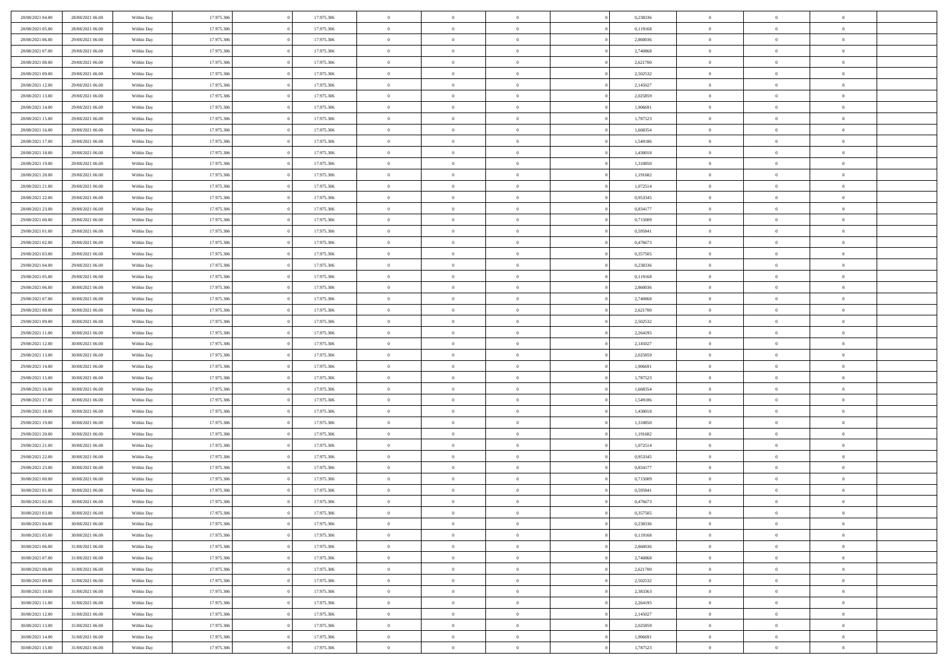| 28/08/2021 04:00 | 28/08/2021 06:00 | Within Day | 17.975.306 | 17.975.306 | $\,$ 0 $\,$    | $\overline{0}$                    | $\overline{0}$ |          | 0,238336 | $\bf{0}$       | $\overline{0}$ | $\,0\,$        |  |
|------------------|------------------|------------|------------|------------|----------------|-----------------------------------|----------------|----------|----------|----------------|----------------|----------------|--|
| 28/08/2021 05:00 | 28/08/2021 06:00 | Within Day | 17.975.306 | 17.975.306 | $\overline{0}$ | $\overline{0}$                    | $\mathbf{0}$   |          | 0,119168 | $\theta$       | $\overline{0}$ | $\theta$       |  |
| 28/08/2021 06:00 | 29/08/2021 06:00 | Within Day | 17.975.306 | 17.975.306 | $\theta$       | $\overline{0}$                    | $\overline{0}$ |          | 2,860036 | $\mathbf{0}$   | $\overline{0}$ | $\overline{0}$ |  |
| 28/08/2021 07:00 | 29/08/2021 06:00 | Within Day | 17.975.306 | 17.975.306 | $\,$ 0 $\,$    | $\overline{0}$                    | $\overline{0}$ |          | 2,740868 | $\bf{0}$       | $\overline{0}$ | $\bf{0}$       |  |
| 28/08/2021 08:00 | 29/08/2021 06:00 | Within Day | 17.975.306 | 17.975.306 | $\bf{0}$       | $\overline{0}$                    | $\mathbf{0}$   |          | 2,621700 | $\bf{0}$       | $\overline{0}$ | $\,0\,$        |  |
| 28/08/2021 09:00 | 29/08/2021 06:00 | Within Day | 17.975.306 | 17.975.306 | $\theta$       | $\overline{0}$                    | $\mathbf{0}$   |          | 2,502532 | $\mathbf{0}$   | $\overline{0}$ | $\overline{0}$ |  |
| 28/08/2021 12:00 | 29/08/2021 06:00 | Within Day | 17.975.306 | 17.975.306 | $\,$ 0 $\,$    | $\overline{0}$                    | $\overline{0}$ |          | 2,145027 | $\bf{0}$       | $\overline{0}$ | $\bf{0}$       |  |
| 28/08/2021 13:00 | 29/08/2021 06:00 | Within Day | 17.975.306 | 17.975.306 | $\overline{0}$ | $\overline{0}$                    | $\mathbf{0}$   |          | 2,025859 | $\,$ 0 $\,$    | $\overline{0}$ | $\overline{0}$ |  |
| 28/08/2021 14:00 | 29/08/2021 06:00 | Within Day | 17.975.306 | 17.975.306 | $\theta$       | $\overline{0}$                    | $\mathbf{0}$   |          | 1,906691 | $\mathbf{0}$   | $\overline{0}$ | $\overline{0}$ |  |
|                  | 29/08/2021 06:00 |            | 17.975.306 | 17.975.306 | $\,$ 0 $\,$    | $\overline{0}$                    | $\Omega$       |          | 1,787523 | $\bf{0}$       | $\overline{0}$ | $\bf{0}$       |  |
| 28/08/2021 15:00 |                  | Within Day |            |            |                |                                   |                |          |          |                | $\overline{0}$ |                |  |
| 28/08/2021 16:00 | 29/08/2021 06:00 | Within Day | 17.975.306 | 17.975.306 | $\bf{0}$       | $\overline{0}$                    | $\mathbf{0}$   |          | 1,668354 | $\bf{0}$       |                | $\theta$       |  |
| 28/08/2021 17:00 | 29/08/2021 06:00 | Within Day | 17.975.306 | 17.975.306 | $\theta$       | $\overline{0}$                    | $\overline{0}$ |          | 1,549186 | $\mathbf{0}$   | $\overline{0}$ | $\overline{0}$ |  |
| 28/08/2021 18:00 | 29/08/2021 06:00 | Within Day | 17.975.306 | 17.975.306 | $\,$ 0 $\,$    | $\overline{0}$                    | $\overline{0}$ |          | 1,430018 | $\bf{0}$       | $\overline{0}$ | $\overline{0}$ |  |
| 28/08/2021 19:00 | 29/08/2021 06:00 | Within Day | 17.975.306 | 17.975.306 | $\bf{0}$       | $\overline{0}$                    | $\mathbf{0}$   |          | 1,310850 | $\bf{0}$       | $\mathbf{0}$   | $\,0\,$        |  |
| 28/08/2021 20:00 | 29/08/2021 06:00 | Within Dav | 17.975.306 | 17.975.306 | $\theta$       | $\overline{0}$                    | $\overline{0}$ |          | 1,191682 | $\mathbf{0}$   | $\overline{0}$ | $\overline{0}$ |  |
| 28/08/2021 21:00 | 29/08/2021 06:00 | Within Day | 17.975.306 | 17.975.306 | $\,$ 0 $\,$    | $\overline{0}$                    | $\Omega$       |          | 1,072514 | $\bf{0}$       | $\overline{0}$ | $\bf{0}$       |  |
| 28/08/2021 22:00 | 29/08/2021 06:00 | Within Day | 17.975.306 | 17.975.306 | $\,$ 0         | $\overline{0}$                    | $\mathbf{0}$   |          | 0,953345 | $\,$ 0 $\,$    | $\overline{0}$ | $\theta$       |  |
| 28/08/2021 23:00 | 29/08/2021 06:00 | Within Day | 17.975.306 | 17.975.306 | $\theta$       | $\overline{0}$                    | $\mathbf{0}$   |          | 0,834177 | $\mathbf{0}$   | $\overline{0}$ | $\overline{0}$ |  |
| 29/08/2021 00:00 | 29/08/2021 06:00 | Within Day | 17.975.306 | 17.975.306 | $\,$ 0 $\,$    | $\overline{0}$                    | $\Omega$       |          | 0,715009 | $\bf{0}$       | $\overline{0}$ | $\bf{0}$       |  |
| 29/08/2021 01:00 | 29/08/2021 06:00 | Within Day | 17.975.306 | 17.975.306 | $\overline{0}$ | $\overline{0}$                    | $\mathbf{0}$   |          | 0,595841 | $\bf{0}$       | $\mathbf{0}$   | $\overline{0}$ |  |
| 29/08/2021 02:00 | 29/08/2021 06:00 | Within Day | 17.975.306 | 17.975.306 | $\theta$       | $\overline{0}$                    | $\overline{0}$ |          | 0,476673 | $\mathbf{0}$   | $\overline{0}$ | $\overline{0}$ |  |
| 29/08/2021 03:00 | 29/08/2021 06:00 | Within Day | 17.975.306 | 17.975.306 | $\,$ 0 $\,$    | $\overline{0}$                    | $\overline{0}$ |          | 0,357505 | $\bf{0}$       | $\overline{0}$ | $\bf{0}$       |  |
| 29/08/2021 04:00 | 29/08/2021 06:00 | Within Day | 17.975.306 | 17.975.306 | $\bf{0}$       | $\overline{0}$                    | $\mathbf{0}$   |          | 0,238336 | $\bf{0}$       | $\overline{0}$ | $\,0\,$        |  |
| 29/08/2021 05:00 | 29/08/2021 06:00 | Within Dav | 17.975.306 | 17.975.306 | $\theta$       | $\overline{0}$                    | $\mathbf{0}$   |          | 0,119168 | $\mathbf{0}$   | $\overline{0}$ | $\overline{0}$ |  |
| 29/08/2021 06:00 | 30/08/2021 06:00 | Within Day | 17.975.306 | 17.975.306 | $\,$ 0 $\,$    | $\overline{0}$                    | $\overline{0}$ |          | 2,860036 | $\bf{0}$       | $\overline{0}$ | $\bf{0}$       |  |
| 29/08/2021 07:00 | 30/08/2021 06:00 | Within Day | 17.975.306 | 17.975.306 | $\,$ 0         | $\overline{0}$                    | $\mathbf{0}$   |          | 2,740868 | $\bf{0}$       | $\overline{0}$ | $\overline{0}$ |  |
| 29/08/2021 08:00 | 30/08/2021 06:00 | Within Day | 17.975.306 | 17.975.306 | $\theta$       | $\overline{0}$                    | $\mathbf{0}$   |          | 2,621700 | $\mathbf{0}$   | $\overline{0}$ | $\overline{0}$ |  |
| 29/08/2021 09:00 | 30/08/2021 06:00 | Within Day | 17.975.306 | 17.975.306 | $\,$ 0 $\,$    | $\overline{0}$                    | $\Omega$       |          | 2,502532 | $\bf{0}$       | $\overline{0}$ | $\bf{0}$       |  |
| 29/08/2021 11:00 | 30/08/2021 06:00 | Within Day | 17.975.306 | 17.975.306 | $\bf{0}$       | $\overline{0}$                    | $\mathbf{0}$   |          | 2,264195 | $\bf{0}$       | $\mathbf{0}$   | $\overline{0}$ |  |
| 29/08/2021 12:00 | 30/08/2021 06:00 | Within Day | 17.975.306 | 17.975.306 | $\theta$       | $\overline{0}$                    | $\overline{0}$ |          | 2,145027 | $\mathbf{0}$   | $\overline{0}$ | $\overline{0}$ |  |
| 29/08/2021 13:00 | 30/08/2021 06:00 | Within Day | 17.975.306 | 17.975.306 | $\theta$       | $\overline{0}$                    | $\overline{0}$ |          | 2,025859 | $\,$ 0         | $\overline{0}$ | $\,$ 0 $\,$    |  |
| 29/08/2021 14:00 | 30/08/2021 06:00 | Within Day | 17.975.306 | 17.975.306 | $\bf{0}$       | $\overline{0}$                    | $\mathbf{0}$   |          | 1,906691 | $\bf{0}$       | $\mathbf{0}$   | $\overline{0}$ |  |
| 29/08/2021 15:00 | 30/08/2021 06:00 | Within Dav | 17.975.306 | 17.975.306 | $\theta$       | $\overline{0}$                    | $\overline{0}$ |          | 1,787523 | $\mathbf{0}$   | $\overline{0}$ | $\overline{0}$ |  |
| 29/08/2021 16:00 | 30/08/2021 06:00 | Within Day | 17.975.306 | 17.975.306 | $\theta$       | $\overline{0}$                    | $\overline{0}$ |          | 1,668354 | $\,$ 0         | $\overline{0}$ | $\theta$       |  |
| 29/08/2021 17:00 | 30/08/2021 06:00 | Within Day | 17.975.306 | 17.975.306 | $\bf{0}$       | $\overline{0}$                    | $\mathbf{0}$   |          | 1,549186 | $\overline{0}$ | $\overline{0}$ | $\overline{0}$ |  |
| 29/08/2021 18:00 | 30/08/2021 06:00 | Within Day | 17.975.306 | 17.975.306 | $\theta$       | $\overline{0}$                    | $\mathbf{0}$   |          | 1,430018 | $\mathbf{0}$   | $\overline{0}$ | $\overline{0}$ |  |
| 29/08/2021 19:00 | 30/08/2021 06:00 | Within Day | 17.975.306 | 17.975.306 | $\theta$       | $\overline{0}$                    | $\overline{0}$ |          | 1,310850 | $\,$ 0         | $\overline{0}$ | $\theta$       |  |
| 29/08/2021 20:00 | 30/08/2021 06:00 | Within Day | 17.975.306 | 17.975.306 | $\bf{0}$       | $\overline{0}$                    | $\mathbf{0}$   |          | 1,191682 | $\bf{0}$       | $\mathbf{0}$   | $\overline{0}$ |  |
| 29/08/2021 21:00 | 30/08/2021 06:00 | Within Day | 17.975.306 | 17.975.306 | $\theta$       | $\overline{0}$                    | $\overline{0}$ |          | 1,072514 | $\mathbf{0}$   | $\overline{0}$ | $\overline{0}$ |  |
| 29/08/2021 22:00 | 30/08/2021 06:00 | Within Day | 17.975.306 | 17.975.306 | $\,$ 0 $\,$    | $\overline{0}$                    | $\overline{0}$ |          | 0,953345 | $\,$ 0         | $\overline{0}$ | $\,$ 0 $\,$    |  |
| 29/08/2021 23:00 | 30/08/2021 06:00 | Within Day | 17.975.306 | 17.975.306 | $\,$ 0         | $\,$ 0 $\,$                       | $\overline{0}$ |          | 0,834177 | $\,$ 0 $\,$    | $\overline{0}$ | $\overline{0}$ |  |
| 30/08/2021 00:00 | 30/08/2021 06:00 | Within Day | 17.975.306 | 17.975.306 | $\theta$       | $\overline{0}$                    | $\mathbf{0}$   |          | 0,715009 | $\mathbf{0}$   | $\overline{0}$ | $\overline{0}$ |  |
| 30/08/2021 01:00 | 30/08/2021 06:00 | Within Day | 17.975.306 | 17.975.306 | $\theta$       | $\overline{0}$                    | $\overline{0}$ |          | 0,595841 | $\,$ 0         | $\overline{0}$ | $\theta$       |  |
| 30/08/2021 02:00 | 30/08/2021 06:00 | Within Day | 17.975.306 | 17.975.306 | $\bf{0}$       | $\,$ 0 $\,$                       | $\mathbf{0}$   |          | 0,476673 | $\,$ 0 $\,$    | $\overline{0}$ | $\overline{0}$ |  |
| 30/08/2021 03:00 | 30/08/2021 06:00 | Within Day | 17.975.306 | 17.975.306 | $\overline{0}$ | $\theta$                          |                |          | 0,357505 | $\overline{0}$ | $\theta$       | $\theta$       |  |
| 30/08/2021 04:00 | 30/08/2021 06:00 | Within Day | 17.975.306 | 17.975.306 | $\,$ 0 $\,$    | $\overline{0}$                    | $\overline{0}$ |          | 0,238336 | $\,$ 0 $\,$    | $\bf{0}$       | $\,$ 0 $\,$    |  |
| 30/08/2021 05:00 | 30/08/2021 06:00 | Within Day | 17.975.306 | 17.975.306 | $\bf{0}$       | $\hspace{0.1cm} 0 \hspace{0.1cm}$ | $\overline{0}$ |          | 0,119168 | $\,$ 0 $\,$    | $\overline{0}$ | $\overline{0}$ |  |
| 30/08/2021 06:00 | 31/08/2021 06:00 | Within Day | 17.975.306 | 17.975.306 | $\,$ 0 $\,$    | $\overline{0}$                    | $\overline{0}$ |          | 2,860036 | $\,$ 0 $\,$    | $\bf{0}$       | $\mathbf{0}$   |  |
| 30/08/2021 07:00 | 31/08/2021 06:00 | Within Day | 17.975.306 | 17.975.306 | $\,$ 0 $\,$    | $\overline{0}$                    | $\overline{0}$ | $\theta$ | 2,740868 | $\,$ 0 $\,$    | $\bf{0}$       | $\,$ 0 $\,$    |  |
| 30/08/2021 08:00 | 31/08/2021 06:00 | Within Day | 17.975.306 | 17.975.306 | $\,$ 0 $\,$    | $\,$ 0 $\,$                       | $\overline{0}$ |          | 2,621700 | $\,$ 0 $\,$    | $\overline{0}$ | $\overline{0}$ |  |
| 30/08/2021 09:00 | 31/08/2021 06:00 | Within Day | 17.975.306 | 17.975.306 | $\overline{0}$ | $\overline{0}$                    | $\overline{0}$ |          | 2,502532 | $\mathbf{0}$   | $\bf{0}$       | $\overline{0}$ |  |
|                  |                  |            |            |            |                |                                   |                |          |          |                |                |                |  |
| 30/08/2021 10:00 | 31/08/2021 06:00 | Within Day | 17.975.306 | 17.975.306 | $\,$ 0 $\,$    | $\overline{0}$                    | $\overline{0}$ |          | 2,383363 | $\,$ 0 $\,$    | $\bf{0}$       | $\,$ 0 $\,$    |  |
| 30/08/2021 11:00 | 31/08/2021 06:00 | Within Day | 17.975.306 | 17.975.306 | $\,$ 0 $\,$    | $\overline{0}$                    | $\overline{0}$ |          | 2,264195 | $\,$ 0 $\,$    | $\overline{0}$ | $\overline{0}$ |  |
| 30/08/2021 12:00 | 31/08/2021 06:00 | Within Day | 17.975.306 | 17.975.306 | $\mathbf{0}$   | $\overline{0}$                    | $\overline{0}$ |          | 2,145027 | $\,$ 0 $\,$    | $\bf{0}$       | $\overline{0}$ |  |
| 30/08/2021 13:00 | 31/08/2021 06:00 | Within Day | 17.975.306 | 17.975.306 | $\,$ 0 $\,$    | $\overline{0}$                    | $\overline{0}$ |          | 2,025859 | $\,$ 0 $\,$    | $\bf{0}$       | $\,$ 0 $\,$    |  |
| 30/08/2021 14:00 | 31/08/2021 06:00 | Within Day | 17.975.306 | 17.975.306 | $\,$ 0 $\,$    | $\,$ 0 $\,$                       | $\overline{0}$ |          | 1,906691 | $\,$ 0 $\,$    | $\overline{0}$ | $\overline{0}$ |  |
| 30/08/2021 15:00 | 31/08/2021 06:00 | Within Day | 17.975.306 | 17.975.306 | $\theta$       | $\overline{0}$                    | $\overline{0}$ |          | 1,787523 | $\,$ 0 $\,$    | $\overline{0}$ | $\overline{0}$ |  |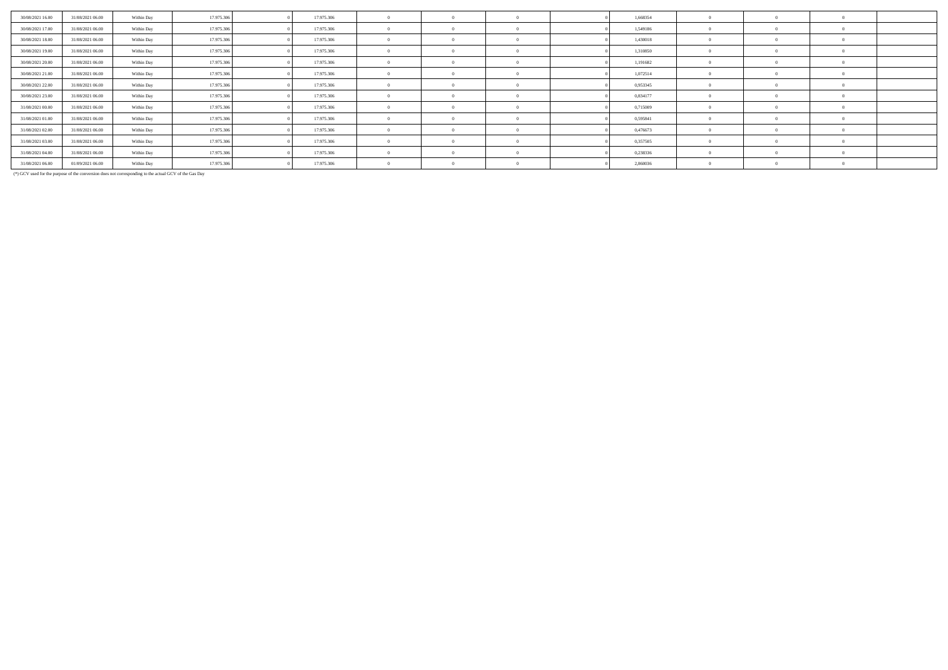| 30/08/2021 16:00 | 31/08/2021 06:00 | Within Day | 17.975.306 | 17.975.306 |            |  | 1,668354 |  |  |
|------------------|------------------|------------|------------|------------|------------|--|----------|--|--|
| 30/08/2021 17:00 | 31/08/2021 06:00 | Within Day | 17.975.306 | 17.975.306 | $\Omega$   |  | 1,549186 |  |  |
| 30/08/2021 18:00 | 31/08/2021 06:00 | Within Day | 17.975.306 | 17.975.306 | $^{\circ}$ |  | 1,430018 |  |  |
| 30/08/2021 19:00 | 31/08/2021 06:00 | Within Day | 17.975.306 | 17.975.306 | $\Omega$   |  | 1,310850 |  |  |
| 30/08/2021 20:00 | 31/08/2021 06:00 | Within Day | 17.975.306 | 17.975.306 | - 0        |  | 1,191682 |  |  |
| 30/08/2021 21:00 | 31/08/2021 06:00 | Within Day | 17.975.306 | 17.975.306 | $^{\circ}$ |  | 1,072514 |  |  |
| 30/08/2021 22:00 | 31/08/2021 06:00 | Within Day | 17.975.306 | 17.975.306 | $^{\circ}$ |  | 0,953345 |  |  |
| 30/08/2021 23:00 | 31/08/2021 06:00 | Within Day | 17.975.306 | 17.975.306 | $\Omega$   |  | 0,834177 |  |  |
| 31/08/2021 00:00 | 31/08/2021 06:00 | Within Day | 17.975.306 | 17.975.306 | $^{\circ}$ |  | 0,715009 |  |  |
| 31/08/2021 01:00 | 31/08/2021 06:00 | Within Day | 17.975.306 | 17.975.306 | $\sqrt{2}$ |  | 0,595841 |  |  |
| 31/08/2021 02:00 | 31/08/2021 06:00 | Within Day | 17.975.306 | 17.975.306 | $\theta$   |  | 0,476673 |  |  |
| 31/08/2021 03:00 | 31/08/2021 06:00 | Within Day | 17.975.306 | 17.975.306 | $^{\circ}$ |  | 0,357505 |  |  |
| 31/08/2021 04:00 | 31/08/2021 06:00 | Within Day | 17.975.306 | 17.975.306 | $\Omega$   |  | 0,238336 |  |  |
| 31/08/2021 06:00 | 01/09/2021 06:00 | Within Day | 17.975.306 | 17.975.306 | $^{\circ}$ |  | 2,860036 |  |  |

(\*) GCV used for the purpose of the conversion does not corresponding to the actual GCV of the Gas Day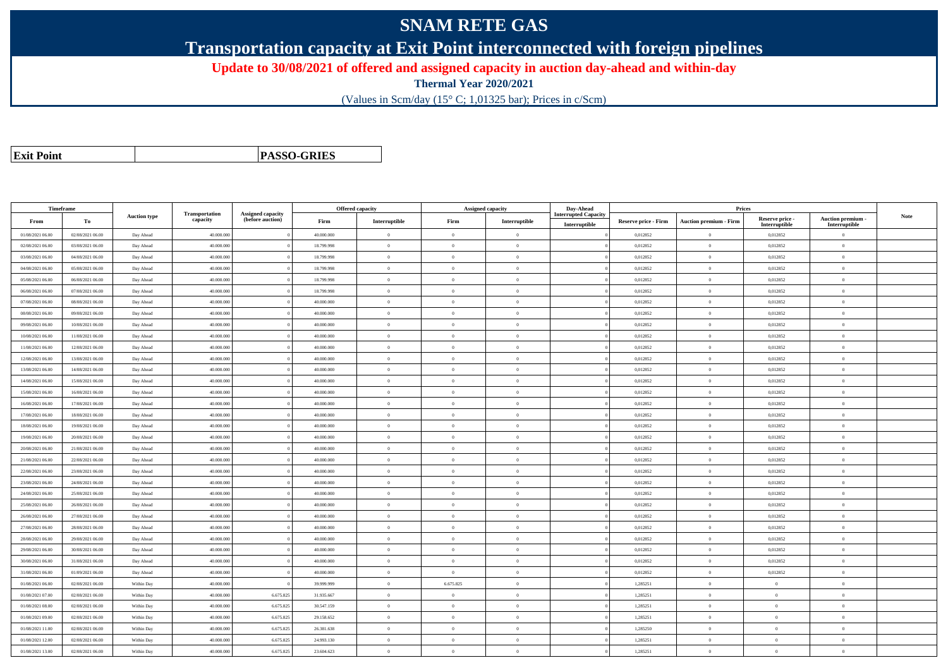## **SNAM RETE GAS**

**Transportation capacity at Exit Point interconnected with foreign pipelines**

**Update to 30/08/2021 of offered and assigned capacity in auction day-ahead and within-day**

**Thermal Year 2020/2021**

(Values in Scm/day (15° C; 1,01325 bar); Prices in c/Scm)

| <b>Exit Point</b> |
|-------------------|
|                   |

**PASSO-GRIES**

| Timeframe        |                  |                     |                            |                                              |            | Offered capacity |                | <b>Assigned capacity</b> | Day-Ahead                                    |                             | Prices                        |                                  |                                    |      |
|------------------|------------------|---------------------|----------------------------|----------------------------------------------|------------|------------------|----------------|--------------------------|----------------------------------------------|-----------------------------|-------------------------------|----------------------------------|------------------------------------|------|
| From             | To               | <b>Auction type</b> | Transportation<br>capacity | <b>Assigned capacity</b><br>(before auction) | Firm       | Interruptible    | Firm           | Interruptible            | <b>Interrupted Capacity</b><br>Interruptible | <b>Reserve price - Firm</b> | <b>Auction premium - Firm</b> | Reserve price -<br>Interruptible | Auction premium -<br>Interruptible | Note |
| 01/08/2021 06:00 | 02/08/2021 06:00 | Day Ahead           | 40.000.000                 |                                              | 40.000.000 | $\mathbf{0}$     | $\overline{0}$ | $\Omega$                 |                                              | 0,012852                    | $\overline{0}$                | 0,012852                         | $\Omega$                           |      |
| 02/08/2021 06:00 | 03/08/2021 06:00 | Day Ahead           | 40.000.000                 |                                              | 18.799.998 | $\Omega$         | $\theta$       | $\Omega$                 |                                              | 0,012852                    | $\overline{0}$                | 0,012852                         | $\theta$                           |      |
| 03/08/2021 06:00 | 04/08/2021 06:00 | Day Ahead           | 40.000.000                 |                                              | 18.799.998 | $\theta$         | $\overline{0}$ | $\overline{0}$           |                                              | 0,012852                    | $\mathbf{0}$                  | 0,012852                         | $\theta$                           |      |
| 04/08/2021 06:00 | 05/08/2021 06:00 | Day Ahead           | 40,000,000                 |                                              | 18.799.998 | $\mathbf{0}$     | $\overline{0}$ | $\overline{0}$           |                                              | 0.012852                    | $\mathbf{0}$                  | 0,012852                         | $\Omega$                           |      |
| 05/08/2021 06:00 | 06/08/2021 06:00 | Day Ahead           | 40.000.000                 |                                              | 18.799.998 | $\bf{0}$         | $\overline{0}$ | $\overline{0}$           |                                              | 0,012852                    | $\mathbf{0}$                  | 0,012852                         | $\theta$                           |      |
| 06/08/2021 06:00 | 07/08/2021 06:00 | Day Ahead           | 40.000.000                 |                                              | 18.799.998 | $\Omega$         | $\overline{0}$ | $\overline{0}$           |                                              | 0,012852                    | $\mathbf{0}$                  | 0,012852                         | $\theta$                           |      |
| 07/08/2021 06:00 | 08/08/2021 06:00 | Day Ahead           | 40.000.000                 |                                              | 40,000,000 | $\theta$         | $\theta$       | $\overline{0}$           |                                              | 0,012852                    | $\overline{0}$                | 0,012852                         | $\Omega$                           |      |
| 08/08/2021 06:00 | 09/08/2021 06:00 | Day Ahead           | 40.000.000                 |                                              | 40.000.000 | $\theta$         | $\overline{0}$ | $\overline{0}$           |                                              | 0,012852                    | $\mathbf{0}$                  | 0,012852                         | $\Omega$                           |      |
| 09/08/2021 06:00 | 10/08/2021 06:00 | Day Ahead           | 40.000.000                 |                                              | 40.000.000 | $\theta$         | $\overline{0}$ | $\overline{0}$           |                                              | 0,012852                    | $\mathbf{0}$                  | 0,012852                         | $\theta$                           |      |
| 10/08/2021 06:00 | 11/08/2021 06:00 | Day Ahead           | 40,000,000                 |                                              | 40,000,000 | $\theta$         | $\theta$       | $\theta$                 |                                              | 0.012852                    | $\theta$                      | 0,012852                         | $\theta$                           |      |
| 11/08/2021 06:00 | 12/08/2021 06:00 | Day Ahead           | 40.000.000                 |                                              | 40.000.000 | $\Omega$         | $\overline{0}$ | $\overline{0}$           |                                              | 0,012852                    | $\overline{0}$                | 0,012852                         | $\theta$                           |      |
| 12/08/2021 06:00 | 13/08/2021 06:00 | Day Ahead           | 40.000.000                 |                                              | 40.000.000 | $\Omega$         | $\theta$       | $\theta$                 |                                              | 0,012852                    | $\overline{0}$                | 0,012852                         | $\theta$                           |      |
| 13/08/2021 06:00 | 14/08/2021 06:00 | Day Ahead           | 40.000.000                 |                                              | 40.000.000 | $\theta$         | $\overline{0}$ | $\Omega$                 |                                              | 0,012852                    | $\overline{0}$                | 0,012852                         | $\Omega$                           |      |
| 14/08/2021 06:00 | 15/08/2021 06:00 | Day Ahead           | 40,000,000                 |                                              | 40,000,000 | $\theta$         | $\overline{0}$ | $\overline{0}$           |                                              | 0.012852                    | $\mathbf{0}$                  | 0,012852                         | $\theta$                           |      |
| 15/08/2021 06:00 | 16/08/2021 06:00 | Day Ahead           | 40.000.000                 |                                              | 40.000.000 | $\overline{0}$   | $\overline{0}$ | $\overline{0}$           |                                              | 0,012852                    | $\mathbf{0}$                  | 0,012852                         | $\theta$                           |      |
| 16/08/2021 06:00 | 17/08/2021 06:00 | Day Ahead           | 40.000.000                 |                                              | 40.000.000 | $\theta$         | $\overline{0}$ | $\overline{0}$           |                                              | 0,012852                    | $\,$ 0 $\,$                   | 0,012852                         | $\theta$                           |      |
| 17/08/2021 06:00 | 18/08/2021 06:00 | Day Ahead           | 40,000,000                 |                                              | 40,000,000 | $\Omega$         | $\theta$       | $\overline{0}$           |                                              | 0,012852                    | $\overline{0}$                | 0,012852                         | $\theta$                           |      |
| 18/08/2021 06:00 | 19/08/2021 06:00 | Day Ahead           | 40.000.000                 |                                              | 40.000.000 | $\theta$         | $\overline{0}$ | $\overline{0}$           |                                              | 0,012852                    | $\mathbf{0}$                  | 0,012852                         | $\theta$                           |      |
| 19/08/2021 06:00 | 20/08/2021 06:00 | Day Ahead           | 40.000.000                 |                                              | 40.000.000 | $\Omega$         | $\overline{0}$ | $\overline{0}$           |                                              | 0,012852                    | $\mathbf{0}$                  | 0,012852                         | $\theta$                           |      |
| 20/08/2021 06:00 | 21/08/2021 06:00 | Day Ahead           | 40.000.000                 |                                              | 40.000.000 | $\theta$         | $\overline{0}$ | $\overline{0}$           |                                              | 0,012852                    | $\mathbf{0}$                  | 0,012852                         | $\theta$                           |      |
| 21/08/2021 06:00 | 22/08/2021 06:00 | Day Ahead           | 40,000,000                 |                                              | 40,000,000 | $\mathbf{0}$     | $\overline{0}$ | $\overline{0}$           |                                              | 0,012852                    | $\,$ 0 $\,$                   | 0,012852                         | $\Omega$                           |      |
| 22/08/2021 06:00 | 23/08/2021 06:00 | Day Ahead           | 40.000.000                 |                                              | 40.000.000 | $\theta$         | $\overline{0}$ | $\overline{0}$           |                                              | 0,012852                    | $\overline{0}$                | 0,012852                         | $\theta$                           |      |
| 23/08/2021 06:00 | 24/08/2021 06:00 | Day Ahead           | 40.000.000                 |                                              | 40.000.000 | $\Omega$         | $\overline{0}$ | $\theta$                 |                                              | 0,012852                    | $\overline{0}$                | 0,012852                         | $\theta$                           |      |
| 24/08/2021 06:00 | 25/08/2021 06:00 | Day Ahead           | 40.000.000                 |                                              | 40,000,000 | $\Omega$         | $\theta$       | $\overline{0}$           |                                              | 0,012852                    | $\theta$                      | 0,012852                         | $\Omega$                           |      |
| 25/08/2021 06:00 | 26/08/2021 06:00 | Day Ahead           | 40,000,000                 |                                              | 40,000,000 | $\Omega$         | $\theta$       | $\overline{0}$           |                                              | 0,012852                    | $\mathbf{0}$                  | 0,012852                         | $\theta$                           |      |
| 26/08/2021 06:00 | 27/08/2021 06:00 | Day Ahead           | 40.000.000                 |                                              | 40.000.000 | $\theta$         | $\overline{0}$ | $\overline{0}$           |                                              | 0,012852                    | $\mathbf{0}$                  | 0,012852                         | $\theta$                           |      |
| 27/08/2021 06:00 | 28/08/2021 06:00 | Day Ahead           | 40,000,000                 |                                              | 40,000,000 | $\Omega$         | $\theta$       | $\theta$                 |                                              | 0.012852                    | $\theta$                      | 0,012852                         | $\theta$                           |      |
| 28/08/2021 06:00 | 29/08/2021 06:00 | Day Ahead           | 40.000.000                 |                                              | 40.000.000 | $\theta$         | $\overline{0}$ | $\overline{0}$           |                                              | 0,012852                    | $\mathbf{0}$                  | 0,012852                         | $\overline{0}$                     |      |
| 29/08/2021 06:00 | 30/08/2021 06:00 | Day Ahead           | 40.000.000                 |                                              | 40.000.000 | $\Omega$         | $\overline{0}$ | $\overline{0}$           |                                              | 0,012852                    | $\mathbf{0}$                  | 0,012852                         | $\theta$                           |      |
| 30/08/2021 06:00 | 31/08/2021 06:00 | Day Ahead           | 40.000.000                 |                                              | 40.000.000 | $\Omega$         | $\overline{0}$ | $\Omega$                 |                                              | 0,012852                    | $\overline{0}$                | 0,012852                         | $\Omega$                           |      |
| 31/08/2021 06:00 | 01/09/2021 06:00 | Day Ahead           | 40,000,000                 |                                              | 40,000,000 | $\overline{0}$   | $\overline{0}$ | $\overline{0}$           |                                              | 0.012852                    | $\mathbf{0}$                  | 0.012852                         | $\Omega$                           |      |
| 01/08/2021 06:00 | 02/08/2021 06:00 | Within Day          | 40,000,000                 |                                              | 39.999.999 | $\mathbf{0}$     | 6.675.825      | $\Omega$                 |                                              | 1,285251                    | $\mathbf{0}$                  | $\overline{0}$                   | $\theta$                           |      |
| 01/08/2021 07:00 | 02/08/2021 06:00 | Within Day          | 40.000.000                 | 6.675.825                                    | 31.935.667 | $\Omega$         | $\overline{0}$ | $\overline{0}$           |                                              | 1,285251                    | $\overline{0}$                | $\theta$                         | $\theta$                           |      |
| 01/08/2021 08:00 | 02/08/2021 06:00 | Within Day          | 40.000.000                 | 6.675.825                                    | 30.547.159 | $\Omega$         | $\overline{0}$ | $\overline{0}$           |                                              | 1,285251                    | $\overline{0}$                | $\theta$                         | $\theta$                           |      |
| 01/08/2021 09:00 | 02/08/2021 06:00 | Within Day          | 40.000.000                 | 6.675.825                                    | 29.158.652 | $\Omega$         | $\theta$       | $\overline{0}$           |                                              | 1,285251                    | $\theta$                      | $\theta$                         | $\theta$                           |      |
| 01/08/2021 11:00 | 02/08/2021 06:00 | Within Day          | 40.000.000                 | 6.675.825                                    | 26.381.638 | $\theta$         | $\overline{0}$ | $\Omega$                 |                                              | 1,285250                    | $\overline{0}$                | $\theta$                         | $\theta$                           |      |
| 01/08/2021 12:00 | 02/08/2021 06:00 | Within Day          | 40,000,000                 | 6.675.825                                    | 24.993.130 | $\theta$         | $\overline{0}$ | $\overline{0}$           |                                              | 1,285251                    | $\mathbf{0}$                  | $\overline{0}$                   | $\theta$                           |      |
| 01/08/2021 13:00 | 02/08/2021 06:00 | Within Day          | 40.000.000                 | 6.675.825                                    | 23,604.623 | $\theta$         | $\theta$       | $\overline{0}$           |                                              | 1,285251                    | $\theta$                      | $\theta$                         | $\Omega$                           |      |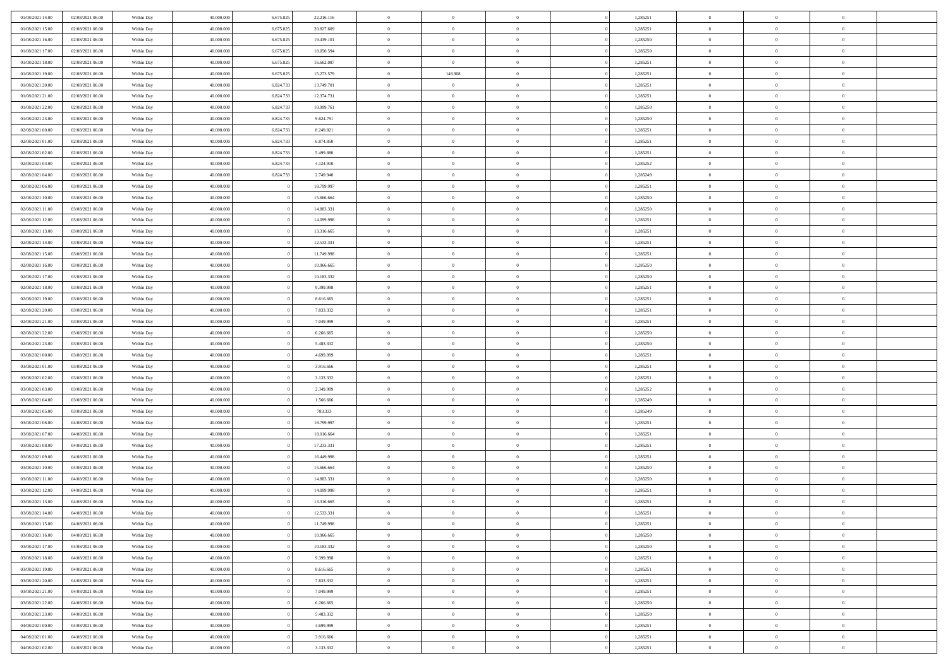| 01/08/2021 14:00                     | 02/08/2021 06:00                     | Within Day               | 40.000.000               | 6.675.825 | 22.216.116           | $\,$ 0 $\,$          | $\overline{0}$                    | $\overline{0}$                 |          | 1,285251             | $\bf{0}$                     | $\overline{0}$                   | $\,0\,$                          |  |
|--------------------------------------|--------------------------------------|--------------------------|--------------------------|-----------|----------------------|----------------------|-----------------------------------|--------------------------------|----------|----------------------|------------------------------|----------------------------------|----------------------------------|--|
| 01/08/2021 15:00                     | 02/08/2021 06:00                     | Within Day               | 40,000,000               | 6.675.825 | 20.827.609           | $\overline{0}$       | $\overline{0}$                    | $\mathbf{0}$                   |          | 1,285251             | $\theta$                     | $\overline{0}$                   | $\theta$                         |  |
| 01/08/2021 16:00                     | 02/08/2021 06:00                     | Within Dav               | 40.000.000               | 6.675.825 | 19.439.101           | $\theta$             | $\overline{0}$                    | $\overline{0}$                 |          | 1,285250             | $\mathbf{0}$                 | $\overline{0}$                   | $\overline{0}$                   |  |
| 01/08/2021 17:00                     | 02/08/2021 06:00                     | Within Day               | 40.000.000               | 6.675.825 | 18.050.594           | $\,$ 0 $\,$          | $\overline{0}$                    | $\overline{0}$                 |          | 1,285250             | $\bf{0}$                     | $\overline{0}$                   | $\bf{0}$                         |  |
| 01/08/2021 18:00                     | 02/08/2021 06:00                     | Within Day               | 40,000,000               | 6.675.825 | 16.662.087           | $\bf{0}$             | $\overline{0}$                    | $\mathbf{0}$                   |          | 1,285251             | $\bf{0}$                     | $\overline{0}$                   | $\,0\,$                          |  |
| 01/08/2021 19:00                     | 02/08/2021 06:00                     | Within Dav               | 40.000.000               | 6.675.825 | 15.273.579           | $\theta$             | 148.908                           | $\mathbf{0}$                   |          | 1,285251             | $\mathbf{0}$                 | $\overline{0}$                   | $\overline{0}$                   |  |
| 01/08/2021 20:00                     | 02/08/2021 06:00                     | Within Day               | 40.000.000               | 6.824.733 | 13.749.701           | $\,$ 0 $\,$          | $\overline{0}$                    | $\overline{0}$                 |          | 1,285251             | $\bf{0}$                     | $\overline{0}$                   | $\bf{0}$                         |  |
| 01/08/2021 21:00                     | 02/08/2021 06:00                     | Within Day               | 40,000,000               | 6.824.733 | 12.374.731           | $\overline{0}$       | $\overline{0}$                    | $\mathbf{0}$                   |          | 1,285251             | $\,$ 0 $\,$                  | $\overline{0}$                   | $\overline{0}$                   |  |
| 01/08/2021 22:00                     | 02/08/2021 06:00                     | Within Day               | 40.000.000               | 6.824.733 | 10.999.761           | $\theta$             | $\overline{0}$                    | $\mathbf{0}$                   |          | 1,285250             | $\mathbf{0}$                 | $\overline{0}$                   | $\overline{0}$                   |  |
| 01/08/2021 23:00                     | 02/08/2021 06:00                     | Within Day               | 40.000.000               | 6.824.733 | 9.624.791            | $\,$ 0 $\,$          | $\overline{0}$                    | $\Omega$                       |          | 1,285250             | $\bf{0}$                     | $\overline{0}$                   | $\bf{0}$                         |  |
| 02/08/2021 00:00                     | 02/08/2021 06:00                     | Within Day               | 40,000,000               | 6.824.733 | 8.249.821            | $\bf{0}$             | $\overline{0}$                    | $\mathbf{0}$                   |          | 1,285251             | $\bf{0}$                     | $\overline{0}$                   | $\theta$                         |  |
| 02/08/2021 01:00                     | 02/08/2021 06:00                     | Within Day               | 40.000.000               | 6.824.733 | 6.874.850            | $\theta$             | $\overline{0}$                    | $\overline{0}$                 |          | 1,285251             | $\mathbf{0}$                 | $\overline{0}$                   | $\overline{0}$                   |  |
| 02/08/2021 02:00                     | 02/08/2021 06:00                     | Within Day               | 40.000.000               | 6.824.733 | 5.499.880            | $\,$ 0 $\,$          | $\overline{0}$                    | $\overline{0}$                 |          | 1,285251             | $\bf{0}$                     | $\overline{0}$                   | $\bf{0}$                         |  |
| 02/08/2021 03:00                     | 02/08/2021 06:00                     | Within Day               | 40,000,000               | 6.824.733 | 4.124.910            | $\bf{0}$             | $\overline{0}$                    | $\mathbf{0}$                   |          | 1,285252             | $\bf{0}$                     | $\mathbf{0}$                     | $\,0\,$                          |  |
| 02/08/2021 04:00                     | 02/08/2021 06:00                     | Within Dav               | 40.000.000               | 6.824.733 | 2.749.940            | $\theta$             | $\overline{0}$                    | $\overline{0}$                 |          | 1,285249             | $\mathbf{0}$                 | $\overline{0}$                   | $\overline{0}$                   |  |
| 02/08/2021 06:00                     | 03/08/2021 06:00                     | Within Day               | 40.000.000               |           | 18.799.997           | $\,$ 0 $\,$          | $\overline{0}$                    | $\Omega$                       |          | 1,285251             | $\bf{0}$                     | $\overline{0}$                   | $\bf{0}$                         |  |
| 02/08/2021 10:00                     | 03/08/2021 06:00                     | Within Day               | 40,000,000               |           | 15.666.664           | $\,$ 0               | $\overline{0}$                    | $\mathbf{0}$                   |          | 1,285250             | $\,$ 0 $\,$                  | $\overline{0}$                   | $\theta$                         |  |
| 02/08/2021 11:00                     | 03/08/2021 06:00                     | Within Day               | 40.000.000               |           | 14.883.331           | $\theta$             | $\overline{0}$                    | $\mathbf{0}$                   |          | 1,285250             | $\mathbf{0}$                 | $\overline{0}$                   | $\overline{0}$                   |  |
| 02/08/2021 12:00                     | 03/08/2021 06:00                     | Within Day               | 40.000.000               |           | 14.099.998           | $\,$ 0 $\,$          | $\overline{0}$                    | $\Omega$                       |          | 1,285251             | $\bf{0}$                     | $\overline{0}$                   | $\bf{0}$                         |  |
| 02/08/2021 13:00                     | 03/08/2021 06:00                     | Within Day               | 40,000,000               |           | 13.316.665           | $\overline{0}$       | $\overline{0}$                    | $\mathbf{0}$                   |          | 1,285251             | $\bf{0}$                     | $\mathbf{0}$                     | $\overline{0}$                   |  |
| 02/08/2021 14:00                     | 03/08/2021 06:00                     | Within Dav               | 40.000.000               |           | 12.533.331           | $\theta$             | $\overline{0}$                    | $\overline{0}$                 |          | 1,285251             | $\mathbf{0}$                 | $\overline{0}$                   | $\overline{0}$                   |  |
| 02/08/2021 15:00                     | 03/08/2021 06:00                     | Within Day               | 40.000.000               |           | 11.749.998           | $\,$ 0 $\,$          | $\overline{0}$                    | $\overline{0}$                 |          | 1,285251             | $\bf{0}$                     | $\overline{0}$                   | $\bf{0}$                         |  |
| 02/08/2021 16:00                     | 03/08/2021 06:00                     | Within Day               | 40,000,000               |           | 10.966.665           | $\bf{0}$             | $\overline{0}$                    | $\mathbf{0}$                   |          | 1,285250             | $\,$ 0 $\,$                  | $\overline{0}$                   | $\,0\,$                          |  |
| 02/08/2021 17:00                     | 03/08/2021 06:00                     | Within Dav               | 40.000.000               |           | 10.183.332           | $\theta$             | $\overline{0}$                    | $\mathbf{0}$                   |          | 1,285250             | $\mathbf{0}$                 | $\overline{0}$                   | $\overline{0}$                   |  |
| 02/08/2021 18:00                     | 03/08/2021 06:00                     | Within Day               | 40.000.000               |           | 9.399.998            | $\,$ 0 $\,$          | $\overline{0}$                    | $\overline{0}$                 |          | 1,285251             | $\bf{0}$                     | $\overline{0}$                   | $\bf{0}$                         |  |
| 02/08/2021 19:00                     | 03/08/2021 06:00                     | Within Day               | 40,000,000               |           | 8.616.665            | $\,$ 0               | $\overline{0}$                    | $\mathbf{0}$                   |          | 1,285251             | $\bf{0}$                     | $\overline{0}$                   | $\overline{0}$                   |  |
| 02/08/2021 20:00                     | 03/08/2021 06:00                     | Within Day               | 40.000.000               |           | 7.833.332            | $\theta$             | $\overline{0}$                    | $\mathbf{0}$                   |          | 1,285251             | $\mathbf{0}$                 | $\overline{0}$                   | $\overline{0}$                   |  |
| 02/08/2021 21:00                     | 03/08/2021 06:00                     | Within Day               | 40.000.000               |           | 7.049.999            | $\,$ 0 $\,$          | $\overline{0}$                    | $\Omega$                       |          | 1,285251             | $\bf{0}$                     | $\overline{0}$                   | $\bf{0}$                         |  |
| 02/08/2021 22:00                     | 03/08/2021 06:00                     | Within Day               | 40,000,000               |           | 6.266.665            | $\bf{0}$             | $\overline{0}$                    | $\mathbf{0}$                   |          | 1,285250             | $\bf{0}$                     | $\overline{0}$                   | $\overline{0}$                   |  |
| 02/08/2021 23:00                     | 03/08/2021 06:00                     | Within Day               | 40.000.000               |           | 5.483.332            | $\theta$             | $\overline{0}$                    | $\overline{0}$                 |          | 1,285250             | $\mathbf{0}$                 | $\overline{0}$                   | $\overline{0}$                   |  |
| 03/08/2021 00:00                     | 03/08/2021 06:00                     | Within Day               | 40.000.000               |           | 4.699.999            | $\,$ 0 $\,$          | $\overline{0}$                    | $\overline{0}$                 |          | 1,285251             | $\,$ 0                       | $\overline{0}$                   | $\,$ 0 $\,$                      |  |
| 03/08/2021 01:00                     | 03/08/2021 06:00                     | Within Day               | 40,000,000               |           | 3.916.666            | $\bf{0}$             | $\overline{0}$                    | $\mathbf{0}$                   |          | 1,285251             | $\bf{0}$                     | $\overline{0}$                   | $\overline{0}$                   |  |
| 03/08/2021 02:00                     | 03/08/2021 06:00                     | Within Dav               | 40.000.000               |           | 3.133.332            | $\theta$             | $\overline{0}$                    | $\overline{0}$                 |          | 1,285251             | $\mathbf{0}$                 | $\overline{0}$                   | $\overline{0}$                   |  |
| 03/08/2021 03:00                     | 03/08/2021 06:00                     | Within Day               | 40.000.000               |           | 2.349.999            | $\theta$             | $\overline{0}$                    | $\overline{0}$                 |          | 1,285252             | $\,$ 0                       | $\overline{0}$                   | $\theta$                         |  |
| 03/08/2021 04:00<br>03/08/2021 05:00 | 03/08/2021 06:00<br>03/08/2021 06:00 | Within Day<br>Within Day | 40,000,000<br>40.000.000 |           | 1.566.666<br>783.333 | $\bf{0}$<br>$\theta$ | $\overline{0}$<br>$\overline{0}$  | $\mathbf{0}$<br>$\overline{0}$ |          | 1,285249<br>1,285249 | $\mathbf{0}$<br>$\mathbf{0}$ | $\overline{0}$<br>$\overline{0}$ | $\overline{0}$<br>$\overline{0}$ |  |
| 03/08/2021 06:00                     | 04/08/2021 06:00                     |                          | 40.000.000               |           | 18.799.997           | $\theta$             | $\overline{0}$                    | $\overline{0}$                 |          | 1,285251             | $\,$ 0                       | $\overline{0}$                   | $\theta$                         |  |
| 03/08/2021 07:00                     | 04/08/2021 06:00                     | Within Day<br>Within Day | 40,000,000               |           | 18.016.664           | $\bf{0}$             | $\overline{0}$                    | $\mathbf{0}$                   |          | 1,285251             | $\bf{0}$                     | $\mathbf{0}$                     | $\overline{0}$                   |  |
| 03/08/2021 08:00                     | 04/08/2021 06:00                     | Within Day               | 40.000.000               |           | 17.233.331           | $\theta$             | $\overline{0}$                    | $\overline{0}$                 |          | 1,285251             | $\mathbf{0}$                 | $\overline{0}$                   | $\overline{0}$                   |  |
| 03/08/2021 09:00                     | 04/08/2021 06:00                     | Within Day               | 40.000.000               |           | 16.449.998           | $\,$ 0 $\,$          | $\overline{0}$                    | $\overline{0}$                 |          | 1,285251             | $\,$ 0                       | $\overline{0}$                   | $\,$ 0 $\,$                      |  |
| 03/08/2021 10:00                     | 04/08/2021 06:00                     | Within Day               | 40,000,000               |           | 15.666.664           | $\,$ 0               | $\,$ 0 $\,$                       | $\overline{0}$                 |          | 1,285250             | $\,$ 0 $\,$                  | $\overline{0}$                   | $\overline{0}$                   |  |
| 03/08/2021 11:00                     | 04/08/2021 06:00                     | Within Day               | 40.000.000               |           | 14.883.331           | $\theta$             | $\overline{0}$                    | $\mathbf{0}$                   |          | 1,285250             | $\mathbf{0}$                 | $\overline{0}$                   | $\overline{0}$                   |  |
| 03/08/2021 12:00                     | 04/08/2021 06:00                     | Within Day               | 40.000.000               |           | 14.099.998           | $\theta$             | $\overline{0}$                    | $\overline{0}$                 |          | 1,285251             | $\,$ 0                       | $\overline{0}$                   | $\theta$                         |  |
| 03/08/2021 13:00                     | 04/08/2021 06:00                     | Within Day               | 40,000,000               |           | 13.316.665           | $\bf{0}$             | $\,$ 0 $\,$                       | $\mathbf{0}$                   |          | 1,285251             | $\mathbf{0}$                 | $\overline{0}$                   | $\overline{0}$                   |  |
| 03/08/2021 14:00                     | 04/08/2021 06:00                     | Within Day               | 40.000.000               |           | 12.533.331           | $\overline{0}$       | $\theta$                          |                                |          | 1,285251             | $\overline{0}$               | $\theta$                         | $\theta$                         |  |
| 03/08/2021 15:00                     | 04/08/2021 06:00                     | Within Day               | 40.000.000               |           | 11.749.998           | $\,$ 0 $\,$          | $\overline{0}$                    | $\overline{0}$                 |          | 1,285251             | $\,$ 0 $\,$                  | $\bf{0}$                         | $\,$ 0 $\,$                      |  |
| 03/08/2021 16:00                     | 04/08/2021 06:00                     | Within Day               | 40.000.000               |           | 10.966.665           | $\bf{0}$             | $\hspace{0.1cm} 0 \hspace{0.1cm}$ | $\overline{0}$                 |          | 1,285250             | $\,$ 0 $\,$                  | $\overline{0}$                   | $\overline{0}$                   |  |
| 03/08/2021 17:00                     | 04/08/2021 06:00                     | Within Day               | 40.000.000               |           | 10.183.332           | $\,$ 0 $\,$          | $\overline{0}$                    | $\overline{0}$                 |          | 1,285250             | $\,$ 0 $\,$                  | $\bf{0}$                         | $\mathbf{0}$                     |  |
| 03/08/2021 18:00                     | 04/08/2021 06:00                     | Within Day               | 40.000.000               |           | 9.399.998            | $\,$ 0 $\,$          | $\overline{0}$                    | $\overline{0}$                 | $\theta$ | 1,285251             | $\,$ 0 $\,$                  | $\bf{0}$                         | $\,$ 0 $\,$                      |  |
| 03/08/2021 19:00                     | 04/08/2021 06:00                     | Within Day               | 40.000.000               |           | 8.616.665            | $\,$ 0 $\,$          | $\,$ 0 $\,$                       | $\overline{0}$                 |          | 1,285251             | $\,$ 0 $\,$                  | $\overline{0}$                   | $\overline{0}$                   |  |
| 03/08/2021 20:00                     | 04/08/2021 06:00                     | Within Day               | 40.000.000               |           | 7.833.332            | $\mathbf{0}$         | $\overline{0}$                    | $\overline{0}$                 |          | 1,285251             | $\mathbf{0}$                 | $\bf{0}$                         | $\overline{0}$                   |  |
| 03/08/2021 21:00                     | 04/08/2021 06:00                     | Within Day               | 40.000.000               |           | 7.049.999            | $\,$ 0 $\,$          | $\overline{0}$                    | $\overline{0}$                 |          | 1,285251             | $\,$ 0 $\,$                  | $\bf{0}$                         | $\,$ 0 $\,$                      |  |
| 03/08/2021 22:00                     | 04/08/2021 06:00                     | Within Day               | 40.000.000               |           | 6.266.665            | $\bf{0}$             | $\overline{0}$                    | $\overline{0}$                 |          | 1,285250             | $\,$ 0 $\,$                  | $\overline{0}$                   | $\mathbf{0}$                     |  |
| 03/08/2021 23:00                     | 04/08/2021 06:00                     | Within Day               | 40.000.000               |           | 5.483.332            | $\,$ 0 $\,$          | $\overline{0}$                    | $\overline{0}$                 |          | 1,285250             | $\,$ 0 $\,$                  | $\bf{0}$                         | $\overline{0}$                   |  |
| 04/08/2021 00:00                     | 04/08/2021 06:00                     | Within Day               | 40.000.000               |           | 4.699.999            | $\,$ 0 $\,$          | $\overline{0}$                    | $\overline{0}$                 |          | 1,285251             | $\,$ 0 $\,$                  | $\bf{0}$                         | $\,$ 0 $\,$                      |  |
| 04/08/2021 01:00                     | 04/08/2021 06:00                     | Within Day               | 40.000.000               |           | 3.916.666            | $\,$ 0 $\,$          | $\,$ 0 $\,$                       | $\overline{0}$                 |          | 1,285251             | $\,$ 0 $\,$                  | $\overline{0}$                   | $\overline{0}$                   |  |
| 04/08/2021 02:00                     | 04/08/2021 06:00                     | Within Day               | 40.000.000               |           | 3.133.332            | $\theta$             | $\overline{0}$                    | $\overline{0}$                 |          | 1,285251             | $\,$ 0 $\,$                  | $\overline{0}$                   | $\overline{0}$                   |  |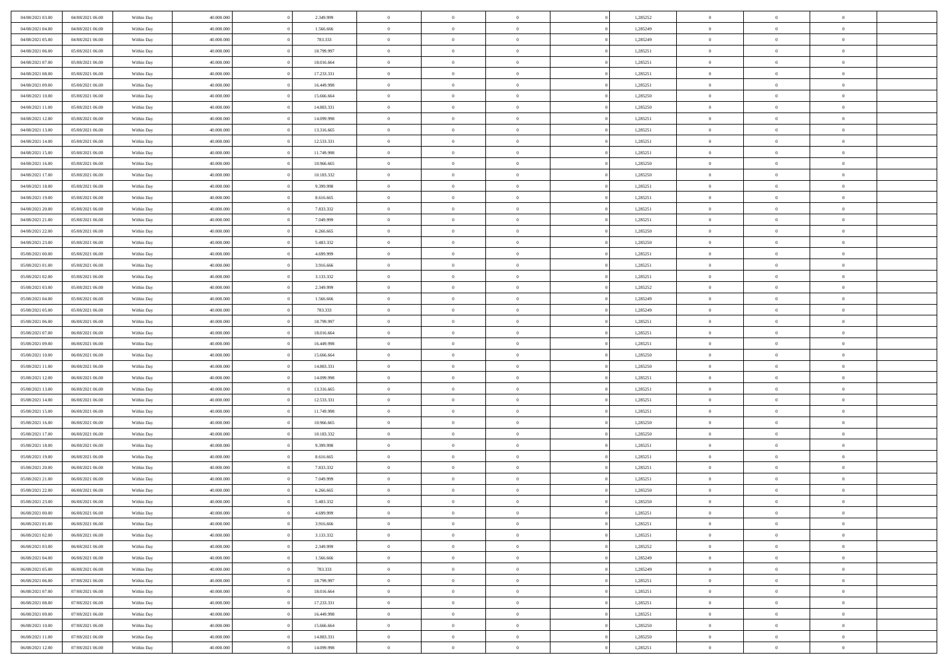| 04/08/2021 03:00 | 04/08/2021 06:00 | Within Day | 40.000.000 | 2.349.999  | $\,$ 0 $\,$    | $\overline{0}$                    | $\overline{0}$           |          | 1,285252 | $\bf{0}$       | $\overline{0}$ | $\,0\,$        |  |
|------------------|------------------|------------|------------|------------|----------------|-----------------------------------|--------------------------|----------|----------|----------------|----------------|----------------|--|
| 04/08/2021 04:00 | 04/08/2021 06:00 | Within Day | 40,000,000 | 1.566.666  | $\theta$       | $\overline{0}$                    | $\mathbf{0}$             |          | 1,285249 | $\theta$       | $\overline{0}$ | $\theta$       |  |
| 04/08/2021 05:00 | 04/08/2021 06:00 | Within Day | 40.000.000 | 783.333    | $\theta$       | $\overline{0}$                    | $\overline{0}$           |          | 1,285249 | $\mathbf{0}$   | $\overline{0}$ | $\overline{0}$ |  |
| 04/08/2021 06:00 | 05/08/2021 06:00 | Within Day | 40.000.000 | 18.799.997 | $\,$ 0 $\,$    | $\overline{0}$                    | $\overline{0}$           |          | 1,285251 | $\bf{0}$       | $\overline{0}$ | $\bf{0}$       |  |
| 04/08/2021 07:00 | 05/08/2021 06:00 | Within Day | 40,000,000 | 18.016.664 | $\bf{0}$       | $\overline{0}$                    | $\mathbf{0}$             |          | 1,285251 | $\bf{0}$       | $\overline{0}$ | $\,0\,$        |  |
| 04/08/2021 08:00 | 05/08/2021 06:00 | Within Day | 40.000.000 | 17.233.331 | $\theta$       | $\overline{0}$                    | $\mathbf{0}$             |          | 1,285251 | $\mathbf{0}$   | $\overline{0}$ | $\overline{0}$ |  |
| 04/08/2021 09:00 | 05/08/2021 06:00 | Within Day | 40.000.000 | 16.449.998 | $\,$ 0 $\,$    | $\overline{0}$                    | $\overline{0}$           |          | 1,285251 | $\bf{0}$       | $\overline{0}$ | $\bf{0}$       |  |
|                  |                  |            | 40,000,000 |            | $\overline{0}$ | $\overline{0}$                    | $\mathbf{0}$             |          |          | $\,$ 0 $\,$    | $\overline{0}$ | $\overline{0}$ |  |
| 04/08/2021 10:00 | 05/08/2021 06:00 | Within Day |            | 15.666.664 | $\theta$       |                                   |                          |          | 1,285250 | $\mathbf{0}$   |                | $\overline{0}$ |  |
| 04/08/2021 11:00 | 05/08/2021 06:00 | Within Day | 40.000.000 | 14.883.331 |                | $\overline{0}$                    | $\mathbf{0}$<br>$\Omega$ |          | 1,285250 |                | $\overline{0}$ |                |  |
| 04/08/2021 12:00 | 05/08/2021 06:00 | Within Day | 40.000.000 | 14.099.998 | $\,$ 0 $\,$    | $\overline{0}$                    |                          |          | 1,285251 | $\bf{0}$       | $\overline{0}$ | $\bf{0}$       |  |
| 04/08/2021 13:00 | 05/08/2021 06:00 | Within Day | 40,000,000 | 13.316.665 | $\bf{0}$       | $\overline{0}$                    | $\mathbf{0}$             |          | 1,285251 | $\bf{0}$       | $\overline{0}$ | $\theta$       |  |
| 04/08/2021 14:00 | 05/08/2021 06:00 | Within Day | 40.000.000 | 12.533.331 | $\theta$       | $\overline{0}$                    | $\overline{0}$           |          | 1,285251 | $\mathbf{0}$   | $\overline{0}$ | $\overline{0}$ |  |
| 04/08/2021 15:00 | 05/08/2021 06:00 | Within Day | 40.000.000 | 11.749.998 | $\,$ 0 $\,$    | $\overline{0}$                    | $\overline{0}$           |          | 1,285251 | $\bf{0}$       | $\overline{0}$ | $\overline{0}$ |  |
| 04/08/2021 16:00 | 05/08/2021 06:00 | Within Day | 40,000,000 | 10.966.665 | $\bf{0}$       | $\overline{0}$                    | $\mathbf{0}$             |          | 1,285250 | $\bf{0}$       | $\mathbf{0}$   | $\,0\,$        |  |
| 04/08/2021 17:00 | 05/08/2021 06:00 | Within Dav | 40.000.000 | 10.183.332 | $\theta$       | $\overline{0}$                    | $\overline{0}$           |          | 1,285250 | $\mathbf{0}$   | $\overline{0}$ | $\overline{0}$ |  |
| 04/08/2021 18:00 | 05/08/2021 06:00 | Within Day | 40.000.000 | 9.399.998  | $\,$ 0 $\,$    | $\overline{0}$                    | $\Omega$                 |          | 1,285251 | $\bf{0}$       | $\overline{0}$ | $\bf{0}$       |  |
| 04/08/2021 19:00 | 05/08/2021 06:00 | Within Day | 40,000,000 | 8.616.665  | $\,$ 0         | $\overline{0}$                    | $\mathbf{0}$             |          | 1,285251 | $\,$ 0 $\,$    | $\overline{0}$ | $\theta$       |  |
| 04/08/2021 20:00 | 05/08/2021 06:00 | Within Day | 40.000.000 | 7.833.332  | $\theta$       | $\overline{0}$                    | $\mathbf{0}$             |          | 1,285251 | $\mathbf{0}$   | $\overline{0}$ | $\overline{0}$ |  |
| 04/08/2021 21:00 | 05/08/2021 06:00 | Within Day | 40.000.000 | 7.049.999  | $\,$ 0 $\,$    | $\overline{0}$                    | $\Omega$                 |          | 1,285251 | $\bf{0}$       | $\overline{0}$ | $\bf{0}$       |  |
| 04/08/2021 22:00 | 05/08/2021 06:00 | Within Day | 40,000,000 | 6.266.665  | $\bf{0}$       | $\overline{0}$                    | $\mathbf{0}$             |          | 1,285250 | $\bf{0}$       | $\mathbf{0}$   | $\overline{0}$ |  |
| 04/08/2021 23:00 | 05/08/2021 06:00 | Within Dav | 40.000.000 | 5.483.332  | $\theta$       | $\overline{0}$                    | $\overline{0}$           |          | 1,285250 | $\mathbf{0}$   | $\overline{0}$ | $\overline{0}$ |  |
| 05/08/2021 00:00 | 05/08/2021 06:00 | Within Day | 40.000.000 | 4.699.999  | $\,$ 0 $\,$    | $\overline{0}$                    | $\overline{0}$           |          | 1,285251 | $\bf{0}$       | $\overline{0}$ | $\bf{0}$       |  |
| 05/08/2021 01:00 | 05/08/2021 06:00 | Within Day | 40,000,000 | 3.916.666  | $\bf{0}$       | $\overline{0}$                    | $\mathbf{0}$             |          | 1,285251 | $\,$ 0 $\,$    | $\overline{0}$ | $\,0\,$        |  |
| 05/08/2021 02:00 | 05/08/2021 06:00 | Within Dav | 40.000.000 | 3.133.332  | $\theta$       | $\overline{0}$                    | $\mathbf{0}$             |          | 1,285251 | $\mathbf{0}$   | $\overline{0}$ | $\overline{0}$ |  |
| 05/08/2021 03:00 | 05/08/2021 06:00 | Within Day | 40.000.000 | 2.349.999  | $\,$ 0 $\,$    | $\overline{0}$                    | $\overline{0}$           |          | 1,285252 | $\bf{0}$       | $\overline{0}$ | $\bf{0}$       |  |
| 05/08/2021 04:00 | 05/08/2021 06:00 | Within Day | 40,000,000 | 1.566.666  | $\,$ 0         | $\overline{0}$                    | $\mathbf{0}$             |          | 1,285249 | $\bf{0}$       | $\overline{0}$ | $\overline{0}$ |  |
| 05/08/2021 05:00 | 05/08/2021 06:00 | Within Day | 40.000.000 | 783.333    | $\theta$       | $\overline{0}$                    | $\mathbf{0}$             |          | 1,285249 | $\mathbf{0}$   | $\overline{0}$ | $\overline{0}$ |  |
| 05/08/2021 06:00 | 06/08/2021 06:00 | Within Day | 40.000.000 | 18.799.997 | $\,$ 0 $\,$    | $\overline{0}$                    | $\Omega$                 |          | 1,285251 | $\bf{0}$       | $\overline{0}$ | $\bf{0}$       |  |
| 05/08/2021 07:00 | 06/08/2021 06:00 | Within Day | 40,000,000 | 18.016.664 | $\bf{0}$       | $\overline{0}$                    | $\mathbf{0}$             |          | 1,285251 | $\bf{0}$       | $\mathbf{0}$   | $\overline{0}$ |  |
| 05/08/2021 09:00 | 06/08/2021 06:00 | Within Day | 40.000.000 | 16.449.998 | $\theta$       | $\overline{0}$                    | $\overline{0}$           |          | 1,285251 | $\mathbf{0}$   | $\overline{0}$ | $\overline{0}$ |  |
| 05/08/2021 10:00 | 06/08/2021 06:00 | Within Day | 40.000.000 | 15.666.664 | $\theta$       | $\overline{0}$                    | $\overline{0}$           |          | 1,285250 | $\,$ 0         | $\overline{0}$ | $\,$ 0 $\,$    |  |
| 05/08/2021 11:00 | 06/08/2021 06:00 | Within Day | 40,000,000 | 14.883.331 | $\bf{0}$       | $\overline{0}$                    | $\mathbf{0}$             |          | 1,285250 | $\bf{0}$       | $\mathbf{0}$   | $\overline{0}$ |  |
| 05/08/2021 12:00 | 06/08/2021 06:00 | Within Dav | 40.000.000 | 14.099.998 | $\theta$       | $\overline{0}$                    | $\overline{0}$           |          | 1,285251 | $\mathbf{0}$   | $\overline{0}$ | $\overline{0}$ |  |
| 05/08/2021 13:00 | 06/08/2021 06:00 | Within Day | 40.000.000 | 13.316.665 | $\theta$       | $\overline{0}$                    | $\overline{0}$           |          | 1,285251 | $\,$ 0         | $\overline{0}$ | $\theta$       |  |
| 05/08/2021 14:00 | 06/08/2021 06:00 | Within Day | 40,000,000 | 12.533.331 | $\bf{0}$       | $\overline{0}$                    | $\mathbf{0}$             |          | 1,285251 | $\mathbf{0}$   | $\overline{0}$ | $\overline{0}$ |  |
| 05/08/2021 15:00 | 06/08/2021 06:00 | Within Day | 40.000.000 | 11.749.998 | $\theta$       | $\overline{0}$                    | $\mathbf{0}$             |          | 1,285251 | $\mathbf{0}$   | $\overline{0}$ | $\overline{0}$ |  |
| 05/08/2021 16:00 | 06/08/2021 06:00 | Within Day | 40.000.000 | 10.966.665 | $\theta$       | $\overline{0}$                    | $\overline{0}$           |          | 1,285250 | $\,$ 0         | $\overline{0}$ | $\,$ 0 $\,$    |  |
| 05/08/2021 17:00 | 06/08/2021 06:00 | Within Day | 40,000,000 | 10.183.332 | $\bf{0}$       | $\overline{0}$                    | $\mathbf{0}$             |          | 1,285250 | $\bf{0}$       | $\mathbf{0}$   | $\overline{0}$ |  |
| 05/08/2021 18:00 | 06/08/2021 06:00 | Within Day | 40.000.000 | 9.399.998  | $\theta$       | $\overline{0}$                    | $\overline{0}$           |          | 1,285251 | $\mathbf{0}$   | $\overline{0}$ | $\overline{0}$ |  |
| 05/08/2021 19:00 | 06/08/2021 06:00 | Within Day | 40.000.000 | 8.616.665  | $\,$ 0 $\,$    | $\overline{0}$                    | $\overline{0}$           |          | 1,285251 | $\,$ 0         | $\overline{0}$ | $\,$ 0 $\,$    |  |
| 05/08/2021 20:00 | 06/08/2021 06:00 | Within Day | 40,000,000 | 7.833.332  | $\,$ 0         | $\,$ 0 $\,$                       | $\overline{0}$           |          | 1,285251 | $\,$ 0 $\,$    | $\overline{0}$ | $\overline{0}$ |  |
| 05/08/2021 21:00 | 06/08/2021 06:00 | Within Day | 40.000.000 | 7.049.999  | $\theta$       | $\overline{0}$                    | $\mathbf{0}$             |          | 1,285251 | $\mathbf{0}$   | $\overline{0}$ | $\overline{0}$ |  |
| 05/08/2021 22:00 | 06/08/2021 06:00 | Within Day | 40.000.000 | 6.266.665  | $\theta$       | $\overline{0}$                    | $\overline{0}$           |          | 1,285250 | $\,$ 0         | $\overline{0}$ | $\theta$       |  |
| 05/08/2021 23:00 | 06/08/2021 06:00 | Within Day | 40,000,000 | 5.483.332  | $\bf{0}$       | $\,$ 0 $\,$                       | $\mathbf{0}$             |          | 1,285250 | $\,$ 0 $\,$    | $\overline{0}$ | $\overline{0}$ |  |
| 06/08/2021 00:00 | 06/08/2021 06:00 | Within Day | 40.000.000 | 4.699.999  | $\overline{0}$ | $\theta$                          |                          |          | 1,285251 | $\overline{0}$ | $\theta$       | $\theta$       |  |
| 06/08/2021 01:00 | 06/08/2021 06:00 | Within Day | 40.000.000 | 3.916.666  | $\,$ 0 $\,$    | $\overline{0}$                    | $\overline{0}$           |          | 1,285251 | $\,$ 0 $\,$    | $\bf{0}$       | $\,$ 0 $\,$    |  |
| 06/08/2021 02:00 | 06/08/2021 06:00 | Within Day | 40.000.000 | 3.133.332  | $\bf{0}$       | $\hspace{0.1cm} 0 \hspace{0.1cm}$ | $\overline{0}$           |          | 1,285251 | $\,$ 0 $\,$    | $\overline{0}$ | $\overline{0}$ |  |
| 06/08/2021 03:00 | 06/08/2021 06:00 | Within Day | 40.000.000 | 2.349.999  | $\,$ 0 $\,$    | $\overline{0}$                    | $\overline{0}$           |          | 1,285252 | $\,$ 0 $\,$    | $\bf{0}$       | $\mathbf{0}$   |  |
| 06/08/2021 04:00 | 06/08/2021 06:00 | Within Day | 40.000.000 | 1.566.666  | $\,$ 0 $\,$    | $\overline{0}$                    | $\overline{0}$           | $\theta$ | 1,285249 | $\,$ 0 $\,$    | $\bf{0}$       | $\,$ 0 $\,$    |  |
| 06/08/2021 05:00 | 06/08/2021 06:00 | Within Day | 40.000.000 | 783.333    | $\,$ 0 $\,$    | $\,$ 0 $\,$                       | $\overline{0}$           |          | 1,285249 | $\,$ 0 $\,$    | $\overline{0}$ | $\overline{0}$ |  |
| 06/08/2021 06:00 | 07/08/2021 06:00 | Within Day | 40.000.000 | 18.799.997 | $\mathbf{0}$   | $\overline{0}$                    | $\overline{0}$           |          | 1,285251 | $\mathbf{0}$   | $\bf{0}$       | $\overline{0}$ |  |
|                  |                  |            |            |            | $\,$ 0 $\,$    |                                   | $\overline{0}$           |          |          |                | $\bf{0}$       | $\,$ 0 $\,$    |  |
| 06/08/2021 07:00 | 07/08/2021 06:00 | Within Day | 40.000.000 | 18.016.664 |                | $\overline{0}$                    |                          |          | 1,285251 | $\,$ 0 $\,$    |                |                |  |
| 06/08/2021 08:00 | 07/08/2021 06:00 | Within Day | 40.000.000 | 17.233.331 | $\bf{0}$       | $\overline{0}$                    | $\overline{0}$           |          | 1,285251 | $\,$ 0 $\,$    | $\overline{0}$ | $\overline{0}$ |  |
| 06/08/2021 09:00 | 07/08/2021 06:00 | Within Day | 40.000.000 | 16.449.998 | $\,$ 0 $\,$    | $\overline{0}$                    | $\overline{0}$           |          | 1,285251 | $\,$ 0 $\,$    | $\bf{0}$       | $\overline{0}$ |  |
| 06/08/2021 10:00 | 07/08/2021 06:00 | Within Day | 40.000.000 | 15.666.664 | $\,$ 0 $\,$    | $\overline{0}$                    | $\overline{0}$           |          | 1,285250 | $\,$ 0 $\,$    | $\bf{0}$       | $\,$ 0 $\,$    |  |
| 06/08/2021 11:00 | 07/08/2021 06:00 | Within Day | 40.000.000 | 14.883.331 | $\,$ 0 $\,$    | $\,$ 0 $\,$                       | $\overline{0}$           |          | 1,285250 | $\,$ 0 $\,$    | $\overline{0}$ | $\overline{0}$ |  |
| 06/08/2021 12:00 | 07/08/2021 06:00 | Within Day | 40.000.000 | 14.099.998 | $\theta$       | $\overline{0}$                    | $\overline{0}$           |          | 1,285251 | $\,$ 0 $\,$    | $\mathbf{0}$   | $\overline{0}$ |  |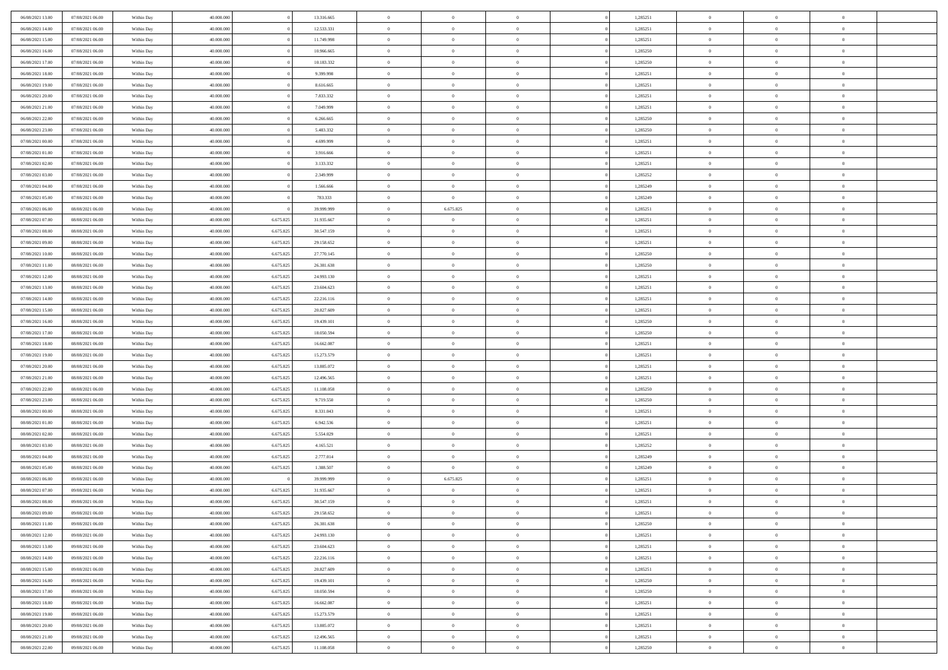| 06/08/2021 13:00                     | 07/08/2021 06:00                     | Within Day               | 40,000,000               |                        | 13.316.665               | $\bf{0}$                | $\overline{0}$                   | $\Omega$                         | 1,285251             | $\bf{0}$                      | $\overline{0}$             | $\bf{0}$                         |  |
|--------------------------------------|--------------------------------------|--------------------------|--------------------------|------------------------|--------------------------|-------------------------|----------------------------------|----------------------------------|----------------------|-------------------------------|----------------------------|----------------------------------|--|
| 06/08/2021 14:00                     | 07/08/2021 06:00                     | Within Dav               | 40.000.000               |                        | 12.533.331               | $\theta$                | $\overline{0}$                   | $\overline{0}$                   | 1,285251             | $\mathbf{0}$                  | $\bf{0}$                   | $\overline{0}$                   |  |
| 06/08/2021 15:00                     | 07/08/2021 06:00                     | Within Day               | 40.000.000               |                        | 11.749.998               | $\theta$                | $\overline{0}$                   | $\overline{0}$                   | 1,285251             | $\,$ 0                        | $\overline{0}$             | $\,$ 0 $\,$                      |  |
| 06/08/2021 16:00                     | 07/08/2021 06:00                     | Within Day               | 40,000,000               |                        | 10.966.665               | $\mathbf{0}$            | $\overline{0}$                   | $\mathbf{0}$                     | 1,285250             | $\bf{0}$                      | $\mathbf{0}$               | $\theta$                         |  |
| 06/08/2021 17:00                     | 07/08/2021 06:00                     | Within Dav               | 40.000.000               |                        | 10.183.332               | $\mathbf{0}$            | $\overline{0}$                   | $\overline{0}$                   | 1,285250             | $\mathbf{0}$                  | $\bf{0}$                   | $\overline{0}$                   |  |
| 06/08/2021 18:00                     | 07/08/2021 06:00                     | Within Day               | 40.000.000               |                        | 9.399.998                | $\theta$                | $\overline{0}$                   | $\bf{0}$                         | 1,285251             | $\,$ 0                        | $\overline{0}$             | $\,$ 0 $\,$                      |  |
| 06/08/2021 19:00                     | 07/08/2021 06:00                     | Within Day               | 40,000,000               |                        | 8.616.665                | $\bf{0}$                | $\overline{0}$                   | $\Omega$                         | 1,285251             | $\bf{0}$                      | $\mathbf{0}$               | $\theta$                         |  |
| 06/08/2021 20:00                     | 07/08/2021 06:00                     | Within Dav               | 40.000.000               |                        | 7.833.332                | $\overline{0}$          | $\overline{0}$                   | $\overline{0}$                   | 1,285251             | $\mathbf{0}$                  | $\bf{0}$                   | $\overline{0}$                   |  |
| 06/08/2021 21:00                     | 07/08/2021 06:00                     | Within Day               | 40.000.000               |                        | 7.049.999                | $\theta$                | $\overline{0}$                   | $\bf{0}$                         | 1,285251             | $\,$ 0                        | $\overline{0}$             | $\,$ 0 $\,$                      |  |
| 06/08/2021 22:00                     | 07/08/2021 06:00                     | Within Day               | 40,000,000               |                        | 6.266.665                | $\mathbf{0}$            | $\overline{0}$                   | $\mathbf{0}$                     | 1.285250             | $\bf{0}$                      | $\mathbf{0}$               | $\theta$                         |  |
| 06/08/2021 23:00                     | 07/08/2021 06:00                     | Within Dav               | 40.000.000               |                        | 5.483.332                | $\mathbf{0}$            | $\overline{0}$                   | $\overline{0}$                   | 1,285250             | $\mathbf{0}$                  | $\bf{0}$                   | $\overline{0}$                   |  |
| 07/08/2021 00:00                     | 07/08/2021 06:00                     | Within Day               | 40.000.000               |                        | 4.699.999                | $\theta$                | $\overline{0}$                   | $\overline{0}$                   | 1,285251             | $\,$ 0                        | $\overline{0}$             | $\,$ 0 $\,$                      |  |
| 07/08/2021 01:00                     | 07/08/2021 06:00                     | Within Day               | 40.000.000               |                        | 3.916.666                | $\mathbf{0}$            | $\overline{0}$                   | $\mathbf{0}$                     | 1,285251             | $\bf{0}$                      | $\mathbf{0}$               | $\theta$                         |  |
| 07/08/2021 02:00                     | 07/08/2021 06:00                     | Within Dav               | 40.000.000               |                        | 3.133.332                | $\overline{0}$          | $\overline{0}$                   | $\overline{0}$                   | 1,285251             | $\mathbf{0}$                  | $\bf{0}$                   | $\overline{0}$                   |  |
| 07/08/2021 03:00                     | 07/08/2021 06:00                     | Within Day               | 40.000.000               |                        | 2.349.999                | $\theta$                | $\overline{0}$                   | $\overline{0}$                   | 1,285252             | $\,$ 0                        | $\overline{0}$             | $\,$ 0 $\,$                      |  |
| 07/08/2021 04:00                     | 07/08/2021 06:00                     | Within Day               | 40,000,000               |                        | 1.566.666                | $\bf{0}$                | $\overline{0}$                   | $\mathbf{0}$                     | 1,285249             | $\bf{0}$                      | $\mathbf{0}$               | $\theta$                         |  |
| 07/08/2021 05:00                     | 07/08/2021 06:00                     | Within Dav               | 40.000.000               |                        | 783.333                  | $\overline{0}$          | $\overline{0}$                   | $\overline{0}$                   | 1,285249             | $\mathbf{0}$                  | $\bf{0}$                   | $\overline{0}$                   |  |
| 07/08/2021 06:00                     | 08/08/2021 06:00                     | Within Day               | 40.000.000               |                        | 39.999.999               | $\theta$                | 6.675.825                        | $\bf{0}$                         | 1,285251             | $\,$ 0                        | $\overline{0}$             | $\,$ 0 $\,$                      |  |
| 07/08/2021 07:00                     | 08/08/2021 06:00                     | Within Day               | 40,000,000               | 6.675.825              | 31.935.667               | $\mathbf{0}$            | $\overline{0}$                   | $\mathbf{0}$                     | 1,285251             | $\bf{0}$                      | $\mathbf{0}$               | $\theta$                         |  |
| 07/08/2021 08:00                     | 08/08/2021 06:00                     | Within Dav               | 40.000.000               | 6.675.825              | 30.547.159               | $\overline{0}$          | $\overline{0}$                   | $\overline{0}$                   | 1,285251             | $\mathbf{0}$                  | $\bf{0}$                   | $\overline{0}$                   |  |
| 07/08/2021 09:00                     | 08/08/2021 06:00                     | Within Day               | 40.000.000               | 6.675.825              | 29.158.652               | $\theta$                | $\overline{0}$                   | $\overline{0}$                   | 1,285251             | $\,$ 0                        | $\overline{0}$             | $\,$ 0 $\,$                      |  |
| 07/08/2021 10:00                     | 08/08/2021 06:00                     | Within Day               | 40,000,000               | 6.675.825              | 27.770.145               | $\mathbf{0}$            | $\overline{0}$                   | $\mathbf{0}$                     | 1,285250             | $\bf{0}$                      | $\mathbf{0}$               | $\theta$                         |  |
| 07/08/2021 11:00                     | 08/08/2021 06:00                     | Within Dav               | 40.000.000               | 6.675.825              | 26.381.638               | $\overline{0}$          | $\overline{0}$                   | $\overline{0}$                   | 1,285250             | $\mathbf{0}$                  | $\bf{0}$                   | $\overline{0}$                   |  |
| 07/08/2021 12:00                     | 08/08/2021 06:00                     | Within Day               | 40.000.000               | 6.675.825              | 24.993.130               | $\theta$                | $\overline{0}$                   | $\bf{0}$                         | 1,285251             | $\,$ 0                        | $\overline{0}$             | $\,$ 0 $\,$                      |  |
| 07/08/2021 13:00                     | 08/08/2021 06:00                     | Within Day               | 40,000,000               | 6.675.825              | 23.604.623               | $\bf{0}$                | $\overline{0}$                   | $\mathbf{0}$                     | 1,285251             | $\bf{0}$                      | $\overline{0}$             | $\theta$                         |  |
| 07/08/2021 14:00                     | 08/08/2021 06:00                     | Within Dav               | 40.000.000               | 6.675.825              | 22.216.116               | $\overline{0}$          | $\overline{0}$                   | $\overline{0}$                   | 1,285251             | $\mathbf{0}$                  | $\bf{0}$                   | $\overline{0}$                   |  |
| 07/08/2021 15:00                     | 08/08/2021 06:00                     | Within Day               | 40.000.000               | 6.675.825              | 20.827.609               | $\theta$                | $\overline{0}$                   | $\bf{0}$                         | 1,285251             | $\,$ 0                        | $\overline{0}$             | $\,$ 0 $\,$                      |  |
| 07/08/2021 16:00                     | 08/08/2021 06:00                     | Within Day               | 40,000,000               | 6.675.825              | 19.439.101               | $\mathbf{0}$            | $\overline{0}$                   | $\mathbf{0}$                     | 1.285250             | $\bf{0}$                      | $\mathbf{0}$               | $\theta$                         |  |
| 07/08/2021 17:00                     | 08/08/2021 06:00                     | Within Dav               | 40.000.000               | 6.675.825              | 18.050.594               | $\mathbf{0}$            | $\overline{0}$                   | $\overline{0}$                   | 1,285250             | $\mathbf{0}$                  | $\bf{0}$                   | $\overline{0}$                   |  |
| 07/08/2021 18:00                     | 08/08/2021 06:00                     | Within Day               | 40.000.000               | 6.675.825              | 16.662.087               | $\theta$                | $\overline{0}$                   | $\overline{0}$                   | 1,285251             | $\,$ 0                        | $\overline{0}$             | $\,$ 0 $\,$                      |  |
| 07/08/2021 19:00                     | 08/08/2021 06:00                     | Within Day               | 40.000.000               | 6.675.825              | 15.273.579               | $\,$ 0 $\,$             | $\overline{0}$                   | $\overline{0}$                   | 1,285251             | $\bf{0}$                      | $\overline{0}$             | $\,0\,$                          |  |
| 07/08/2021 20:00                     | 08/08/2021 06:00                     | Within Dav               | 40.000.000               | 6.675.825              | 13.885.072               | $\overline{0}$          | $\overline{0}$                   | $\overline{0}$                   | 1,285251             | $\mathbf{0}$                  | $\bf{0}$                   | $\overline{0}$                   |  |
| 07/08/2021 21:00                     | 08/08/2021 06:00                     | Within Day               | 40.000.000               | 6.675.825              | 12.496.565               | $\theta$                | $\overline{0}$                   | $\bf{0}$                         | 1,285251             | $\,$ 0                        | $\overline{0}$             | $\,$ 0 $\,$                      |  |
| 07/08/2021 22:00                     | 08/08/2021 06:00                     | Within Day               | 40.000.000               | 6.675.825              | 11.108.058               | $\,$ 0 $\,$             | $\overline{0}$                   | $\overline{0}$                   | 1,285250             | $\bf{0}$                      | $\overline{0}$             | $\,0\,$                          |  |
| 07/08/2021 23:00                     | 08/08/2021 06:00                     | Within Dav               | 40.000.000               | 6.675.825              | 9.719.550                | $\theta$                | $\overline{0}$                   | $\overline{0}$                   | 1,285250             | $\mathbf{0}$                  | $\bf{0}$                   | $\overline{0}$                   |  |
| 08/08/2021 00:00                     | 08/08/2021 06:00                     | Within Day               | 40.000.000               | 6.675.825              | 8.331.043                | $\theta$                | $\overline{0}$                   | $\overline{0}$                   | 1,285251             | $\,$ 0                        | $\overline{0}$             | $\,$ 0 $\,$                      |  |
| 08/08/2021 01:00                     | 08/08/2021 06:00                     | Within Day               | 40.000.000               | 6.675.825              | 6.942.536                | $\,$ 0 $\,$             | $\overline{0}$                   | $\overline{0}$                   | 1,285251             | $\bf{0}$                      | $\overline{0}$             | $\,0\,$                          |  |
| 08/08/2021 02:00                     | 08/08/2021 06:00                     | Within Dav               | 40.000.000               | 6.675.825              | 5.554.029                | $\overline{0}$          | $\overline{0}$                   | $\overline{0}$                   | 1,285251             | $\mathbf{0}$                  | $\bf{0}$                   | $\overline{0}$                   |  |
| 08/08/2021 03:00                     | 08/08/2021 06:00                     | Within Day               | 40.000.000               | 6.675.825              | 4.165.521                | $\theta$                | $\overline{0}$                   | $\bf{0}$                         | 1,285252             | $\,$ 0                        | $\overline{0}$             | $\,$ 0 $\,$                      |  |
| 08/08/2021 04:00                     | 08/08/2021 06:00                     | Within Day               | 40.000.000               | 6.675.825              | 2.777.014                | $\,$ 0 $\,$             | $\overline{0}$                   | $\overline{0}$                   | 1,285249             | $\bf{0}$                      | $\overline{0}$             | $\,0\,$                          |  |
| 08/08/2021 05:00                     | 08/08/2021 06:00                     | Within Dav               | 40.000.000               | 6.675.825              | 1.388.507                | $\overline{0}$          | $\overline{0}$                   | $\overline{0}$                   | 1,285249             | $\mathbf{0}$                  | $\bf{0}$                   | $\overline{0}$                   |  |
| 08/08/2021 06:00                     | 09/08/2021 06:00                     | Within Day               | 40.000.000               |                        | 39.999.999               | $\theta$                | 6.675.825                        | $\overline{0}$                   | 1,285251             | $\,$ 0                        | $\overline{0}$             | $\,$ 0 $\,$                      |  |
| 08/08/2021 07:00                     | 09/08/2021 06:00                     | Within Day               | 40.000.000               | 6.675.825              | 31.935.667               | $\,$ 0 $\,$             | $\overline{0}$                   | $\overline{0}$                   | 1,285251             | $\bf{0}$                      | $\overline{0}$             | $\,0\,$                          |  |
| 08/08/2021 08:00                     | 09/08/2021 06:00                     | Within Dav               | 40.000.000               | 6.675.825              | 30.547.159               | $\theta$                | $\overline{0}$                   | $\overline{0}$                   | 1,285251             | $\mathbf{0}$                  | $\bf{0}$                   | $\overline{0}$                   |  |
| 08/08/2021 09:00                     | 09/08/2021 06:00                     | Within Day               | 40.000.000               | 6.675.825              | 29.158.652               | $\overline{0}$          | $\overline{0}$                   | $\overline{0}$                   | 1,285251             | $\overline{0}$                | $\overline{0}$             | $\theta$                         |  |
| 08/08/2021 11:00<br>08/08/2021 12:00 | 09/08/2021 06:00                     | Within Day               | 40.000.000               | 6.675.825              | 26.381.638               | $\bf{0}$                | $\overline{0}$                   | $\overline{0}$                   | 1,285250             | $\mathbf{0}$                  | $\overline{0}$             | $\bf{0}$                         |  |
|                                      | 09/08/2021 06:00                     | Within Day               | 40.000.000               | 6.675.825              | 24.993.130               | $\overline{0}$          | $\overline{0}$                   | $\overline{0}$                   | 1,285251             | $\overline{0}$                | $\overline{0}$             | $\overline{0}$                   |  |
| 08/08/2021 13:00                     | 09/08/2021 06:00                     | Within Day               | 40.000.000               | 6.675.825              | 23.604.623               | $\,$ 0                  | $\overline{0}$                   | $\overline{0}$                   | 1,285251             | $\,$ 0 $\,$                   | $\,$ 0 $\,$                | $\,$ 0 $\,$                      |  |
| 08/08/2021 14:00<br>08/08/2021 15:00 | 09/08/2021 06:00<br>09/08/2021 06:00 | Within Day<br>Within Day | 40.000.000<br>40.000.000 | 6.675.825<br>6.675.825 | 22.216.116<br>20.827.609 | $\bf{0}$<br>$\,$ 0 $\,$ | $\overline{0}$<br>$\overline{0}$ | $\overline{0}$<br>$\overline{0}$ | 1,285251<br>1,285251 | $\mathbf{0}$<br>$\,$ 0 $\,$   | $\overline{0}$<br>$\bf{0}$ | $\bf{0}$<br>$\overline{0}$       |  |
|                                      |                                      |                          |                          |                        |                          | $\,$ 0                  |                                  |                                  |                      |                               | $\overline{0}$             | $\,$ 0 $\,$                      |  |
| 08/08/2021 16:00<br>08/08/2021 17:00 | 09/08/2021 06:00                     | Within Day               | 40.000.000               | 6.675.825              | 19.439.101               |                         | $\overline{0}$                   | $\overline{0}$                   | 1,285250             | $\,$ 0 $\,$                   |                            |                                  |  |
| 08/08/2021 18:00                     | 09/08/2021 06:00<br>09/08/2021 06:00 | Within Day<br>Within Day | 40.000.000<br>40.000.000 | 6.675.825<br>6.675.825 | 18.050.594<br>16.662.087 | $\bf{0}$<br>$\,$ 0 $\,$ | $\overline{0}$<br>$\overline{0}$ | $\overline{0}$<br>$\overline{0}$ | 1,285250<br>1,285251 | $\overline{0}$<br>$\,$ 0 $\,$ | $\overline{0}$<br>$\bf{0}$ | $\overline{0}$<br>$\overline{0}$ |  |
| 08/08/2021 19:00                     | 09/08/2021 06:00                     | Within Day               | 40.000.000               | 6.675.825              | 15.273.579               | $\,$ 0                  | $\overline{0}$                   | $\overline{0}$                   | 1,285251             | $\,$ 0 $\,$                   | $\,$ 0 $\,$                | $\,$ 0 $\,$                      |  |
| 08/08/2021 20:00                     | 09/08/2021 06:00                     | Within Day               | 40.000.000               | 6.675.825              | 13.885.072               | $\bf{0}$                | $\overline{0}$                   | $\overline{0}$                   | 1,285251             | $\mathbf{0}$                  | $\overline{0}$             | $\bf{0}$                         |  |
| 08/08/2021 21:00                     | 09/08/2021 06:00                     | Within Day               | 40.000.000               | 6.675.825              | 12.496.565               | $\mathbf{0}$            | $\overline{0}$                   | $\overline{0}$                   | 1,285251             | $\overline{0}$                | $\bf{0}$                   | $\overline{0}$                   |  |
| 08/08/2021 22:00                     | 09/08/2021 06:00                     | Within Day               | 40.000.000               | 6.675.825              | 11.108.058               | $\,$ 0 $\,$             | $\overline{0}$                   | $\overline{0}$                   | 1,285250             | $\,$ 0 $\,$                   | $\overline{0}$             | $\,$ 0 $\,$                      |  |
|                                      |                                      |                          |                          |                        |                          |                         |                                  |                                  |                      |                               |                            |                                  |  |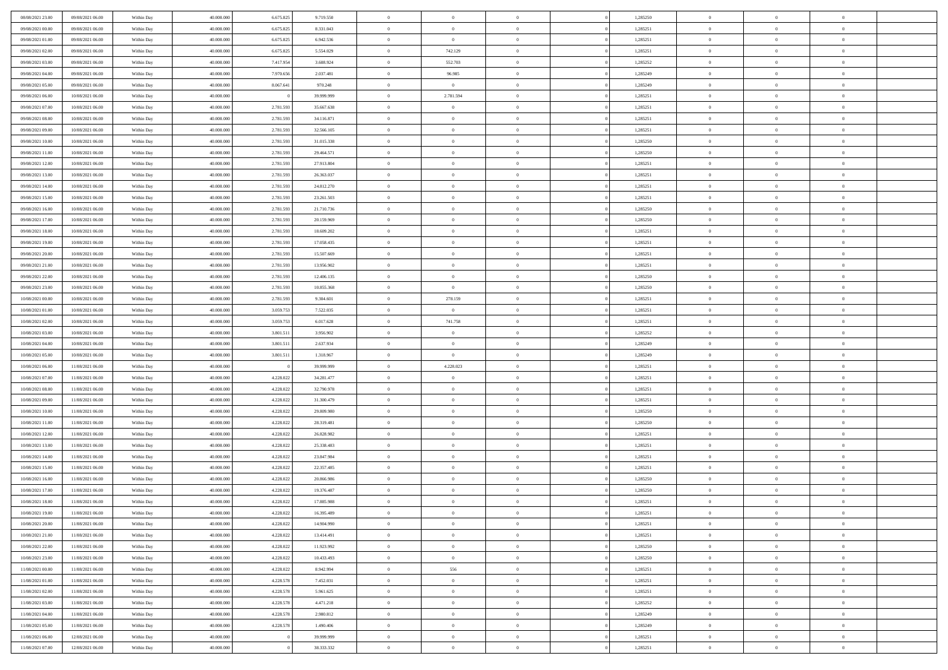| 08/08/2021 23:00                     | 09/08/2021 06:00                     | Within Day               | 40.000.000               | 6.675.825              | 9.719.550                | $\,$ 0         | $\bf{0}$                   | $\theta$       |                | 1,285250             | $\bf{0}$       | $\overline{0}$ | $\theta$       |  |
|--------------------------------------|--------------------------------------|--------------------------|--------------------------|------------------------|--------------------------|----------------|----------------------------|----------------|----------------|----------------------|----------------|----------------|----------------|--|
| 09/08/2021 00:00                     | 09/08/2021 06:00                     | Within Day               | 40,000,000               | 6.675.825              | 8.331.043                | $\overline{0}$ | $\overline{0}$             | $\overline{0}$ |                | 1,285251             | $\theta$       | $\theta$       | $\overline{0}$ |  |
| 09/08/2021 01:00                     | 09/08/2021 06:00                     | Within Dav               | 40.000.000               | 6.675.825              | 6.942.536                | $\mathbf{0}$   | $\overline{0}$             | $\overline{0}$ |                | 1,285251             | $\theta$       | $\overline{0}$ | $\theta$       |  |
| 09/08/2021 02:00                     | 09/08/2021 06:00                     | Within Day               | 40.000.000               | 6.675.825              | 5.554.029                | $\bf{0}$       | 742.129                    | $\bf{0}$       |                | 1,285251             | $\bf{0}$       | $\overline{0}$ | $\bf{0}$       |  |
| 09/08/2021 03:00                     | 09/08/2021 06:00                     | Within Day               | 40,000,000               | 7.417.954              | 3.608.924                | $\bf{0}$       | 552.703                    | $\bf{0}$       |                | 1,285252             | $\bf{0}$       | $\Omega$       | $\bf{0}$       |  |
| 09/08/2021 04:00                     | 09/08/2021 06:00                     | Within Dav               | 40.000.000               | 7.970.656              | 2.037.481                | $\overline{0}$ | 96.985                     | $\overline{0}$ |                | 1,285249             | $\theta$       | $\overline{0}$ | $\theta$       |  |
|                                      |                                      |                          |                          |                        |                          |                |                            |                |                |                      |                |                |                |  |
| 09/08/2021 05:00                     | 09/08/2021 06:00                     | Within Day               | 40.000.000               | 8.067.641              | 970.248                  | $\bf{0}$       | $\overline{0}$             | $\overline{0}$ |                | 1,285249             | $\bf{0}$       | $\overline{0}$ | $\theta$       |  |
| 09/08/2021 06:00                     | 10/08/2021 06:00                     | Within Day               | 40,000,000               |                        | 39.999.999               | $\overline{0}$ | 2.781.594                  | $\overline{0}$ |                | 1,285251             | $\,$ 0 $\,$    | $\overline{0}$ | $\overline{0}$ |  |
| 09/08/2021 07:00                     | 10/08/2021 06:00                     | Within Day               | 40.000.000               | 2.781.593              | 35.667.638               | $\mathbf{0}$   | $\overline{0}$             | $\overline{0}$ |                | 1,285251             | $\theta$       | $\overline{0}$ | $\theta$       |  |
| 09/08/2021 08:00                     | 10/08/2021 06:00                     | Within Day               | 40.000.000               | 2.781.593              | 34.116.871               | $\bf{0}$       | $\bf{0}$                   | $\overline{0}$ |                | 1,285251             | $\bf{0}$       | $\overline{0}$ | $\theta$       |  |
| 09/08/2021 09:00                     | 10/08/2021 06:00                     | Within Day               | 40,000,000               | 2.781.593              | 32.566.105               | $\bf{0}$       | $\overline{0}$             | $\overline{0}$ |                | 1,285251             | $\bf{0}$       | $\theta$       | $\overline{0}$ |  |
| 09/08/2021 10:00                     | 10/08/2021 06:00                     | Within Dav               | 40.000.000               | 2.781.593              | 31.015.338               | $\mathbf{0}$   | $\overline{0}$             | $\overline{0}$ |                | 1,285250             | $\theta$       | $\overline{0}$ | $\theta$       |  |
| 09/08/2021 11:00                     | 10/08/2021 06:00                     | Within Day               | 40.000.000               | 2.781.593              | 29.464.571               | $\bf{0}$       | $\overline{0}$             | $\bf{0}$       |                | 1,285250             | $\bf{0}$       | $\overline{0}$ | $\bf{0}$       |  |
| 09/08/2021 12:00                     | 10/08/2021 06:00                     | Within Day               | 40,000,000               | 2.781.593              | 27.913.804               | $\bf{0}$       | $\overline{0}$             | $\overline{0}$ |                | 1,285251             | $\bf{0}$       | $\Omega$       | $\bf{0}$       |  |
| 09/08/2021 13:00                     | 10/08/2021 06:00                     | Within Dav               | 40.000.000               | 2.781.593              | 26.363.037               | $\mathbf{0}$   | $\overline{0}$             | $\overline{0}$ |                | 1,285251             | $\theta$       | $\overline{0}$ | $\theta$       |  |
| 09/08/2021 14:00                     | 10/08/2021 06:00                     | Within Day               | 40.000.000               | 2.781.593              | 24.812.270               | $\bf{0}$       | $\bf{0}$                   | $\overline{0}$ |                | 1,285251             | $\bf{0}$       | $\overline{0}$ | $\theta$       |  |
| 09/08/2021 15:00                     | 10/08/2021 06:00                     | Within Day               | 40,000,000               | 2.781.593              | 23.261.503               | $\overline{0}$ | $\overline{0}$             | $\overline{0}$ |                | 1,285251             | $\,$ 0 $\,$    | $\overline{0}$ | $\overline{0}$ |  |
| 09/08/2021 16:00                     | 10/08/2021 06:00                     | Within Day               | 40.000.000               | 2.781.593              | 21.710.736               | $\mathbf{0}$   | $\overline{0}$             | $\overline{0}$ |                | 1,285250             | $\theta$       | $\overline{0}$ | $\theta$       |  |
| 09/08/2021 17:00                     | 10/08/2021 06:00                     | Within Day               | 40.000.000               | 2.781.593              | 20.159.969               | $\,$ 0         | $\bf{0}$                   | $\overline{0}$ |                | 1,285250             | $\bf{0}$       | $\overline{0}$ | $\theta$       |  |
| 09/08/2021 18:00                     | 10/08/2021 06:00                     | Within Day               | 40,000,000               | 2.781.593              | 18.609.202               | $\bf{0}$       | $\overline{0}$             | $\overline{0}$ |                | 1,285251             | $\bf{0}$       | $\theta$       | $\overline{0}$ |  |
| 09/08/2021 19:00                     | 10/08/2021 06:00                     | Within Dav               | 40.000.000               | 2.781.593              | 17.058.435               | $\mathbf{0}$   | $\overline{0}$             | $\overline{0}$ |                | 1,285251             | $\theta$       | $\overline{0}$ | $\theta$       |  |
| 09/08/2021 20:00                     | 10/08/2021 06:00                     | Within Day               | 40.000.000               | 2.781.593              | 15.507.669               | $\bf{0}$       | $\bf{0}$                   | $\bf{0}$       |                | 1,285251             | $\bf{0}$       | $\overline{0}$ | $\bf{0}$       |  |
| 09/08/2021 21:00                     | 10/08/2021 06:00                     | Within Day               | 40,000,000               | 2.781.593              | 13.956.902               | $\bf{0}$       | $\bf{0}$                   | $\overline{0}$ |                | 1,285251             | $\bf{0}$       | $\overline{0}$ | $\bf{0}$       |  |
| 09/08/2021 22:00                     | 10/08/2021 06:00                     | Within Dav               | 40.000.000               | 2.781.593              | 12.406.135               | $\mathbf{0}$   | $\overline{0}$             | $\overline{0}$ |                | 1,285250             | $\theta$       | $\overline{0}$ | $\theta$       |  |
| 09/08/2021 23:00                     | 10/08/2021 06:00                     | Within Day               | 40.000.000               | 2.781.593              | 10.855.368               | $\bf{0}$       | $\bf{0}$                   | $\overline{0}$ |                | 1,285250             | $\bf{0}$       | $\overline{0}$ | $\theta$       |  |
| 10/08/2021 00:00                     | 10/08/2021 06:00                     | Within Day               | 40,000,000               | 2.781.593              | 9.304.601                | $\bf{0}$       | 278.159                    | $\overline{0}$ |                | 1,285251             | $\bf{0}$       | $\theta$       | $\overline{0}$ |  |
| 10/08/2021 01:00                     | 10/08/2021 06:00                     | Within Day               | 40.000.000               | 3.059.753              | 7.522.035                | $\mathbf{0}$   | $\overline{0}$             | $\overline{0}$ |                | 1,285251             | $\theta$       | $\overline{0}$ | $\theta$       |  |
| 10/08/2021 02:00                     | 10/08/2021 06:00                     | Within Day               | 40.000.000               | 3.059.753              | 6.017.628                | $\bf{0}$       | 741.758                    | $\overline{0}$ |                | 1,285251             | $\bf{0}$       | $\overline{0}$ | $\theta$       |  |
| 10/08/2021 03:00                     | 10/08/2021 06:00                     | Within Day               | 40,000,000               | 3.801.511              | 3.956.902                | $\bf{0}$       | $\bf{0}$                   | $\overline{0}$ |                | 1,285252             | $\bf{0}$       | $\theta$       | $\bf{0}$       |  |
| 10/08/2021 04:00                     | 10/08/2021 06:00                     | Within Dav               | 40.000.000               | 3.801.511              | 2.637.934                | $\mathbf{0}$   | $\overline{0}$             | $\overline{0}$ |                | 1,285249             | $\theta$       | $\overline{0}$ | $\theta$       |  |
| 10/08/2021 05:00                     | 10/08/2021 06:00                     | Within Day               | 40.000.000               | 3.801.511              | 1.318.967                | $\bf{0}$       | $\overline{0}$             | $\overline{0}$ |                | 1,285249             | $\,0\,$        | $\overline{0}$ | $\theta$       |  |
| 10/08/2021 06:00                     | 11/08/2021 06:00                     | Within Day               | 40,000,000               |                        | 39.999.999               | $\bf{0}$       | 4.228.023                  | $\overline{0}$ |                | 1,285251             | $\bf{0}$       | $\overline{0}$ | $\bf{0}$       |  |
| 10/08/2021 07:00                     | 11/08/2021 06:00                     | Within Dav               | 40.000.000               | 4.228.022              | 34.281.477               | $\mathbf{0}$   | $\overline{0}$             | $\overline{0}$ |                | 1,285251             | $\theta$       | $\overline{0}$ | $\theta$       |  |
| 10/08/2021 08:00                     | 11/08/2021 06:00                     | Within Day               | 40.000.000               | 4.228.022              | 32.790.978               | $\bf{0}$       | $\overline{0}$             | $\theta$       |                | 1,285251             | $\,0\,$        | $\overline{0}$ | $\theta$       |  |
| 10/08/2021 09:00                     | 11/08/2021 06:00                     | Within Day               | 40,000,000               | 4.228.022              | 31.300.479               | $\bf{0}$       | $\overline{0}$             | $\overline{0}$ |                | 1,285251             | $\bf{0}$       | $\overline{0}$ | $\bf{0}$       |  |
| 10/08/2021 10:00                     | 11/08/2021 06:00                     | Within Day               | 40.000.000               | 4.228.022              | 29.809.980               | $\mathbf{0}$   | $\overline{0}$             | $\overline{0}$ |                | 1,285250             | $\theta$       | $\overline{0}$ | $\theta$       |  |
| 10/08/2021 11:00                     | 11/08/2021 06:00                     | Within Day               | 40.000.000               | 4.228.022              | 28.319.481               | $\bf{0}$       | $\overline{0}$             | $\theta$       |                | 1,285250             | $\,0\,$        | $\overline{0}$ | $\theta$       |  |
| 10/08/2021 12:00                     | 11/08/2021 06:00                     | Within Day               | 40,000,000               | 4.228.022              | 26.828.982               | $\bf{0}$       | $\overline{0}$             | $\overline{0}$ |                | 1,285251             | $\bf{0}$       | $\theta$       | $\bf{0}$       |  |
| 10/08/2021 13:00                     | 11/08/2021 06:00                     | Within Dav               | 40.000.000               | 4.228.022              | 25.338.483               | $\mathbf{0}$   | $\overline{0}$             | $\overline{0}$ |                | 1,285251             | $\theta$       | $\overline{0}$ | $\theta$       |  |
|                                      |                                      |                          |                          |                        |                          | $\bf{0}$       | $\overline{0}$             | $\theta$       |                |                      | $\,0\,$        | $\overline{0}$ | $\theta$       |  |
| 10/08/2021 14:00                     | 11/08/2021 06:00                     | Within Day               | 40.000.000<br>40,000,000 | 4.228.022<br>4.228.022 | 23.847.984               | $\bf{0}$       | $\bf{0}$                   | $\overline{0}$ |                | 1,285251             | $\bf{0}$       | $\overline{0}$ | $\bf{0}$       |  |
| 10/08/2021 15:00<br>10/08/2021 16:00 | 11/08/2021 06:00<br>11/08/2021 06:00 | Within Day<br>Within Dav | 40.000.000               | 4.228.022              | 22.357.485<br>20.866.986 | $\mathbf{0}$   | $\overline{0}$             | $\overline{0}$ |                | 1,285251<br>1,285250 | $\theta$       | $\overline{0}$ | $\theta$       |  |
| 10/08/2021 17:00                     | 11/08/2021 06:00                     | Within Day               | 40.000.000               | 4.228.022              | 19.376.487               | $\bf{0}$       | $\overline{0}$             | $\theta$       |                | 1,285250             | $\,0\,$        | $\overline{0}$ | $\theta$       |  |
|                                      |                                      |                          | 40,000,000               |                        |                          | $\bf{0}$       |                            |                |                |                      | $\,$ 0 $\,$    | $\overline{0}$ |                |  |
| 10/08/2021 18:00<br>10/08/2021 19:00 | 11/08/2021 06:00<br>11/08/2021 06:00 | Within Day<br>Within Day | 40.000.000               | 4.228.022<br>4.228.022 | 17.885.988<br>16.395.489 | $\bf{0}$       | $\bf{0}$<br>$\overline{0}$ | $\overline{0}$ |                | 1,285251<br>1,285251 | $\bf{0}$       |                | $\bf{0}$       |  |
|                                      |                                      |                          |                          |                        |                          |                |                            |                |                |                      |                | $\Omega$       | $\theta$       |  |
| 10/08/2021 20:00                     | 11/08/2021 06:00                     | Within Day               | 40.000.000               | 4.228.022              | 14.904.990               | $\,0\,$        | $\overline{0}$             | $\theta$       |                | 1,285251             | $\,$ 0 $\,$    | $\overline{0}$ | $\theta$       |  |
| 10/08/2021 21:00                     | 11/08/2021 06:00                     | Within Day               | 40,000,000               | 4.228.022              | 13.414.491               | $\bf{0}$       | $\overline{0}$             | $\overline{0}$ |                | 1,285251             | $\overline{0}$ | $\overline{0}$ | $\overline{0}$ |  |
| 10/08/2021 22:00                     | 11/08/2021 06:00                     | Within Day               | 40.000.000               | 4.228.022              | 11.923.992               | $\mathbf{0}$   | $\overline{0}$             | $\overline{0}$ |                | 1,285250             | $\mathbf{0}$   | $\overline{0}$ | $\overline{0}$ |  |
| 10/08/2021 23:00                     | 11/08/2021 06:00                     | Within Day               | 40.000.000               | 4.228.022              | 10.433.493               | $\,$ 0 $\,$    | $\overline{0}$             | $\overline{0}$ | $\overline{0}$ | 1,285250             | $\,$ 0 $\,$    | $\mathbf{0}$   | $\,$ 0         |  |
| 11/08/2021 00:00                     | 11/08/2021 06:00                     | Within Day               | 40.000.000               | 4.228.022              | 8.942.994                | $\,$ 0 $\,$    | 556                        | $\overline{0}$ |                | 1,285251             | $\,$ 0 $\,$    | $\overline{0}$ | $\overline{0}$ |  |
| 11/08/2021 01:00                     | 11/08/2021 06:00                     | Within Day               | 40.000.000               | 4.228.578              | 7.452.031                | $\mathbf{0}$   | $\overline{0}$             | $\overline{0}$ |                | 1,285251             | $\overline{0}$ | $\overline{0}$ | $\overline{0}$ |  |
| 11/08/2021 02:00                     | 11/08/2021 06:00                     | Within Day               | 40.000.000               | 4.228.578              | 5.961.625                | $\,$ 0 $\,$    | $\overline{0}$             | $\overline{0}$ | $\theta$       | 1,285251             | $\,$ 0 $\,$    | $\overline{0}$ | $\theta$       |  |
| 11/08/2021 03:00                     | 11/08/2021 06:00                     | Within Day               | 40.000.000               | 4.228.578              | 4.471.218                | $\bf{0}$       | $\overline{0}$             | $\overline{0}$ |                | 1,285252             | $\overline{0}$ | $\overline{0}$ | $\overline{0}$ |  |
| 11/08/2021 04:00                     | 11/08/2021 06:00                     | Within Day               | 40.000.000               | 4.228.578              | 2.980.812                | $\,$ 0 $\,$    | $\overline{0}$             | $\overline{0}$ |                | 1,285249             | $\mathbf{0}$   | $\overline{0}$ | $\overline{0}$ |  |
| 11/08/2021 05:00                     | 11/08/2021 06:00                     | Within Day               | 40.000.000               | 4.228.578              | 1.490.406                | $\,$ 0 $\,$    | $\overline{0}$             | $\overline{0}$ |                | 1,285249             | $\,$ 0 $\,$    | $\overline{0}$ | $\,$ 0 $\,$    |  |
| 11/08/2021 06:00                     | 12/08/2021 06:00                     | Within Day               | 40.000.000               |                        | 39.999.999               | $\bf{0}$       | $\overline{0}$             | $\overline{0}$ |                | 1,285251             | $\,$ 0 $\,$    | $\overline{0}$ | $\overline{0}$ |  |
| 11/08/2021 07:00                     | 12/08/2021 06:00                     | Within Day               | 40.000.000               |                        | 38.333.332               | $\mathbf{0}$   | $\overline{0}$             | $\overline{0}$ |                | 1,285251             | $\overline{0}$ | $\overline{0}$ | $\overline{0}$ |  |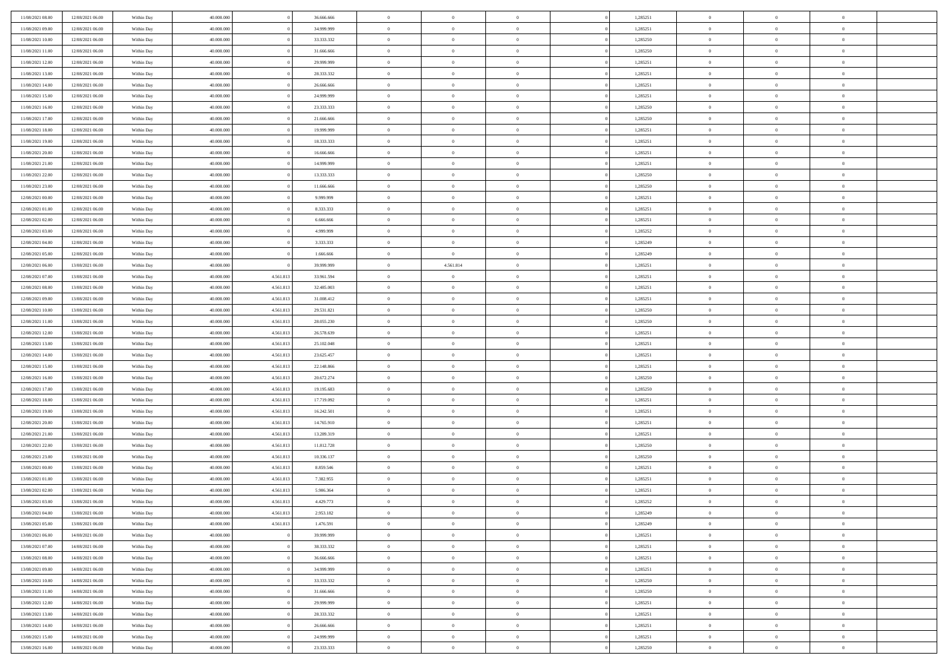| 11/08/2021 08:00 | 12/08/2021 06:00 | Within Day | 40,000,000 |           | 36,666,666 | $\bf{0}$       | $\overline{0}$ | $\Omega$       | 1,285251 | $\bf{0}$       | $\overline{0}$ | $\bf{0}$       |  |
|------------------|------------------|------------|------------|-----------|------------|----------------|----------------|----------------|----------|----------------|----------------|----------------|--|
| 11/08/2021 09:00 | 12/08/2021 06:00 | Within Dav | 40.000.000 |           | 34.999.999 | $\theta$       | $\overline{0}$ | $\overline{0}$ | 1,285251 | $\mathbf{0}$   | $\bf{0}$       | $\overline{0}$ |  |
| 11/08/2021 10:00 | 12/08/2021 06:00 | Within Day | 40.000.000 |           | 33.333.332 | $\theta$       | $\overline{0}$ | $\overline{0}$ | 1,285250 | $\,$ 0         | $\overline{0}$ | $\,$ 0 $\,$    |  |
| 11/08/2021 11:00 | 12/08/2021 06:00 | Within Day | 40,000,000 |           | 31,666,666 | $\mathbf{0}$   | $\overline{0}$ | $\mathbf{0}$   | 1,285250 | $\bf{0}$       | $\mathbf{0}$   | $\theta$       |  |
| 11/08/2021 12:00 | 12/08/2021 06:00 | Within Dav | 40.000.000 |           | 29.999.999 | $\mathbf{0}$   | $\overline{0}$ | $\overline{0}$ | 1,285251 | $\mathbf{0}$   | $\bf{0}$       | $\overline{0}$ |  |
| 11/08/2021 13:00 | 12/08/2021 06:00 | Within Day | 40.000.000 |           | 28.333.332 | $\theta$       | $\overline{0}$ | $\bf{0}$       | 1,285251 | $\,$ 0         | $\overline{0}$ | $\,$ 0 $\,$    |  |
| 11/08/2021 14:00 | 12/08/2021 06:00 | Within Day | 40,000,000 |           | 26,666,666 | $\,$ 0 $\,$    | $\overline{0}$ | $\mathbf{0}$   | 1,285251 | $\bf{0}$       | $\overline{0}$ | $\theta$       |  |
| 11/08/2021 15:00 | 12/08/2021 06:00 | Within Dav | 40.000.000 |           | 24.999.999 | $\overline{0}$ | $\overline{0}$ | $\overline{0}$ | 1,285251 | $\mathbf{0}$   | $\bf{0}$       | $\overline{0}$ |  |
| 11/08/2021 16:00 | 12/08/2021 06:00 | Within Day | 40.000.000 |           | 23.333.333 | $\theta$       | $\overline{0}$ | $\overline{0}$ | 1,285250 | $\,$ 0         | $\overline{0}$ | $\,$ 0 $\,$    |  |
| 11/08/2021 17:00 | 12/08/2021 06:00 | Within Day | 40,000,000 |           | 21,666,666 | $\mathbf{0}$   | $\overline{0}$ | $\mathbf{0}$   | 1,285250 | $\bf{0}$       | $\mathbf{0}$   | $\theta$       |  |
| 11/08/2021 18:00 | 12/08/2021 06:00 | Within Dav | 40.000.000 |           | 19.999.999 | $\mathbf{0}$   | $\overline{0}$ | $\overline{0}$ | 1,285251 | $\mathbf{0}$   | $\bf{0}$       | $\overline{0}$ |  |
| 11/08/2021 19:00 | 12/08/2021 06:00 | Within Day | 40.000.000 |           | 18.333.333 | $\theta$       | $\overline{0}$ | $\overline{0}$ | 1,285251 | $\,$ 0         | $\overline{0}$ | $\,$ 0 $\,$    |  |
| 11/08/2021 20:00 | 12/08/2021 06:00 | Within Day | 40.000.000 |           | 16,666,666 | $\theta$       | $\overline{0}$ | $\mathbf{0}$   | 1,285251 | $\bf{0}$       | $\mathbf{0}$   | $\theta$       |  |
| 11/08/2021 21:00 | 12/08/2021 06:00 | Within Dav | 40.000.000 |           | 14.999.999 | $\overline{0}$ | $\overline{0}$ | $\overline{0}$ | 1,285251 | $\mathbf{0}$   | $\bf{0}$       | $\overline{0}$ |  |
| 11/08/2021 22:00 | 12/08/2021 06:00 | Within Day | 40.000.000 |           | 13.333.333 | $\theta$       | $\overline{0}$ | $\bf{0}$       | 1,285250 | $\,$ 0         | $\overline{0}$ | $\,$ 0 $\,$    |  |
| 11/08/2021 23:00 | 12/08/2021 06:00 | Within Day | 40,000,000 |           | 11.666.666 | $\bf{0}$       | $\overline{0}$ | $\mathbf{0}$   | 1,285250 | $\bf{0}$       | $\overline{0}$ | $\bf{0}$       |  |
| 12/08/2021 00:00 | 12/08/2021 06:00 | Within Dav | 40.000.000 |           | 9.999.999  | $\overline{0}$ | $\overline{0}$ | $\overline{0}$ | 1,285251 | $\mathbf{0}$   | $\bf{0}$       | $\overline{0}$ |  |
| 12/08/2021 01:00 | 12/08/2021 06:00 | Within Day | 40.000.000 |           | 8.333.333  | $\theta$       | $\overline{0}$ | $\overline{0}$ | 1,285251 | $\,$ 0         | $\overline{0}$ | $\,$ 0 $\,$    |  |
| 12/08/2021 02:00 | 12/08/2021 06:00 | Within Day | 40,000,000 |           | 6.666.666  | $\overline{0}$ | $\overline{0}$ | $\mathbf{0}$   | 1,285251 | $\theta$       | $\mathbf{0}$   | $\theta$       |  |
| 12/08/2021 03:00 | 12/08/2021 06:00 | Within Dav | 40.000.000 |           | 4.999.999  | $\overline{0}$ | $\overline{0}$ | $\overline{0}$ | 1,285252 | $\mathbf{0}$   | $\bf{0}$       | $\overline{0}$ |  |
| 12/08/2021 04:00 | 12/08/2021 06:00 | Within Day | 40.000.000 |           | 3.333.333  | $\theta$       | $\overline{0}$ | $\overline{0}$ | 1,285249 | $\,$ 0         | $\overline{0}$ | $\,$ 0 $\,$    |  |
| 12/08/2021 05:00 | 12/08/2021 06:00 | Within Day | 40.000.000 |           | 1.666.666  | $\mathbf{0}$   | $\overline{0}$ | $\mathbf{0}$   | 1,285249 | $\bf{0}$       | $\mathbf{0}$   | $\theta$       |  |
| 12/08/2021 06:00 | 13/08/2021 06:00 | Within Dav | 40.000.000 |           | 39.999.999 | $\overline{0}$ | 4.561.814      | $\overline{0}$ | 1,285251 | $\mathbf{0}$   | $\bf{0}$       | $\overline{0}$ |  |
| 12/08/2021 07:00 | 13/08/2021 06:00 | Within Day | 40.000.000 | 4.561.813 | 33.961.594 | $\theta$       | $\overline{0}$ | $\bf{0}$       | 1,285251 | $\,$ 0         | $\overline{0}$ | $\,$ 0 $\,$    |  |
| 12/08/2021 08:00 | 13/08/2021 06:00 | Within Day | 40,000,000 | 4.561.813 | 32.485.003 | $\bf{0}$       | $\overline{0}$ | $\mathbf{0}$   | 1,285251 | $\bf{0}$       | $\overline{0}$ | $\bf{0}$       |  |
| 12/08/2021 09:00 | 13/08/2021 06:00 | Within Dav | 40.000.000 | 4.561.813 | 31.008.412 | $\overline{0}$ | $\overline{0}$ | $\overline{0}$ | 1,285251 | $\mathbf{0}$   | $\bf{0}$       | $\overline{0}$ |  |
| 12/08/2021 10:00 | 13/08/2021 06:00 | Within Day | 40.000.000 | 4.561.813 | 29.531.821 | $\theta$       | $\overline{0}$ | $\overline{0}$ | 1,285250 | $\,$ 0         | $\overline{0}$ | $\,$ 0 $\,$    |  |
| 12/08/2021 11:00 | 13/08/2021 06:00 | Within Day | 40,000,000 | 4.561.813 | 28.055.230 | $\mathbf{0}$   | $\overline{0}$ | $\mathbf{0}$   | 1.285250 | $\theta$       | $\mathbf{0}$   | $\theta$       |  |
| 12/08/2021 12:00 | 13/08/2021 06:00 | Within Dav | 40.000.000 | 4.561.813 | 26.578.639 | $\mathbf{0}$   | $\overline{0}$ | $\overline{0}$ | 1,285251 | $\mathbf{0}$   | $\bf{0}$       | $\overline{0}$ |  |
| 12/08/2021 13:00 | 13/08/2021 06:00 | Within Day | 40.000.000 | 4.561.813 | 25.102.048 | $\theta$       | $\overline{0}$ | $\overline{0}$ | 1,285251 | $\,$ 0         | $\overline{0}$ | $\,$ 0 $\,$    |  |
| 12/08/2021 14:00 | 13/08/2021 06:00 | Within Day | 40.000.000 | 4.561.813 | 23.625.457 | $\,$ 0 $\,$    | $\overline{0}$ | $\overline{0}$ | 1,285251 | $\bf{0}$       | $\overline{0}$ | $\,0\,$        |  |
| 12/08/2021 15:00 | 13/08/2021 06:00 | Within Dav | 40.000.000 | 4.561.813 | 22.148.866 | $\overline{0}$ | $\overline{0}$ | $\overline{0}$ | 1,285251 | $\mathbf{0}$   | $\bf{0}$       | $\overline{0}$ |  |
| 12/08/2021 16:00 | 13/08/2021 06:00 | Within Day | 40.000.000 | 4.561.813 | 20.672.274 | $\,$ 0 $\,$    | $\overline{0}$ | $\bf{0}$       | 1,285250 | $\,$ 0         | $\overline{0}$ | $\,$ 0 $\,$    |  |
| 12/08/2021 17:00 | 13/08/2021 06:00 | Within Day | 40.000.000 | 4.561.813 | 19.195.683 | $\,$ 0 $\,$    | $\overline{0}$ | $\overline{0}$ | 1,285250 | $\bf{0}$       | $\overline{0}$ | $\bf{0}$       |  |
| 12/08/2021 18:00 | 13/08/2021 06:00 | Within Dav | 40.000.000 | 4.561.813 | 17.719.092 | $\overline{0}$ | $\overline{0}$ | $\overline{0}$ | 1,285251 | $\mathbf{0}$   | $\bf{0}$       | $\overline{0}$ |  |
| 12/08/2021 19:00 | 13/08/2021 06:00 | Within Day | 40.000.000 | 4.561.813 | 16.242.501 | $\theta$       | $\overline{0}$ | $\overline{0}$ | 1,285251 | $\,$ 0         | $\overline{0}$ | $\,$ 0 $\,$    |  |
| 12/08/2021 20:00 | 13/08/2021 06:00 | Within Day | 40.000.000 | 4.561.813 | 14.765.910 | $\,$ 0 $\,$    | $\overline{0}$ | $\overline{0}$ | 1,285251 | $\bf{0}$       | $\overline{0}$ | $\,0\,$        |  |
| 12/08/2021 21:00 | 13/08/2021 06:00 | Within Day | 40.000.000 | 4.561.813 | 13.289.319 | $\mathbf{0}$   | $\overline{0}$ | $\overline{0}$ | 1,285251 | $\mathbf{0}$   | $\bf{0}$       | $\overline{0}$ |  |
| 12/08/2021 22:00 | 13/08/2021 06:00 | Within Day | 40.000.000 | 4.561.813 | 11.812.728 | $\,$ 0 $\,$    | $\overline{0}$ | $\overline{0}$ | 1,285250 | $\,$ 0         | $\overline{0}$ | $\,$ 0 $\,$    |  |
| 12/08/2021 23:00 | 13/08/2021 06:00 | Within Day | 40.000.000 | 4.561.813 | 10.336.137 | $\,$ 0 $\,$    | $\overline{0}$ | $\overline{0}$ | 1,285250 | $\bf{0}$       | $\overline{0}$ | $\,0\,$        |  |
| 13/08/2021 00:00 | 13/08/2021 06:00 | Within Dav | 40.000.000 | 4.561.813 | 8.859.546  | $\mathbf{0}$   | $\overline{0}$ | $\overline{0}$ | 1,285251 | $\mathbf{0}$   | $\bf{0}$       | $\overline{0}$ |  |
| 13/08/2021 01:00 | 13/08/2021 06:00 | Within Day | 40.000.000 | 4.561.813 | 7.382.955  | $\,$ 0 $\,$    | $\overline{0}$ | $\overline{0}$ | 1,285251 | $\,$ 0         | $\overline{0}$ | $\,$ 0 $\,$    |  |
| 13/08/2021 02:00 | 13/08/2021 06:00 | Within Day | 40.000.000 | 4.561.813 | 5.906.364  | $\,$ 0 $\,$    | $\overline{0}$ | $\overline{0}$ | 1,285251 | $\bf{0}$       | $\overline{0}$ | $\bf{0}$       |  |
| 13/08/2021 03:00 | 13/08/2021 06:00 | Within Dav | 40.000.000 | 4.561.813 | 4.429.773  | $\theta$       | $\overline{0}$ | $\overline{0}$ | 1,285252 | $\mathbf{0}$   | $\bf{0}$       | $\overline{0}$ |  |
| 13/08/2021 04:00 | 13/08/2021 06:00 | Within Day | 40.000.000 | 4.561.813 | 2.953.182  | $\overline{0}$ | $\overline{0}$ | $\overline{0}$ | 1,285249 | $\overline{0}$ | $\overline{0}$ | $\theta$       |  |
| 13/08/2021 05:00 | 13/08/2021 06:00 | Within Day | 40.000.000 | 4.561.813 | 1.476.591  | $\bf{0}$       | $\overline{0}$ | $\overline{0}$ | 1,285249 | $\mathbf{0}$   | $\overline{0}$ | $\bf{0}$       |  |
| 13/08/2021 06:00 | 14/08/2021 06:00 | Within Day | 40.000.000 |           | 39.999.999 | $\overline{0}$ | $\overline{0}$ | $\overline{0}$ | 1,285251 | $\overline{0}$ | $\overline{0}$ | $\overline{0}$ |  |
| 13/08/2021 07:00 | 14/08/2021 06:00 | Within Day | 40.000.000 |           | 38.333.332 | $\,$ 0 $\,$    | $\overline{0}$ | $\overline{0}$ | 1,285251 | $\,$ 0 $\,$    | $\,$ 0 $\,$    | $\,$ 0 $\,$    |  |
| 13/08/2021 08:00 | 14/08/2021 06:00 | Within Day | 40.000.000 |           | 36.666.666 | $\bf{0}$       | $\overline{0}$ | $\overline{0}$ | 1,285251 | $\mathbf{0}$   | $\overline{0}$ | $\bf{0}$       |  |
| 13/08/2021 09:00 | 14/08/2021 06:00 | Within Day | 40.000.000 |           | 34.999.999 | $\,$ 0 $\,$    | $\overline{0}$ | $\overline{0}$ | 1,285251 | $\,$ 0 $\,$    | $\bf{0}$       | $\overline{0}$ |  |
| 13/08/2021 10:00 | 14/08/2021 06:00 | Within Day | 40.000.000 |           | 33.333.332 | $\,$ 0         | $\overline{0}$ | $\overline{0}$ | 1,285250 | $\,$ 0 $\,$    | $\overline{0}$ | $\,$ 0 $\,$    |  |
| 13/08/2021 11:00 | 14/08/2021 06:00 | Within Day | 40.000.000 |           | 31.666.666 | $\bf{0}$       | $\overline{0}$ | $\overline{0}$ | 1,285250 | $\overline{0}$ | $\overline{0}$ | $\overline{0}$ |  |
| 13/08/2021 12:00 | 14/08/2021 06:00 | Within Day | 40.000.000 |           | 29.999.999 | $\,$ 0 $\,$    | $\overline{0}$ | $\overline{0}$ | 1,285251 | $\,$ 0 $\,$    | $\bf{0}$       | $\overline{0}$ |  |
| 13/08/2021 13:00 | 14/08/2021 06:00 | Within Day | 40.000.000 |           | 28.333.332 | $\,$ 0         | $\overline{0}$ | $\overline{0}$ | 1,285251 | $\,$ 0 $\,$    | $\,$ 0 $\,$    | $\,$ 0 $\,$    |  |
| 13/08/2021 14:00 | 14/08/2021 06:00 | Within Day | 40.000.000 |           | 26.666.666 | $\bf{0}$       | $\overline{0}$ | $\overline{0}$ | 1,285251 | $\mathbf{0}$   | $\overline{0}$ | $\bf{0}$       |  |
| 13/08/2021 15:00 | 14/08/2021 06:00 | Within Day | 40.000.000 |           | 24.999.999 | $\mathbf{0}$   | $\overline{0}$ | $\overline{0}$ | 1,285251 | $\overline{0}$ | $\bf{0}$       | $\overline{0}$ |  |
| 13/08/2021 16:00 | 14/08/2021 06:00 | Within Day | 40.000.000 |           | 23.333.333 | $\,$ 0 $\,$    | $\overline{0}$ | $\overline{0}$ | 1,285250 | $\,$ 0 $\,$    | $\overline{0}$ | $\,$ 0 $\,$    |  |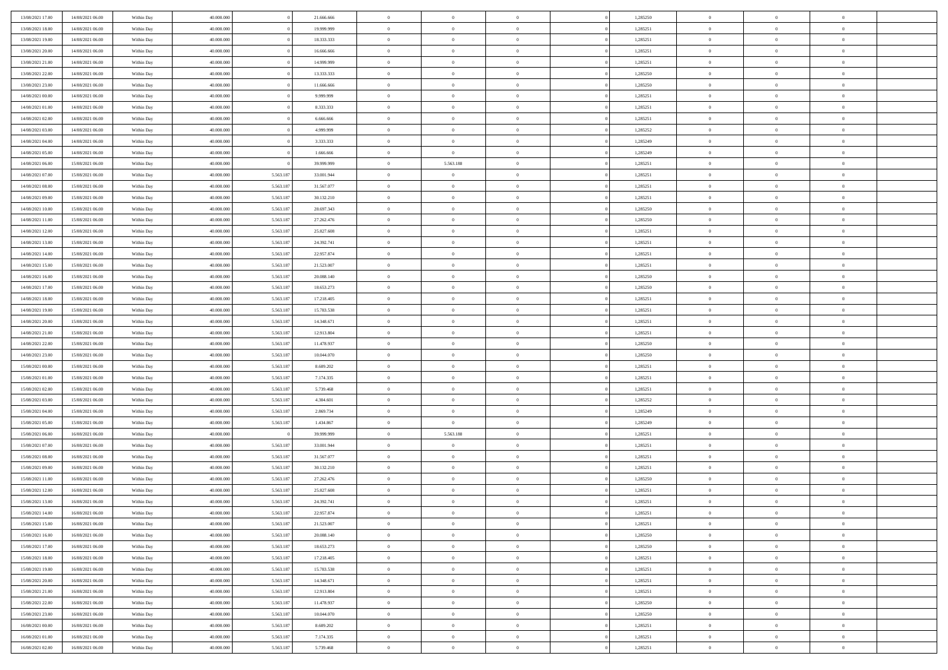| 13/08/2021 17:00                     | 14/08/2021 06:00                     | Within Day | 40,000,000               |                        | 21.666.666 | $\bf{0}$                 | $\overline{0}$                   | $\Omega$                         | 1,285250             | $\bf{0}$                       | $\overline{0}$             | $\bf{0}$                   |  |
|--------------------------------------|--------------------------------------|------------|--------------------------|------------------------|------------|--------------------------|----------------------------------|----------------------------------|----------------------|--------------------------------|----------------------------|----------------------------|--|
| 13/08/2021 18:00                     | 14/08/2021 06:00                     | Within Day | 40.000.000               |                        | 19.999.999 | $\theta$                 | $\overline{0}$                   | $\overline{0}$                   | 1,285251             | $\mathbf{0}$                   | $\bf{0}$                   | $\overline{0}$             |  |
| 13/08/2021 19:00                     | 14/08/2021 06:00                     | Within Day | 40.000.000               |                        | 18.333.333 | $\theta$                 | $\overline{0}$                   | $\overline{0}$                   | 1,285251             | $\,$ 0                         | $\overline{0}$             | $\,$ 0 $\,$                |  |
| 13/08/2021 20:00                     | 14/08/2021 06:00                     | Within Day | 40,000,000               |                        | 16,666,666 | $\mathbf{0}$             | $\overline{0}$                   | $\mathbf{0}$                     | 1,285251             | $\bf{0}$                       | $\mathbf{0}$               | $\theta$                   |  |
| 13/08/2021 21:00                     | 14/08/2021 06:00                     | Within Dav | 40.000.000               |                        | 14.999.999 | $\overline{0}$           | $\overline{0}$                   | $\overline{0}$                   | 1,285251             | $\mathbf{0}$                   | $\bf{0}$                   | $\overline{0}$             |  |
| 13/08/2021 22:00                     | 14/08/2021 06:00                     | Within Day | 40.000.000               |                        | 13.333.333 | $\theta$                 | $\overline{0}$                   | $\bf{0}$                         | 1,285250             | $\,$ 0                         | $\overline{0}$             | $\,$ 0 $\,$                |  |
| 13/08/2021 23:00                     | 14/08/2021 06:00                     | Within Day | 40,000,000               |                        | 11.666.666 | $\bf{0}$                 | $\overline{0}$                   | $\mathbf{0}$                     | 1,285250             | $\bf{0}$                       | $\overline{0}$             | $\theta$                   |  |
| 14/08/2021 00:00                     | 14/08/2021 06:00                     | Within Dav | 40.000.000               |                        | 9.999.999  | $\overline{0}$           | $\overline{0}$                   | $\overline{0}$                   | 1,285251             | $\mathbf{0}$                   | $\bf{0}$                   | $\overline{0}$             |  |
| 14/08/2021 01:00                     | 14/08/2021 06:00                     | Within Day | 40.000.000               |                        | 8.333.333  | $\theta$                 | $\overline{0}$                   | $\bf{0}$                         | 1,285251             | $\,$ 0                         | $\overline{0}$             | $\,$ 0 $\,$                |  |
| 14/08/2021 02:00                     | 14/08/2021 06:00                     | Within Day | 40,000,000               |                        | 6.666.666  | $\mathbf{0}$             | $\overline{0}$                   | $\mathbf{0}$                     | 1,285251             | $\bf{0}$                       | $\mathbf{0}$               | $\theta$                   |  |
| 14/08/2021 03:00                     | 14/08/2021 06:00                     | Within Dav | 40.000.000               |                        | 4.999.999  | $\mathbf{0}$             | $\overline{0}$                   | $\overline{0}$                   | 1,285252             | $\mathbf{0}$                   | $\bf{0}$                   | $\overline{0}$             |  |
| 14/08/2021 04:00                     | 14/08/2021 06:00                     | Within Day | 40.000.000               |                        | 3.333.333  | $\theta$                 | $\overline{0}$                   | $\overline{0}$                   | 1,285249             | $\,$ 0                         | $\overline{0}$             | $\,$ 0 $\,$                |  |
| 14/08/2021 05:00                     | 14/08/2021 06:00                     | Within Day | 40.000.000               |                        | 1.666.666  | $\mathbf{0}$             | $\overline{0}$                   | $\mathbf{0}$                     | 1,285249             | $\bf{0}$                       | $\mathbf{0}$               | $\theta$                   |  |
| 14/08/2021 06:00                     | 15/08/2021 06:00                     | Within Dav | 40.000.000               |                        | 39.999.999 | $\overline{0}$           | 5.563.188                        | $\overline{0}$                   | 1,285251             | $\mathbf{0}$                   | $\bf{0}$                   | $\overline{0}$             |  |
| 14/08/2021 07:00                     | 15/08/2021 06:00                     | Within Day | 40.000.000               | 5.563.187              | 33.001.944 | $\theta$                 | $\overline{0}$                   | $\bf{0}$                         | 1,285251             | $\,$ 0                         | $\overline{0}$             | $\,$ 0 $\,$                |  |
| 14/08/2021 08:00                     | 15/08/2021 06:00                     | Within Day | 40,000,000               | 5.563.187              | 31.567.077 | $\bf{0}$                 | $\overline{0}$                   | $\mathbf{0}$                     | 1,285251             | $\bf{0}$                       | $\overline{0}$             | $\bf{0}$                   |  |
| 14/08/2021 09:00                     | 15/08/2021 06:00                     | Within Dav | 40.000.000               | 5.563.187              | 30.132.210 | $\overline{0}$           | $\overline{0}$                   | $\overline{0}$                   | 1,285251             | $\mathbf{0}$                   | $\bf{0}$                   | $\overline{0}$             |  |
| 14/08/2021 10:00                     | 15/08/2021 06:00                     | Within Day | 40.000.000               | 5.563.187              | 28.697.343 | $\theta$                 | $\overline{0}$                   | $\overline{0}$                   | 1,285250             | $\,$ 0                         | $\overline{0}$             | $\,$ 0 $\,$                |  |
| 14/08/2021 11:00                     | 15/08/2021 06:00                     | Within Day | 40,000,000               | 5.563.187              | 27.262.476 | $\mathbf{0}$             | $\overline{0}$                   | $\mathbf{0}$                     | 1.285250             | $\theta$                       | $\mathbf{0}$               | $\theta$                   |  |
| 14/08/2021 12:00                     | 15/08/2021 06:00                     | Within Dav | 40.000.000               | 5.563.187              | 25.827.608 | $\overline{0}$           | $\overline{0}$                   | $\overline{0}$                   | 1,285251             | $\mathbf{0}$                   | $\bf{0}$                   | $\overline{0}$             |  |
| 14/08/2021 13:00                     | 15/08/2021 06:00                     | Within Day | 40.000.000               | 5.563.187              | 24.392.741 | $\theta$                 | $\overline{0}$                   | $\overline{0}$                   | 1,285251             | $\,$ 0                         | $\overline{0}$             | $\,$ 0 $\,$                |  |
| 14/08/2021 14:00                     | 15/08/2021 06:00                     | Within Day | 40,000,000               | 5.563.187              | 22.957.874 | $\mathbf{0}$             | $\overline{0}$                   | $\mathbf{0}$                     | 1,285251             | $\bf{0}$                       | $\mathbf{0}$               | $\theta$                   |  |
| 14/08/2021 15:00                     | 15/08/2021 06:00                     | Within Dav | 40.000.000               | 5.563.187              | 21.523.007 | $\mathbf{0}$             | $\overline{0}$                   | $\overline{0}$                   | 1,285251             | $\mathbf{0}$                   | $\bf{0}$                   | $\overline{0}$             |  |
| 14/08/2021 16:00                     | 15/08/2021 06:00                     | Within Day | 40.000.000               | 5.563.187              | 20.088.140 | $\theta$                 | $\overline{0}$                   | $\bf{0}$                         | 1,285250             | $\,$ 0                         | $\overline{0}$             | $\,$ 0 $\,$                |  |
| 14/08/2021 17:00                     | 15/08/2021 06:00                     | Within Day | 40,000,000               | 5.563.187              | 18.653.273 | $\bf{0}$                 | $\overline{0}$                   | $\mathbf{0}$                     | 1,285250             | $\bf{0}$                       | $\overline{0}$             | $\bf{0}$                   |  |
| 14/08/2021 18:00                     | 15/08/2021 06:00                     | Within Dav | 40.000.000               | 5.563.187              | 17.218.405 | $\overline{0}$           | $\overline{0}$                   | $\overline{0}$                   | 1,285251             | $\mathbf{0}$                   | $\bf{0}$                   | $\overline{0}$             |  |
| 14/08/2021 19:00                     | 15/08/2021 06:00                     | Within Day | 40.000.000               | 5.563.187              | 15.783.538 | $\theta$                 | $\overline{0}$                   | $\bf{0}$                         | 1,285251             | $\,$ 0                         | $\overline{0}$             | $\,$ 0 $\,$                |  |
| 14/08/2021 20:00                     | 15/08/2021 06:00                     | Within Day | 40,000,000               | 5.563.187              | 14.348.671 | $\mathbf{0}$             | $\overline{0}$                   | $\mathbf{0}$                     | 1,285251             | $\bf{0}$                       | $\mathbf{0}$               | $\theta$                   |  |
| 14/08/2021 21:00                     | 15/08/2021 06:00                     | Within Day | 40.000.000               | 5.563.187              | 12.913.804 | $\mathbf{0}$             | $\overline{0}$                   | $\overline{0}$                   | 1,285251             | $\mathbf{0}$                   | $\bf{0}$                   | $\overline{0}$             |  |
| 14/08/2021 22:00                     | 15/08/2021 06:00                     | Within Day | 40.000.000               | 5.563.187              | 11.478.937 | $\theta$                 | $\overline{0}$                   | $\overline{0}$                   | 1,285250             | $\,$ 0                         | $\overline{0}$             | $\,$ 0 $\,$                |  |
| 14/08/2021 23:00                     | 15/08/2021 06:00                     | Within Day | 40.000.000               | 5.563.187              | 10.044.070 | $\,$ 0 $\,$              | $\overline{0}$                   | $\overline{0}$                   | 1,285250             | $\bf{0}$                       | $\overline{0}$             | $\,0\,$                    |  |
| 15/08/2021 00:00                     | 15/08/2021 06:00                     | Within Day | 40.000.000               | 5.563.187              | 8.609.202  | $\overline{0}$           | $\overline{0}$                   | $\overline{0}$                   | 1,285251             | $\mathbf{0}$                   | $\bf{0}$                   | $\overline{0}$             |  |
| 15/08/2021 01:00                     | 15/08/2021 06:00                     | Within Day | 40.000.000               | 5.563.187              | 7.174.335  | $\theta$                 | $\overline{0}$                   | $\bf{0}$                         | 1,285251             | $\,$ 0                         | $\overline{0}$             | $\,$ 0 $\,$                |  |
| 15/08/2021 02:00                     | 15/08/2021 06:00                     | Within Day | 40.000.000               | 5.563.187              | 5.739.468  | $\,$ 0 $\,$              | $\overline{0}$                   | $\overline{0}$                   | 1,285251             | $\bf{0}$                       | $\overline{0}$             | $\bf{0}$                   |  |
| 15/08/2021 03:00                     | 15/08/2021 06:00                     | Within Day | 40.000.000               | 5.563.187              | 4.304.601  | $\overline{0}$           | $\overline{0}$                   | $\overline{0}$                   | 1,285252             | $\mathbf{0}$                   | $\bf{0}$                   | $\overline{0}$             |  |
| 15/08/2021 04:00                     | 15/08/2021 06:00                     | Within Day | 40.000.000               | 5.563.187              | 2.869.734  | $\theta$                 | $\overline{0}$                   | $\overline{0}$                   | 1,285249             | $\,$ 0                         | $\overline{0}$             | $\,$ 0 $\,$                |  |
| 15/08/2021 05:00                     | 15/08/2021 06:00                     | Within Day | 40.000.000               | 5.563.187              | 1.434.867  | $\,$ 0 $\,$              | $\overline{0}$                   | $\overline{0}$                   | 1,285249             | $\bf{0}$                       | $\overline{0}$             | $\,0\,$                    |  |
| 15/08/2021 06:00                     | 16/08/2021 06:00                     | Within Day | 40.000.000               |                        | 39.999.999 | $\mathbf{0}$             | 5.563.188                        | $\overline{0}$                   | 1,285251             | $\mathbf{0}$                   | $\bf{0}$                   | $\overline{0}$             |  |
| 15/08/2021 07:00                     | 16/08/2021 06:00                     | Within Day | 40.000.000               | 5.563.187              | 33.001.944 | $\theta$                 | $\overline{0}$                   | $\bf{0}$                         | 1,285251             | $\,$ 0                         | $\overline{0}$             | $\,$ 0 $\,$                |  |
| 15/08/2021 08:00                     | 16/08/2021 06:00                     | Within Day | 40.000.000               | 5.563.187              | 31.567.077 | $\,$ 0 $\,$              | $\overline{0}$                   | $\overline{0}$                   | 1,285251             | $\bf{0}$                       | $\overline{0}$             | $\,0\,$                    |  |
| 15/08/2021 09:00                     | 16/08/2021 06:00                     | Within Day | 40.000.000               | 5.563.187              | 30.132.210 | $\overline{0}$           | $\overline{0}$                   | $\overline{0}$                   | 1,285251             | $\mathbf{0}$                   | $\bf{0}$                   | $\overline{0}$             |  |
| 15/08/2021 11:00                     | 16/08/2021 06:00                     | Within Day | 40.000.000               | 5.563.187              | 27.262.476 | $\theta$                 | $\overline{0}$                   | $\bf{0}$                         | 1,285250             | $\,$ 0                         | $\overline{0}$             | $\,$ 0 $\,$                |  |
| 15/08/2021 12:00                     | 16/08/2021 06:00                     | Within Day | 40.000.000               | 5.563.187              | 25.827.608 | $\,$ 0 $\,$              | $\overline{0}$                   | $\overline{0}$                   | 1,285251             | $\bf{0}$                       | $\overline{0}$             | $\,0\,$                    |  |
| 15/08/2021 13:00                     | 16/08/2021 06:00                     | Within Dav | 40.000.000               | 5.563.187              | 24.392.741 | $\theta$                 | $\overline{0}$                   | $\overline{0}$                   | 1,285251             | $\mathbf{0}$                   | $\bf{0}$                   | $\overline{0}$             |  |
| 15/08/2021 14:00                     | 16/08/2021 06:00                     | Within Day | 40.000.000               | 5.563.187              | 22.957.874 | $\overline{0}$           | $\overline{0}$                   | $\overline{0}$                   | 1,285251             | $\overline{0}$                 | $\overline{0}$             | $\theta$                   |  |
| 15/08/2021 15:00                     | 16/08/2021 06:00                     | Within Day | 40.000.000               | 5.563.187              | 21.523.007 | $\bf{0}$                 | $\overline{0}$                   | $\overline{0}$                   | 1,285251             | $\mathbf{0}$                   | $\overline{0}$             | $\bf{0}$                   |  |
| 15/08/2021 16:00                     | 16/08/2021 06:00                     | Within Day | 40.000.000               | 5.563.187              | 20.088.140 | $\overline{0}$           | $\overline{0}$                   | $\overline{0}$                   | 1,285250             | $\overline{0}$                 | $\overline{0}$             | $\overline{0}$             |  |
| 15/08/2021 17:00                     | 16/08/2021 06:00                     | Within Day | 40.000.000               | 5.563.187              | 18.653.273 | $\,$ 0                   | $\overline{0}$                   | $\overline{0}$                   | 1,285250             | $\,$ 0 $\,$                    | $\,$ 0 $\,$                | $\,$ 0 $\,$                |  |
| 15/08/2021 18:00                     | 16/08/2021 06:00                     | Within Day | 40.000.000               | 5.563.187              | 17.218.405 | $\bf{0}$                 | $\overline{0}$                   | $\overline{0}$                   | 1,285251             | $\mathbf{0}$                   | $\overline{0}$             | $\bf{0}$                   |  |
| 15/08/2021 19:00                     | 16/08/2021 06:00                     | Within Day | 40.000.000               | 5.563.187              | 15.783.538 | $\,$ 0 $\,$              | $\overline{0}$                   | $\overline{0}$                   | 1,285251             | $\,$ 0 $\,$                    | $\bf{0}$                   | $\overline{0}$             |  |
| 15/08/2021 20:00                     | 16/08/2021 06:00                     | Within Day | 40.000.000               | 5.563.187              | 14.348.671 | $\,$ 0                   | $\overline{0}$                   | $\overline{0}$                   | 1,285251             | $\,$ 0 $\,$                    | $\overline{0}$             | $\,$ 0 $\,$                |  |
| 15/08/2021 21:00                     | 16/08/2021 06:00                     | Within Day | 40.000.000               | 5.563.187              | 12.913.804 | $\bf{0}$                 | $\overline{0}$                   | $\overline{0}$                   | 1,285251             | $\overline{0}$                 | $\overline{0}$             | $\overline{0}$             |  |
| 15/08/2021 22:00                     | 16/08/2021 06:00                     | Within Day | 40.000.000               | 5.563.187              | 11.478.937 | $\,$ 0 $\,$              | $\overline{0}$                   | $\overline{0}$                   | 1,285250             | $\,$ 0 $\,$                    | $\bf{0}$                   | $\overline{0}$             |  |
| 15/08/2021 23:00                     | 16/08/2021 06:00                     | Within Day | 40.000.000               | 5.563.187              | 10.044.070 | $\,$ 0                   | $\overline{0}$                   | $\overline{0}$                   | 1,285250             | $\,$ 0 $\,$                    | $\,$ 0 $\,$                | $\,$ 0 $\,$                |  |
| 16/08/2021 00:00<br>16/08/2021 01:00 | 16/08/2021 06:00<br>16/08/2021 06:00 | Within Day | 40.000.000<br>40.000.000 | 5.563.187<br>5.563.187 | 8.609.202  | $\bf{0}$<br>$\mathbf{0}$ | $\overline{0}$<br>$\overline{0}$ | $\overline{0}$<br>$\overline{0}$ | 1,285251<br>1,285251 | $\mathbf{0}$<br>$\overline{0}$ | $\overline{0}$<br>$\bf{0}$ | $\bf{0}$<br>$\overline{0}$ |  |
|                                      |                                      | Within Day |                          |                        | 7.174.335  |                          |                                  |                                  |                      |                                |                            |                            |  |
| 16/08/2021 02:00                     | 16/08/2021 06:00                     | Within Day | 40.000.000               | 5.563.187              | 5.739.468  | $\,$ 0 $\,$              | $\overline{0}$                   | $\overline{0}$                   | 1,285251             | $\,$ 0 $\,$                    | $\overline{0}$             | $\,$ 0 $\,$                |  |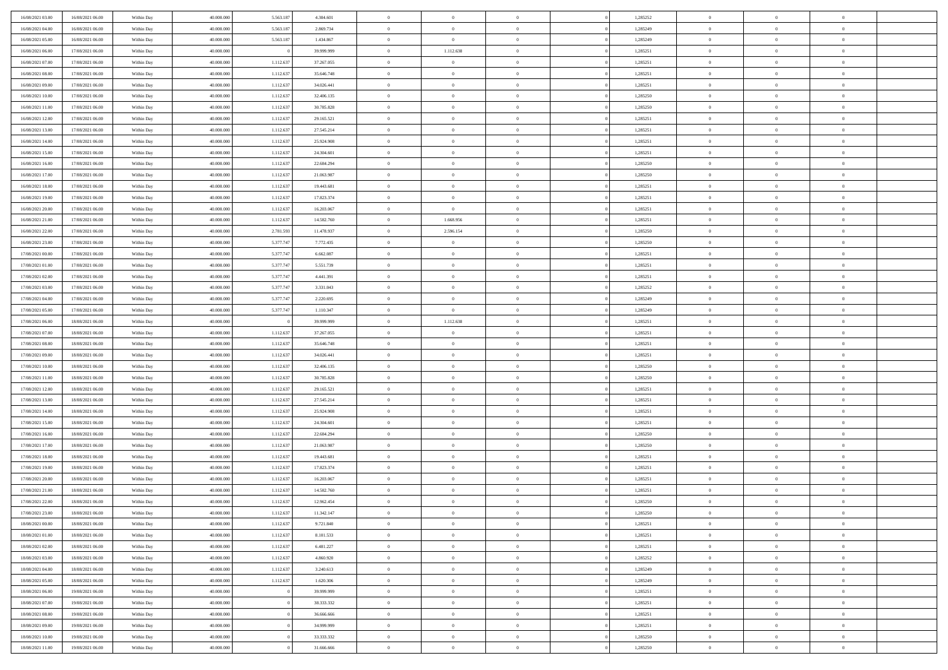| 16/08/2021 03:00                     | 16/08/2021 06:00 | Within Day | 40.000.000 | 5.563.18  | 4.304.601  | $\bf{0}$       | $\overline{0}$ | $\overline{0}$ | 1,285252 | $\bf{0}$       | $\overline{0}$ | $\bf{0}$       |  |
|--------------------------------------|------------------|------------|------------|-----------|------------|----------------|----------------|----------------|----------|----------------|----------------|----------------|--|
| 16/08/2021 04:00                     | 16/08/2021 06:00 | Within Day | 40,000,000 | 5.563.18  | 2.869.734  | $\overline{0}$ | $\overline{0}$ | $\Omega$       | 1,285249 | $\overline{0}$ | $\theta$       | $\theta$       |  |
| 16/08/2021 05:00                     | 16/08/2021 06:00 | Within Day | 40.000.000 | 5.563.187 | 1.434.867  | $\overline{0}$ | $\overline{0}$ | $\overline{0}$ | 1,285249 | $\mathbf{0}$   | $\overline{0}$ | $\theta$       |  |
| 16/08/2021 06:00                     | 17/08/2021 06:00 | Within Day | 40.000.000 |           | 39.999.999 | $\bf{0}$       | 1.112.638      | $\overline{0}$ | 1,285251 | $\mathbf{0}$   | $\overline{0}$ | $\bf{0}$       |  |
| 16/08/2021 07:00                     | 17/08/2021 06:00 | Within Day | 40,000,000 | 1.112.63  | 37.267.055 | $\bf{0}$       | $\overline{0}$ | $\overline{0}$ | 1,285251 | $\bf{0}$       | $\overline{0}$ | $\bf{0}$       |  |
| 16/08/2021 08:00                     | 17/08/2021 06:00 | Within Day | 40.000.000 | 1.112.637 | 35.646.748 | $\overline{0}$ | $\overline{0}$ | $\overline{0}$ | 1,285251 | $\mathbf{0}$   | $\overline{0}$ | $\theta$       |  |
| 16/08/2021 09:00                     | 17/08/2021 06:00 | Within Day | 40.000.000 | 1.112.637 | 34.026.441 | $\bf{0}$       | $\overline{0}$ | $\Omega$       | 1,285251 | $\mathbf{0}$   | $\overline{0}$ | $\bf{0}$       |  |
| 16/08/2021 10:00                     | 17/08/2021 06:00 | Within Day | 40,000,000 | 1.112.637 | 32.406.135 | $\overline{0}$ | $\overline{0}$ | $\overline{0}$ | 1,285250 | $\mathbf{0}$   | $\theta$       | $\theta$       |  |
| 16/08/2021 11:00                     | 17/08/2021 06:00 | Within Day | 40.000.000 | 1.112.637 | 30.785.828 | $\overline{0}$ | $\overline{0}$ | $\overline{0}$ | 1,285250 | $\mathbf{0}$   | $\overline{0}$ | $\theta$       |  |
|                                      |                  |            |            |           |            | $\bf{0}$       | $\overline{0}$ | $\Omega$       |          |                | $\overline{0}$ | $\bf{0}$       |  |
| 16/08/2021 12:00                     | 17/08/2021 06:00 | Within Day | 40.000.000 | 1.112.637 | 29.165.521 |                |                |                | 1,285251 | $\mathbf{0}$   | $\theta$       |                |  |
| 16/08/2021 13:00<br>16/08/2021 14:00 | 17/08/2021 06:00 | Within Day | 40,000,000 | 1.112.637 | 27.545.214 | $\bf{0}$       | $\overline{0}$ | $\overline{0}$ | 1,285251 | $\mathbf{0}$   |                | $\overline{0}$ |  |
|                                      | 17/08/2021 06:00 | Within Day | 40.000.000 | 1.112.637 | 25.924.908 | $\overline{0}$ | $\overline{0}$ | $\overline{0}$ | 1,285251 | $\mathbf{0}$   | $\overline{0}$ | $\theta$       |  |
| 16/08/2021 15:00                     | 17/08/2021 06:00 | Within Day | 40.000.000 | 1.112.637 | 24.304.601 | $\bf{0}$       | $\overline{0}$ | $\overline{0}$ | 1,285251 | $\mathbf{0}$   | $\overline{0}$ | $\bf{0}$       |  |
| 16/08/2021 16:00                     | 17/08/2021 06:00 | Within Day | 40,000,000 | 1.112.637 | 22.684.294 | $\bf{0}$       | $\overline{0}$ | $\overline{0}$ | 1,285250 | $\bf{0}$       | $\theta$       | $\bf{0}$       |  |
| 16/08/2021 17:00                     | 17/08/2021 06:00 | Within Day | 40.000.000 | 1.112.637 | 21.063.987 | $\overline{0}$ | $\overline{0}$ | $\overline{0}$ | 1,285250 | $\mathbf{0}$   | $\overline{0}$ | $\theta$       |  |
| 16/08/2021 18:00                     | 17/08/2021 06:00 | Within Day | 40.000.000 | 1.112.637 | 19.443.681 | $\bf{0}$       | $\overline{0}$ | $\Omega$       | 1,285251 | $\mathbf{0}$   | $\overline{0}$ | $\bf{0}$       |  |
| 16/08/2021 19:00                     | 17/08/2021 06:00 | Within Day | 40,000,000 | 1.112.637 | 17.823.374 | $\,$ 0 $\,$    | $\overline{0}$ | $\overline{0}$ | 1,285251 | $\mathbf{0}$   | $\overline{0}$ | $\overline{0}$ |  |
| 16/08/2021 20:00                     | 17/08/2021 06:00 | Within Day | 40.000.000 | 1.112.637 | 16.203.067 | $\overline{0}$ | $\overline{0}$ | $\overline{0}$ | 1,285251 | $\mathbf{0}$   | $\overline{0}$ | $\theta$       |  |
| 16/08/2021 21:00                     | 17/08/2021 06:00 | Within Day | 40.000.000 | 1.112.637 | 14.582.760 | $\bf{0}$       | 1.668.956      | $\Omega$       | 1,285251 | $\bf{0}$       | $\overline{0}$ | $\bf{0}$       |  |
| 16/08/2021 22:00                     | 17/08/2021 06:00 | Within Day | 40,000,000 | 2.781.593 | 11.478.937 | $\bf{0}$       | 2.596.154      | $\overline{0}$ | 1,285250 | $\mathbf{0}$   | $\overline{0}$ | $\overline{0}$ |  |
| 16/08/2021 23:00                     | 17/08/2021 06:00 | Within Day | 40.000.000 | 5.377.747 | 7.772.435  | $\overline{0}$ | $\overline{0}$ | $\overline{0}$ | 1,285250 | $\mathbf{0}$   | $\overline{0}$ | $\theta$       |  |
| 17/08/2021 00:00                     | 17/08/2021 06:00 | Within Day | 40.000.000 | 5.377.747 | 6.662.087  | $\bf{0}$       | $\overline{0}$ | $\overline{0}$ | 1,285251 | $\mathbf{0}$   | $\overline{0}$ | $\bf{0}$       |  |
| 17/08/2021 01:00                     | 17/08/2021 06:00 | Within Day | 40,000,000 | 5.377.747 | 5.551.739  | $\bf{0}$       | $\overline{0}$ | $\overline{0}$ | 1,285251 | $\,$ 0 $\,$    | $\overline{0}$ | $\bf{0}$       |  |
| 17/08/2021 02:00                     | 17/08/2021 06:00 | Within Day | 40.000.000 | 5.377.747 | 4.441.391  | $\overline{0}$ | $\overline{0}$ | $\overline{0}$ | 1,285251 | $\mathbf{0}$   | $\overline{0}$ | $\theta$       |  |
| 17/08/2021 03:00                     | 17/08/2021 06:00 | Within Day | 40.000.000 | 5.377.747 | 3.331.043  | $\bf{0}$       | $\overline{0}$ | $\overline{0}$ | 1,285252 | $\bf{0}$       | $\overline{0}$ | $\bf{0}$       |  |
| 17/08/2021 04:00                     | 17/08/2021 06:00 | Within Day | 40,000,000 | 5.377.74  | 2.220.695  | $\,$ 0 $\,$    | $\overline{0}$ | $\overline{0}$ | 1,285249 | $\mathbf{0}$   | $\overline{0}$ | $\overline{0}$ |  |
| 17/08/2021 05:00                     | 17/08/2021 06:00 | Within Day | 40.000.000 | 5.377.747 | 1.110.347  | $\overline{0}$ | $\overline{0}$ | $\overline{0}$ | 1,285249 | $\mathbf{0}$   | $\overline{0}$ | $\theta$       |  |
| 17/08/2021 06:00                     | 18/08/2021 06:00 | Within Day | 40.000.000 |           | 39.999.999 | $\bf{0}$       | 1.112.638      | $\Omega$       | 1,285251 | $\mathbf{0}$   | $\overline{0}$ | $\bf{0}$       |  |
| 17/08/2021 07:00                     | 18/08/2021 06:00 | Within Day | 40,000,000 | 1.112.637 | 37.267.055 | $\bf{0}$       | $\overline{0}$ | $\overline{0}$ | 1,285251 | $\mathbf{0}$   | $\mathbf{0}$   | $\overline{0}$ |  |
| 17/08/2021 08:00                     | 18/08/2021 06:00 | Within Day | 40.000.000 | 1.112.637 | 35.646.748 | $\overline{0}$ | $\overline{0}$ | $\overline{0}$ | 1,285251 | $\mathbf{0}$   | $\overline{0}$ | $\theta$       |  |
| 17/08/2021 09:00                     | 18/08/2021 06:00 | Within Day | 40.000.000 | 1.112.637 | 34.026.441 | $\,$ 0         | $\overline{0}$ | $\overline{0}$ | 1,285251 | $\,$ 0 $\,$    | $\overline{0}$ | $\,0\,$        |  |
| 17/08/2021 10:00                     | 18/08/2021 06:00 | Within Day | 40,000,000 | 1.112.637 | 32.406.135 | $\bf{0}$       | $\overline{0}$ | $\overline{0}$ | 1,285250 | $\mathbf{0}$   | $\overline{0}$ | $\overline{0}$ |  |
| 17/08/2021 11:00                     | 18/08/2021 06:00 | Within Day | 40.000.000 | 1.112.637 | 30.785.828 | $\overline{0}$ | $\overline{0}$ | $\overline{0}$ | 1,285250 | $\mathbf{0}$   | $\overline{0}$ | $\theta$       |  |
| 17/08/2021 12:00                     | 18/08/2021 06:00 | Within Day | 40.000.000 | 1.112.637 | 29.165.521 | $\,$ 0         | $\overline{0}$ | $\theta$       | 1,285251 | $\,$ 0         | $\overline{0}$ | $\mathbf{0}$   |  |
| 17/08/2021 13:00                     | 18/08/2021 06:00 | Within Day | 40,000,000 | 1.112.637 | 27.545.214 | $\bf{0}$       | $\overline{0}$ | $\overline{0}$ | 1,285251 | $\mathbf{0}$   | $\overline{0}$ | $\overline{0}$ |  |
| 17/08/2021 14:00                     | 18/08/2021 06:00 | Within Day | 40.000.000 | 1.112.637 | 25.924.908 | $\overline{0}$ | $\overline{0}$ | $\overline{0}$ | 1,285251 | $\mathbf{0}$   | $\overline{0}$ | $\theta$       |  |
| 17/08/2021 15:00                     | 18/08/2021 06:00 | Within Day | 40.000.000 | 1.112.637 | 24.304.601 | $\,$ 0         | $\overline{0}$ | $\overline{0}$ | 1,285251 | $\,$ 0 $\,$    | $\overline{0}$ | $\mathbf{0}$   |  |
| 17/08/2021 16:00                     | 18/08/2021 06:00 | Within Day | 40,000,000 | 1.112.637 | 22.684.294 | $\bf{0}$       | $\overline{0}$ | $\overline{0}$ | 1,285250 | $\mathbf{0}$   | $\mathbf{0}$   | $\overline{0}$ |  |
| 17/08/2021 17:00                     | 18/08/2021 06:00 | Within Day | 40.000.000 | 1.112.637 | 21.063.987 | $\overline{0}$ | $\overline{0}$ | $\overline{0}$ | 1,285250 | $\mathbf{0}$   | $\overline{0}$ | $\theta$       |  |
| 17/08/2021 18:00                     | 18/08/2021 06:00 | Within Day | 40.000.000 | 1.112.637 | 19.443.681 | $\,$ 0         | $\overline{0}$ | $\overline{0}$ | 1,285251 | $\,$ 0 $\,$    | $\overline{0}$ | $\,0\,$        |  |
| 17/08/2021 19:00                     | 18/08/2021 06:00 | Within Day | 40,000,000 | 1.112.637 | 17.823.374 | $\bf{0}$       | $\,$ 0 $\,$    | $\overline{0}$ | 1,285251 | $\,$ 0 $\,$    | $\overline{0}$ | $\bf{0}$       |  |
| 17/08/2021 20:00                     | 18/08/2021 06:00 | Within Day | 40.000.000 | 1.112.637 | 16.203.067 | $\overline{0}$ | $\overline{0}$ | $\overline{0}$ | 1,285251 | $\mathbf{0}$   | $\overline{0}$ | $\theta$       |  |
| 17/08/2021 21:00                     | 18/08/2021 06:00 | Within Day | 40.000.000 | 1.112.637 | 14.582.760 | $\overline{0}$ | $\overline{0}$ | $\overline{0}$ | 1,285251 | $\,$ 0         | $\overline{0}$ | $\mathbf{0}$   |  |
| 17/08/2021 22.00                     | 18/08/2021 06:00 | Within Day | 40,000,000 | 1.112.637 | 12.962.454 | $\bf{0}$       | $\overline{0}$ | $\overline{0}$ | 1,285250 | $\mathbf{0}$   | $\overline{0}$ | $\bf{0}$       |  |
| 17/08/2021 23:00                     | 18/08/2021 06:00 | Within Day | 40.000.000 | 1.112.637 | 11.342.147 | $\overline{0}$ | $\theta$       |                | 1,285250 | $\overline{0}$ | $\Omega$       | $\overline{0}$ |  |
| 18/08/2021 00:00                     | 18/08/2021 06:00 | Within Day | 40.000.000 | 1.112.637 | 9.721.840  | $\,$ 0 $\,$    | $\overline{0}$ | $\overline{0}$ | 1,285251 | $\,$ 0 $\,$    | $\bf{0}$       | $\mathbf{0}$   |  |
| 18/08/2021 01:00                     | 18/08/2021 06:00 | Within Day | 40,000,000 | 1.112.63  | 8.101.533  | $\mathbf{0}$   | $\overline{0}$ | $\overline{0}$ | 1,285251 | $\,$ 0 $\,$    | $\overline{0}$ | $\overline{0}$ |  |
| 18/08/2021 02:00                     | 18/08/2021 06:00 | Within Day | 40.000.000 | 1.112.637 | 6.481.227  | $\mathbf{0}$   | $\overline{0}$ | $\overline{0}$ | 1,285251 | $\mathbf{0}$   | $\bf{0}$       | $\overline{0}$ |  |
| 18/08/2021 03:00                     | 18/08/2021 06:00 | Within Day | 40.000.000 | 1.112.637 | 4.860.920  | $\,$ 0 $\,$    | $\overline{0}$ | $\overline{0}$ | 1,285252 | $\,$ 0 $\,$    | $\bf{0}$       | $\theta$       |  |
|                                      |                  |            | 40,000,000 |           |            |                |                |                |          |                | $\overline{0}$ |                |  |
| 18/08/2021 04:00<br>18/08/2021 05:00 | 18/08/2021 06:00 | Within Day |            | 1.112.637 | 3.240.613  | $\,$ 0 $\,$    | $\,$ 0 $\,$    | $\overline{0}$ | 1,285249 | $\,$ 0 $\,$    |                | $\overline{0}$ |  |
|                                      | 18/08/2021 06:00 | Within Day | 40.000.000 | 1.112.637 | 1.620.306  | $\mathbf{0}$   | $\overline{0}$ | $\overline{0}$ | 1,285249 | $\mathbf{0}$   | $\bf{0}$       | $\overline{0}$ |  |
| 18/08/2021 06:00                     | 19/08/2021 06:00 | Within Day | 40.000.000 |           | 39.999.999 | $\,$ 0 $\,$    | $\overline{0}$ | $\overline{0}$ | 1,285251 | $\,$ 0 $\,$    | $\overline{0}$ | $\theta$       |  |
| 18/08/2021 07:00                     | 19/08/2021 06:00 | Within Day | 40.000.000 |           | 38.333.332 | $\mathbf{0}$   | $\overline{0}$ | $\overline{0}$ | 1,285251 | $\,$ 0 $\,$    | $\overline{0}$ | $\overline{0}$ |  |
| 18/08/2021 08:00                     | 19/08/2021 06:00 | Within Day | 40.000.000 |           | 36.666.666 | $\mathbf{0}$   | $\overline{0}$ | $\overline{0}$ | 1,285251 | $\mathbf{0}$   | $\bf{0}$       | $\overline{0}$ |  |
| 18/08/2021 09:00                     | 19/08/2021 06:00 | Within Day | 40.000.000 |           | 34.999.999 | $\,$ 0 $\,$    | $\overline{0}$ | $\overline{0}$ | 1,285251 | $\,$ 0 $\,$    | $\overline{0}$ | $\theta$       |  |
| 18/08/2021 10:00                     | 19/08/2021 06:00 | Within Day | 40,000,000 |           | 33.333.332 | $\mathbf{0}$   | $\overline{0}$ | $\overline{0}$ | 1,285250 | $\,$ 0 $\,$    | $\overline{0}$ | $\overline{0}$ |  |
| 18/08/2021 11:00                     | 19/08/2021 06:00 | Within Day | 40.000.000 |           | 31.666.666 | $\mathbf{0}$   | $\overline{0}$ | $\overline{0}$ | 1,285250 | $\mathbf{0}$   | $\overline{0}$ | $\overline{0}$ |  |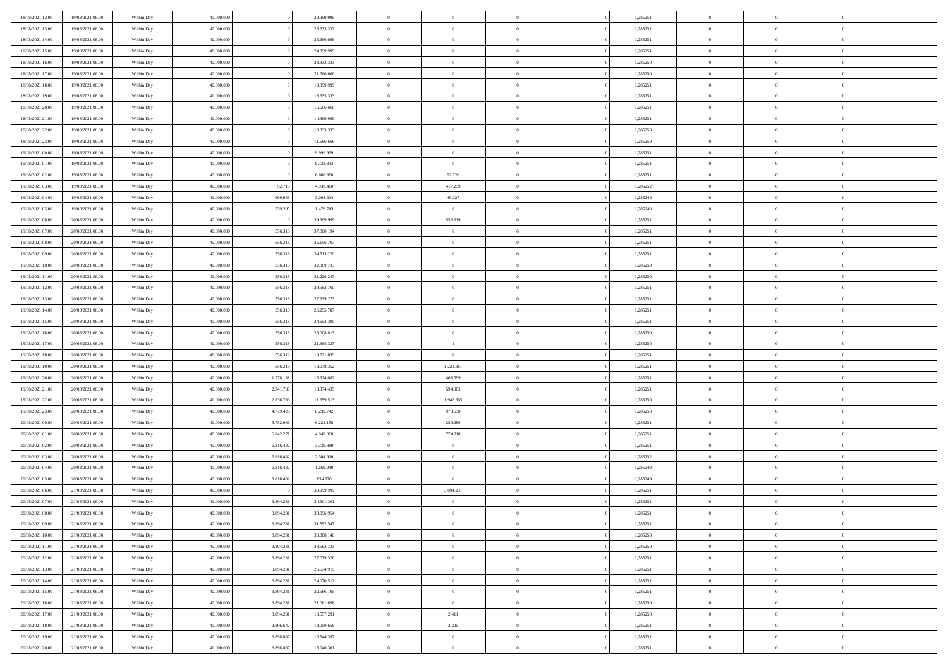| 18/08/2021 12:00                     | 19/08/2021 06:00                     | Within Day               | 40,000,000               |                        | 29.999.999              | $\bf{0}$                      | $\overline{0}$       | $\Omega$                         | 1,285251             | $\bf{0}$                 | $\overline{0}$             | $\bf{0}$                   |  |
|--------------------------------------|--------------------------------------|--------------------------|--------------------------|------------------------|-------------------------|-------------------------------|----------------------|----------------------------------|----------------------|--------------------------|----------------------------|----------------------------|--|
| 18/08/2021 13:00                     | 19/08/2021 06:00                     | Within Dav               | 40.000.000               |                        | 28.333.332              | $\overline{0}$                | $\overline{0}$       | $\overline{0}$                   | 1,285251             | $\mathbf{0}$             | $\bf{0}$                   | $\overline{0}$             |  |
| 18/08/2021 14:00                     | 19/08/2021 06:00                     | Within Day               | 40.000.000               |                        | 26.666.666              | $\theta$                      | $\overline{0}$       | $\overline{0}$                   | 1,285251             | $\,$ 0                   | $\overline{0}$             | $\,$ 0 $\,$                |  |
| 18/08/2021 15:00                     | 19/08/2021 06:00                     | Within Day               | 40,000,000               |                        | 24,999,999              | $\mathbf{0}$                  | $\overline{0}$       | $\mathbf{0}$                     | 1,285251             | $\bf{0}$                 | $\mathbf{0}$               | $\theta$                   |  |
| 18/08/2021 16:00                     | 19/08/2021 06:00                     | Within Dav               | 40.000.000               |                        | 23.333.333              | $\mathbf{0}$                  | $\overline{0}$       | $\overline{0}$                   | 1,285250             | $\mathbf{0}$             | $\bf{0}$                   | $\overline{0}$             |  |
| 18/08/2021 17:00                     | 19/08/2021 06:00                     | Within Day               | 40.000.000               |                        | 21.666.666              | $\theta$                      | $\overline{0}$       | $\bf{0}$                         | 1,285250             | $\,$ 0                   | $\overline{0}$             | $\,$ 0 $\,$                |  |
| 18/08/2021 18:00                     | 19/08/2021 06:00                     | Within Day               | 40,000,000               |                        | 19,999,999              | $\bf{0}$                      | $\overline{0}$       | $\mathbf{0}$                     | 1,285251             | $\bf{0}$                 | $\overline{0}$             | $\theta$                   |  |
| 18/08/2021 19:00                     | 19/08/2021 06:00                     | Within Dav               | 40.000.000               |                        | 18.333.333              | $\overline{0}$                | $\overline{0}$       | $\overline{0}$                   | 1,285251             | $\mathbf{0}$             | $\bf{0}$                   | $\overline{0}$             |  |
| 18/08/2021 20:00                     | 19/08/2021 06:00                     | Within Day               | 40.000.000               |                        | 16.666.666              | $\theta$                      | $\overline{0}$       | $\bf{0}$                         | 1,285251             | $\,$ 0                   | $\overline{0}$             | $\,$ 0 $\,$                |  |
| 18/08/2021 21:00                     | 19/08/2021 06:00                     | Within Day               | 40,000,000               |                        | 14,999,999              | $\overline{0}$                | $\overline{0}$       | $\mathbf{0}$                     | 1,285251             | $\bf{0}$                 | $\mathbf{0}$               | $\theta$                   |  |
| 18/08/2021 22:00                     | 19/08/2021 06:00                     | Within Day               | 40.000.000               |                        | 13.333.333              | $\mathbf{0}$                  | $\overline{0}$       | $\overline{0}$                   | 1,285250             | $\mathbf{0}$             | $\bf{0}$                   | $\overline{0}$             |  |
| 18/08/2021 23:00                     | 19/08/2021 06:00                     | Within Day               | 40.000.000               |                        | 11.666.666              | $\theta$                      | $\overline{0}$       | $\overline{0}$                   | 1,285250             | $\,$ 0                   | $\overline{0}$             | $\,$ 0 $\,$                |  |
| 19/08/2021 00:00                     | 19/08/2021 06:00                     | Within Day               | 40.000.000               |                        | 9.999.999               | $\overline{0}$                | $\overline{0}$       | $\mathbf{0}$                     | 1,285251             | $\bf{0}$                 | $\mathbf{0}$               | $\theta$                   |  |
| 19/08/2021 01:00                     | 19/08/2021 06:00                     | Within Day               | 40.000.000               |                        | 8.333.333               | $\mathbf{0}$                  | $\overline{0}$       | $\overline{0}$                   | 1,285251             | $\mathbf{0}$             | $\bf{0}$                   | $\overline{0}$             |  |
| 19/08/2021 02:00                     | 19/08/2021 06:00                     | Within Day               | 40.000.000               |                        | 6.666.666               | $\theta$                      | 92.720               | $\overline{0}$                   | 1,285251             | $\,$ 0                   | $\overline{0}$             | $\,$ 0 $\,$                |  |
| 19/08/2021 03:00                     | 19/08/2021 06:00                     | Within Day               | 40,000,000               | 92.719                 | 4.930.460               | $\bf{0}$                      | 417.239              | $\mathbf{0}$                     | 1,285252             | $\bf{0}$                 | $\mathbf{0}$               | $\theta$                   |  |
| 19/08/2021 04:00                     | 19/08/2021 06:00                     | Within Day               | 40.000.000               | 509.958                | 3.008.814               | $\overline{0}$                | 49.327               | $\overline{0}$                   | 1,285249             | $\mathbf{0}$             | $\bf{0}$                   | $\overline{0}$             |  |
| 19/08/2021 05:00                     | 19/08/2021 06:00                     | Within Day               | 40.000.000               | 559.285                | 1.479.743               | $\theta$                      | $\overline{0}$       | $\bf{0}$                         | 1,285249             | $\,$ 0                   | $\overline{0}$             | $\,$ 0 $\,$                |  |
| 19/08/2021 06:00                     | 20/08/2021 06:00                     | Within Day               | 40,000,000               |                        | 39,999,999              | $\overline{0}$                | 556.319              | $\mathbf{0}$                     | 1,285251             | $\theta$                 | $\mathbf{0}$               | $\theta$                   |  |
| 19/08/2021 07:00                     | 20/08/2021 06:00                     | Within Day               | 40.000.000               | 556.318                | 37.800.194              | $\overline{0}$                | $\overline{0}$       | $\overline{0}$                   | 1,285251             | $\mathbf{0}$             | $\bf{0}$                   | $\overline{0}$             |  |
| 19/08/2021 08:00                     | 20/08/2021 06:00                     | Within Day               | 40.000.000               | 556.318                | 36.156.707              | $\theta$                      | $\overline{0}$       | $\bf{0}$                         | 1,285251             | $\,$ 0                   | $\overline{0}$             | $\,$ 0 $\,$                |  |
| 19/08/2021 09:00                     | 20/08/2021 06:00                     | Within Day               | 40,000,000               | 556.318                | 34.513.220              | $\overline{0}$                | $\overline{0}$       | $\mathbf{0}$                     | 1,285251             | $\bf{0}$                 | $\mathbf{0}$               | $\theta$                   |  |
| 19/08/2021 10:00                     | 20/08/2021 06:00                     | Within Day               | 40.000.000               | 556.318                | 32.869.733              | $\mathbf{0}$                  | $\overline{0}$       | $\overline{0}$                   | 1,285250             | $\mathbf{0}$             | $\bf{0}$                   | $\overline{0}$             |  |
| 19/08/2021 11:00                     | 20/08/2021 06:00                     | Within Day               | 40.000.000               | 556.318                | 31.226.247              | $\theta$                      | $\overline{0}$       | $\bf{0}$                         | 1,285250             | $\,$ 0                   | $\overline{0}$             | $\,$ 0 $\,$                |  |
| 19/08/2021 12:00                     | 20/08/2021 06:00                     | Within Day               | 40,000,000               | 556.318                | 29.582.760              | $\bf{0}$                      | $\overline{0}$       | $\mathbf{0}$                     | 1,285251             | $\bf{0}$                 | $\overline{0}$             | $\bf{0}$                   |  |
| 19/08/2021 13:00                     | 20/08/2021 06:00                     | Within Day               | 40.000.000               | 556.318                | 27.939.273              | $\overline{0}$                | $\overline{0}$       | $\overline{0}$                   | 1,285251             | $\mathbf{0}$             | $\bf{0}$                   | $\overline{0}$             |  |
| 19/08/2021 14:00                     | 20/08/2021 06:00                     | Within Day               | 40.000.000               | 556.318                | 26.295.787              | $\theta$                      | $\overline{0}$       | $\bf{0}$                         | 1,285251             | $\,$ 0                   | $\overline{0}$             | $\,$ 0 $\,$                |  |
| 19/08/2021 15:00                     | 20/08/2021 06:00                     | Within Day               | 40,000,000               | 556.318                | 24.652.300              | $\overline{0}$                | $\overline{0}$       | $\mathbf{0}$                     | 1.285251             | $\bf{0}$                 | $\mathbf{0}$               | $\theta$                   |  |
| 19/08/2021 16:00                     | 20/08/2021 06:00                     | Within Day               | 40.000.000               | 556.318                | 23.008.813              | $\overline{0}$                | $\overline{0}$       | $\overline{0}$                   | 1,285250             | $\mathbf{0}$             | $\bf{0}$                   | $\overline{0}$             |  |
| 19/08/2021 17:00                     | 20/08/2021 06:00                     | Within Day               | 40.000.000               | 556.318                | 21.365.327              | $\theta$                      | $\mathbf{1}$         | $\bf{0}$                         | 1,285250             | $\,$ 0                   | $\overline{0}$             | $\,$ 0 $\,$                |  |
| 19/08/2021 18:00                     | 20/08/2021 06:00                     | Within Day               | 40.000.000               | 556.319                | 19.721.839              | $\,$ 0 $\,$                   | $\overline{0}$       | $\overline{0}$                   | 1,285251             | $\bf{0}$                 | $\overline{0}$             | $\,0\,$                    |  |
| 19/08/2021 19:00                     | 20/08/2021 06:00                     | Within Day               | 40.000.000               | 556.319                | 18.078.352              | $\overline{0}$                | 1.221.861            | $\overline{0}$                   | 1,285251             | $\mathbf{0}$             | $\bf{0}$                   | $\overline{0}$             |  |
| 19/08/2021 20:00                     | 20/08/2021 06:00                     | Within Day               | 40.000.000               | 1.778.181              | 15.324.082              | $\theta$                      | 463.599              | $\overline{0}$                   | 1,285251             | $\,$ 0                   | $\overline{0}$             | $\,$ 0 $\,$                |  |
| 19/08/2021 21:00<br>19/08/2021 22:00 | 20/08/2021 06:00<br>20/08/2021 06:00 | Within Day<br>Within Day | 40.000.000<br>40.000.000 | 2.241.780<br>2.836.763 | 13.374.435              | $\,$ 0 $\,$<br>$\overline{0}$ | 594.983<br>1.942.665 | $\overline{0}$<br>$\overline{0}$ | 1,285251<br>1,285250 | $\bf{0}$<br>$\mathbf{0}$ | $\overline{0}$<br>$\bf{0}$ | $\bf{0}$<br>$\overline{0}$ |  |
| 19/08/2021 23:00                     | 20/08/2021 06:00                     | Within Day               | 40.000.000               | 4.779.428              | 11.359.513<br>8.239.742 | $\theta$                      | 973.558              | $\bf{0}$                         | 1,285250             | $\,$ 0                   | $\overline{0}$             | $\,$ 0 $\,$                |  |
| 20/08/2021 00:00                     | 20/08/2021 06:00                     | Within Day               | 40.000.000               | 5.752.986              | 6.228.158               | $\,$ 0 $\,$                   | 289.286              | $\overline{0}$                   | 1,285251             | $\bf{0}$                 | $\overline{0}$             | $\,0\,$                    |  |
| 20/08/2021 01:00                     | 20/08/2021 06:00                     | Within Day               | 40.000.000               | 6.042.271              | 4.949.060               | $\overline{0}$                | 774.210              | $\overline{0}$                   | 1,285251             | $\mathbf{0}$             | $\bf{0}$                   | $\overline{0}$             |  |
| 20/08/2021 02:00                     | 20/08/2021 06:00                     | Within Day               | 40.000.000               | 6.816.482              | 3.339.880               | $\theta$                      | $\overline{0}$       | $\bf{0}$                         | 1,285251             | $\,$ 0                   | $\overline{0}$             | $\,$ 0 $\,$                |  |
| 20/08/2021 03:00                     | 20/08/2021 06:00                     | Within Day               | 40.000.000               | 6.816.482              | 2.504.910               | $\,$ 0 $\,$                   | $\overline{0}$       | $\overline{0}$                   | 1,285252             | $\bf{0}$                 | $\overline{0}$             | $\,0\,$                    |  |
| 20/08/2021 04:00                     | 20/08/2021 06:00                     | Within Day               | 40.000.000               | 6.816.482              | 1.669.940               | $\overline{0}$                | $\overline{0}$       | $\overline{0}$                   | 1,285249             | $\mathbf{0}$             | $\bf{0}$                   | $\overline{0}$             |  |
| 20/08/2021 05:00                     | 20/08/2021 06:00                     | Within Day               | 40.000.000               | 6.816.482              | 834.970                 | $\theta$                      | $\overline{0}$       | $\bf{0}$                         | 1,285249             | $\,$ 0                   | $\overline{0}$             | $\,$ 0 $\,$                |  |
| 20/08/2021 06:00                     | 21/08/2021 06:00                     | Within Day               | 40.000.000               |                        | 39.999.999              | $\,$ 0 $\,$                   | 3.894.231            | $\overline{0}$                   | 1,285251             | $\bf{0}$                 | $\overline{0}$             | $\,0\,$                    |  |
| 20/08/2021 07:00                     | 21/08/2021 06:00                     | Within Dav               | 40.000.000               | 3.894.231              | 34.601.361              | $\theta$                      | $\overline{0}$       | $\overline{0}$                   | 1,285251             | $\mathbf{0}$             | $\bf{0}$                   | $\overline{0}$             |  |
| 20/08/2021 08:00                     | 21/08/2021 06:00                     | Within Day               | 40.000.000               | 3.894.231              | 33.096.954              | $\overline{0}$                | $\overline{0}$       | $\overline{0}$                   | 1,285251             | $\overline{0}$           | $\overline{0}$             | $\theta$                   |  |
| 20/08/2021 09:00                     | 21/08/2021 06:00                     | Within Day               | 40.000.000               | 3.894.231              | 31.592.547              | $\bf{0}$                      | $\overline{0}$       | $\overline{0}$                   | 1,285251             | $\mathbf{0}$             | $\overline{0}$             | $\bf{0}$                   |  |
| 20/08/2021 10:00                     | 21/08/2021 06:00                     | Within Day               | 40.000.000               | 3.894.231              | 30.088.140              | $\overline{0}$                | $\overline{0}$       | $\overline{0}$                   | 1,285250             | $\overline{0}$           | $\overline{0}$             | $\overline{0}$             |  |
| 20/08/2021 11:00                     | 21/08/2021 06:00                     | Within Day               | 40.000.000               | 3.894.231              | 28.583.733              | $\,$ 0                        | $\overline{0}$       | $\overline{0}$                   | 1,285250             | $\,$ 0 $\,$              | $\,$ 0 $\,$                | $\,$ 0 $\,$                |  |
| 20/08/2021 12:00                     | 21/08/2021 06:00                     | Within Day               | 40.000.000               | 3.894.231              | 27.079.326              | $\bf{0}$                      | $\overline{0}$       | $\overline{0}$                   | 1,285251             | $\mathbf{0}$             | $\overline{0}$             | $\bf{0}$                   |  |
| 20/08/2021 13:00                     | 21/08/2021 06:00                     | Within Day               | 40.000.000               | 3.894.231              | 25.574.919              | $\,$ 0 $\,$                   | $\overline{0}$       | $\overline{0}$                   | 1,285251             | $\,$ 0 $\,$              | $\bf{0}$                   | $\overline{0}$             |  |
| 20/08/2021 14:00                     | 21/08/2021 06:00                     | Within Day               | 40.000.000               | 3.894.231              | 24.070.512              | $\,$ 0                        | $\overline{0}$       | $\overline{0}$                   | 1,285251             | $\,$ 0 $\,$              | $\overline{0}$             | $\,$ 0 $\,$                |  |
| 20/08/2021 15:00                     | 21/08/2021 06:00                     | Within Day               | 40.000.000               | 3.894.231              | 22.566.105              | $\bf{0}$                      | $\overline{0}$       | $\overline{0}$                   | 1,285251             | $\overline{0}$           | $\overline{0}$             | $\overline{0}$             |  |
| 20/08/2021 16:00                     | 21/08/2021 06:00                     | Within Day               | 40.000.000               | 3.894.231              | 21.061.698              | $\mathbf{0}$                  | $\overline{0}$       | $\overline{0}$                   | 1,285250             | $\overline{0}$           | $\overline{0}$             | $\overline{0}$             |  |
| 20/08/2021 17:00                     | 21/08/2021 06:00                     | Within Day               | 40.000.000               | 3.894.231              | 19.557.291              | $\,$ 0                        | 2.411                | $\overline{0}$                   | 1,285250             | $\,$ 0 $\,$              | $\,$ 0 $\,$                | $\,$ 0 $\,$                |  |
| 20/08/2021 18:00                     | 21/08/2021 06:00                     | Within Day               | 40.000.000               | 3.896.642              | 18.050.658              | $\bf{0}$                      | 2.225                | $\overline{0}$                   | 1,285251             | $\mathbf{0}$             | $\overline{0}$             | $\bf{0}$                   |  |
| 20/08/2021 19:00                     | 21/08/2021 06:00                     | Within Day               | 40.000.000               | 3.898.867              | 16.544.397              | $\mathbf{0}$                  | $\overline{0}$       | $\overline{0}$                   | 1,285251             | $\overline{0}$           | $\bf{0}$                   | $\overline{0}$             |  |
| 20/08/2021 20:00                     | 21/08/2021 06:00                     | Within Day               | 40.000.000               | 3.898.867              | 15.040.361              | $\,$ 0 $\,$                   | $\overline{0}$       | $\overline{0}$                   | 1,285251             | $\,$ 0 $\,$              | $\overline{0}$             | $\,$ 0 $\,$                |  |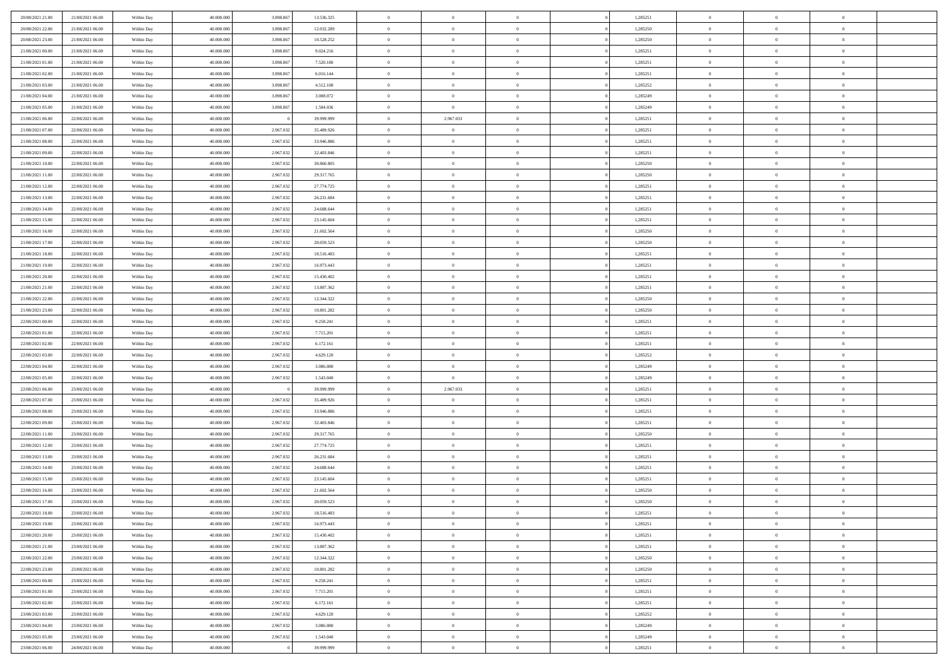| 20/08/2021 21:00                     | 21/08/2021 06:00                     | Within Day               | 40,000,000               | 3.898.867 | 13.536.325               | $\bf{0}$                      | $\overline{0}$              | $\Omega$                         | 1,285251             | $\bf{0}$                 | $\overline{0}$             | $\bf{0}$                   |  |
|--------------------------------------|--------------------------------------|--------------------------|--------------------------|-----------|--------------------------|-------------------------------|-----------------------------|----------------------------------|----------------------|--------------------------|----------------------------|----------------------------|--|
| 20/08/2021 22:00                     | 21/08/2021 06:00                     | Within Day               | 40.000.000               | 3.898.867 | 12.032.289               | $\theta$                      | $\overline{0}$              | $\overline{0}$                   | 1,285250             | $\mathbf{0}$             | $\bf{0}$                   | $\overline{0}$             |  |
| 20/08/2021 23:00                     | 21/08/2021 06:00                     | Within Day               | 40.000.000               | 3.898.867 | 10.528.252               | $\theta$                      | $\overline{0}$              | $\overline{0}$                   | 1,285250             | $\,$ 0                   | $\overline{0}$             | $\,$ 0 $\,$                |  |
| 21/08/2021 00:00                     | 21/08/2021 06:00                     | Within Day               | 40,000,000               | 3.898.867 | 9.024.216                | $\mathbf{0}$                  | $\overline{0}$              | $\mathbf{0}$                     | 1,285251             | $\bf{0}$                 | $\mathbf{0}$               | $\theta$                   |  |
| 21/08/2021 01:00                     | 21/08/2021 06:00                     | Within Day               | 40.000.000               | 3.898.867 | 7.520.180                | $\mathbf{0}$                  | $\overline{0}$              | $\overline{0}$                   | 1,285251             | $\mathbf{0}$             | $\bf{0}$                   | $\overline{0}$             |  |
| 21/08/2021 02:00                     | 21/08/2021 06:00                     | Within Day               | 40.000.000               | 3.898.867 | 6.016.144                | $\theta$                      | $\overline{0}$              | $\bf{0}$                         | 1,285251             | $\,$ 0                   | $\overline{0}$             | $\,$ 0 $\,$                |  |
| 21/08/2021 03:00                     | 21/08/2021 06:00                     | Within Day               | 40,000,000               | 3.898.867 | 4.512.108                | $\,$ 0 $\,$                   | $\overline{0}$              | $\mathbf{0}$                     | 1,285252             | $\bf{0}$                 | $\overline{0}$             | $\theta$                   |  |
| 21/08/2021 04:00                     | 21/08/2021 06:00                     | Within Day               | 40.000.000               | 3.898.867 | 3.008.072                | $\overline{0}$                | $\overline{0}$              | $\overline{0}$                   | 1,285249             | $\mathbf{0}$             | $\bf{0}$                   | $\overline{0}$             |  |
| 21/08/2021 05:00                     | 21/08/2021 06:00                     | Within Day               | 40.000.000               | 3.898.867 | 1.504.036                | $\theta$                      | $\overline{0}$              | $\bf{0}$                         | 1,285249             | $\,$ 0                   | $\overline{0}$             | $\,$ 0 $\,$                |  |
| 21/08/2021 06:00                     | 22/08/2021 06:00                     | Within Day               | 40,000,000               |           | 39,999,999               | $\mathbf{0}$                  | 2.967.033                   | $\mathbf{0}$                     | 1,285251             | $\bf{0}$                 | $\mathbf{0}$               | $\theta$                   |  |
| 21/08/2021 07:00                     | 22/08/2021 06:00                     | Within Day               | 40.000.000               | 2.967.032 | 35.489.926               | $\mathbf{0}$                  | $\overline{0}$              | $\overline{0}$                   | 1,285251             | $\mathbf{0}$             | $\bf{0}$                   | $\overline{0}$             |  |
| 21/08/2021 08:00                     | 22/08/2021 06:00                     | Within Day               | 40.000.000               | 2.967.032 | 33.946.886               | $\theta$                      | $\overline{0}$              | $\bf{0}$                         | 1,285251             | $\,$ 0                   | $\overline{0}$             | $\,$ 0 $\,$                |  |
| 21/08/2021 09:00                     | 22/08/2021 06:00                     | Within Day               | 40,000,000               | 2.967.032 | 32.403.846               | $\theta$                      | $\overline{0}$              | $\mathbf{0}$                     | 1,285251             | $\bf{0}$                 | $\mathbf{0}$               | $\theta$                   |  |
| 21/08/2021 10:00                     | 22/08/2021 06:00                     | Within Day               | 40.000.000               | 2.967.032 | 30.860.805               | $\mathbf{0}$                  | $\overline{0}$              | $\overline{0}$                   | 1,285250             | $\mathbf{0}$             | $\bf{0}$                   | $\overline{0}$             |  |
| 21/08/2021 11:00                     | 22/08/2021 06:00                     | Within Day               | 40.000.000               | 2.967.032 | 29.317.765               | $\theta$                      | $\overline{0}$              | $\overline{0}$                   | 1,285250             | $\,$ 0                   | $\overline{0}$             | $\,$ 0 $\,$                |  |
| 21/08/2021 12:00                     | 22/08/2021 06:00                     | Within Day               | 40,000,000               | 2.967.032 | 27.774.725               | $\bf{0}$                      | $\overline{0}$              | $\mathbf{0}$                     | 1,285251             | $\bf{0}$                 | $\overline{0}$             | $\theta$                   |  |
| 21/08/2021 13:00                     | 22/08/2021 06:00                     | Within Dav               | 40.000.000               | 2.967.032 | 26.231.684               | $\overline{0}$                | $\overline{0}$              | $\overline{0}$                   | 1,285251             | $\mathbf{0}$             | $\bf{0}$                   | $\overline{0}$             |  |
| 21/08/2021 14:00                     | 22/08/2021 06:00                     | Within Day               | 40.000.000               | 2.967.032 | 24.688.644               | $\theta$                      | $\overline{0}$              | $\bf{0}$                         | 1,285251             | $\,$ 0                   | $\overline{0}$             | $\,$ 0 $\,$                |  |
| 21/08/2021 15:00                     | 22/08/2021 06:00                     | Within Day               | 40,000,000               | 2.967.032 | 23.145.604               | $\mathbf{0}$                  | $\overline{0}$              | $\mathbf{0}$                     | 1,285251             | $\theta$                 | $\mathbf{0}$               | $\theta$                   |  |
| 21/08/2021 16:00                     | 22/08/2021 06:00                     | Within Dav               | 40.000.000               | 2.967.032 | 21.602.564               | $\overline{0}$                | $\overline{0}$              | $\overline{0}$                   | 1,285250             | $\mathbf{0}$             | $\bf{0}$                   | $\overline{0}$             |  |
| 21/08/2021 17:00                     | 22/08/2021 06:00                     | Within Day               | 40.000.000               | 2.967.032 | 20.059.523               | $\theta$                      | $\overline{0}$              | $\bf{0}$                         | 1,285250             | $\,$ 0                   | $\overline{0}$             | $\,$ 0 $\,$                |  |
| 21/08/2021 18:00                     | 22/08/2021 06:00                     | Within Day               | 40,000,000               | 2.967.032 | 18.516.483               | $\mathbf{0}$                  | $\overline{0}$              | $\mathbf{0}$                     | 1,285251             | $\bf{0}$                 | $\mathbf{0}$               | $\theta$                   |  |
| 21/08/2021 19:00                     | 22/08/2021 06:00                     | Within Dav               | 40.000.000               | 2.967.032 | 16.973.443               | $\overline{0}$                | $\overline{0}$              | $\overline{0}$                   | 1,285251             | $\mathbf{0}$             | $\bf{0}$                   | $\overline{0}$             |  |
| 21/08/2021 20:00                     | 22/08/2021 06:00                     | Within Day               | 40.000.000               | 2.967.032 | 15.430.402               | $\theta$                      | $\overline{0}$              | $\bf{0}$                         | 1,285251             | $\,$ 0                   | $\overline{0}$             | $\,$ 0 $\,$                |  |
| 21/08/2021 21:00                     | 22/08/2021 06:00                     | Within Day               | 40,000,000               | 2.967.032 | 13.887.362               | $\bf{0}$                      | $\overline{0}$              | $\mathbf{0}$                     | 1,285251             | $\bf{0}$                 | $\overline{0}$             | $\bf{0}$                   |  |
| 21/08/2021 22:00                     | 22/08/2021 06:00                     | Within Dav               | 40.000.000               | 2.967.032 | 12.344.322               | $\overline{0}$                | $\overline{0}$              | $\overline{0}$                   | 1,285250             | $\mathbf{0}$             | $\bf{0}$                   | $\overline{0}$             |  |
| 21/08/2021 23:00                     | 22/08/2021 06:00                     | Within Day               | 40.000.000               | 2.967.032 | 10.801.282               | $\theta$                      | $\overline{0}$              | $\bf{0}$                         | 1,285250             | $\,$ 0                   | $\overline{0}$             | $\,$ 0 $\,$                |  |
| 22/08/2021 00:00                     | 22/08/2021 06:00                     | Within Day               | 40,000,000               | 2.967.032 | 9.258.241                | $\mathbf{0}$                  | $\overline{0}$              | $\mathbf{0}$                     | 1.285251             | $\bf{0}$                 | $\mathbf{0}$               | $\theta$                   |  |
| 22/08/2021 01:00                     | 22/08/2021 06:00                     | Within Dav               | 40.000.000               | 2.967.032 | 7.715.201                | $\overline{0}$                | $\overline{0}$              | $\overline{0}$                   | 1,285251             | $\mathbf{0}$             | $\bf{0}$                   | $\overline{0}$             |  |
| 22/08/2021 02:00                     | 22/08/2021 06:00                     | Within Day               | 40.000.000               | 2.967.032 | 6.172.161                | $\theta$                      | $\overline{0}$              | $\bf{0}$                         | 1,285251             | $\,$ 0                   | $\overline{0}$             | $\,$ 0 $\,$                |  |
| 22/08/2021 03:00                     | 22/08/2021 06:00                     | Within Day               | 40.000.000               | 2.967.032 | 4.629.120                | $\,$ 0 $\,$                   | $\overline{0}$              | $\overline{0}$                   | 1,285252             | $\bf{0}$                 | $\overline{0}$             | $\,0\,$                    |  |
| 22/08/2021 04:00                     | 22/08/2021 06:00                     | Within Dav               | 40.000.000               | 2.967.032 | 3.086.080                | $\overline{0}$                | $\overline{0}$              | $\overline{0}$                   | 1,285249             | $\mathbf{0}$             | $\bf{0}$                   | $\overline{0}$             |  |
| 22/08/2021 05:00                     | 22/08/2021 06:00                     | Within Day               | 40.000.000               | 2.967.032 | 1.543.040                | $\,$ 0 $\,$                   | $\overline{0}$              | $\overline{0}$                   | 1,285249             | $\,$ 0                   | $\overline{0}$             | $\,$ 0 $\,$                |  |
| 22/08/2021 06:00<br>22/08/2021 07:00 | 23/08/2021 06:00<br>23/08/2021 06:00 | Within Day<br>Within Dav | 40.000.000<br>40.000.000 | 2.967.032 | 39.999.999<br>35.489.926 | $\,$ 0 $\,$<br>$\overline{0}$ | 2.967.033<br>$\overline{0}$ | $\overline{0}$<br>$\overline{0}$ | 1,285251<br>1,285251 | $\bf{0}$<br>$\mathbf{0}$ | $\overline{0}$<br>$\bf{0}$ | $\bf{0}$<br>$\overline{0}$ |  |
| 22/08/2021 08:00                     | 23/08/2021 06:00                     | Within Day               | 40.000.000               | 2.967.032 | 33.946.886               | $\theta$                      | $\overline{0}$              | $\bf{0}$                         | 1,285251             | $\,$ 0                   | $\overline{0}$             | $\,$ 0 $\,$                |  |
| 22/08/2021 09:00                     | 23/08/2021 06:00                     | Within Day               | 40.000.000               | 2.967.032 | 32.403.846               | $\,$ 0 $\,$                   | $\overline{0}$              | $\overline{0}$                   | 1,285251             | $\bf{0}$                 | $\overline{0}$             | $\,0\,$                    |  |
| 22/08/2021 11:00                     | 23/08/2021 06:00                     | Within Dav               | 40.000.000               | 2.967.032 | 29.317.765               | $\mathbf{0}$                  | $\overline{0}$              | $\overline{0}$                   | 1,285250             | $\mathbf{0}$             | $\bf{0}$                   | $\overline{0}$             |  |
| 22/08/2021 12:00                     | 23/08/2021 06:00                     | Within Day               | 40.000.000               | 2.967.032 | 27.774.725               | $\theta$                      | $\overline{0}$              | $\bf{0}$                         | 1,285251             | $\,$ 0                   | $\overline{0}$             | $\,$ 0 $\,$                |  |
| 22/08/2021 13:00                     | 23/08/2021 06:00                     | Within Day               | 40.000.000               | 2.967.032 | 26.231.684               | $\,$ 0 $\,$                   | $\overline{0}$              | $\overline{0}$                   | 1,285251             | $\bf{0}$                 | $\overline{0}$             | $\,0\,$                    |  |
| 22/08/2021 14:00                     | 23/08/2021 06:00                     | Within Dav               | 40.000.000               | 2.967.032 | 24.688.644               | $\theta$                      | $\overline{0}$              | $\overline{0}$                   | 1,285251             | $\mathbf{0}$             | $\bf{0}$                   | $\overline{0}$             |  |
| 22/08/2021 15:00                     | 23/08/2021 06:00                     | Within Day               | 40.000.000               | 2.967.032 | 23.145.604               | $\theta$                      | $\overline{0}$              | $\bf{0}$                         | 1,285251             | $\,$ 0                   | $\overline{0}$             | $\,$ 0 $\,$                |  |
| 22/08/2021 16:00                     | 23/08/2021 06:00                     | Within Day               | 40.000.000               | 2.967.032 | 21.602.564               | $\,$ 0 $\,$                   | $\overline{0}$              | $\overline{0}$                   | 1,285250             | $\bf{0}$                 | $\overline{0}$             | $\,0\,$                    |  |
| 22/08/2021 17:00                     | 23/08/2021 06:00                     | Within Dav               | 40.000.000               | 2.967.032 | 20.059.523               | $\theta$                      | $\overline{0}$              | $\overline{0}$                   | 1,285250             | $\mathbf{0}$             | $\bf{0}$                   | $\overline{0}$             |  |
| 22/08/2021 18:00                     | 23/08/2021 06:00                     | Within Day               | 40.000.000               | 2.967.032 | 18.516.483               | $\overline{0}$                | $\overline{0}$              | $\overline{0}$                   | 1,285251             | $\overline{0}$           | $\overline{0}$             | $\theta$                   |  |
| 22/08/2021 19:00                     | 23/08/2021 06:00                     | Within Day               | 40.000.000               | 2.967.032 | 16.973.443               | $\bf{0}$                      | $\overline{0}$              | $\overline{0}$                   | 1,285251             | $\mathbf{0}$             | $\overline{0}$             | $\bf{0}$                   |  |
| 22/08/2021 20:00                     | 23/08/2021 06:00                     | Within Day               | 40.000.000               | 2.967.032 | 15.430.402               | $\overline{0}$                | $\overline{0}$              | $\overline{0}$                   | 1,285251             | $\overline{0}$           | $\overline{0}$             | $\overline{0}$             |  |
| 22/08/2021 21:00                     | 23/08/2021 06:00                     | Within Day               | 40.000.000               | 2.967.032 | 13.887.362               | $\,$ 0                        | $\overline{0}$              | $\overline{0}$                   | 1,285251             | $\,$ 0 $\,$              | $\,$ 0 $\,$                | $\,$ 0 $\,$                |  |
| 22/08/2021 22:00                     | 23/08/2021 06:00                     | Within Day               | 40.000.000               | 2.967.032 | 12.344.322               | $\bf{0}$                      | $\overline{0}$              | $\overline{0}$                   | 1,285250             | $\mathbf{0}$             | $\overline{0}$             | $\bf{0}$                   |  |
| 22/08/2021 23:00                     | 23/08/2021 06:00                     | Within Day               | 40.000.000               | 2.967.032 | 10.801.282               | $\,$ 0 $\,$                   | $\overline{0}$              | $\overline{0}$                   | 1,285250             | $\,$ 0 $\,$              | $\bf{0}$                   | $\overline{0}$             |  |
| 23/08/2021 00:00                     | 23/08/2021 06:00                     | Within Day               | 40.000.000               | 2.967.032 | 9.258.241                | $\,$ 0                        | $\overline{0}$              | $\overline{0}$                   | 1,285251             | $\,$ 0 $\,$              | $\overline{0}$             | $\,$ 0 $\,$                |  |
| 23/08/2021 01:00                     | 23/08/2021 06:00                     | Within Day               | 40.000.000               | 2.967.032 | 7.715.201                | $\bf{0}$                      | $\overline{0}$              | $\overline{0}$                   | 1,285251             | $\overline{0}$           | $\overline{0}$             | $\overline{0}$             |  |
| 23/08/2021 02:00                     | 23/08/2021 06:00                     | Within Day               | 40.000.000               | 2.967.032 | 6.172.161                | $\,$ 0 $\,$                   | $\overline{0}$              | $\overline{0}$                   | 1,285251             | $\,$ 0 $\,$              | $\bf{0}$                   | $\mathbf{0}$               |  |
| 23/08/2021 03:00                     | 23/08/2021 06:00                     | Within Day               | 40.000.000               | 2.967.032 | 4.629.120                | $\,$ 0                        | $\overline{0}$              | $\overline{0}$                   | 1,285252             | $\,$ 0 $\,$              | $\,$ 0 $\,$                | $\,$ 0 $\,$                |  |
| 23/08/2021 04:00                     | 23/08/2021 06:00                     | Within Day               | 40.000.000               | 2.967.032 | 3.086.080                | $\bf{0}$                      | $\overline{0}$              | $\overline{0}$                   | 1,285249             | $\mathbf{0}$             | $\overline{0}$             | $\bf{0}$                   |  |
| 23/08/2021 05:00                     | 23/08/2021 06:00                     | Within Day               | 40.000.000               | 2.967.032 | 1.543.040                | $\mathbf{0}$                  | $\overline{0}$              | $\overline{0}$                   | 1,285249             | $\overline{0}$           | $\bf{0}$                   | $\overline{0}$             |  |
| 23/08/2021 06:00                     | 24/08/2021 06:00                     | Within Day               | 40.000.000               |           | 39.999.999               | $\,$ 0 $\,$                   | $\overline{0}$              | $\overline{0}$                   | 1,285251             | $\,$ 0 $\,$              | $\overline{0}$             | $\,$ 0 $\,$                |  |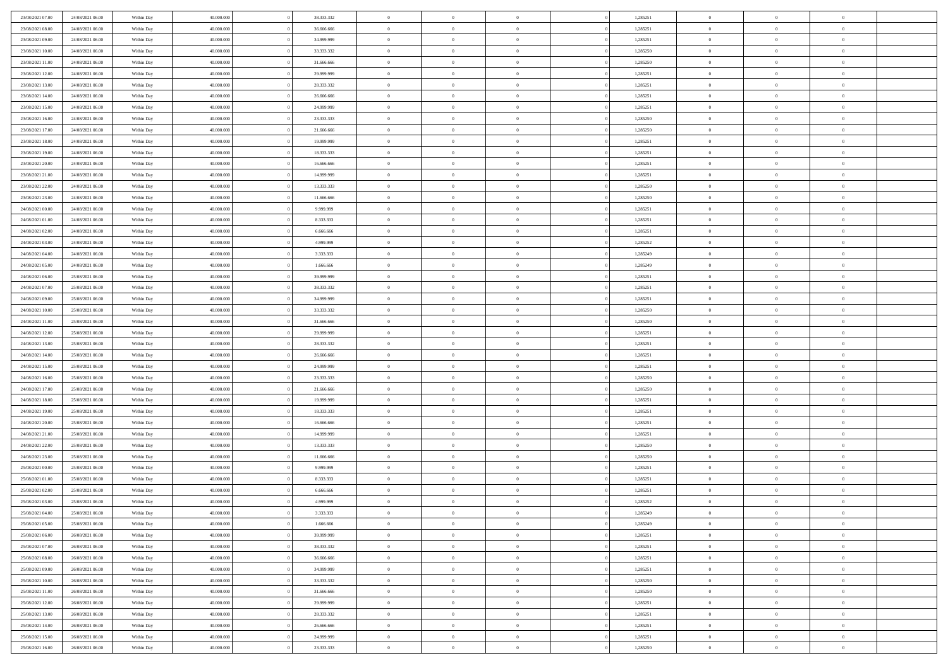| 23/08/2021 07:00                     | 24/08/2021 06:00                     | Within Day               | 40,000,000               | 38.333.332               | $\bf{0}$                   | $\overline{0}$                   | $\Omega$                         | 1,285251             | $\bf{0}$                 | $\overline{0}$             | $\bf{0}$                  |  |
|--------------------------------------|--------------------------------------|--------------------------|--------------------------|--------------------------|----------------------------|----------------------------------|----------------------------------|----------------------|--------------------------|----------------------------|---------------------------|--|
| 23/08/2021 08:00                     | 24/08/2021 06:00                     | Within Day               | 40.000.000               | 36.666.666               | $\overline{0}$             | $\overline{0}$                   | $\overline{0}$                   | 1,285251             | $\mathbf{0}$             | $\bf{0}$                   | $\overline{0}$            |  |
| 23/08/2021 09:00                     | 24/08/2021 06:00                     | Within Day               | 40.000.000               | 34.999.999               | $\theta$                   | $\overline{0}$                   | $\overline{0}$                   | 1,285251             | $\,$ 0                   | $\overline{0}$             | $\,$ 0 $\,$               |  |
| 23/08/2021 10:00                     | 24/08/2021 06:00                     | Within Day               | 40.000.000               | 33.333.332               | $\mathbf{0}$               | $\overline{0}$                   | $\mathbf{0}$                     | 1,285250             | $\bf{0}$                 | $\mathbf{0}$               | $\theta$                  |  |
| 23/08/2021 11:00                     | 24/08/2021 06:00                     | Within Dav               | 40.000.000               | 31.666.666               | $\overline{0}$             | $\overline{0}$                   | $\overline{0}$                   | 1,285250             | $\mathbf{0}$             | $\bf{0}$                   | $\overline{0}$            |  |
| 23/08/2021 12:00                     | 24/08/2021 06:00                     | Within Day               | 40.000.000               | 29.999.999               | $\theta$                   | $\overline{0}$                   | $\overline{0}$                   | 1,285251             | $\,$ 0                   | $\overline{0}$             | $\,$ 0 $\,$               |  |
| 23/08/2021 13:00                     | 24/08/2021 06:00                     | Within Day               | 40,000,000               | 28.333.332               | $\,$ 0 $\,$                | $\overline{0}$                   | $\mathbf{0}$                     | 1,285251             | $\bf{0}$                 | $\overline{0}$             | $\theta$                  |  |
| 23/08/2021 14:00                     | 24/08/2021 06:00                     | Within Dav               | 40.000.000               | 26.666.666               | $\overline{0}$             | $\overline{0}$                   | $\overline{0}$                   | 1,285251             | $\mathbf{0}$             | $\bf{0}$                   | $\overline{0}$            |  |
| 23/08/2021 15:00                     | 24/08/2021 06:00                     | Within Day               | 40.000.000               | 24.999.999               | $\theta$                   | $\overline{0}$                   | $\overline{0}$                   | 1,285251             | $\,$ 0                   | $\overline{0}$             | $\,$ 0 $\,$               |  |
| 23/08/2021 16:00                     | 24/08/2021 06:00                     | Within Day               | 40,000,000               | 23.333.333               | $\mathbf{0}$               | $\overline{0}$                   | $\mathbf{0}$                     | 1,285250             | $\theta$                 | $\mathbf{0}$               | $\theta$                  |  |
| 23/08/2021 17:00                     | 24/08/2021 06:00                     | Within Day               | 40.000.000               | 21.666.666               | $\overline{0}$             | $\overline{0}$                   | $\overline{0}$                   | 1,285250             | $\mathbf{0}$             | $\bf{0}$                   | $\overline{0}$            |  |
| 23/08/2021 18:00                     | 24/08/2021 06:00                     | Within Day               | 40.000.000               | 19.999.999               | $\theta$                   | $\overline{0}$                   | $\overline{0}$                   | 1,285251             | $\,$ 0                   | $\overline{0}$             | $\,$ 0 $\,$               |  |
| 23/08/2021 19:00                     | 24/08/2021 06:00                     | Within Day               | 40.000.000               | 18.333.333               | $\theta$                   | $\overline{0}$                   | $\mathbf{0}$                     | 1,285251             | $\bf{0}$                 | $\mathbf{0}$               | $\theta$                  |  |
| 23/08/2021 20:00                     | 24/08/2021 06:00                     | Within Dav               | 40.000.000               | 16.666.666               | $\overline{0}$             | $\overline{0}$                   | $\overline{0}$                   | 1,285251             | $\mathbf{0}$             | $\bf{0}$                   | $\overline{0}$            |  |
| 23/08/2021 21:00                     | 24/08/2021 06:00                     | Within Day               | 40.000.000               | 14.999.999               | $\theta$                   | $\overline{0}$                   | $\overline{0}$                   | 1,285251             | $\,$ 0                   | $\overline{0}$             | $\,$ 0 $\,$               |  |
| 23/08/2021 22:00                     | 24/08/2021 06:00                     | Within Day               | 40,000,000               | 13.333.333               | $\bf{0}$                   | $\overline{0}$                   | $\mathbf{0}$                     | 1,285250             | $\bf{0}$                 | $\overline{0}$             | $\bf{0}$                  |  |
| 23/08/2021 23:00                     | 24/08/2021 06:00                     | Within Dav               | 40.000.000               | 11.666.666               | $\overline{0}$             | $\overline{0}$                   | $\overline{0}$                   | 1,285250             | $\mathbf{0}$             | $\bf{0}$                   | $\overline{0}$            |  |
| 24/08/2021 00:00                     | 24/08/2021 06:00                     | Within Day               | 40.000.000               | 9.999.999                | $\theta$                   | $\overline{0}$                   | $\overline{0}$                   | 1,285251             | $\,$ 0                   | $\overline{0}$             | $\,$ 0 $\,$               |  |
| 24/08/2021 01:00                     | 24/08/2021 06:00                     | Within Day               | 40,000,000               | 8.333.333                | $\overline{0}$             | $\overline{0}$                   | $\mathbf{0}$                     | 1,285251             | $\theta$                 | $\mathbf{0}$               | $\theta$                  |  |
| 24/08/2021 02:00                     | 24/08/2021 06:00                     | Within Day               | 40.000.000               | 6.666.666                | $\overline{0}$             | $\overline{0}$                   | $\overline{0}$                   | 1,285251             | $\mathbf{0}$             | $\bf{0}$                   | $\overline{0}$            |  |
| 24/08/2021 03:00                     | 24/08/2021 06:00                     | Within Day               | 40.000.000               | 4.999.999                | $\theta$                   | $\overline{0}$                   | $\overline{0}$                   | 1,285252             | $\,$ 0                   | $\overline{0}$             | $\,$ 0 $\,$               |  |
| 24/08/2021 04:00                     | 24/08/2021 06:00                     | Within Day               | 40.000.000               | 3.333.333                | $\theta$                   | $\overline{0}$                   | $\mathbf{0}$                     | 1,285249             | $\bf{0}$                 | $\mathbf{0}$               | $\theta$                  |  |
| 24/08/2021 05:00                     | 24/08/2021 06:00                     | Within Day               | 40.000.000               | 1.666.666                | $\overline{0}$             | $\overline{0}$                   | $\overline{0}$                   | 1,285249             | $\mathbf{0}$             | $\bf{0}$                   | $\overline{0}$            |  |
| 24/08/2021 06:00                     | 25/08/2021 06:00                     | Within Day               | 40.000.000               | 39.999.999               | $\theta$                   | $\overline{0}$                   | $\overline{0}$                   | 1,285251             | $\,$ 0                   | $\overline{0}$             | $\,$ 0 $\,$               |  |
| 24/08/2021 07:00                     | 25/08/2021 06:00                     | Within Day               | 40,000,000               | 38.333.332               | $\bf{0}$                   | $\overline{0}$                   | $\mathbf{0}$                     | 1,285251             | $\bf{0}$                 | $\overline{0}$             | $\bf{0}$                  |  |
| 24/08/2021 09:00                     | 25/08/2021 06:00                     | Within Day               | 40.000.000               | 34.999.999               | $\overline{0}$             | $\overline{0}$                   | $\overline{0}$                   | 1,285251             | $\mathbf{0}$             | $\bf{0}$                   | $\overline{0}$            |  |
| 24/08/2021 10:00                     | 25/08/2021 06:00                     | Within Day               | 40.000.000               | 33.333.332               | $\theta$                   | $\overline{0}$                   | $\overline{0}$                   | 1,285250             | $\,$ 0                   | $\overline{0}$             | $\,$ 0 $\,$               |  |
| 24/08/2021 11:00                     | 25/08/2021 06:00                     | Within Day               | 40,000,000               | 31,666,666               | $\mathbf{0}$               | $\overline{0}$                   | $\mathbf{0}$                     | 1.285250             | $\theta$                 | $\mathbf{0}$               | $\theta$                  |  |
| 24/08/2021 12:00                     | 25/08/2021 06:00                     | Within Day               | 40.000.000               | 29.999.999               | $\mathbf{0}$               | $\overline{0}$                   | $\overline{0}$                   | 1,285251             | $\mathbf{0}$             | $\bf{0}$                   | $\overline{0}$            |  |
| 24/08/2021 13:00                     | 25/08/2021 06:00                     | Within Day               | 40.000.000               | 28.333.332               | $\theta$                   | $\overline{0}$                   | $\overline{0}$                   | 1,285251             | $\,$ 0                   | $\overline{0}$             | $\,$ 0 $\,$               |  |
| 24/08/2021 14:00                     | 25/08/2021 06:00                     | Within Day               | 40.000.000               | 26.666.666               | $\bf{0}$<br>$\overline{0}$ | $\overline{0}$                   | $\overline{0}$                   | 1,285251             | $\bf{0}$<br>$\mathbf{0}$ | $\overline{0}$             | $\,0\,$<br>$\overline{0}$ |  |
| 24/08/2021 15:00<br>24/08/2021 16:00 | 25/08/2021 06:00<br>25/08/2021 06:00 | Within Day               | 40.000.000<br>40.000.000 | 24.999.999<br>23.333.333 | $\theta$                   | $\overline{0}$<br>$\overline{0}$ | $\overline{0}$                   | 1,285251<br>1,285250 | $\,$ 0                   | $\bf{0}$<br>$\overline{0}$ | $\,$ 0 $\,$               |  |
| 24/08/2021 17:00                     | 25/08/2021 06:00                     | Within Day<br>Within Day | 40.000.000               | 21.666.666               | $\,$ 0 $\,$                | $\overline{0}$                   | $\overline{0}$<br>$\overline{0}$ | 1,285250             | $\bf{0}$                 | $\overline{0}$             | $\bf{0}$                  |  |
| 24/08/2021 18:00                     | 25/08/2021 06:00                     | Within Day               | 40.000.000               | 19.999.999               | $\overline{0}$             | $\overline{0}$                   | $\overline{0}$                   | 1,285251             | $\mathbf{0}$             | $\bf{0}$                   | $\overline{0}$            |  |
| 24/08/2021 19:00                     | 25/08/2021 06:00                     | Within Day               | 40.000.000               | 18.333.333               | $\theta$                   | $\overline{0}$                   | $\overline{0}$                   | 1,285251             | $\,$ 0                   | $\overline{0}$             | $\,$ 0 $\,$               |  |
| 24/08/2021 20:00                     | 25/08/2021 06:00                     | Within Day               | 40.000.000               | 16.666.666               | $\bf{0}$                   | $\overline{0}$                   | $\overline{0}$                   | 1,285251             | $\bf{0}$                 | $\overline{0}$             | $\,0\,$                   |  |
| 24/08/2021 21:00                     | 25/08/2021 06:00                     | Within Day               | 40.000.000               | 14.999.999               | $\overline{0}$             | $\overline{0}$                   | $\overline{0}$                   | 1,285251             | $\mathbf{0}$             | $\bf{0}$                   | $\overline{0}$            |  |
| 24/08/2021 22:00                     | 25/08/2021 06:00                     | Within Day               | 40.000.000               | 13.333.333               | $\theta$                   | $\overline{0}$                   | $\overline{0}$                   | 1,285250             | $\,$ 0                   | $\overline{0}$             | $\,$ 0 $\,$               |  |
| 24/08/2021 23:00                     | 25/08/2021 06:00                     | Within Day               | 40.000.000               | 11.666.666               | $\,$ 0 $\,$                | $\overline{0}$                   | $\overline{0}$                   | 1,285250             | $\bf{0}$                 | $\overline{0}$             | $\,0\,$                   |  |
| 25/08/2021 00:00                     | 25/08/2021 06:00                     | Within Day               | 40.000.000               | 9.999.999                | $\overline{0}$             | $\overline{0}$                   | $\overline{0}$                   | 1,285251             | $\mathbf{0}$             | $\bf{0}$                   | $\overline{0}$            |  |
| 25/08/2021 01:00                     | 25/08/2021 06:00                     | Within Day               | 40.000.000               | 8.333.333                | $\theta$                   | $\overline{0}$                   | $\overline{0}$                   | 1,285251             | $\,$ 0                   | $\overline{0}$             | $\,$ 0 $\,$               |  |
| 25/08/2021 02:00                     | 25/08/2021 06:00                     | Within Day               | 40.000.000               | 6.666.666                | $\,$ 0 $\,$                | $\overline{0}$                   | $\overline{0}$                   | 1,285251             | $\bf{0}$                 | $\overline{0}$             | $\bf{0}$                  |  |
| 25/08/2021 03:00                     | 25/08/2021 06:00                     | Within Day               | 40.000.000               | 4.999.999                | $\theta$                   | $\overline{0}$                   | $\overline{0}$                   | 1,285252             | $\mathbf{0}$             | $\bf{0}$                   | $\overline{0}$            |  |
| 25/08/2021 04:00                     | 25/08/2021 06:00                     | Within Day               | 40.000.000               | 3.333.333                | $\overline{0}$             | $\overline{0}$                   | $\overline{0}$                   | 1,285249             | $\overline{0}$           | $\overline{0}$             | $\theta$                  |  |
| 25/08/2021 05:00                     | 25/08/2021 06:00                     | Within Day               | 40.000.000               | 1.666.666                | $\bf{0}$                   | $\overline{0}$                   | $\overline{0}$                   | 1,285249             | $\mathbf{0}$             | $\overline{0}$             | $\bf{0}$                  |  |
| 25/08/2021 06:00                     | 26/08/2021 06:00                     | Within Day               | 40.000.000               | 39.999.999               | $\overline{0}$             | $\overline{0}$                   | $\overline{0}$                   | 1,285251             | $\overline{0}$           | $\overline{0}$             | $\overline{0}$            |  |
| 25/08/2021 07:00                     | 26/08/2021 06:00                     | Within Day               | 40.000.000               | 38.333.332               | $\,$ 0                     | $\overline{0}$                   | $\overline{0}$                   | 1,285251             | $\,$ 0 $\,$              | $\,$ 0 $\,$                | $\,$ 0 $\,$               |  |
| 25/08/2021 08:00                     | 26/08/2021 06:00                     | Within Day               | 40.000.000               | 36.666.666               | $\bf{0}$                   | $\overline{0}$                   | $\overline{0}$                   | 1,285251             | $\mathbf{0}$             | $\overline{0}$             | $\bf{0}$                  |  |
| 25/08/2021 09:00                     | 26/08/2021 06:00                     | Within Day               | 40.000.000               | 34.999.999               | $\mathbf{0}$               | $\overline{0}$                   | $\overline{0}$                   | 1,285251             | $\,$ 0 $\,$              | $\overline{0}$             | $\mathbf{0}$              |  |
| 25/08/2021 10:00                     | 26/08/2021 06:00                     | Within Day               | 40.000.000               | 33.333.332               | $\,$ 0                     | $\overline{0}$                   | $\overline{0}$                   | 1,285250             | $\,$ 0 $\,$              | $\,$ 0 $\,$                | $\,$ 0 $\,$               |  |
| 25/08/2021 11:00                     | 26/08/2021 06:00                     | Within Day               | 40.000.000               | 31.666.666               | $\bf{0}$                   | $\overline{0}$                   | $\overline{0}$                   | 1,285250             | $\bf{0}$                 | $\overline{0}$             | $\overline{0}$            |  |
| 25/08/2021 12:00                     | 26/08/2021 06:00                     | Within Day               | 40.000.000               | 29.999.999               | $\mathbf{0}$               | $\overline{0}$                   | $\overline{0}$                   | 1,285251             | $\overline{0}$           | $\overline{0}$             | $\overline{0}$            |  |
| 25/08/2021 13:00                     | 26/08/2021 06:00                     | Within Day               | 40.000.000               | 28.333.332               | $\,$ 0                     | $\overline{0}$                   | $\overline{0}$                   | 1,285251             | $\,$ 0 $\,$              | $\,$ 0 $\,$                | $\,$ 0 $\,$               |  |
| 25/08/2021 14:00                     | 26/08/2021 06:00                     | Within Day               | 40.000.000               | 26.666.666               | $\bf{0}$                   | $\overline{0}$                   | $\overline{0}$                   | 1,285251             | $\mathbf{0}$             | $\overline{0}$             | $\bf{0}$                  |  |
| 25/08/2021 15:00                     | 26/08/2021 06:00                     | Within Day               | 40.000.000               | 24.999.999               | $\mathbf{0}$               | $\overline{0}$                   | $\overline{0}$                   | 1,285251             | $\overline{0}$           | $\bf{0}$                   | $\overline{0}$            |  |
| 25/08/2021 16:00                     | 26/08/2021 06:00                     | Within Day               | 40.000.000               | 23.333.333               | $\,$ 0 $\,$                | $\overline{0}$                   | $\overline{0}$                   | 1,285250             | $\,$ 0 $\,$              | $\overline{0}$             | $\,$ 0 $\,$               |  |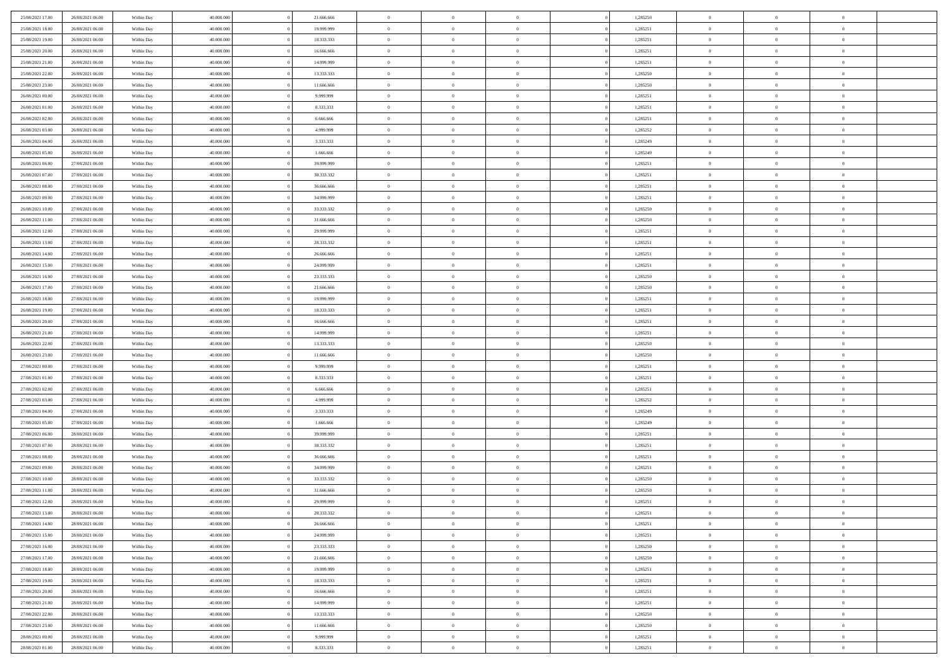| 25/08/2021 17:00                     | 26/08/2021 06:00                     | Within Day               | 40,000,000               | 21.666.666             | $\bf{0}$                      | $\overline{0}$                   | $\Omega$                         | 1,285250             | $\bf{0}$                 | $\overline{0}$             | $\overline{0}$             |  |
|--------------------------------------|--------------------------------------|--------------------------|--------------------------|------------------------|-------------------------------|----------------------------------|----------------------------------|----------------------|--------------------------|----------------------------|----------------------------|--|
| 25/08/2021 18:00                     | 26/08/2021 06:00                     | Within Day               | 40.000.000               | 19.999.999             | $\theta$                      | $\overline{0}$                   | $\overline{0}$                   | 1,285251             | $\mathbf{0}$             | $\bf{0}$                   | $\overline{0}$             |  |
| 25/08/2021 19:00                     | 26/08/2021 06:00                     | Within Day               | 40.000.000               | 18.333.333             | $\theta$                      | $\overline{0}$                   | $\overline{0}$                   | 1,285251             | $\,$ 0                   | $\overline{0}$             | $\,$ 0 $\,$                |  |
| 25/08/2021 20:00                     | 26/08/2021 06:00                     | Within Day               | 40.000.000               | 16,666,666             | $\mathbf{0}$                  | $\overline{0}$                   | $\mathbf{0}$                     | 1,285251             | $\bf{0}$                 | $\mathbf{0}$               | $\theta$                   |  |
| 25/08/2021 21:00                     | 26/08/2021 06:00                     | Within Day               | 40.000.000               | 14.999.999             | $\mathbf{0}$                  | $\overline{0}$                   | $\overline{0}$                   | 1,285251             | $\mathbf{0}$             | $\bf{0}$                   | $\overline{0}$             |  |
| 25/08/2021 22:00                     | 26/08/2021 06:00                     | Within Day               | 40.000.000               | 13.333.333             | $\theta$                      | $\overline{0}$                   | $\overline{0}$                   | 1,285250             | $\,$ 0                   | $\overline{0}$             | $\,$ 0 $\,$                |  |
| 25/08/2021 23:00                     | 26/08/2021 06:00                     | Within Day               | 40,000,000               | 11.666.666             | $\,$ 0 $\,$                   | $\overline{0}$                   | $\mathbf{0}$                     | 1,285250             | $\bf{0}$                 | $\overline{0}$             | $\theta$                   |  |
| 26/08/2021 00:00                     | 26/08/2021 06:00                     | Within Day               | 40.000.000               | 9.999.999              | $\overline{0}$                | $\overline{0}$                   | $\overline{0}$                   | 1,285251             | $\mathbf{0}$             | $\bf{0}$                   | $\overline{0}$             |  |
| 26/08/2021 01:00                     | 26/08/2021 06:00                     | Within Day               | 40.000.000               | 8.333.333              | $\theta$                      | $\overline{0}$                   | $\overline{0}$                   | 1,285251             | $\,$ 0                   | $\overline{0}$             | $\,$ 0 $\,$                |  |
| 26/08/2021 02:00                     | 26/08/2021 06:00                     | Within Day               | 40,000,000               | 6.666.666              | $\mathbf{0}$                  | $\overline{0}$                   | $\mathbf{0}$                     | 1,285251             | $\bf{0}$                 | $\mathbf{0}$               | $\theta$                   |  |
| 26/08/2021 03:00                     | 26/08/2021 06:00                     | Within Day               | 40.000.000               | 4.999.999              | $\mathbf{0}$                  | $\overline{0}$                   | $\overline{0}$                   | 1,285252             | $\mathbf{0}$             | $\bf{0}$                   | $\overline{0}$             |  |
| 26/08/2021 04:00                     | 26/08/2021 06:00                     | Within Day               | 40.000.000               | 3.333.333              | $\theta$                      | $\overline{0}$                   | $\overline{0}$                   | 1,285249             | $\,$ 0                   | $\overline{0}$             | $\,$ 0 $\,$                |  |
| 26/08/2021 05:00                     | 26/08/2021 06:00                     | Within Day               | 40.000.000               | 1.666.666              | $\theta$                      | $\overline{0}$                   | $\mathbf{0}$                     | 1,285249             | $\bf{0}$                 | $\mathbf{0}$               | $\theta$                   |  |
| 26/08/2021 06:00                     | 27/08/2021 06:00                     | Within Day               | 40.000.000               | 39.999.999             | $\overline{0}$                | $\overline{0}$                   | $\overline{0}$                   | 1,285251             | $\mathbf{0}$             | $\bf{0}$                   | $\overline{0}$             |  |
| 26/08/2021 07:00                     | 27/08/2021 06:00                     | Within Day               | 40.000.000               | 38.333.332             | $\theta$                      | $\overline{0}$                   | $\overline{0}$                   | 1,285251             | $\,$ 0                   | $\overline{0}$             | $\,$ 0 $\,$                |  |
| 26/08/2021 08:00                     | 27/08/2021 06:00                     | Within Day               | 40,000,000               | 36,666,666             | $\bf{0}$                      | $\overline{0}$                   | $\mathbf{0}$                     | 1,285251             | $\bf{0}$                 | $\overline{0}$             | $\bf{0}$                   |  |
| 26/08/2021 09:00                     | 27/08/2021 06:00                     | Within Day               | 40.000.000               | 34.999.999             | $\overline{0}$                | $\overline{0}$                   | $\overline{0}$                   | 1,285251             | $\mathbf{0}$             | $\bf{0}$                   | $\overline{0}$             |  |
| 26/08/2021 10:00                     | 27/08/2021 06:00                     | Within Day               | 40.000.000               | 33.333.332             | $\theta$                      | $\overline{0}$                   | $\overline{0}$                   | 1,285250             | $\,$ 0                   | $\overline{0}$             | $\,$ 0 $\,$                |  |
| 26/08/2021 11:00                     | 27/08/2021 06:00                     | Within Day               | 40,000,000               | 31,666,666             | $\overline{0}$                | $\overline{0}$                   | $\mathbf{0}$                     | 1,285250             | $\theta$                 | $\mathbf{0}$               | $\theta$                   |  |
| 26/08/2021 12:00                     | 27/08/2021 06:00                     | Within Day               | 40.000.000               | 29.999.999             | $\overline{0}$                | $\overline{0}$                   | $\overline{0}$                   | 1,285251             | $\mathbf{0}$             | $\bf{0}$                   | $\overline{0}$             |  |
| 26/08/2021 13:00                     | 27/08/2021 06:00                     | Within Day               | 40.000.000               | 28.333.332             | $\theta$                      | $\overline{0}$                   | $\overline{0}$                   | 1,285251             | $\,$ 0                   | $\overline{0}$             | $\,$ 0 $\,$                |  |
| 26/08/2021 14:00                     | 27/08/2021 06:00                     | Within Day               | 40.000.000               | 26,666,666             | $\mathbf{0}$                  | $\overline{0}$                   | $\mathbf{0}$                     | 1,285251             | $\bf{0}$                 | $\mathbf{0}$               | $\theta$                   |  |
| 26/08/2021 15:00                     | 27/08/2021 06:00                     | Within Day               | 40.000.000               | 24.999.999             | $\overline{0}$                | $\overline{0}$                   | $\overline{0}$                   | 1,285251             | $\mathbf{0}$             | $\bf{0}$                   | $\overline{0}$             |  |
| 26/08/2021 16:00                     | 27/08/2021 06:00                     | Within Day               | 40.000.000               | 23.333.333             | $\theta$                      | $\overline{0}$                   | $\overline{0}$                   | 1,285250             | $\,$ 0                   | $\overline{0}$             | $\,$ 0 $\,$                |  |
| 26/08/2021 17:00                     | 27/08/2021 06:00                     | Within Day               | 40,000,000               | 21.666.666             | $\bf{0}$                      | $\overline{0}$                   | $\mathbf{0}$                     | 1,285250             | $\bf{0}$                 | $\overline{0}$             | $\bf{0}$                   |  |
| 26/08/2021 18:00                     | 27/08/2021 06:00                     | Within Day               | 40.000.000               | 19.999.999             | $\overline{0}$                | $\overline{0}$                   | $\overline{0}$                   | 1,285251             | $\mathbf{0}$             | $\bf{0}$                   | $\overline{0}$             |  |
| 26/08/2021 19:00                     | 27/08/2021 06:00                     | Within Day               | 40.000.000               | 18.333.333             | $\theta$                      | $\overline{0}$                   | $\overline{0}$                   | 1,285251             | $\,$ 0                   | $\overline{0}$             | $\,$ 0 $\,$                |  |
| 26/08/2021 20:00                     | 27/08/2021 06:00                     | Within Day               | 40,000,000               | 16,666,666             | $\mathbf{0}$                  | $\overline{0}$                   | $\mathbf{0}$                     | 1,285251             | $\bf{0}$                 | $\mathbf{0}$               | $\theta$                   |  |
| 26/08/2021 21:00                     | 27/08/2021 06:00                     | Within Day               | 40.000.000               | 14.999.999             | $\mathbf{0}$                  | $\overline{0}$                   | $\overline{0}$                   | 1,285251             | $\mathbf{0}$             | $\bf{0}$                   | $\overline{0}$             |  |
| 26/08/2021 22:00                     | 27/08/2021 06:00                     | Within Day               | 40.000.000               | 13.333.333             | $\theta$                      | $\overline{0}$                   | $\overline{0}$                   | 1,285250             | $\,$ 0                   | $\overline{0}$             | $\,$ 0 $\,$                |  |
| 26/08/2021 23:00                     | 27/08/2021 06:00                     | Within Day               | 40.000.000               | 11.666.666             | $\,$ 0 $\,$                   | $\overline{0}$                   | $\overline{0}$                   | 1,285250             | $\bf{0}$                 | $\overline{0}$             | $\,0\,$                    |  |
| 27/08/2021 00:00                     | 27/08/2021 06:00                     | Within Day               | 40.000.000               | 9.999.999              | $\overline{0}$                | $\overline{0}$                   | $\overline{0}$                   | 1,285251             | $\mathbf{0}$             | $\bf{0}$                   | $\overline{0}$             |  |
| 27/08/2021 01:00                     | 27/08/2021 06:00                     | Within Day               | 40.000.000               | 8.333.333              | $\theta$                      | $\overline{0}$                   | $\overline{0}$                   | 1,285251             | $\,$ 0                   | $\overline{0}$             | $\,$ 0 $\,$                |  |
| 27/08/2021 02:00<br>27/08/2021 03:00 | 27/08/2021 06:00<br>27/08/2021 06:00 | Within Day<br>Within Day | 40.000.000<br>40.000.000 | 6.666.666<br>4.999.999 | $\,$ 0 $\,$<br>$\overline{0}$ | $\overline{0}$<br>$\overline{0}$ | $\overline{0}$<br>$\overline{0}$ | 1,285251<br>1,285252 | $\bf{0}$<br>$\mathbf{0}$ | $\overline{0}$<br>$\bf{0}$ | $\bf{0}$<br>$\overline{0}$ |  |
| 27/08/2021 04:00                     | 27/08/2021 06:00                     | Within Day               | 40.000.000               | 3.333.333              | $\theta$                      | $\overline{0}$                   | $\overline{0}$                   | 1,285249             | $\,$ 0                   | $\overline{0}$             | $\,$ 0 $\,$                |  |
| 27/08/2021 05:00                     | 27/08/2021 06:00                     | Within Day               | 40.000.000               | 1.666.666              | $\,$ 0 $\,$                   | $\overline{0}$                   | $\overline{0}$                   | 1,285249             | $\bf{0}$                 | $\overline{0}$             | $\,0\,$                    |  |
| 27/08/2021 06:00                     | 28/08/2021 06:00                     | Within Day               | 40.000.000               | 39.999.999             | $\overline{0}$                | $\overline{0}$                   | $\overline{0}$                   | 1,285251             | $\mathbf{0}$             | $\bf{0}$                   | $\overline{0}$             |  |
| 27/08/2021 07:00                     | 28/08/2021 06:00                     | Within Day               | 40.000.000               | 38.333.332             | $\theta$                      | $\overline{0}$                   | $\overline{0}$                   | 1,285251             | $\,$ 0                   | $\overline{0}$             | $\,$ 0 $\,$                |  |
| 27/08/2021 08:00                     | 28/08/2021 06:00                     | Within Day               | 40.000.000               | 36.666.666             | $\,$ 0 $\,$                   | $\overline{0}$                   | $\overline{0}$                   | 1,285251             | $\bf{0}$                 | $\overline{0}$             | $\,0\,$                    |  |
| 27/08/2021 09:00                     | 28/08/2021 06:00                     | Within Day               | 40.000.000               | 34.999.999             | $\overline{0}$                | $\overline{0}$                   | $\overline{0}$                   | 1,285251             | $\mathbf{0}$             | $\bf{0}$                   | $\overline{0}$             |  |
| 27/08/2021 10:00                     | 28/08/2021 06:00                     | Within Day               | 40.000.000               | 33.333.332             | $\theta$                      | $\overline{0}$                   | $\overline{0}$                   | 1,285250             | $\,$ 0                   | $\overline{0}$             | $\,$ 0 $\,$                |  |
| 27/08/2021 11:00                     | 28/08/2021 06:00                     | Within Day               | 40.000.000               | 31.666.666             | $\,$ 0 $\,$                   | $\overline{0}$                   | $\overline{0}$                   | 1,285250             | $\bf{0}$                 | $\overline{0}$             | $\bf{0}$                   |  |
| 27/08/2021 12:00                     | 28/08/2021 06:00                     | Within Day               | 40.000.000               | 29.999.999             | $\theta$                      | $\overline{0}$                   | $\overline{0}$                   | 1,285251             | $\mathbf{0}$             | $\bf{0}$                   | $\overline{0}$             |  |
| 27/08/2021 13:00                     | 28/08/2021 06:00                     | Within Day               | 40.000.000               | 28.333.332             | $\theta$                      | $\overline{0}$                   | $\overline{0}$                   | 1,285251             | $\overline{0}$           | $\overline{0}$             | $\theta$                   |  |
| 27/08/2021 14:00                     | 28/08/2021 06:00                     | Within Day               | 40.000.000               | 26.666.666             | $\bf{0}$                      | $\overline{0}$                   | $\overline{0}$                   | 1,285251             | $\mathbf{0}$             | $\overline{0}$             | $\bf{0}$                   |  |
| 27/08/2021 15:00                     | 28/08/2021 06:00                     | Within Day               | 40.000.000               | 24.999.999             | $\overline{0}$                | $\overline{0}$                   | $\overline{0}$                   | 1,285251             | $\overline{0}$           | $\overline{0}$             | $\overline{0}$             |  |
| 27/08/2021 16:00                     | 28/08/2021 06:00                     | Within Day               | 40.000.000               | 23.333.333             | $\,$ 0                        | $\overline{0}$                   | $\overline{0}$                   | 1,285250             | $\,$ 0 $\,$              | $\,$ 0 $\,$                | $\,$ 0 $\,$                |  |
| 27/08/2021 17:00                     | 28/08/2021 06:00                     | Within Day               | 40.000.000               | 21.666.666             | $\bf{0}$                      | $\overline{0}$                   | $\overline{0}$                   | 1,285250             | $\mathbf{0}$             | $\overline{0}$             | $\bf{0}$                   |  |
| 27/08/2021 18:00                     | 28/08/2021 06:00                     | Within Day               | 40.000.000               | 19.999.999             | $\,$ 0 $\,$                   | $\overline{0}$                   | $\overline{0}$                   | 1,285251             | $\,$ 0 $\,$              | $\bf{0}$                   | $\mathbf{0}$               |  |
| 27/08/2021 19:00                     | 28/08/2021 06:00                     | Within Day               | 40.000.000               | 18.333.333             | $\,$ 0                        | $\overline{0}$                   | $\overline{0}$                   | 1,285251             | $\,$ 0 $\,$              | $\overline{0}$             | $\,$ 0 $\,$                |  |
| 27/08/2021 20:00                     | 28/08/2021 06:00                     | Within Day               | 40.000.000               | 16.666.666             | $\bf{0}$                      | $\overline{0}$                   | $\overline{0}$                   | 1,285251             | $\overline{0}$           | $\overline{0}$             | $\overline{0}$             |  |
| 27/08/2021 21:00                     | 28/08/2021 06:00                     | Within Day               | 40.000.000               | 14.999.999             | $\,$ 0 $\,$                   | $\overline{0}$                   | $\overline{0}$                   | 1,285251             | $\,$ 0 $\,$              | $\bf{0}$                   | $\overline{0}$             |  |
| 27/08/2021 22:00                     | 28/08/2021 06:00                     | Within Day               | 40.000.000               | 13.333.333             | $\,$ 0                        | $\overline{0}$                   | $\overline{0}$                   | 1,285250             | $\,$ 0 $\,$              | $\,$ 0 $\,$                | $\,$ 0 $\,$                |  |
| 27/08/2021 23:00                     | 28/08/2021 06:00                     | Within Day               | 40.000.000               | 11.666.666             | $\bf{0}$                      | $\overline{0}$                   | $\overline{0}$                   | 1,285250             | $\mathbf{0}$             | $\overline{0}$             | $\bf{0}$                   |  |
| 28/08/2021 00:00                     | 28/08/2021 06:00                     | Within Day               | 40.000.000               | 9.999.999              | $\mathbf{0}$                  | $\overline{0}$                   | $\overline{0}$                   | 1,285251             | $\overline{0}$           | $\bf{0}$                   | $\overline{0}$             |  |
| 28/08/2021 01:00                     | 28/08/2021 06:00                     | Within Day               | 40.000.000               | 8.333.333              | $\,$ 0 $\,$                   | $\overline{0}$                   | $\overline{0}$                   | 1,285251             | $\,$ 0 $\,$              | $\overline{0}$             | $\,$ 0 $\,$                |  |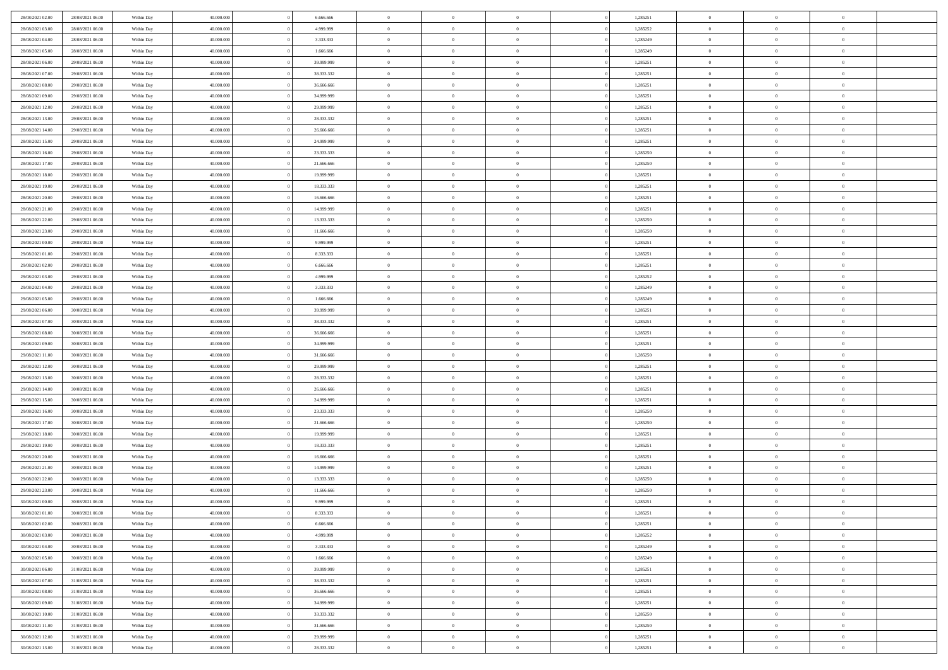| 28/08/2021 02:00                     | 28/08/2021 06:00                     | Within Day               | 40,000,000               | 6.666.666                | $\bf{0}$                   | $\overline{0}$                   | $\Omega$                         | 1,285251             | $\bf{0}$                 | $\overline{0}$                   | $\overline{0}$            |  |
|--------------------------------------|--------------------------------------|--------------------------|--------------------------|--------------------------|----------------------------|----------------------------------|----------------------------------|----------------------|--------------------------|----------------------------------|---------------------------|--|
| 28/08/2021 03:00                     | 28/08/2021 06:00                     | Within Day               | 40.000.000               | 4.999.999                | $\theta$                   | $\overline{0}$                   | $\overline{0}$                   | 1,285252             | $\mathbf{0}$             | $\bf{0}$                         | $\overline{0}$            |  |
| 28/08/2021 04:00                     | 28/08/2021 06:00                     | Within Day               | 40.000.000               | 3.333.333                | $\theta$                   | $\overline{0}$                   | $\overline{0}$                   | 1,285249             | $\,$ 0                   | $\overline{0}$                   | $\,$ 0 $\,$               |  |
| 28/08/2021 05:00                     | 28/08/2021 06:00                     | Within Day               | 40.000.000               | 1.666.666                | $\mathbf{0}$               | $\overline{0}$                   | $\mathbf{0}$                     | 1,285249             | $\bf{0}$                 | $\mathbf{0}$                     | $\theta$                  |  |
| 28/08/2021 06:00                     | 29/08/2021 06:00                     | Within Day               | 40.000.000               | 39.999.999               | $\mathbf{0}$               | $\overline{0}$                   | $\overline{0}$                   | 1,285251             | $\mathbf{0}$             | $\bf{0}$                         | $\overline{0}$            |  |
| 28/08/2021 07:00                     | 29/08/2021 06:00                     | Within Day               | 40.000.000               | 38.333.332               | $\theta$                   | $\overline{0}$                   | $\overline{0}$                   | 1,285251             | $\,$ 0                   | $\overline{0}$                   | $\,$ 0 $\,$               |  |
| 28/08/2021 08:00                     | 29/08/2021 06:00                     | Within Day               | 40,000,000               | 36,666,666               | $\,$ 0 $\,$                | $\overline{0}$                   | $\mathbf{0}$                     | 1,285251             | $\bf{0}$                 | $\overline{0}$                   | $\theta$                  |  |
| 28/08/2021 09:00                     | 29/08/2021 06:00                     | Within Day               | 40.000.000               | 34.999.999               | $\overline{0}$             | $\overline{0}$                   | $\overline{0}$                   | 1,285251             | $\mathbf{0}$             | $\bf{0}$                         | $\overline{0}$            |  |
| 28/08/2021 12:00                     | 29/08/2021 06:00                     | Within Day               | 40.000.000               | 29.999.999               | $\theta$                   | $\overline{0}$                   | $\overline{0}$                   | 1,285251             | $\,$ 0                   | $\overline{0}$                   | $\,$ 0 $\,$               |  |
| 28/08/2021 13:00                     | 29/08/2021 06:00                     | Within Day               | 40,000,000               | 28.333.332               | $\mathbf{0}$               | $\overline{0}$                   | $\mathbf{0}$                     | 1,285251             | $\theta$                 | $\mathbf{0}$                     | $\theta$                  |  |
| 28/08/2021 14:00                     | 29/08/2021 06:00                     | Within Day               | 40.000.000               | 26.666.666               | $\mathbf{0}$               | $\overline{0}$                   | $\overline{0}$                   | 1,285251             | $\mathbf{0}$             | $\bf{0}$                         | $\overline{0}$            |  |
| 28/08/2021 15:00                     | 29/08/2021 06:00                     | Within Day               | 40.000.000               | 24.999.999               | $\theta$                   | $\overline{0}$                   | $\overline{0}$                   | 1,285251             | $\,$ 0                   | $\overline{0}$                   | $\,$ 0 $\,$               |  |
| 28/08/2021 16:00                     | 29/08/2021 06:00                     | Within Day               | 40.000.000               | 23.333.333               | $\theta$                   | $\overline{0}$                   | $\mathbf{0}$                     | 1,285250             | $\bf{0}$                 | $\mathbf{0}$                     | $\theta$                  |  |
| 28/08/2021 17:00                     | 29/08/2021 06:00                     | Within Day               | 40.000.000               | 21.666.666               | $\overline{0}$             | $\overline{0}$                   | $\overline{0}$                   | 1,285250             | $\mathbf{0}$             | $\bf{0}$                         | $\overline{0}$            |  |
| 28/08/2021 18:00                     | 29/08/2021 06:00                     | Within Day               | 40.000.000               | 19.999.999               | $\theta$                   | $\overline{0}$                   | $\overline{0}$                   | 1,285251             | $\,$ 0                   | $\overline{0}$                   | $\,$ 0 $\,$               |  |
| 28/08/2021 19:00                     | 29/08/2021 06:00                     | Within Day               | 40,000,000               | 18.333.333               | $\bf{0}$                   | $\overline{0}$                   | $\mathbf{0}$                     | 1,285251             | $\bf{0}$                 | $\overline{0}$                   | $\bf{0}$                  |  |
| 28/08/2021 20:00                     | 29/08/2021 06:00                     | Within Day               | 40.000.000               | 16.666.666               | $\overline{0}$             | $\overline{0}$                   | $\overline{0}$                   | 1,285251             | $\mathbf{0}$             | $\bf{0}$                         | $\overline{0}$            |  |
| 28/08/2021 21:00                     | 29/08/2021 06:00                     | Within Day               | 40.000.000               | 14.999.999               | $\theta$                   | $\overline{0}$                   | $\overline{0}$                   | 1,285251             | $\,$ 0                   | $\overline{0}$                   | $\,$ 0 $\,$               |  |
| 28/08/2021 22:00                     | 29/08/2021 06:00                     | Within Day               | 40,000,000               | 13.333.333               | $\overline{0}$             | $\overline{0}$                   | $\mathbf{0}$                     | 1,285250             | $\theta$                 | $\mathbf{0}$                     | $\theta$                  |  |
| 28/08/2021 23:00                     | 29/08/2021 06:00                     | Within Day               | 40.000.000               | 11.666.666               | $\overline{0}$             | $\overline{0}$                   | $\overline{0}$                   | 1,285250             | $\mathbf{0}$             | $\bf{0}$                         | $\overline{0}$            |  |
| 29/08/2021 00:00                     | 29/08/2021 06:00                     | Within Day               | 40.000.000               | 9.999.999                | $\theta$                   | $\overline{0}$                   | $\overline{0}$                   | 1,285251             | $\,$ 0                   | $\overline{0}$                   | $\,$ 0 $\,$               |  |
| 29/08/2021 01:00                     | 29/08/2021 06:00                     | Within Day               | 40.000.000               | 8.333.333                | $\theta$                   | $\overline{0}$                   | $\mathbf{0}$                     | 1,285251             | $\bf{0}$                 | $\mathbf{0}$                     | $\theta$                  |  |
| 29/08/2021 02:00                     | 29/08/2021 06:00                     | Within Day               | 40.000.000               | 6.666.666                | $\mathbf{0}$               | $\overline{0}$                   | $\overline{0}$                   | 1,285251             | $\mathbf{0}$             | $\bf{0}$                         | $\overline{0}$            |  |
| 29/08/2021 03:00                     | 29/08/2021 06:00                     | Within Day               | 40.000.000               | 4.999.999                | $\theta$                   | $\overline{0}$                   | $\overline{0}$                   | 1,285252             | $\,$ 0                   | $\overline{0}$                   | $\,$ 0 $\,$               |  |
| 29/08/2021 04:00                     | 29/08/2021 06:00                     | Within Day               | 40,000,000               | 3.333.333                | $\bf{0}$                   | $\overline{0}$                   | $\mathbf{0}$                     | 1,285249             | $\bf{0}$                 | $\overline{0}$                   | $\bf{0}$                  |  |
| 29/08/2021 05:00                     | 29/08/2021 06:00                     | Within Dav               | 40.000.000               | 1.666.666                | $\overline{0}$             | $\overline{0}$                   | $\overline{0}$                   | 1,285249             | $\mathbf{0}$             | $\bf{0}$                         | $\overline{0}$            |  |
| 29/08/2021 06:00                     | 30/08/2021 06:00                     | Within Day               | 40.000.000               | 39.999.999               | $\theta$                   | $\overline{0}$                   | $\overline{0}$                   | 1,285251             | $\,$ 0                   | $\overline{0}$                   | $\,$ 0 $\,$               |  |
| 29/08/2021 07:00                     | 30/08/2021 06:00                     | Within Day               | 40,000,000               | 38.333.332               | $\mathbf{0}$               | $\overline{0}$                   | $\mathbf{0}$                     | 1,285251             | $\bf{0}$                 | $\mathbf{0}$                     | $\theta$                  |  |
| 29/08/2021 08:00                     | 30/08/2021 06:00                     | Within Dav               | 40.000.000               | 36.666.666               | $\overline{0}$             | $\overline{0}$                   | $\overline{0}$                   | 1,285251             | $\mathbf{0}$             | $\bf{0}$                         | $\overline{0}$            |  |
| 29/08/2021 09:00                     | 30/08/2021 06:00                     | Within Day               | 40.000.000               | 34.999.999               | $\theta$                   | $\overline{0}$                   | $\overline{0}$                   | 1,285251             | $\,$ 0                   | $\overline{0}$                   | $\,$ 0 $\,$               |  |
| 29/08/2021 11:00                     | 30/08/2021 06:00                     | Within Day               | 40.000.000               | 31.666.666               | $\bf{0}$                   | $\overline{0}$                   | $\overline{0}$                   | 1,285250             | $\bf{0}$                 | $\overline{0}$                   | $\,0\,$                   |  |
| 29/08/2021 12:00                     | 30/08/2021 06:00                     | Within Dav               | 40.000.000               | 29.999.999               | $\overline{0}$             | $\overline{0}$                   | $\overline{0}$                   | 1,285251             | $\mathbf{0}$             | $\bf{0}$                         | $\overline{0}$            |  |
| 29/08/2021 13:00                     | 30/08/2021 06:00                     | Within Day               | 40.000.000               | 28.333.332               | $\theta$                   | $\overline{0}$                   | $\overline{0}$                   | 1,285251             | $\,$ 0                   | $\overline{0}$                   | $\,$ 0 $\,$               |  |
| 29/08/2021 14:00                     | 30/08/2021 06:00                     | Within Day               | 40.000.000               | 26.666.666               | $\,$ 0 $\,$                | $\overline{0}$                   | $\overline{0}$                   | 1,285251             | $\bf{0}$                 | $\overline{0}$                   | $\bf{0}$                  |  |
| 29/08/2021 15:00                     | 30/08/2021 06:00                     | Within Dav               | 40.000.000               | 24.999.999               | $\overline{0}$             | $\overline{0}$                   | $\overline{0}$                   | 1,285251             | $\mathbf{0}$             | $\bf{0}$                         | $\overline{0}$            |  |
| 29/08/2021 16:00                     | 30/08/2021 06:00                     | Within Day               | 40.000.000               | 23.333.333               | $\theta$                   | $\overline{0}$                   | $\overline{0}$<br>$\overline{0}$ | 1,285250             | $\,$ 0                   | $\overline{0}$<br>$\overline{0}$ | $\,$ 0 $\,$               |  |
| 29/08/2021 17:00<br>29/08/2021 18:00 | 30/08/2021 06:00<br>30/08/2021 06:00 | Within Day<br>Within Day | 40.000.000<br>40.000.000 | 21.666.666<br>19.999.999 | $\bf{0}$<br>$\overline{0}$ | $\overline{0}$<br>$\overline{0}$ | $\overline{0}$                   | 1,285250<br>1,285251 | $\bf{0}$<br>$\mathbf{0}$ | $\bf{0}$                         | $\,0\,$<br>$\overline{0}$ |  |
| 29/08/2021 19:00                     | 30/08/2021 06:00                     | Within Day               | 40.000.000               | 18.333.333               | $\theta$                   | $\overline{0}$                   | $\overline{0}$                   | 1,285251             | $\,$ 0                   | $\overline{0}$                   | $\,$ 0 $\,$               |  |
| 29/08/2021 20:00                     | 30/08/2021 06:00                     | Within Day               | 40.000.000               | 16.666.666               | $\,$ 0 $\,$                | $\overline{0}$                   | $\overline{0}$                   | 1,285251             | $\bf{0}$                 | $\overline{0}$                   | $\,0\,$                   |  |
| 29/08/2021 21:00                     | 30/08/2021 06:00                     | Within Dav               | 40.000.000               | 14.999.999               | $\overline{0}$             | $\overline{0}$                   | $\overline{0}$                   | 1,285251             | $\mathbf{0}$             | $\bf{0}$                         | $\overline{0}$            |  |
| 29/08/2021 22:00                     | 30/08/2021 06:00                     | Within Day               | 40.000.000               | 13.333.333               | $\theta$                   | $\overline{0}$                   | $\overline{0}$                   | 1,285250             | $\,$ 0                   | $\overline{0}$                   | $\,$ 0 $\,$               |  |
| 29/08/2021 23:00                     | 30/08/2021 06:00                     | Within Day               | 40.000.000               | 11.666.666               | $\,$ 0 $\,$                | $\overline{0}$                   | $\overline{0}$                   | 1,285250             | $\bf{0}$                 | $\overline{0}$                   | $\bf{0}$                  |  |
| 30/08/2021 00:00                     | 30/08/2021 06:00                     | Within Dav               | 40.000.000               | 9.999.999                | $\theta$                   | $\overline{0}$                   | $\overline{0}$                   | 1,285251             | $\mathbf{0}$             | $\bf{0}$                         | $\overline{0}$            |  |
| 30/08/2021 01:00                     | 30/08/2021 06:00                     | Within Day               | 40.000.000               | 8.333.333                | $\theta$                   | $\overline{0}$                   | $\overline{0}$                   | 1,285251             | $\overline{0}$           | $\overline{0}$                   | $\theta$                  |  |
| 30/08/2021 02:00                     | 30/08/2021 06:00                     | Within Day               | 40.000.000               | 6.666.666                | $\bf{0}$                   | $\overline{0}$                   | $\overline{0}$                   | 1,285251             | $\mathbf{0}$             | $\overline{0}$                   | $\bf{0}$                  |  |
| 30/08/2021 03:00                     | 30/08/2021 06:00                     | Within Day               | 40.000.000               | 4.999.999                | $\overline{0}$             | $\overline{0}$                   | $\overline{0}$                   | 1,285252             | $\overline{0}$           | $\overline{0}$                   | $\overline{0}$            |  |
| 30/08/2021 04:00                     | 30/08/2021 06:00                     | Within Day               | 40.000.000               | 3.333.333                | $\,$ 0                     | $\overline{0}$                   | $\overline{0}$                   | 1,285249             | $\,$ 0 $\,$              | $\,$ 0 $\,$                      | $\,$ 0 $\,$               |  |
| 30/08/2021 05:00                     | 30/08/2021 06:00                     | Within Day               | 40.000.000               | 1.666.666                | $\bf{0}$                   | $\overline{0}$                   | $\overline{0}$                   | 1,285249             | $\mathbf{0}$             | $\overline{0}$                   | $\bf{0}$                  |  |
| 30/08/2021 06:00                     | 31/08/2021 06:00                     | Within Day               | 40.000.000               | 39.999.999               | $\mathbf{0}$               | $\overline{0}$                   | $\overline{0}$                   | 1,285251             | $\,$ 0 $\,$              | $\overline{0}$                   | $\mathbf{0}$              |  |
| 30/08/2021 07:00                     | 31/08/2021 06:00                     | Within Day               | 40.000.000               | 38.333.332               | $\,$ 0                     | $\overline{0}$                   | $\overline{0}$                   | 1,285251             | $\,$ 0 $\,$              | $\,$ 0 $\,$                      | $\,$ 0 $\,$               |  |
| 30/08/2021 08:00                     | 31/08/2021 06:00                     | Within Day               | 40.000.000               | 36.666.666               | $\bf{0}$                   | $\overline{0}$                   | $\overline{0}$                   | 1,285251             | $\overline{0}$           | $\overline{0}$                   | $\overline{0}$            |  |
| 30/08/2021 09:00                     | 31/08/2021 06:00                     | Within Day               | 40.000.000               | 34.999.999               | $\mathbf{0}$               | $\overline{0}$                   | $\overline{0}$                   | 1,285251             | $\overline{0}$           | $\overline{0}$                   | $\overline{0}$            |  |
| 30/08/2021 10:00                     | 31/08/2021 06:00                     | Within Day               | 40.000.000               | 33.333.332               | $\,$ 0                     | $\overline{0}$                   | $\overline{0}$                   | 1,285250             | $\,$ 0 $\,$              | $\,$ 0 $\,$                      | $\,$ 0 $\,$               |  |
| 30/08/2021 11:00                     | 31/08/2021 06:00                     | Within Day               | 40.000.000               | 31.666.666               | $\bf{0}$                   | $\overline{0}$                   | $\overline{0}$                   | 1,285250             | $\mathbf{0}$             | $\overline{0}$                   | $\bf{0}$                  |  |
| 30/08/2021 12:00                     | 31/08/2021 06:00                     | Within Day               | 40.000.000               | 29.999.999               | $\mathbf{0}$               | $\overline{0}$                   | $\overline{0}$                   | 1,285251             | $\overline{0}$           | $\bf{0}$                         | $\overline{0}$            |  |
| 30/08/2021 13:00                     | 31/08/2021 06:00                     | Within Day               | 40.000.000               | 28.333.332               | $\,$ 0 $\,$                | $\overline{0}$                   | $\overline{0}$                   | 1,285251             | $\,$ 0 $\,$              | $\overline{0}$                   | $\,$ 0 $\,$               |  |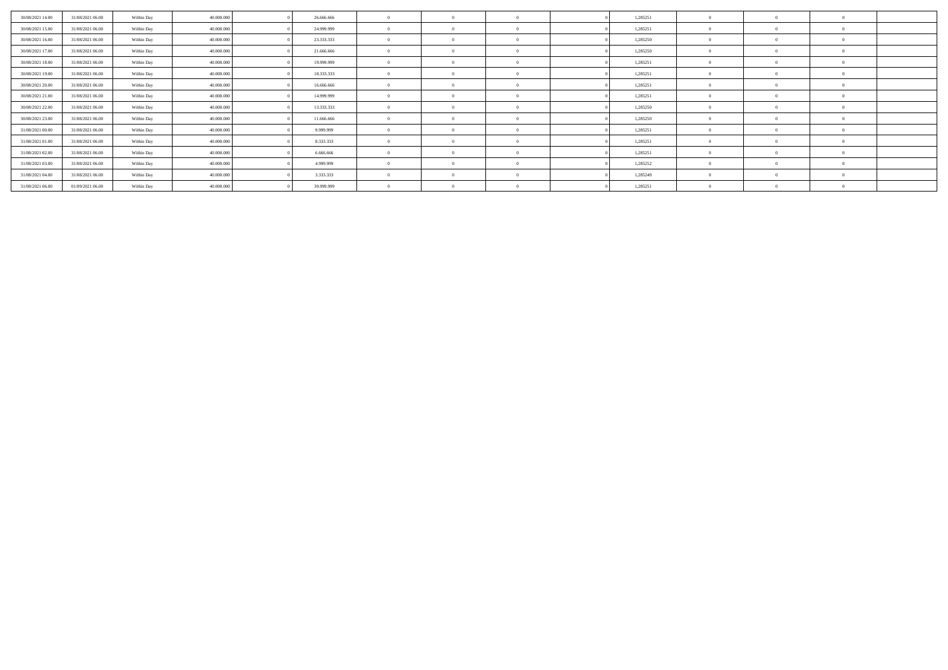| 30/08/2021 14:00 | 31/08/2021 06:00 | Within Day | 40,000,000 | 26,666,666 |            |  | 1,285251 |          |  |
|------------------|------------------|------------|------------|------------|------------|--|----------|----------|--|
| 30/08/2021 15:00 | 31/08/2021 06:00 | Within Day | 40,000,000 | 24.999.999 | $\sqrt{2}$ |  | 1,285251 |          |  |
| 30/08/2021 16:00 | 31/08/2021 06:00 | Within Day | 40,000,000 | 23.333.333 | $\Omega$   |  | 1,285250 |          |  |
| 30/08/2021 17:00 | 31/08/2021 06:00 | Within Day | 40.000.000 | 21.666.666 | $\sqrt{2}$ |  | 1,285250 |          |  |
| 30/08/2021 18:00 | 31/08/2021 06:00 | Within Day | 40,000,000 | 19.999.999 | $\theta$   |  | 1,285251 | $\Omega$ |  |
| 30/08/2021 19:00 | 31/08/2021 06:00 | Within Day | 40,000,000 | 18.333.333 | $\Omega$   |  | 1,285251 |          |  |
| 30/08/2021 20:00 | 31/08/2021 06:00 | Within Day | 40,000,000 | 16,666,666 | $\Omega$   |  | 1,285251 | $\Omega$ |  |
| 30/08/2021 21:00 | 31/08/2021 06:00 | Within Day | 40,000,000 | 14.999.999 | $\sim$     |  | 1,285251 |          |  |
| 30/08/2021 22:00 | 31/08/2021 06:00 | Within Day | 40,000,000 | 13.333.333 | $\theta$   |  | 1,285250 | $\Omega$ |  |
| 30/08/2021 23:00 | 31/08/2021 06:00 | Within Day | 40,000,000 | 11.666.666 | $\sqrt{2}$ |  | 1,285250 |          |  |
| 31/08/2021 00:00 | 31/08/2021 06:00 | Within Day | 40,000,000 | 9.999.999  | $\theta$   |  | 1,285251 | $\Omega$ |  |
| 31/08/2021 01:00 | 31/08/2021 06:00 | Within Day | 40,000,000 | 8.333.333  | $\sim$     |  | 1,285251 |          |  |
| 31/08/2021 02:00 | 31/08/2021 06:00 | Within Day | 40,000,000 | 6.666.666  | $\sqrt{2}$ |  | 1,285251 |          |  |
| 31/08/2021 03:00 | 31/08/2021 06:00 | Within Day | 40,000,000 | 4.999.999  | $\Omega$   |  | 1,285252 |          |  |
| 31/08/2021 04:00 | 31/08/2021 06:00 | Within Day | 40,000,000 | 3.333.333  | $\Omega$   |  | 1,285249 | $\Omega$ |  |
| 31/08/2021 06:00 | 01/09/2021 06:00 | Within Day | 40,000,000 | 39.999.999 | $\sqrt{2}$ |  | 1,285251 |          |  |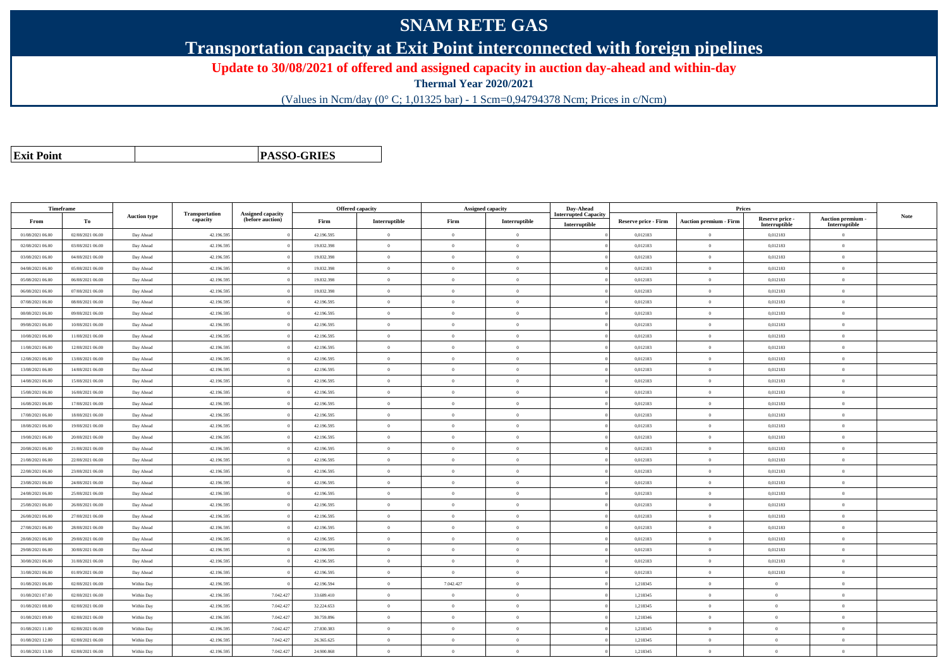## **SNAM RETE GAS**

**Transportation capacity at Exit Point interconnected with foreign pipelines**

**Update to 30/08/2021 of offered and assigned capacity in auction day-ahead and within-day**

**Thermal Year 2020/2021**

(Values in Ncm/day (0° C; 1,01325 bar) - 1 Scm=0,94794378 Ncm; Prices in c/Ncm)

**Exit Point**

**PASSO-GRIES**

| <b>Timeframe</b> |                  |                     |                            |                                              |            | <b>Offered capacity</b> | <b>Assigned capacity</b> |                | Day-Ahead                                    |                             | Prices                        |                                  |                                         |             |
|------------------|------------------|---------------------|----------------------------|----------------------------------------------|------------|-------------------------|--------------------------|----------------|----------------------------------------------|-----------------------------|-------------------------------|----------------------------------|-----------------------------------------|-------------|
| From             | Тo               | <b>Auction type</b> | Transportation<br>capacity | <b>Assigned capacity</b><br>(before auction) | Firm       | Interruptible           | Firm                     | Interruptible  | <b>Interrupted Capacity</b><br>Interruptible | <b>Reserve price - Firm</b> | <b>Auction premium - Firm</b> | Reserve price -<br>Interruptible | <b>Auction premium</b><br>Interruptible | <b>Note</b> |
| 01/08/2021 06:00 | 02/08/2021 06:00 | Day Ahead           | 42.196.595                 |                                              | 42.196.595 | $\bf{0}$                | $\overline{0}$           | $\overline{0}$ |                                              | 0,012183                    | $\theta$                      | 0,012183                         | $\overline{0}$                          |             |
| 02/08/2021 06:00 | 03/08/2021 06:00 | Day Ahead           | 42.196.595                 |                                              | 19.832.398 | $\Omega$                | $\Omega$                 | $\Omega$       |                                              | 0.012183                    | $\Omega$                      | 0.012183                         | $\theta$                                |             |
| 03/08/2021 06:00 | 04/08/2021 06:00 | Day Ahead           | 42.196.595                 |                                              | 19.832.398 | $\overline{0}$          | $\Omega$                 | $\theta$       |                                              | 0,012183                    | $\theta$                      | 0,012183                         | $\overline{0}$                          |             |
| 04/08/2021 06:00 | 05/08/2021 06:00 | Day Ahead           | 42.196.595                 |                                              | 19.832.398 | $\mathbf{0}$            | $\overline{0}$           | $\overline{0}$ |                                              | 0,012183                    | $\theta$                      | 0,012183                         | $\overline{0}$                          |             |
| 05/08/2021 06:00 | 06/08/2021 06:00 | Day Ahead           | 42.196.59                  |                                              | 19.832.398 | $\theta$                | $\overline{0}$           | $\overline{0}$ |                                              | 0,012183                    | $\Omega$                      | 0,012183                         | $\overline{0}$                          |             |
| 06/08/2021 06:00 | 07/08/2021 06:00 | Day Ahead           | 42.196.595                 |                                              | 19.832.398 | $\overline{0}$          | $\overline{0}$           | $\overline{0}$ |                                              | 0.012183                    | $\mathbf{0}$                  | 0.012183                         | $\overline{0}$                          |             |
| 07/08/2021 06:00 | 08/08/2021 06:00 | Day Ahead           | 42.196.595                 |                                              | 42.196.595 | $\mathbf{0}$            | $\Omega$                 | $\Omega$       |                                              | 0,012183                    | $\mathbf{a}$                  | 0,012183                         | $\Omega$                                |             |
| 08/08/2021 06:00 | 09/08/2021 06:00 | Day Ahead           | 42.196.595                 |                                              | 42.196.595 | $\overline{0}$          | $\overline{0}$           | $\mathbf{0}$   |                                              | 0,012183                    | $\theta$                      | 0,012183                         | $\overline{0}$                          |             |
| 09/08/2021 06:00 | 10/08/2021 06:00 | Day Ahead           | 42.196.595                 |                                              | 42.196.595 | $\theta$                | $\overline{0}$           | $\mathbf{0}$   |                                              | 0,012183                    | $\overline{0}$                | 0,012183                         | $\overline{0}$                          |             |
| 10/08/2021 06:00 | 11/08/2021 06:00 | Day Ahead           | 42.196.595                 |                                              | 42.196.595 | $\overline{0}$          | $\overline{0}$           | $\overline{0}$ |                                              | 0,012183                    | $\theta$                      | 0,012183                         | $\overline{0}$                          |             |
| 11/08/2021 06:00 | 12/08/2021 06:00 | Day Ahead           | 42.196.59                  |                                              | 42.196.595 | $\theta$                | $\overline{0}$           | $\overline{0}$ |                                              | 0,012183                    | $\theta$                      | 0,012183                         | $\overline{0}$                          |             |
| 12/08/2021 06:00 | 13/08/2021 06:00 | Day Ahead           | 42.196.595                 |                                              | 42.196.595 | $\theta$                | $\overline{0}$           | $\overline{0}$ |                                              | 0,012183                    | $\theta$                      | 0,012183                         | $\overline{0}$                          |             |
| 13/08/2021 06:00 | 14/08/2021 06:00 | Day Ahead           | 42.196.595                 |                                              | 42.196.595 | $\Omega$                | $\Omega$                 | $\Omega$       |                                              | 0.012183                    | $\theta$                      | 0.012183                         | $\theta$                                |             |
| 14/08/2021 06:00 | 15/08/2021 06:00 | Day Ahead           | 42.196.595                 |                                              | 42.196.595 | $\theta$                | $\theta$                 | $\Omega$       |                                              | 0,012183                    | $\theta$                      | 0,012183                         | $\overline{0}$                          |             |
| 15/08/2021 06:00 | 16/08/2021 06:00 | Day Ahead           | 42.196.595                 |                                              | 42.196.595 | $\theta$                | $\overline{0}$           | $\Omega$       |                                              | 0,012183                    | $\Omega$                      | 0,012183                         | $\overline{0}$                          |             |
| 16/08/2021 06:00 | 17/08/2021 06:00 | Day Ahead           | 42.196.59                  |                                              | 42.196.595 | $\theta$                | $\overline{0}$           | $\overline{0}$ |                                              | 0,012183                    | $\Omega$                      | 0,012183                         | $\overline{0}$                          |             |
| 17/08/2021 06:00 | 18/08/2021 06:00 | Day Ahead           | 42.196.595                 |                                              | 42.196.595 | $\theta$                | $\theta$                 | $\overline{0}$ |                                              | 0.012183                    | $\theta$                      | 0,012183                         | $\theta$                                |             |
| 18/08/2021 06:00 | 19/08/2021 06:00 | Day Ahead           | 42.196.595                 |                                              | 42.196.595 | $\theta$                | $\overline{0}$           | $\overline{0}$ |                                              | 0,012183                    | $\Omega$                      | 0,012183                         | $\overline{0}$                          |             |
| 19/08/2021 06:00 | 20/08/2021 06:00 | Day Ahead           | 42.196.595                 |                                              | 42.196.595 | $\theta$                | $\theta$                 | $\mathbf{0}$   |                                              | 0,012183                    | $\mathbf{0}$                  | 0,012183                         | $\overline{0}$                          |             |
| 20/08/2021 06:00 | 21/08/2021 06:00 | Day Ahead           | 42.196.595                 |                                              | 42.196.595 | $\theta$                | $\Omega$                 | $\theta$       |                                              | 0,012183                    | $\overline{0}$                | 0,012183                         | $\theta$                                |             |
| 21/08/2021 06:00 | 22/08/2021 06:00 | Day Ahead           | 42.196.595                 |                                              | 42.196.595 | $\overline{0}$          | $\overline{0}$           | $\overline{0}$ |                                              | 0,012183                    | $\overline{0}$                | 0,012183                         | $\overline{0}$                          |             |
| 22/08/2021 06:00 | 23/08/2021 06:00 | Day Ahead           | 42.196.595                 |                                              | 42.196.595 | $\theta$                | $\overline{0}$           | $\overline{0}$ |                                              | 0,012183                    | $\Omega$                      | 0,012183                         | $\overline{0}$                          |             |
| 23/08/2021 06:00 | 24/08/2021 06:00 | Day Ahead           | 42.196.595                 |                                              | 42.196.595 | $\theta$                | $\overline{0}$           | $\overline{0}$ |                                              | 0,012183                    | $\Omega$                      | 0,012183                         | $\overline{0}$                          |             |
| 24/08/2021 06:00 | 25/08/2021 06:00 | Day Ahead           | 42.196.595                 |                                              | 42.196.595 | $\Omega$                | $\Omega$                 | $\Omega$       |                                              | 0,012183                    | $\mathbf{a}$                  | 0,012183                         | $\theta$                                |             |
| 25/08/2021 06:00 | 26/08/2021 06:00 | Day Ahead           | 42.196.595                 |                                              | 42.196.595 | $\theta$                | $\Omega$                 | $\Omega$       |                                              | 0,012183                    | $\Omega$                      | 0,012183                         | $\theta$                                |             |
| 26/08/2021 06:00 | 27/08/2021 06:00 | Day Ahead           | 42.196.595                 |                                              | 42.196.595 | $\theta$                | $\Omega$                 | $\Omega$       |                                              | 0,012183                    | $\Omega$                      | 0,012183                         | $\overline{0}$                          |             |
| 27/08/2021 06:00 | 28/08/2021 06:00 | Day Ahead           | 42.196.595                 |                                              | 42.196.595 | $\theta$                | $\Omega$                 | $\Omega$       |                                              | 0,012183                    | $\theta$                      | 0,012183                         | $\theta$                                |             |
| 28/08/2021 06:00 | 29/08/2021 06:00 | Day Ahead           | 42.196.595                 |                                              | 42.196.595 | $\theta$                | $\theta$                 | $\overline{0}$ |                                              | 0,012183                    | $\overline{0}$                | 0,012183                         | $\overline{0}$                          |             |
| 29/08/2021 06:00 | 30/08/2021 06:00 | Day Ahead           | 42.196.595                 |                                              | 42.196.595 | $\overline{0}$          | $\overline{0}$           | $\overline{0}$ |                                              | 0,012183                    | $\Omega$                      | 0,012183                         | $\overline{0}$                          |             |
| 30/08/2021 06:00 | 31/08/2021 06:00 | Day Ahead           | 42.196.595                 |                                              | 42.196.595 | $\theta$                | $\overline{0}$           | $\mathbf{0}$   |                                              | 0,012183                    | $\theta$                      | 0,012183                         | $\overline{0}$                          |             |
| 31/08/2021 06:00 | 01/09/2021 06:00 | Day Ahead           | 42.196.595                 |                                              | 42.196.595 | $\overline{0}$          | $\Omega$                 | $\theta$       |                                              | 0,012183                    | $\overline{0}$                | 0.012183                         | $\overline{0}$                          |             |
| 01/08/2021 06:00 | 02/08/2021 06:00 | Within Day          | 42.196.595                 |                                              | 42.196.594 | $\mathbf{0}$            | 7.042.427                | $\overline{0}$ |                                              | 1,218345                    | $\overline{0}$                | $\overline{0}$                   | $\overline{0}$                          |             |
| 01/08/2021 07:00 | 02/08/2021 06:00 | Within Day          | 42.196.59                  | 7.042.427                                    | 33.689.410 | $\theta$                | $\theta$                 | $\mathbf{0}$   |                                              | 1,218345                    | $\Omega$                      | $\overline{0}$                   | $\overline{0}$                          |             |
| 01/08/2021 08:00 | 02/08/2021 06:00 | Within Day          | 42.196.595                 | 7.042.427                                    | 32.224.653 | $\theta$                | $\overline{0}$           | $\mathbf{0}$   |                                              | 1,218345                    | $\Omega$                      | $\overline{0}$                   | $\overline{0}$                          |             |
| 01/08/2021 09:00 | 02/08/2021 06:00 | Within Day          | 42.196.595                 | 7.042.427                                    | 30.759.896 | $\theta$                | $\Omega$                 | $\Omega$       |                                              | 1,218346                    | $\Omega$                      | $\theta$                         | $\theta$                                |             |
| 01/08/2021 11:00 | 02/08/2021 06:00 | Within Day          | 42.196.59                  | 7.042.427                                    | 27.830.383 | $\theta$                | $\overline{0}$           | $\overline{0}$ |                                              | 1,218345                    | $\theta$                      | $\overline{0}$                   | $\overline{0}$                          |             |
| 01/08/2021 12:00 | 02/08/2021 06:00 | Within Day          | 42.196.59                  | 7.042.427                                    | 26.365.625 | $\overline{0}$          | $\overline{0}$           | $\mathbf{0}$   |                                              | 1,218345                    | $\theta$                      | $\overline{0}$                   | $\overline{0}$                          |             |
| 01/08/2021 13:00 | 02/08/2021 06:00 | Within Day          | 42.196.595                 | 7.042.427                                    | 24,900,868 | $\theta$                | $\Omega$                 | $\Omega$       |                                              | 1.218345                    | $\Omega$                      | $\overline{0}$                   | $\theta$                                |             |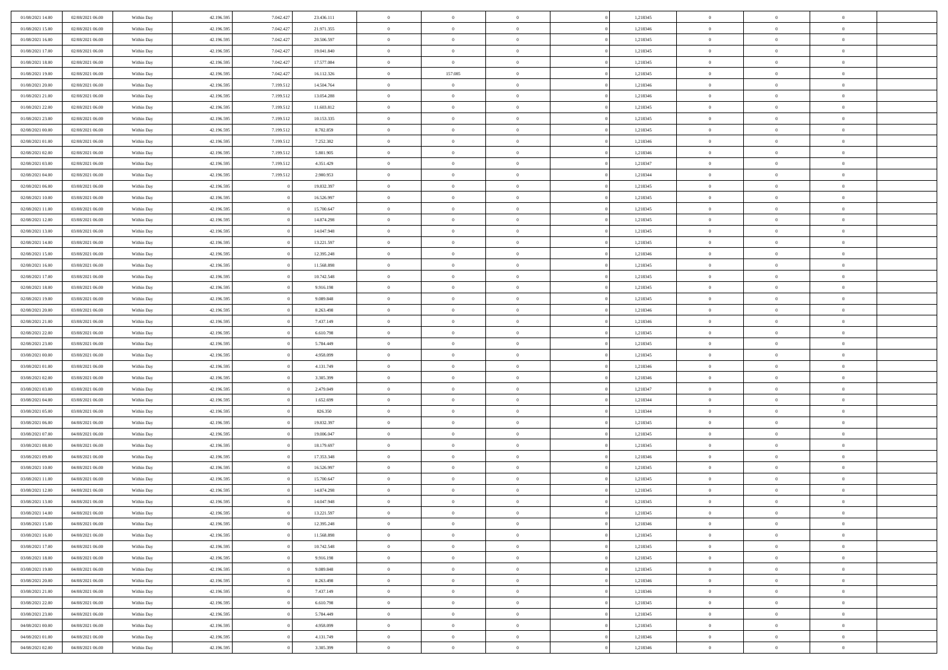| 01/08/2021 14:00 | 02/08/2021 06:00 | Within Day | 42.196.595 | 7.042.427 | 23.436.111 | $\,$ 0 $\,$    | $\overline{0}$                    | $\overline{0}$ |          | 1,218345 | $\bf{0}$       | $\overline{0}$ | $\,0\,$        |  |
|------------------|------------------|------------|------------|-----------|------------|----------------|-----------------------------------|----------------|----------|----------|----------------|----------------|----------------|--|
| 01/08/2021 15:00 | 02/08/2021 06:00 | Within Day | 42.196.595 | 7.042.427 | 21.971.355 | $\overline{0}$ | $\overline{0}$                    | $\mathbf{0}$   |          | 1,218346 | $\theta$       | $\overline{0}$ | $\theta$       |  |
| 01/08/2021 16:00 | 02/08/2021 06:00 | Within Day | 42.196.595 | 7.042.427 | 20.506.597 | $\theta$       | $\overline{0}$                    | $\overline{0}$ |          | 1,218345 | $\mathbf{0}$   | $\overline{0}$ | $\overline{0}$ |  |
| 01/08/2021 17:00 | 02/08/2021 06:00 | Within Day | 42.196.595 | 7.042.427 | 19.041.840 | $\,$ 0 $\,$    | $\overline{0}$                    | $\overline{0}$ |          | 1,218345 | $\bf{0}$       | $\overline{0}$ | $\bf{0}$       |  |
| 01/08/2021 18:00 | 02/08/2021 06:00 | Within Day | 42.196.595 | 7.042.427 | 17.577.084 | $\bf{0}$       | $\overline{0}$                    | $\mathbf{0}$   |          | 1,218345 | $\bf{0}$       | $\overline{0}$ | $\,0\,$        |  |
| 01/08/2021 19:00 | 02/08/2021 06:00 | Within Day | 42.196.595 | 7.042.427 | 16.112.326 | $\theta$       | 157.085                           | $\mathbf{0}$   |          | 1,218345 | $\mathbf{0}$   | $\overline{0}$ | $\overline{0}$ |  |
| 01/08/2021 20:00 | 02/08/2021 06:00 | Within Day | 42.196.595 | 7.199.512 | 14.504.764 | $\,$ 0 $\,$    | $\overline{0}$                    | $\overline{0}$ |          | 1,218346 | $\bf{0}$       | $\overline{0}$ | $\bf{0}$       |  |
| 01/08/2021 21:00 | 02/08/2021 06:00 | Within Day | 42.196.595 | 7.199.512 | 13.054.288 | $\,$ 0         | $\overline{0}$                    | $\mathbf{0}$   |          | 1,218346 | $\,$ 0 $\,$    | $\overline{0}$ | $\overline{0}$ |  |
| 01/08/2021 22:00 | 02/08/2021 06:00 | Within Day | 42.196.595 | 7.199.512 | 11.603.812 | $\theta$       | $\overline{0}$                    | $\mathbf{0}$   |          | 1,218345 | $\mathbf{0}$   | $\overline{0}$ | $\overline{0}$ |  |
| 01/08/2021 23:00 | 02/08/2021 06:00 | Within Day | 42.196.595 | 7.199.512 | 10.153.335 | $\,$ 0 $\,$    | $\overline{0}$                    | $\Omega$       |          | 1,218345 | $\bf{0}$       | $\overline{0}$ | $\bf{0}$       |  |
| 02/08/2021 00:00 | 02/08/2021 06:00 | Within Day | 42.196.595 | 7.199.512 | 8.702.859  | $\bf{0}$       | $\overline{0}$                    | $\mathbf{0}$   |          | 1,218345 | $\bf{0}$       | $\overline{0}$ | $\theta$       |  |
| 02/08/2021 01:00 | 02/08/2021 06:00 | Within Day | 42.196.595 | 7.199.512 | 7.252.382  | $\theta$       | $\overline{0}$                    | $\overline{0}$ |          | 1,218346 | $\mathbf{0}$   | $\overline{0}$ | $\overline{0}$ |  |
| 02/08/2021 02:00 | 02/08/2021 06:00 | Within Day | 42.196.595 | 7.199.512 | 5.801.905  | $\,$ 0 $\,$    | $\overline{0}$                    | $\overline{0}$ |          | 1,218346 | $\bf{0}$       | $\overline{0}$ | $\overline{0}$ |  |
| 02/08/2021 03:00 | 02/08/2021 06:00 | Within Day | 42.196.595 | 7.199.512 | 4.351.429  | $\,$ 0         | $\overline{0}$                    | $\mathbf{0}$   |          | 1,218347 | $\bf{0}$       | $\mathbf{0}$   | $\,0\,$        |  |
| 02/08/2021 04:00 | 02/08/2021 06:00 | Within Day | 42.196.595 | 7.199.512 | 2.900.953  | $\theta$       | $\overline{0}$                    | $\overline{0}$ |          | 1,218344 | $\mathbf{0}$   | $\overline{0}$ | $\overline{0}$ |  |
| 02/08/2021 06:00 | 03/08/2021 06:00 | Within Day | 42.196.595 |           | 19.832.397 | $\,$ 0 $\,$    | $\overline{0}$                    | $\Omega$       |          | 1,218345 | $\bf{0}$       | $\overline{0}$ | $\bf{0}$       |  |
| 02/08/2021 10:00 | 03/08/2021 06:00 | Within Day | 42.196.595 |           | 16.526.997 | $\,$ 0         | $\overline{0}$                    | $\mathbf{0}$   |          | 1,218345 | $\,$ 0 $\,$    | $\overline{0}$ | $\theta$       |  |
| 02/08/2021 11:00 | 03/08/2021 06:00 | Within Day | 42.196.595 |           | 15.700.647 | $\theta$       | $\overline{0}$                    | $\mathbf{0}$   |          | 1,218345 | $\mathbf{0}$   | $\overline{0}$ | $\overline{0}$ |  |
| 02/08/2021 12:00 | 03/08/2021 06:00 | Within Day | 42.196.595 |           | 14.874.298 | $\,$ 0 $\,$    | $\overline{0}$                    | $\Omega$       |          | 1,218345 | $\bf{0}$       | $\overline{0}$ | $\bf{0}$       |  |
| 02/08/2021 13:00 | 03/08/2021 06:00 | Within Day | 42.196.595 |           | 14.047.948 | $\bf{0}$       | $\overline{0}$                    | $\mathbf{0}$   |          | 1,218345 | $\bf{0}$       | $\mathbf{0}$   | $\overline{0}$ |  |
| 02/08/2021 14:00 | 03/08/2021 06:00 | Within Day | 42.196.595 |           | 13.221.597 | $\theta$       | $\overline{0}$                    | $\overline{0}$ |          | 1,218345 | $\mathbf{0}$   | $\overline{0}$ | $\overline{0}$ |  |
| 02/08/2021 15:00 | 03/08/2021 06:00 | Within Day | 42.196.595 |           | 12.395.248 | $\,$ 0 $\,$    | $\overline{0}$                    | $\overline{0}$ |          | 1,218346 | $\bf{0}$       | $\overline{0}$ | $\bf{0}$       |  |
| 02/08/2021 16:00 | 03/08/2021 06:00 | Within Day | 42.196.595 |           | 11.568.898 | $\bf{0}$       | $\overline{0}$                    | $\mathbf{0}$   |          | 1,218345 | $\bf{0}$       | $\bf{0}$       | $\,0\,$        |  |
| 02/08/2021 17:00 | 03/08/2021 06:00 | Within Day | 42.196.595 |           | 10.742.548 | $\theta$       | $\overline{0}$                    | $\mathbf{0}$   |          | 1,218345 | $\mathbf{0}$   | $\overline{0}$ | $\overline{0}$ |  |
| 02/08/2021 18:00 | 03/08/2021 06:00 | Within Day | 42.196.595 |           | 9.916.198  | $\,$ 0 $\,$    | $\overline{0}$                    | $\overline{0}$ |          | 1,218345 | $\bf{0}$       | $\overline{0}$ | $\bf{0}$       |  |
| 02/08/2021 19:00 | 03/08/2021 06:00 | Within Day | 42.196.595 |           | 9.089.848  | $\,$ 0         | $\overline{0}$                    | $\mathbf{0}$   |          | 1,218345 | $\bf{0}$       | $\overline{0}$ | $\overline{0}$ |  |
| 02/08/2021 20:00 | 03/08/2021 06:00 | Within Day | 42.196.595 |           | 8.263.498  | $\theta$       | $\overline{0}$                    | $\mathbf{0}$   |          | 1,218346 | $\mathbf{0}$   | $\overline{0}$ | $\overline{0}$ |  |
| 02/08/2021 21:00 | 03/08/2021 06:00 | Within Day | 42.196.595 |           | 7.437.149  | $\,$ 0 $\,$    | $\overline{0}$                    | $\Omega$       |          | 1,218346 | $\bf{0}$       | $\overline{0}$ | $\bf{0}$       |  |
| 02/08/2021 22:00 | 03/08/2021 06:00 | Within Day | 42.196.595 |           | 6.610.798  | $\bf{0}$       | $\overline{0}$                    | $\mathbf{0}$   |          | 1,218345 | $\bf{0}$       | $\overline{0}$ | $\overline{0}$ |  |
| 02/08/2021 23:00 | 03/08/2021 06:00 | Within Day | 42.196.595 |           | 5.784.449  | $\theta$       | $\overline{0}$                    | $\overline{0}$ |          | 1,218345 | $\mathbf{0}$   | $\overline{0}$ | $\overline{0}$ |  |
| 03/08/2021 00:00 | 03/08/2021 06:00 | Within Day | 42.196.595 |           | 4.958.099  | $\,$ 0 $\,$    | $\overline{0}$                    | $\overline{0}$ |          | 1,218345 | $\,$ 0         | $\overline{0}$ | $\,$ 0 $\,$    |  |
| 03/08/2021 01:00 | 03/08/2021 06:00 | Within Day | 42.196.595 |           | 4.131.749  | $\bf{0}$       | $\overline{0}$                    | $\mathbf{0}$   |          | 1,218346 | $\bf{0}$       | $\bf{0}$       | $\bf{0}$       |  |
| 03/08/2021 02:00 | 03/08/2021 06:00 | Within Day | 42.196.595 |           | 3.305.399  | $\theta$       | $\overline{0}$                    | $\overline{0}$ |          | 1,218346 | $\mathbf{0}$   | $\overline{0}$ | $\overline{0}$ |  |
| 03/08/2021 03:00 | 03/08/2021 06:00 | Within Day | 42.196.595 |           | 2.479.049  | $\theta$       | $\overline{0}$                    | $\overline{0}$ |          | 1,218347 | $\,$ 0         | $\overline{0}$ | $\theta$       |  |
| 03/08/2021 04:00 | 03/08/2021 06:00 | Within Day | 42.196.595 |           | 1.652.699  | $\bf{0}$       | $\overline{0}$                    | $\mathbf{0}$   |          | 1,218344 | $\mathbf{0}$   | $\overline{0}$ | $\overline{0}$ |  |
| 03/08/2021 05:00 | 03/08/2021 06:00 | Within Day | 42.196.595 |           | 826.350    | $\theta$       | $\overline{0}$                    | $\mathbf{0}$   |          | 1,218344 | $\mathbf{0}$   | $\overline{0}$ | $\overline{0}$ |  |
| 03/08/2021 06:00 | 04/08/2021 06:00 | Within Day | 42.196.595 |           | 19.832.397 | $\theta$       | $\overline{0}$                    | $\overline{0}$ |          | 1,218345 | $\,$ 0         | $\overline{0}$ | $\theta$       |  |
| 03/08/2021 07:00 | 04/08/2021 06:00 | Within Day | 42.196.595 |           | 19.006.047 | $\bf{0}$       | $\overline{0}$                    | $\mathbf{0}$   |          | 1,218345 | $\bf{0}$       | $\bf{0}$       | $\bf{0}$       |  |
| 03/08/2021 08:00 | 04/08/2021 06:00 | Within Day | 42.196.595 |           | 18.179.697 | $\theta$       | $\overline{0}$                    | $\overline{0}$ |          | 1,218345 | $\mathbf{0}$   | $\overline{0}$ | $\overline{0}$ |  |
| 03/08/2021 09:00 | 04/08/2021 06:00 | Within Day | 42.196.595 |           | 17.353.348 | $\,$ 0 $\,$    | $\overline{0}$                    | $\overline{0}$ |          | 1,218346 | $\,$ 0         | $\overline{0}$ | $\,$ 0 $\,$    |  |
| 03/08/2021 10:00 | 04/08/2021 06:00 | Within Day | 42.196.595 |           | 16.526.997 | $\,$ 0         | $\,$ 0 $\,$                       | $\overline{0}$ |          | 1,218345 | $\,$ 0 $\,$    | $\overline{0}$ | $\bf{0}$       |  |
| 03/08/2021 11:00 | 04/08/2021 06:00 | Within Day | 42.196.595 |           | 15.700.647 | $\theta$       | $\overline{0}$                    | $\mathbf{0}$   |          | 1,218345 | $\mathbf{0}$   | $\overline{0}$ | $\overline{0}$ |  |
| 03/08/2021 12:00 | 04/08/2021 06:00 | Within Day | 42.196.595 |           | 14.874.298 | $\theta$       | $\overline{0}$                    | $\overline{0}$ |          | 1,218345 | $\,$ 0         | $\overline{0}$ | $\theta$       |  |
| 03/08/2021 13:00 | 04/08/2021 06:00 | Within Day | 42.196.595 |           | 14.047.948 | $\bf{0}$       | $\,$ 0 $\,$                       | $\mathbf{0}$   |          | 1,218345 | $\mathbf{0}$   | $\overline{0}$ | $\bf{0}$       |  |
| 03/08/2021 14:00 | 04/08/2021 06:00 | Within Day | 42.196.595 |           | 13.221.597 | $\overline{0}$ | $\theta$                          |                |          | 1,218345 | $\overline{0}$ | $\theta$       | $\theta$       |  |
| 03/08/2021 15:00 | 04/08/2021 06:00 | Within Day | 42.196.595 |           | 12.395.248 | $\,$ 0 $\,$    | $\overline{0}$                    | $\overline{0}$ |          | 1,218346 | $\,$ 0 $\,$    | $\bf{0}$       | $\,$ 0 $\,$    |  |
| 03/08/2021 16:00 | 04/08/2021 06:00 | Within Day | 42.196.595 |           | 11.568.898 | $\bf{0}$       | $\hspace{0.1cm} 0 \hspace{0.1cm}$ | $\overline{0}$ |          | 1,218345 | $\,$ 0 $\,$    | $\overline{0}$ | $\overline{0}$ |  |
| 03/08/2021 17:00 | 04/08/2021 06:00 | Within Day | 42.196.595 |           | 10.742.548 | $\,$ 0 $\,$    | $\overline{0}$                    | $\overline{0}$ |          | 1,218345 | $\,$ 0 $\,$    | $\bf{0}$       | $\mathbf{0}$   |  |
| 03/08/2021 18:00 | 04/08/2021 06:00 | Within Day | 42.196.595 |           | 9.916.198  | $\,0\,$        | $\overline{0}$                    | $\overline{0}$ | $\theta$ | 1,218345 | $\,$ 0 $\,$    | $\bf{0}$       | $\,$ 0 $\,$    |  |
| 03/08/2021 19:00 | 04/08/2021 06:00 | Within Day | 42.196.595 |           | 9.089.848  | $\,$ 0 $\,$    | $\,$ 0 $\,$                       | $\overline{0}$ |          | 1,218345 | $\,$ 0 $\,$    | $\overline{0}$ | $\overline{0}$ |  |
| 03/08/2021 20:00 | 04/08/2021 06:00 | Within Day | 42.196.595 |           | 8.263.498  | $\mathbf{0}$   | $\overline{0}$                    | $\overline{0}$ |          | 1,218346 | $\mathbf{0}$   | $\bf{0}$       | $\overline{0}$ |  |
| 03/08/2021 21:00 | 04/08/2021 06:00 | Within Day | 42.196.595 |           | 7.437.149  | $\,$ 0 $\,$    | $\overline{0}$                    | $\overline{0}$ |          | 1,218346 | $\,$ 0 $\,$    | $\bf{0}$       | $\,$ 0 $\,$    |  |
| 03/08/2021 22:00 | 04/08/2021 06:00 | Within Day | 42.196.595 |           | 6.610.798  | $\overline{0}$ | $\overline{0}$                    | $\overline{0}$ |          | 1,218345 | $\,$ 0 $\,$    | $\overline{0}$ | $\mathbf{0}$   |  |
| 03/08/2021 23:00 | 04/08/2021 06:00 | Within Day | 42.196.595 |           | 5.784.449  | $\,$ 0 $\,$    | $\overline{0}$                    | $\overline{0}$ |          | 1,218345 | $\,$ 0 $\,$    | $\bf{0}$       | $\overline{0}$ |  |
| 04/08/2021 00:00 | 04/08/2021 06:00 | Within Day | 42.196.595 |           | 4.958.099  | $\,0\,$        | $\overline{0}$                    | $\overline{0}$ |          | 1,218345 | $\,$ 0 $\,$    | $\mathbf{0}$   | $\,$ 0 $\,$    |  |
| 04/08/2021 01:00 | 04/08/2021 06:00 | Within Day | 42.196.595 |           | 4.131.749  | $\,$ 0 $\,$    | $\,$ 0 $\,$                       | $\overline{0}$ |          | 1,218346 | $\,$ 0 $\,$    | $\overline{0}$ | $\overline{0}$ |  |
| 04/08/2021 02:00 | 04/08/2021 06:00 | Within Day | 42.196.595 |           | 3.305.399  | $\theta$       | $\overline{0}$                    | $\overline{0}$ |          | 1,218346 | $\mathbf{0}$   | $\overline{0}$ | $\overline{0}$ |  |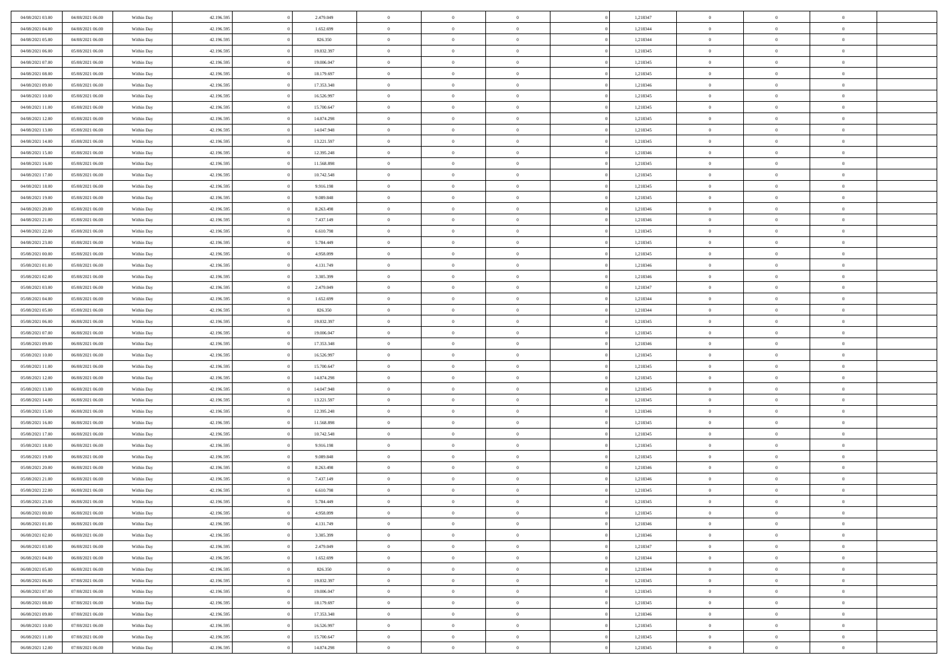| 04/08/2021 03:00 | 04/08/2021 06:00 | Within Day | 42.196.595 | 2.479.049  | $\,$ 0 $\,$    | $\overline{0}$                    | $\overline{0}$ |          | 1,218347 | $\bf{0}$       | $\overline{0}$ | $\,0\,$        |  |
|------------------|------------------|------------|------------|------------|----------------|-----------------------------------|----------------|----------|----------|----------------|----------------|----------------|--|
| 04/08/2021 04:00 | 04/08/2021 06:00 | Within Day | 42.196.595 | 1.652.699  | $\theta$       | $\overline{0}$                    | $\mathbf{0}$   |          | 1,218344 | $\theta$       | $\overline{0}$ | $\theta$       |  |
| 04/08/2021 05:00 | 04/08/2021 06:00 | Within Day | 42.196.595 | 826.350    | $\theta$       | $\overline{0}$                    | $\overline{0}$ |          | 1,218344 | $\mathbf{0}$   | $\overline{0}$ | $\overline{0}$ |  |
| 04/08/2021 06:00 | 05/08/2021 06:00 | Within Day | 42.196.595 | 19.832.397 | $\,$ 0 $\,$    | $\overline{0}$                    | $\overline{0}$ |          | 1,218345 | $\bf{0}$       | $\overline{0}$ | $\bf{0}$       |  |
| 04/08/2021 07:00 | 05/08/2021 06:00 | Within Day | 42.196.595 | 19.006.047 | $\bf{0}$       | $\overline{0}$                    | $\mathbf{0}$   |          | 1,218345 | $\bf{0}$       | $\bf{0}$       | $\,0\,$        |  |
| 04/08/2021 08:00 | 05/08/2021 06:00 | Within Day | 42.196.595 | 18.179.697 | $\theta$       | $\overline{0}$                    | $\mathbf{0}$   |          | 1,218345 | $\mathbf{0}$   | $\overline{0}$ | $\overline{0}$ |  |
| 04/08/2021 09:00 | 05/08/2021 06:00 | Within Day | 42.196.595 | 17.353.348 | $\,$ 0 $\,$    | $\overline{0}$                    | $\overline{0}$ |          | 1,218346 | $\bf{0}$       | $\overline{0}$ | $\bf{0}$       |  |
|                  |                  |            |            |            | $\overline{0}$ | $\overline{0}$                    |                |          |          | $\,$ 0 $\,$    | $\overline{0}$ | $\overline{0}$ |  |
| 04/08/2021 10:00 | 05/08/2021 06:00 | Within Day | 42.196.595 | 16.526.997 |                |                                   | $\mathbf{0}$   |          | 1,218345 |                |                |                |  |
| 04/08/2021 11:00 | 05/08/2021 06:00 | Within Day | 42.196.595 | 15.700.647 | $\theta$       | $\overline{0}$                    | $\mathbf{0}$   |          | 1,218345 | $\mathbf{0}$   | $\overline{0}$ | $\overline{0}$ |  |
| 04/08/2021 12:00 | 05/08/2021 06:00 | Within Day | 42.196.595 | 14.874.298 | $\,$ 0 $\,$    | $\overline{0}$                    | $\Omega$       |          | 1,218345 | $\bf{0}$       | $\overline{0}$ | $\bf{0}$       |  |
| 04/08/2021 13:00 | 05/08/2021 06:00 | Within Day | 42.196.595 | 14.047.948 | $\bf{0}$       | $\overline{0}$                    | $\mathbf{0}$   |          | 1,218345 | $\bf{0}$       | $\overline{0}$ | $\theta$       |  |
| 04/08/2021 14:00 | 05/08/2021 06:00 | Within Day | 42.196.595 | 13.221.597 | $\theta$       | $\overline{0}$                    | $\overline{0}$ |          | 1,218345 | $\mathbf{0}$   | $\overline{0}$ | $\overline{0}$ |  |
| 04/08/2021 15:00 | 05/08/2021 06:00 | Within Day | 42.196.595 | 12.395.248 | $\,$ 0 $\,$    | $\overline{0}$                    | $\overline{0}$ |          | 1,218346 | $\bf{0}$       | $\overline{0}$ | $\bf{0}$       |  |
| 04/08/2021 16:00 | 05/08/2021 06:00 | Within Day | 42.196.595 | 11.568.898 | $\bf{0}$       | $\overline{0}$                    | $\mathbf{0}$   |          | 1,218345 | $\bf{0}$       | $\mathbf{0}$   | $\,0\,$        |  |
| 04/08/2021 17:00 | 05/08/2021 06:00 | Within Day | 42.196.595 | 10.742.548 | $\theta$       | $\overline{0}$                    | $\overline{0}$ |          | 1,218345 | $\mathbf{0}$   | $\overline{0}$ | $\overline{0}$ |  |
| 04/08/2021 18:00 | 05/08/2021 06:00 | Within Day | 42.196.595 | 9.916.198  | $\,$ 0 $\,$    | $\overline{0}$                    | $\Omega$       |          | 1,218345 | $\bf{0}$       | $\overline{0}$ | $\bf{0}$       |  |
| 04/08/2021 19:00 | 05/08/2021 06:00 | Within Day | 42.196.595 | 9.089.848  | $\,$ 0         | $\overline{0}$                    | $\mathbf{0}$   |          | 1,218345 | $\,$ 0 $\,$    | $\overline{0}$ | $\theta$       |  |
| 04/08/2021 20:00 | 05/08/2021 06:00 | Within Day | 42.196.595 | 8.263.498  | $\theta$       | $\overline{0}$                    | $\mathbf{0}$   |          | 1,218346 | $\mathbf{0}$   | $\overline{0}$ | $\overline{0}$ |  |
| 04/08/2021 21:00 | 05/08/2021 06:00 | Within Day | 42.196.595 | 7.437.149  | $\,$ 0 $\,$    | $\overline{0}$                    | $\Omega$       |          | 1,218346 | $\bf{0}$       | $\overline{0}$ | $\bf{0}$       |  |
| 04/08/2021 22:00 | 05/08/2021 06:00 | Within Day | 42.196.595 | 6.610.798  | $\bf{0}$       | $\overline{0}$                    | $\mathbf{0}$   |          | 1,218345 | $\bf{0}$       | $\mathbf{0}$   | $\overline{0}$ |  |
| 04/08/2021 23:00 | 05/08/2021 06:00 | Within Day | 42.196.595 | 5.784.449  | $\theta$       | $\overline{0}$                    | $\overline{0}$ |          | 1,218345 | $\mathbf{0}$   | $\overline{0}$ | $\overline{0}$ |  |
| 05/08/2021 00:00 | 05/08/2021 06:00 | Within Day | 42.196.595 | 4.958.099  | $\,$ 0 $\,$    | $\overline{0}$                    | $\overline{0}$ |          | 1,218345 | $\bf{0}$       | $\overline{0}$ | $\bf{0}$       |  |
| 05/08/2021 01:00 | 05/08/2021 06:00 | Within Day | 42.196.595 | 4.131.749  | $\bf{0}$       | $\overline{0}$                    | $\mathbf{0}$   |          | 1,218346 | $\bf{0}$       | $\overline{0}$ | $\,0\,$        |  |
| 05/08/2021 02:00 | 05/08/2021 06:00 | Within Day | 42.196.595 | 3.305.399  | $\theta$       | $\overline{0}$                    | $\mathbf{0}$   |          | 1,218346 | $\mathbf{0}$   | $\overline{0}$ | $\overline{0}$ |  |
| 05/08/2021 03:00 | 05/08/2021 06:00 | Within Day | 42.196.595 | 2.479.049  | $\,$ 0 $\,$    | $\overline{0}$                    | $\overline{0}$ |          | 1,218347 | $\bf{0}$       | $\overline{0}$ | $\bf{0}$       |  |
| 05/08/2021 04:00 | 05/08/2021 06:00 | Within Day | 42.196.595 | 1.652.699  | $\,$ 0         | $\overline{0}$                    | $\mathbf{0}$   |          | 1,218344 | $\bf{0}$       | $\overline{0}$ | $\overline{0}$ |  |
| 05/08/2021 05:00 | 05/08/2021 06:00 | Within Day | 42.196.595 | 826.350    | $\theta$       | $\overline{0}$                    | $\mathbf{0}$   |          | 1,218344 | $\mathbf{0}$   | $\overline{0}$ | $\overline{0}$ |  |
| 05/08/2021 06:00 | 06/08/2021 06:00 | Within Day | 42.196.595 | 19.832.397 | $\,$ 0 $\,$    | $\overline{0}$                    | $\Omega$       |          | 1,218345 | $\bf{0}$       | $\overline{0}$ | $\bf{0}$       |  |
| 05/08/2021 07:00 | 06/08/2021 06:00 | Within Day | 42.196.595 | 19,006,047 | $\bf{0}$       | $\overline{0}$                    | $\mathbf{0}$   |          | 1,218345 | $\bf{0}$       | $\overline{0}$ | $\overline{0}$ |  |
| 05/08/2021 09:00 | 06/08/2021 06:00 | Within Day | 42.196.595 | 17.353.348 | $\theta$       | $\overline{0}$                    | $\overline{0}$ |          | 1,218346 | $\mathbf{0}$   | $\overline{0}$ | $\overline{0}$ |  |
| 05/08/2021 10:00 | 06/08/2021 06:00 | Within Day | 42.196.595 | 16.526.997 | $\theta$       | $\overline{0}$                    | $\overline{0}$ |          | 1,218345 | $\,$ 0         | $\overline{0}$ | $\,$ 0 $\,$    |  |
| 05/08/2021 11:00 | 06/08/2021 06:00 | Within Day | 42.196.595 | 15.700.647 | $\bf{0}$       | $\overline{0}$                    | $\mathbf{0}$   |          | 1,218345 | $\bf{0}$       | $\overline{0}$ | $\overline{0}$ |  |
| 05/08/2021 12:00 | 06/08/2021 06:00 | Within Day | 42.196.595 | 14.874.298 | $\theta$       | $\overline{0}$                    | $\overline{0}$ |          | 1,218345 | $\mathbf{0}$   | $\overline{0}$ | $\overline{0}$ |  |
|                  |                  |            |            |            | $\theta$       | $\overline{0}$                    | $\overline{0}$ |          |          | $\,$ 0         | $\overline{0}$ | $\theta$       |  |
| 05/08/2021 13:00 | 06/08/2021 06:00 | Within Day | 42.196.595 | 14.047.948 |                |                                   |                |          | 1,218345 |                | $\overline{0}$ | $\overline{0}$ |  |
| 05/08/2021 14:00 | 06/08/2021 06:00 | Within Day | 42.196.595 | 13.221.597 | $\bf{0}$       | $\overline{0}$                    | $\mathbf{0}$   |          | 1,218345 | $\mathbf{0}$   |                |                |  |
| 05/08/2021 15:00 | 06/08/2021 06:00 | Within Day | 42.196.595 | 12.395.248 | $\theta$       | $\overline{0}$                    | $\mathbf{0}$   |          | 1,218346 | $\mathbf{0}$   | $\overline{0}$ | $\overline{0}$ |  |
| 05/08/2021 16:00 | 06/08/2021 06:00 | Within Day | 42.196.595 | 11.568.898 | $\theta$       | $\overline{0}$                    | $\overline{0}$ |          | 1,218345 | $\,$ 0         | $\overline{0}$ | $\,$ 0 $\,$    |  |
| 05/08/2021 17:00 | 06/08/2021 06:00 | Within Day | 42.196.595 | 10.742.548 | $\bf{0}$       | $\overline{0}$                    | $\mathbf{0}$   |          | 1,218345 | $\bf{0}$       | $\mathbf{0}$   | $\overline{0}$ |  |
| 05/08/2021 18:00 | 06/08/2021 06:00 | Within Day | 42.196.595 | 9.916.198  | $\theta$       | $\overline{0}$                    | $\overline{0}$ |          | 1,218345 | $\mathbf{0}$   | $\overline{0}$ | $\overline{0}$ |  |
| 05/08/2021 19:00 | 06/08/2021 06:00 | Within Day | 42.196.595 | 9.089.848  | $\,$ 0 $\,$    | $\overline{0}$                    | $\overline{0}$ |          | 1,218345 | $\,$ 0         | $\overline{0}$ | $\,$ 0 $\,$    |  |
| 05/08/2021 20:00 | 06/08/2021 06:00 | Within Day | 42.196.595 | 8.263.498  | $\bf{0}$       | $\,$ 0 $\,$                       | $\overline{0}$ |          | 1,218346 | $\,$ 0 $\,$    | $\overline{0}$ | $\overline{0}$ |  |
| 05/08/2021 21:00 | 06/08/2021 06:00 | Within Day | 42.196.595 | 7.437.149  | $\theta$       | $\overline{0}$                    | $\mathbf{0}$   |          | 1,218346 | $\mathbf{0}$   | $\overline{0}$ | $\overline{0}$ |  |
| 05/08/2021 22:00 | 06/08/2021 06:00 | Within Day | 42.196.595 | 6.610.798  | $\theta$       | $\overline{0}$                    | $\overline{0}$ |          | 1,218345 | $\,$ 0         | $\overline{0}$ | $\,$ 0 $\,$    |  |
| 05/08/2021 23:00 | 06/08/2021 06:00 | Within Day | 42.196.595 | 5.784.449  | $\bf{0}$       | $\,$ 0 $\,$                       | $\mathbf{0}$   |          | 1,218345 | $\,$ 0 $\,$    | $\overline{0}$ | $\overline{0}$ |  |
| 06/08/2021 00:00 | 06/08/2021 06:00 | Within Day | 42.196.595 | 4.958.099  | $\overline{0}$ | $\theta$                          |                |          | 1,218345 | $\overline{0}$ | $\theta$       | $\theta$       |  |
| 06/08/2021 01:00 | 06/08/2021 06:00 | Within Day | 42.196.595 | 4.131.749  | $\,$ 0 $\,$    | $\overline{0}$                    | $\overline{0}$ |          | 1,218346 | $\,$ 0 $\,$    | $\bf{0}$       | $\,$ 0 $\,$    |  |
| 06/08/2021 02:00 | 06/08/2021 06:00 | Within Day | 42.196.595 | 3.305.399  | $\overline{0}$ | $\hspace{0.1cm} 0 \hspace{0.1cm}$ | $\overline{0}$ |          | 1,218346 | $\,$ 0 $\,$    | $\overline{0}$ | $\overline{0}$ |  |
| 06/08/2021 03:00 | 06/08/2021 06:00 | Within Day | 42.196.595 | 2.479.049  | $\mathbf{0}$   | $\overline{0}$                    | $\overline{0}$ |          | 1,218347 | $\,$ 0 $\,$    | $\bf{0}$       | $\mathbf{0}$   |  |
| 06/08/2021 04:00 | 06/08/2021 06:00 | Within Day | 42.196.595 | 1.652.699  | $\,$ 0 $\,$    | $\overline{0}$                    | $\overline{0}$ | $\theta$ | 1,218344 | $\,$ 0 $\,$    | $\bf{0}$       | $\,$ 0 $\,$    |  |
| 06/08/2021 05:00 | 06/08/2021 06:00 | Within Day | 42.196.595 | 826.350    | $\,$ 0 $\,$    | $\,$ 0 $\,$                       | $\overline{0}$ |          | 1,218344 | $\,$ 0 $\,$    | $\overline{0}$ | $\overline{0}$ |  |
| 06/08/2021 06:00 | 07/08/2021 06:00 | Within Day | 42.196.595 | 19.832.397 | $\overline{0}$ | $\overline{0}$                    | $\overline{0}$ |          | 1,218345 | $\mathbf{0}$   | $\bf{0}$       | $\overline{0}$ |  |
| 06/08/2021 07:00 | 07/08/2021 06:00 | Within Day | 42.196.595 | 19.006.047 | $\,$ 0 $\,$    | $\overline{0}$                    | $\overline{0}$ |          | 1,218345 | $\,$ 0 $\,$    | $\bf{0}$       | $\,$ 0 $\,$    |  |
| 06/08/2021 08:00 | 07/08/2021 06:00 | Within Day | 42.196.595 | 18.179.697 | $\bf{0}$       | $\overline{0}$                    | $\overline{0}$ |          | 1,218345 | $\,$ 0 $\,$    | $\overline{0}$ | $\mathbf{0}$   |  |
| 06/08/2021 09:00 | 07/08/2021 06:00 | Within Day | 42.196.595 | 17.353.348 | $\,$ 0 $\,$    | $\overline{0}$                    | $\overline{0}$ |          | 1,218346 | $\,$ 0 $\,$    | $\bf{0}$       | $\overline{0}$ |  |
| 06/08/2021 10:00 | 07/08/2021 06:00 | Within Day | 42.196.595 | 16.526.997 | $\,$ 0 $\,$    | $\overline{0}$                    | $\overline{0}$ |          | 1,218345 | $\,$ 0 $\,$    | $\bf{0}$       | $\,$ 0 $\,$    |  |
| 06/08/2021 11:00 | 07/08/2021 06:00 | Within Day | 42.196.595 | 15.700.647 | $\,$ 0 $\,$    | $\,$ 0 $\,$                       | $\overline{0}$ |          | 1,218345 | $\,$ 0 $\,$    | $\overline{0}$ | $\overline{0}$ |  |
| 06/08/2021 12:00 | 07/08/2021 06:00 | Within Day | 42.196.595 | 14.874.298 | $\theta$       | $\overline{0}$                    | $\overline{0}$ |          | 1,218345 | $\,$ 0 $\,$    | $\mathbf{0}$   | $\overline{0}$ |  |
|                  |                  |            |            |            |                |                                   |                |          |          |                |                |                |  |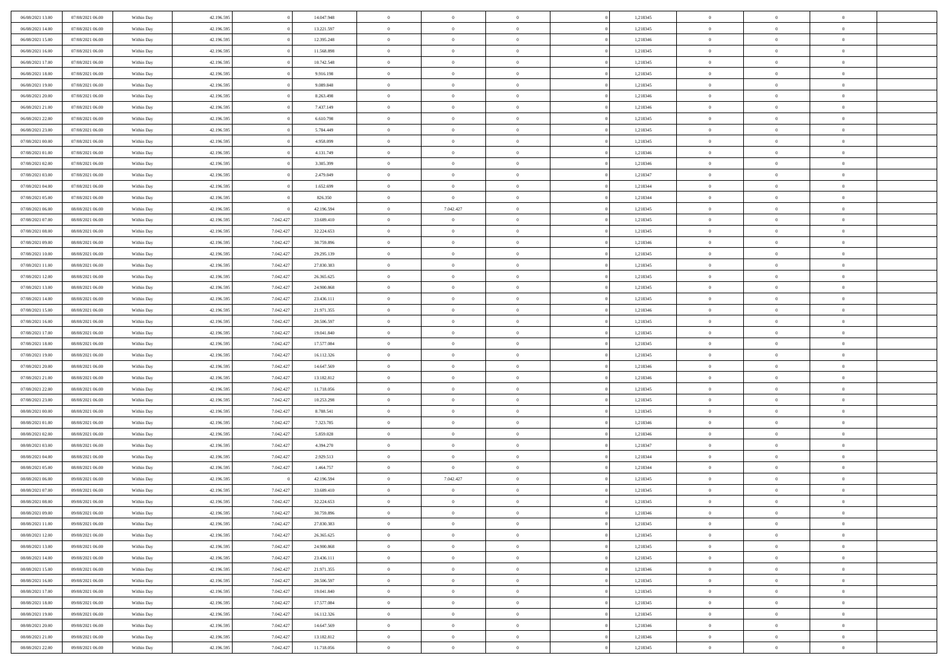| 06/08/2021 13:00 | 07/08/2021 06:00 | Within Day               | 42.196.595 |           | 14.047.948 | $\,$ 0 $\,$    | $\overline{0}$                    | $\overline{0}$ |          | 1,218345 | $\bf{0}$       | $\overline{0}$ | $\,0\,$        |  |
|------------------|------------------|--------------------------|------------|-----------|------------|----------------|-----------------------------------|----------------|----------|----------|----------------|----------------|----------------|--|
| 06/08/2021 14:00 | 07/08/2021 06:00 | Within Day               | 42.196.595 |           | 13.221.597 | $\theta$       | $\overline{0}$                    | $\mathbf{0}$   |          | 1,218345 | $\theta$       | $\overline{0}$ | $\theta$       |  |
| 06/08/2021 15:00 | 07/08/2021 06:00 | Within Day               | 42.196.595 |           | 12.395.248 | $\theta$       | $\overline{0}$                    | $\overline{0}$ |          | 1,218346 | $\mathbf{0}$   | $\overline{0}$ | $\overline{0}$ |  |
| 06/08/2021 16:00 | 07/08/2021 06:00 | Within Day               | 42.196.595 |           | 11.568.898 | $\,$ 0 $\,$    | $\overline{0}$                    | $\overline{0}$ |          | 1,218345 | $\bf{0}$       | $\overline{0}$ | $\bf{0}$       |  |
| 06/08/2021 17:00 | 07/08/2021 06:00 | Within Day               | 42.196.595 |           | 10.742.548 | $\bf{0}$       | $\overline{0}$                    | $\mathbf{0}$   |          | 1,218345 | $\bf{0}$       | $\theta$       | $\,0\,$        |  |
| 06/08/2021 18:00 | 07/08/2021 06:00 | Within Day               | 42.196.595 |           | 9.916.198  | $\theta$       | $\overline{0}$                    | $\mathbf{0}$   |          | 1,218345 | $\mathbf{0}$   | $\overline{0}$ | $\overline{0}$ |  |
| 06/08/2021 19:00 | 07/08/2021 06:00 | Within Day               | 42.196.595 |           | 9.089.848  | $\,$ 0 $\,$    | $\overline{0}$                    | $\overline{0}$ |          | 1,218345 | $\bf{0}$       | $\overline{0}$ | $\,0\,$        |  |
|                  |                  |                          |            |           |            | $\overline{0}$ |                                   |                |          |          |                | $\overline{0}$ |                |  |
| 06/08/2021 20:00 | 07/08/2021 06:00 | Within Day               | 42.196.595 |           | 8.263.498  |                | $\overline{0}$                    | $\mathbf{0}$   |          | 1,218346 | $\,$ 0 $\,$    |                | $\theta$       |  |
| 06/08/2021 21:00 | 07/08/2021 06:00 | Within Day               | 42.196.595 |           | 7.437.149  | $\theta$       | $\overline{0}$                    | $\mathbf{0}$   |          | 1,218346 | $\mathbf{0}$   | $\bf{0}$       | $\overline{0}$ |  |
| 06/08/2021 22:00 | 07/08/2021 06:00 | Within Day               | 42.196.595 |           | 6.610.798  | $\,$ 0 $\,$    | $\overline{0}$                    | $\Omega$       |          | 1,218345 | $\bf{0}$       | $\overline{0}$ | $\,0\,$        |  |
| 06/08/2021 23:00 | 07/08/2021 06:00 | Within Day               | 42.196.595 |           | 5.784.449  | $\bf{0}$       | $\overline{0}$                    | $\mathbf{0}$   |          | 1,218345 | $\bf{0}$       | $\mathbf{0}$   | $\theta$       |  |
| 07/08/2021 00:00 | 07/08/2021 06:00 | Within Day               | 42.196.595 |           | 4.958.099  | $\theta$       | $\overline{0}$                    | $\overline{0}$ |          | 1,218345 | $\mathbf{0}$   | $\overline{0}$ | $\overline{0}$ |  |
| 07/08/2021 01:00 | 07/08/2021 06:00 | Within Day               | 42.196.595 |           | 4.131.749  | $\,$ 0 $\,$    | $\overline{0}$                    | $\overline{0}$ |          | 1,218346 | $\bf{0}$       | $\overline{0}$ | $\bf{0}$       |  |
| 07/08/2021 02:00 | 07/08/2021 06:00 | Within Day               | 42.196.595 |           | 3.305.399  | $\bf{0}$       | $\overline{0}$                    | $\mathbf{0}$   |          | 1,218346 | $\bf{0}$       | $\theta$       | $\,0\,$        |  |
| 07/08/2021 03:00 | 07/08/2021 06:00 | Within Day               | 42.196.595 |           | 2.479.049  | $\theta$       | $\overline{0}$                    | $\mathbf{0}$   |          | 1,218347 | $\mathbf{0}$   | $\overline{0}$ | $\overline{0}$ |  |
| 07/08/2021 04:00 | 07/08/2021 06:00 | Within Day               | 42.196.595 |           | 1.652.699  | $\,$ 0 $\,$    | $\overline{0}$                    | $\Omega$       |          | 1,218344 | $\bf{0}$       | $\overline{0}$ | $\bf{0}$       |  |
| 07/08/2021 05:00 | 07/08/2021 06:00 | Within Day               | 42.196.595 |           | 826.350    | $\,$ 0 $\,$    | $\overline{0}$                    | $\mathbf{0}$   |          | 1,218344 | $\bf{0}$       | $\overline{0}$ | $\theta$       |  |
| 07/08/2021 06:00 | 08/08/2021 06:00 | Within Day               | 42.196.595 |           | 42.196.594 | $\theta$       | 7.042.427                         | $\mathbf{0}$   |          | 1,218345 | $\mathbf{0}$   | $\overline{0}$ | $\overline{0}$ |  |
| 07/08/2021 07:00 | 08/08/2021 06:00 | Within Day               | 42.196.595 | 7.042.427 | 33.689.410 | $\,$ 0 $\,$    | $\overline{0}$                    | $\overline{0}$ |          | 1,218345 | $\bf{0}$       | $\overline{0}$ | $\,0\,$        |  |
| 07/08/2021 08:00 | 08/08/2021 06:00 | Within Day               | 42.196.595 | 7.042.427 | 32.224.653 | $\bf{0}$       | $\overline{0}$                    | $\mathbf{0}$   |          | 1,218345 | $\bf{0}$       | $\mathbf{0}$   | $\theta$       |  |
| 07/08/2021 09:00 | 08/08/2021 06:00 | Within Dav               | 42.196.595 | 7.042.427 | 30.759.896 | $\theta$       | $\overline{0}$                    | $\mathbf{0}$   |          | 1,218346 | $\mathbf{0}$   | $\overline{0}$ | $\overline{0}$ |  |
| 07/08/2021 10:00 | 08/08/2021 06:00 | Within Day               | 42.196.595 | 7.042.427 | 29.295.139 | $\,$ 0 $\,$    | $\overline{0}$                    | $\overline{0}$ |          | 1,218345 | $\bf{0}$       | $\overline{0}$ | $\bf{0}$       |  |
| 07/08/2021 11:00 | 08/08/2021 06:00 | Within Day               | 42.196.595 | 7.042.427 | 27.830.383 | $\bf{0}$       | $\overline{0}$                    | $\mathbf{0}$   |          | 1,218345 | $\bf{0}$       | $\overline{0}$ | $\,0\,$        |  |
| 07/08/2021 12:00 | 08/08/2021 06:00 | Within Dav               | 42.196.595 | 7.042.427 | 26.365.625 | $\theta$       | $\overline{0}$                    | $\mathbf{0}$   |          | 1,218345 | $\mathbf{0}$   | $\overline{0}$ | $\overline{0}$ |  |
| 07/08/2021 13:00 | 08/08/2021 06:00 | Within Day               | 42.196.595 | 7.042.427 | 24.900.868 | $\,$ 0 $\,$    | $\overline{0}$                    | $\overline{0}$ |          | 1,218345 | $\bf{0}$       | $\overline{0}$ | $\,0\,$        |  |
| 07/08/2021 14:00 | 08/08/2021 06:00 | Within Day               | 42.196.595 | 7.042.427 | 23.436.111 | $\,$ 0         | $\overline{0}$                    | $\mathbf{0}$   |          | 1,218345 | $\bf{0}$       | $\overline{0}$ | $\theta$       |  |
| 07/08/2021 15:00 | 08/08/2021 06:00 | Within Day               | 42.196.595 | 7.042.427 | 21.971.355 | $\theta$       | $\overline{0}$                    | $\mathbf{0}$   |          | 1,218346 | $\mathbf{0}$   | $\bf{0}$       | $\overline{0}$ |  |
| 07/08/2021 16:00 | 08/08/2021 06:00 | Within Day               | 42.196.595 | 7.042.427 | 20.506.597 | $\,$ 0 $\,$    | $\overline{0}$                    | $\Omega$       |          | 1,218345 | $\bf{0}$       | $\overline{0}$ | $\,0\,$        |  |
| 07/08/2021 17:00 | 08/08/2021 06:00 | Within Day               | 42.196.595 | 7.042.427 | 19.041.840 | $\bf{0}$       | $\overline{0}$                    | $\mathbf{0}$   |          | 1,218345 | $\bf{0}$       | $\mathbf{0}$   | $\overline{0}$ |  |
| 07/08/2021 18:00 | 08/08/2021 06:00 | Within Dav               | 42.196.595 | 7.042.427 | 17.577.084 | $\theta$       | $\overline{0}$                    | $\overline{0}$ |          | 1,218345 | $\mathbf{0}$   | $\overline{0}$ | $\overline{0}$ |  |
| 07/08/2021 19:00 | 08/08/2021 06:00 | Within Day               | 42.196.595 | 7.042.427 | 16.112.326 | $\theta$       | $\overline{0}$                    | $\overline{0}$ |          | 1,218345 | $\,$ 0         | $\overline{0}$ | $\,$ 0 $\,$    |  |
| 07/08/2021 20:00 | 08/08/2021 06:00 |                          | 42.196.595 | 7.042.427 | 14.647.569 | $\bf{0}$       | $\overline{0}$                    | $\mathbf{0}$   |          | 1,218346 | $\bf{0}$       | $\mathbf{0}$   | $\bf{0}$       |  |
| 07/08/2021 21:00 | 08/08/2021 06:00 | Within Day<br>Within Dav | 42.196.595 | 7.042.427 | 13.182.812 | $\theta$       | $\overline{0}$                    | $\mathbf{0}$   |          | 1,218346 | $\mathbf{0}$   | $\overline{0}$ | $\overline{0}$ |  |
|                  |                  |                          |            |           |            | $\theta$       | $\overline{0}$                    | $\overline{0}$ |          |          | $\,$ 0         | $\overline{0}$ | $\theta$       |  |
| 07/08/2021 22:00 | 08/08/2021 06:00 | Within Day               | 42.196.595 | 7.042.427 | 11.718.056 |                |                                   |                |          | 1,218345 |                | $\overline{0}$ | $\overline{0}$ |  |
| 07/08/2021 23:00 | 08/08/2021 06:00 | Within Day               | 42.196.595 | 7.042.427 | 10.253.298 | $\bf{0}$       | $\overline{0}$                    | $\mathbf{0}$   |          | 1,218345 | $\mathbf{0}$   |                |                |  |
| 08/08/2021 00:00 | 08/08/2021 06:00 | Within Day               | 42.196.595 | 7.042.427 | 8.788.541  | $\theta$       | $\overline{0}$                    | $\mathbf{0}$   |          | 1,218345 | $\mathbf{0}$   | $\overline{0}$ | $\overline{0}$ |  |
| 08/08/2021 01:00 | 08/08/2021 06:00 | Within Day               | 42.196.595 | 7.042.427 | 7.323.785  | $\theta$       | $\overline{0}$                    | $\overline{0}$ |          | 1,218346 | $\,$ 0         | $\overline{0}$ | $\theta$       |  |
| 08/08/2021 02:00 | 08/08/2021 06:00 | Within Day               | 42.196.595 | 7.042.427 | 5.859.028  | $\bf{0}$       | $\overline{0}$                    | $\mathbf{0}$   |          | 1,218346 | $\bf{0}$       | $\mathbf{0}$   | $\overline{0}$ |  |
| 08/08/2021 03:00 | 08/08/2021 06:00 | Within Dav               | 42.196.595 | 7.042.427 | 4.394.270  | $\theta$       | $\overline{0}$                    | $\overline{0}$ |          | 1,218347 | $\mathbf{0}$   | $\overline{0}$ | $\overline{0}$ |  |
| 08/08/2021 04:00 | 08/08/2021 06:00 | Within Day               | 42.196.595 | 7.042.427 | 2.929.513  | $\,$ 0 $\,$    | $\overline{0}$                    | $\overline{0}$ |          | 1,218344 | $\,$ 0         | $\overline{0}$ | $\,$ 0 $\,$    |  |
| 08/08/2021 05:00 | 08/08/2021 06:00 | Within Day               | 42.196.595 | 7.042.427 | 1.464.757  | $\bf{0}$       | $\hspace{0.1cm} 0 \hspace{0.1cm}$ | $\overline{0}$ |          | 1,218344 | $\,$ 0 $\,$    | $\bf{0}$       | $\overline{0}$ |  |
| 08/08/2021 06:00 | 09/08/2021 06:00 | Within Dav               | 42.196.595 |           | 42.196.594 | $\theta$       | 7.042.427                         | $\mathbf{0}$   |          | 1,218345 | $\mathbf{0}$   | $\overline{0}$ | $\theta$       |  |
| 08/08/2021 07:00 | 09/08/2021 06:00 | Within Day               | 42.196.595 | 7.042.427 | 33.689.410 | $\theta$       | $\overline{0}$                    | $\overline{0}$ |          | 1,218345 | $\,$ 0         | $\overline{0}$ | $\theta$       |  |
| 08/08/2021 08:00 | 09/08/2021 06:00 | Within Day               | 42.196.595 | 7.042.427 | 32.224.653 | $\bf{0}$       | $\overline{0}$                    | $\mathbf{0}$   |          | 1,218345 | $\,$ 0 $\,$    | $\overline{0}$ | $\overline{0}$ |  |
| 08/08/2021 09:00 | 09/08/2021 06:00 | Within Day               | 42.196.595 | 7.042.427 | 30.759.896 | $\overline{0}$ | $\theta$                          |                |          | 1,218346 | $\overline{0}$ | $^{\circ}$     | $\theta$       |  |
| 08/08/2021 11:00 | 09/08/2021 06:00 | Within Day               | 42.196.595 | 7.042.427 | 27.830.383 | $\,$ 0 $\,$    | $\overline{0}$                    | $\overline{0}$ |          | 1,218345 | $\,$ 0 $\,$    | $\bf{0}$       | $\,$ 0 $\,$    |  |
| 08/08/2021 12:00 | 09/08/2021 06:00 | Within Day               | 42.196.595 | 7.042.427 | 26.365.625 | $\overline{0}$ | $\,$ 0 $\,$                       | $\overline{0}$ |          | 1,218345 | $\,$ 0 $\,$    | $\overline{0}$ | $\overline{0}$ |  |
| 08/08/2021 13:00 | 09/08/2021 06:00 | Within Day               | 42.196.595 | 7.042.427 | 24.900.868 | $\,$ 0 $\,$    | $\overline{0}$                    | $\overline{0}$ |          | 1,218345 | $\,$ 0 $\,$    | $\bf{0}$       | $\mathbf{0}$   |  |
| 08/08/2021 14:00 | 09/08/2021 06:00 | Within Day               | 42.196.595 | 7.042.427 | 23.436.111 | $\,$ 0 $\,$    | $\overline{0}$                    | $\overline{0}$ | $\theta$ | 1,218345 | $\,$ 0 $\,$    | $\bf{0}$       | $\,$ 0 $\,$    |  |
| 08/08/2021 15:00 | 09/08/2021 06:00 | Within Day               | 42.196.595 | 7.042.427 | 21.971.355 | $\,$ 0 $\,$    | $\,$ 0 $\,$                       | $\overline{0}$ |          | 1,218346 | $\,$ 0 $\,$    | $\overline{0}$ | $\overline{0}$ |  |
| 08/08/2021 16:00 | 09/08/2021 06:00 | Within Day               | 42.196.595 | 7.042.427 | 20.506.597 | $\mathbf{0}$   | $\overline{0}$                    | $\overline{0}$ |          | 1,218345 | $\mathbf{0}$   | $\bf{0}$       | $\overline{0}$ |  |
| 08/08/2021 17:00 | 09/08/2021 06:00 | Within Day               | 42.196.595 | 7.042.427 | 19.041.840 | $\,$ 0 $\,$    | $\overline{0}$                    | $\overline{0}$ |          | 1,218345 | $\,$ 0 $\,$    | $\bf{0}$       | $\,$ 0 $\,$    |  |
| 08/08/2021 18:00 | 09/08/2021 06:00 | Within Day               | 42.196.595 | 7.042.427 | 17.577.084 | $\overline{0}$ | $\overline{0}$                    | $\overline{0}$ |          | 1,218345 | $\,$ 0 $\,$    | $\overline{0}$ | $\overline{0}$ |  |
| 08/08/2021 19:00 | 09/08/2021 06:00 | Within Day               | 42.196.595 | 7.042.427 | 16.112.326 | $\,$ 0 $\,$    | $\overline{0}$                    | $\overline{0}$ |          | 1,218345 | $\,$ 0 $\,$    | $\bf{0}$       | $\overline{0}$ |  |
| 08/08/2021 20:00 | 09/08/2021 06:00 | Within Day               | 42.196.595 | 7.042.427 | 14.647.569 | $\,$ 0 $\,$    | $\overline{0}$                    | $\overline{0}$ |          | 1,218346 | $\,$ 0 $\,$    | $\mathbf{0}$   | $\,$ 0 $\,$    |  |
| 08/08/2021 21:00 | 09/08/2021 06:00 | Within Day               | 42.196.595 | 7.042.427 | 13.182.812 | $\,$ 0 $\,$    | $\,$ 0 $\,$                       | $\overline{0}$ |          | 1,218346 | $\,$ 0 $\,$    | $\overline{0}$ | $\overline{0}$ |  |
| 08/08/2021 22:00 | 09/08/2021 06:00 | Within Day               | 42.196.595 | 7.042.427 | 11.718.056 | $\theta$       | $\overline{0}$                    | $\overline{0}$ |          | 1,218345 | $\,$ 0 $\,$    | $\mathbf{0}$   | $\overline{0}$ |  |
|                  |                  |                          |            |           |            |                |                                   |                |          |          |                |                |                |  |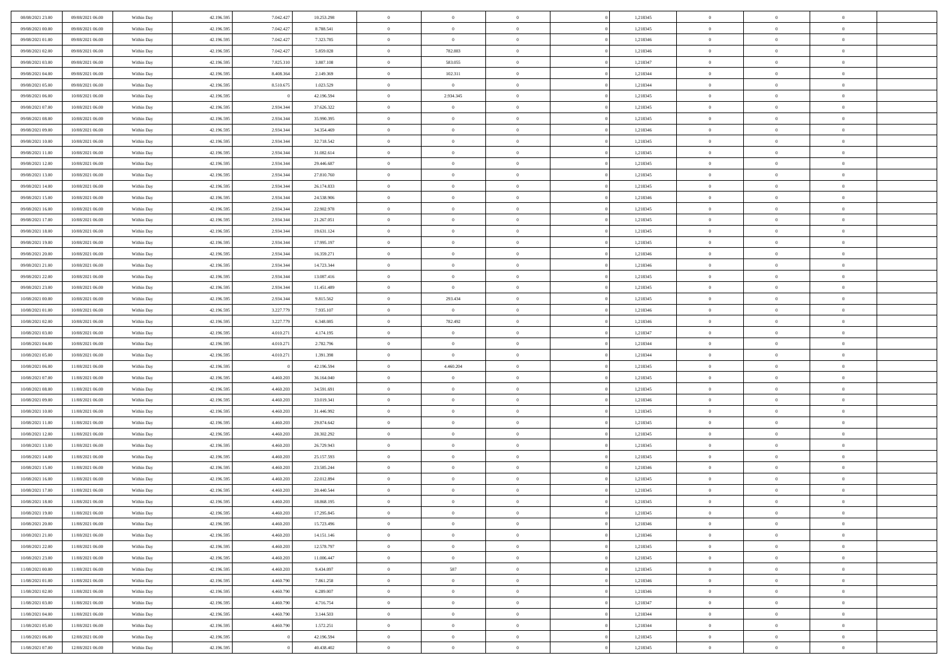| 08/08/2021 23:00 | 09/08/2021 06:00 | Within Day               | 42.196.595 | 7.042.427 | 10.253.298 | $\,$ 0         | $\bf{0}$       | $\theta$       |                | 1,218345 | $\bf{0}$       | $\overline{0}$ | $\theta$       |  |
|------------------|------------------|--------------------------|------------|-----------|------------|----------------|----------------|----------------|----------------|----------|----------------|----------------|----------------|--|
| 09/08/2021 00:00 | 09/08/2021 06:00 | Within Day               | 42.196.595 | 7.042.427 | 8.788.541  | $\overline{0}$ | $\overline{0}$ | $\overline{0}$ |                | 1,218345 | $\theta$       | $\theta$       | $\overline{0}$ |  |
| 09/08/2021 01:00 | 09/08/2021 06:00 | Within Dav               | 42.196.595 | 7.042.427 | 7.323.785  | $\mathbf{0}$   | $\overline{0}$ | $\overline{0}$ |                | 1,218346 | $\theta$       | $\overline{0}$ | $\theta$       |  |
| 09/08/2021 02:00 | 09/08/2021 06:00 | Within Day               | 42.196.595 | 7.042.427 | 5.859.028  | $\bf{0}$       | 782.883        | $\bf{0}$       |                | 1,218346 | $\bf{0}$       | $\overline{0}$ | $\bf{0}$       |  |
| 09/08/2021 03:00 | 09/08/2021 06:00 | Within Day               | 42.196.595 | 7.825.310 | 3.807.108  | $\bf{0}$       | 583.055        | $\bf{0}$       |                | 1,218347 | $\bf{0}$       | $\Omega$       | $\bf{0}$       |  |
| 09/08/2021 04:00 | 09/08/2021 06:00 | Within Dav               | 42.196.595 | 8.408.364 | 2.149.369  | $\overline{0}$ | 102.311        |                |                | 1,218344 | $\theta$       |                | $\theta$       |  |
|                  |                  |                          |            |           |            |                |                | $\overline{0}$ |                |          |                | $\overline{0}$ |                |  |
| 09/08/2021 05:00 | 09/08/2021 06:00 | Within Day               | 42.196.595 | 8.510.675 | 1.023.529  | $\bf{0}$       | $\overline{0}$ | $\overline{0}$ |                | 1,218344 | $\bf{0}$       | $\overline{0}$ | $\theta$       |  |
| 09/08/2021 06:00 | 10/08/2021 06:00 | Within Day               | 42.196.595 |           | 42.196.594 | $\overline{0}$ | 2.934.345      | $\overline{0}$ |                | 1,218345 | $\,$ 0 $\,$    | $\overline{0}$ | $\overline{0}$ |  |
| 09/08/2021 07:00 | 10/08/2021 06:00 | Within Day               | 42.196.595 | 2.934.344 | 37.626.322 | $\mathbf{0}$   | $\overline{0}$ | $\overline{0}$ |                | 1,218345 | $\theta$       | $\overline{0}$ | $\theta$       |  |
| 09/08/2021 08:00 | 10/08/2021 06:00 | Within Day               | 42.196.595 | 2.934.344 | 35.990.395 | $\bf{0}$       | $\bf{0}$       | $\overline{0}$ |                | 1,218345 | $\bf{0}$       | $\overline{0}$ | $\theta$       |  |
| 09/08/2021 09:00 | 10/08/2021 06:00 | Within Day               | 42.196.595 | 2.934.344 | 34.354.469 | $\bf{0}$       | $\overline{0}$ | $\overline{0}$ |                | 1,218346 | $\bf{0}$       | $\theta$       | $\overline{0}$ |  |
| 09/08/2021 10:00 | 10/08/2021 06:00 | Within Dav               | 42.196.595 | 2.934.344 | 32.718.542 | $\mathbf{0}$   | $\overline{0}$ | $\overline{0}$ |                | 1,218345 | $\theta$       | $\overline{0}$ | $\theta$       |  |
| 09/08/2021 11:00 | 10/08/2021 06:00 | Within Day               | 42.196.595 | 2.934.344 | 31.082.614 | $\bf{0}$       | $\overline{0}$ | $\bf{0}$       |                | 1,218345 | $\bf{0}$       | $\overline{0}$ | $\bf{0}$       |  |
| 09/08/2021 12:00 | 10/08/2021 06:00 | Within Day               | 42.196.595 | 2.934.344 | 29.446.687 | $\bf{0}$       | $\overline{0}$ | $\overline{0}$ |                | 1,218345 | $\bf{0}$       | $\Omega$       | $\bf{0}$       |  |
| 09/08/2021 13:00 | 10/08/2021 06:00 | Within Dav               | 42.196.595 | 2.934.344 | 27.810.760 | $\mathbf{0}$   | $\overline{0}$ | $\overline{0}$ |                | 1,218345 | $\theta$       | $\overline{0}$ | $\theta$       |  |
| 09/08/2021 14:00 | 10/08/2021 06:00 | Within Day               | 42.196.595 | 2.934.344 | 26.174.833 | $\bf{0}$       | $\bf{0}$       | $\overline{0}$ |                | 1,218345 | $\bf{0}$       | $\overline{0}$ | $\theta$       |  |
| 09/08/2021 15:00 | 10/08/2021 06:00 | Within Day               | 42.196.595 | 2.934.344 | 24.538.906 | $\bf{0}$       | $\overline{0}$ | $\overline{0}$ |                | 1,218346 | $\,$ 0 $\,$    | $\overline{0}$ | $\overline{0}$ |  |
| 09/08/2021 16:00 | 10/08/2021 06:00 | Within Day               | 42.196.595 | 2.934.344 | 22.902.978 | $\mathbf{0}$   | $\overline{0}$ | $\overline{0}$ |                | 1,218345 | $\theta$       | $\overline{0}$ | $\theta$       |  |
| 09/08/2021 17:00 | 10/08/2021 06:00 | Within Day               | 42.196.595 | 2.934.344 | 21.267.051 | $\bf{0}$       | $\bf{0}$       | $\overline{0}$ |                | 1,218345 | $\bf{0}$       | $\overline{0}$ | $\theta$       |  |
| 09/08/2021 18:00 | 10/08/2021 06:00 | Within Day               | 42.196.595 | 2.934.344 | 19.631.124 | $\bf{0}$       | $\overline{0}$ | $\overline{0}$ |                | 1,218345 | $\bf{0}$       | $\theta$       | $\overline{0}$ |  |
| 09/08/2021 19:00 | 10/08/2021 06:00 | Within Dav               | 42.196.595 | 2.934.344 | 17.995.197 | $\mathbf{0}$   | $\overline{0}$ | $\overline{0}$ |                | 1,218345 | $\theta$       | $\overline{0}$ | $\theta$       |  |
| 09/08/2021 20:00 | 10/08/2021 06:00 | Within Day               | 42.196.595 | 2.934.344 | 16.359.271 | $\bf{0}$       | $\bf{0}$       | $\bf{0}$       |                | 1,218346 | $\bf{0}$       | $\overline{0}$ | $\bf{0}$       |  |
| 09/08/2021 21:00 | 10/08/2021 06:00 | Within Day               | 42.196.595 | 2.934.344 | 14.723.344 | $\bf{0}$       | $\bf{0}$       | $\overline{0}$ |                | 1,218346 | $\bf{0}$       | $\overline{0}$ | $\bf{0}$       |  |
| 09/08/2021 22:00 | 10/08/2021 06:00 | Within Dav               | 42.196.595 | 2.934.344 | 13.087.416 | $\mathbf{0}$   | $\overline{0}$ | $\overline{0}$ |                | 1,218345 | $\theta$       | $\overline{0}$ | $\theta$       |  |
| 09/08/2021 23:00 | 10/08/2021 06:00 | Within Day               | 42.196.595 | 2.934.344 | 11.451.489 | $\bf{0}$       | $\bf{0}$       | $\overline{0}$ |                | 1,218345 | $\bf{0}$       | $\overline{0}$ | $\theta$       |  |
| 10/08/2021 00:00 | 10/08/2021 06:00 | Within Day               | 42.196.595 | 2.934.344 | 9.815.562  | $\bf{0}$       | 293.434        | $\overline{0}$ |                | 1,218345 | $\bf{0}$       | $\theta$       | $\overline{0}$ |  |
| 10/08/2021 01:00 | 10/08/2021 06:00 | Within Day               | 42.196.595 | 3.227.779 | 7.935.107  | $\mathbf{0}$   | $\overline{0}$ | $\overline{0}$ |                | 1,218346 | $\theta$       | $\overline{0}$ | $\theta$       |  |
| 10/08/2021 02:00 | 10/08/2021 06:00 | Within Day               | 42.196.595 | 3.227.779 | 6.348.085  | $\bf{0}$       | 782.492        | $\overline{0}$ |                | 1,218346 | $\bf{0}$       | $\overline{0}$ | $\theta$       |  |
| 10/08/2021 03:00 | 10/08/2021 06:00 | Within Day               | 42.196.595 | 4.010.271 | 4.174.195  | $\bf{0}$       | $\bf{0}$       | $\overline{0}$ |                | 1,218347 | $\bf{0}$       | $\theta$       | $\bf{0}$       |  |
| 10/08/2021 04:00 | 10/08/2021 06:00 | Within Dav               | 42.196.595 | 4.010.271 | 2.782.796  | $\mathbf{0}$   | $\overline{0}$ | $\overline{0}$ |                | 1,218344 | $\theta$       | $\overline{0}$ | $\theta$       |  |
| 10/08/2021 05:00 | 10/08/2021 06:00 | Within Day               | 42.196.595 | 4.010.271 | 1.391.398  | $\bf{0}$       | $\overline{0}$ | $\overline{0}$ |                | 1,218344 | $\,0\,$        | $\overline{0}$ | $\theta$       |  |
| 10/08/2021 06:00 | 11/08/2021 06:00 |                          | 42.196.595 |           | 42.196.594 | $\bf{0}$       | 4.460.204      | $\overline{0}$ |                | 1,218345 | $\bf{0}$       | $\overline{0}$ | $\bf{0}$       |  |
| 10/08/2021 07:00 | 11/08/2021 06:00 | Within Day<br>Within Dav | 42.196.595 | 4.460.203 | 36.164.040 | $\mathbf{0}$   | $\overline{0}$ | $\overline{0}$ |                | 1,218345 | $\theta$       | $\overline{0}$ | $\theta$       |  |
|                  |                  |                          |            |           |            | $\bf{0}$       | $\overline{0}$ | $\theta$       |                |          | $\,0\,$        | $\overline{0}$ | $\theta$       |  |
| 10/08/2021 08:00 | 11/08/2021 06:00 | Within Day               | 42.196.595 | 4.460.203 | 34.591.691 |                |                |                |                | 1,218345 |                |                |                |  |
| 10/08/2021 09:00 | 11/08/2021 06:00 | Within Day               | 42.196.595 | 4.460.203 | 33.019.341 | $\bf{0}$       | $\overline{0}$ | $\overline{0}$ |                | 1,218346 | $\bf{0}$       | $\overline{0}$ | $\bf{0}$       |  |
| 10/08/2021 10:00 | 11/08/2021 06:00 | Within Day               | 42.196.595 | 4.460.203 | 31.446.992 | $\mathbf{0}$   | $\overline{0}$ | $\overline{0}$ |                | 1,218345 | $\theta$       | $\overline{0}$ | $\theta$       |  |
| 10/08/2021 11:00 | 11/08/2021 06:00 | Within Day               | 42.196.595 | 4.460.203 | 29.874.642 | $\bf{0}$       | $\overline{0}$ | $\theta$       |                | 1,218345 | $\,0\,$        | $\overline{0}$ | $\theta$       |  |
| 10/08/2021 12:00 | 11/08/2021 06:00 | Within Day               | 42.196.595 | 4.460.203 | 28.302.292 | $\bf{0}$       | $\overline{0}$ | $\overline{0}$ |                | 1,218345 | $\bf{0}$       | $\theta$       | $\bf{0}$       |  |
| 10/08/2021 13:00 | 11/08/2021 06:00 | Within Dav               | 42.196.595 | 4.460.203 | 26.729.943 | $\mathbf{0}$   | $\overline{0}$ | $\overline{0}$ |                | 1,218345 | $\theta$       | $\overline{0}$ | $\theta$       |  |
| 10/08/2021 14:00 | 11/08/2021 06:00 | Within Day               | 42.196.595 | 4.460.203 | 25.157.593 | $\bf{0}$       | $\overline{0}$ | $\theta$       |                | 1,218345 | $\,0\,$        | $\overline{0}$ | $\theta$       |  |
| 10/08/2021 15:00 | 11/08/2021 06:00 | Within Day               | 42.196.595 | 4.460.203 | 23.585.244 | $\bf{0}$       | $\bf{0}$       | $\overline{0}$ |                | 1,218346 | $\bf{0}$       | $\overline{0}$ | $\bf{0}$       |  |
| 10/08/2021 16:00 | 11/08/2021 06:00 | Within Dav               | 42.196.595 | 4.460.203 | 22.012.894 | $\mathbf{0}$   | $\overline{0}$ | $\overline{0}$ |                | 1,218345 | $\theta$       | $\overline{0}$ | $\theta$       |  |
| 10/08/2021 17:00 | 11/08/2021 06:00 | Within Day               | 42.196.595 | 4.460.203 | 20.440.544 | $\bf{0}$       | $\overline{0}$ | $\theta$       |                | 1,218345 | $\,0\,$        | $\overline{0}$ | $\theta$       |  |
| 10/08/2021 18:00 | 11/08/2021 06:00 | Within Day               | 42.196.595 | 4.460.203 | 18.868.195 | $\bf{0}$       | $\overline{0}$ | $\overline{0}$ |                | 1,218345 | $\,$ 0 $\,$    | $\overline{0}$ | $\bf{0}$       |  |
| 10/08/2021 19:00 | 11/08/2021 06:00 | Within Day               | 42.196.595 | 4.460.203 | 17.295.845 | $\bf{0}$       | $\overline{0}$ |                |                | 1,218345 | $\bf{0}$       | $\Omega$       | $\theta$       |  |
| 10/08/2021 20:00 | 11/08/2021 06:00 | Within Day               | 42.196.595 | 4.460.203 | 15.723.496 | $\,0\,$        | $\overline{0}$ | $\theta$       |                | 1,218346 | $\,$ 0 $\,$    | $\overline{0}$ | $\theta$       |  |
| 10/08/2021 21:00 | 11/08/2021 06:00 | Within Day               | 42.196.595 | 4.460.203 | 14.151.146 | $\overline{0}$ | $\overline{0}$ | $\overline{0}$ |                | 1,218346 | $\overline{0}$ | $\overline{0}$ | $\overline{0}$ |  |
| 10/08/2021 22:00 | 11/08/2021 06:00 | Within Day               | 42.196.595 | 4.460.203 | 12.578.797 | $\overline{0}$ | $\overline{0}$ | $\overline{0}$ |                | 1,218345 | $\mathbf{0}$   | $\overline{0}$ | $\overline{0}$ |  |
| 10/08/2021 23:00 | 11/08/2021 06:00 | Within Day               | 42.196.595 | 4.460.203 | 11.006.447 | $\,$ 0 $\,$    | $\overline{0}$ | $\overline{0}$ | $\overline{0}$ | 1,218345 | $\,$ 0 $\,$    | $\mathbf{0}$   | $\,$ 0         |  |
| 11/08/2021 00:00 | 11/08/2021 06:00 | Within Day               | 42.196.595 | 4.460.203 | 9.434.097  | $\,$ 0 $\,$    | 587            | $\overline{0}$ |                | 1,218345 | $\,$ 0 $\,$    | $\overline{0}$ | $\overline{0}$ |  |
| 11/08/2021 01:00 | 11/08/2021 06:00 | Within Day               | 42.196.595 | 4.460.790 | 7.861.258  | $\overline{0}$ | $\overline{0}$ | $\overline{0}$ |                | 1,218346 | $\overline{0}$ | $\overline{0}$ | $\overline{0}$ |  |
| 11/08/2021 02:00 | 11/08/2021 06:00 | Within Day               | 42.196.595 | 4.460.790 | 6.289.007  | $\,$ 0 $\,$    | $\overline{0}$ | $\overline{0}$ | $\theta$       | 1,218346 | $\,$ 0 $\,$    | $\overline{0}$ | $\theta$       |  |
| 11/08/2021 03:00 | 11/08/2021 06:00 | Within Day               | 42.196.595 | 4.460.790 | 4.716.754  | $\bf{0}$       | $\overline{0}$ | $\overline{0}$ |                | 1,218347 | $\overline{0}$ | $\overline{0}$ | $\overline{0}$ |  |
| 11/08/2021 04:00 | 11/08/2021 06:00 | Within Day               | 42.196.595 | 4.460.790 | 3.144.503  | $\mathbf{0}$   | $\overline{0}$ | $\overline{0}$ |                | 1,218344 | $\mathbf{0}$   | $\overline{0}$ | $\overline{0}$ |  |
| 11/08/2021 05:00 | 11/08/2021 06:00 | Within Day               | 42.196.595 | 4.460.790 | 1.572.251  | $\,$ 0 $\,$    | $\overline{0}$ | $\overline{0}$ |                | 1,218344 | $\,$ 0 $\,$    | $\overline{0}$ | $\,$ 0 $\,$    |  |
| 11/08/2021 06:00 | 12/08/2021 06:00 | Within Day               | 42.196.595 |           | 42.196.594 | $\bf{0}$       | $\overline{0}$ | $\overline{0}$ |                | 1,218345 | $\,$ 0 $\,$    | $\overline{0}$ | $\overline{0}$ |  |
| 11/08/2021 07:00 | 12/08/2021 06:00 | Within Day               | 42.196.595 |           | 40.438.402 | $\mathbf{0}$   | $\overline{0}$ | $\overline{0}$ |                | 1,218345 | $\mathbf{0}$   | $\overline{0}$ | $\overline{0}$ |  |
|                  |                  |                          |            |           |            |                |                |                |                |          |                |                |                |  |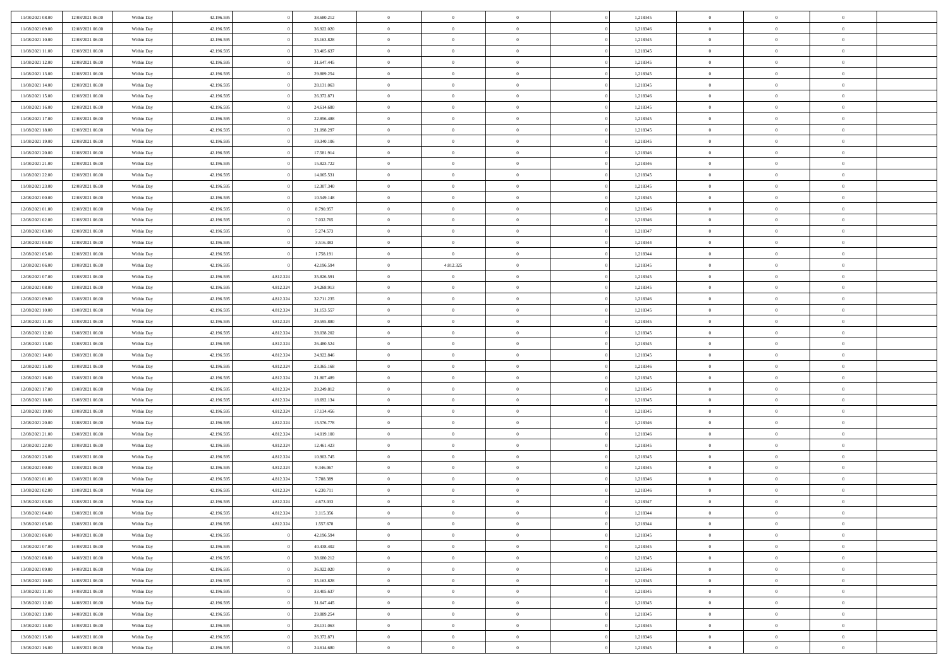| 11/08/2021 08:00                     | 12/08/2021 06:00                     | Within Day               | 42.196.595               |                        | 38.680.212               | $\,$ 0 $\,$             | $\overline{0}$                   | $\overline{0}$                   |          | 1,218345             | $\bf{0}$                     | $\overline{0}$                   | $\,0\,$                          |  |
|--------------------------------------|--------------------------------------|--------------------------|--------------------------|------------------------|--------------------------|-------------------------|----------------------------------|----------------------------------|----------|----------------------|------------------------------|----------------------------------|----------------------------------|--|
| 11/08/2021 09:00                     | 12/08/2021 06:00                     | Within Day               | 42.196.595               |                        | 36.922.020               | $\theta$                | $\overline{0}$                   | $\mathbf{0}$                     |          | 1,218346             | $\theta$                     | $\overline{0}$                   | $\theta$                         |  |
| 11/08/2021 10:00                     | 12/08/2021 06:00                     | Within Dav               | 42.196.595               |                        | 35.163.828               | $\theta$                | $\overline{0}$                   | $\overline{0}$                   |          | 1,218345             | $\mathbf{0}$                 | $\overline{0}$                   | $\overline{0}$                   |  |
| 11/08/2021 11:00                     | 12/08/2021 06:00                     | Within Day               | 42.196.595               |                        | 33.405.637               | $\,$ 0 $\,$             | $\overline{0}$                   | $\overline{0}$                   |          | 1,218345             | $\bf{0}$                     | $\overline{0}$                   | $\bf{0}$                         |  |
| 11/08/2021 12:00                     | 12/08/2021 06:00                     | Within Day               | 42.196.595               |                        | 31.647.445               | $\bf{0}$                | $\overline{0}$                   | $\mathbf{0}$                     |          | 1,218345             | $\bf{0}$                     | $\bf{0}$                         | $\,0\,$                          |  |
| 11/08/2021 13:00                     | 12/08/2021 06:00                     | Within Dav               | 42.196.595               |                        | 29.889.254               | $\theta$                | $\overline{0}$                   | $\mathbf{0}$                     |          | 1,218345             | $\mathbf{0}$                 | $\overline{0}$                   | $\overline{0}$                   |  |
| 11/08/2021 14:00                     | 12/08/2021 06:00                     | Within Day               | 42.196.595               |                        | 28.131.063               | $\,$ 0 $\,$             | $\overline{0}$                   | $\overline{0}$                   |          | 1,218345             | $\bf{0}$                     | $\overline{0}$                   | $\bf{0}$                         |  |
| 11/08/2021 15:00                     | 12/08/2021 06:00                     | Within Day               | 42.196.595               |                        | 26.372.871               | $\overline{0}$          | $\overline{0}$                   | $\mathbf{0}$                     |          | 1,218346             | $\,$ 0 $\,$                  | $\overline{0}$                   | $\overline{0}$                   |  |
| 11/08/2021 16:00                     | 12/08/2021 06:00                     | Within Day               | 42.196.595               |                        | 24.614.680               | $\theta$                | $\overline{0}$                   | $\mathbf{0}$                     |          | 1,218345             | $\mathbf{0}$                 | $\overline{0}$                   | $\overline{0}$                   |  |
| 11/08/2021 17:00                     | 12/08/2021 06:00                     | Within Day               | 42.196.595               |                        | 22.856.488               | $\,$ 0 $\,$             | $\overline{0}$                   | $\Omega$                         |          | 1,218345             | $\bf{0}$                     | $\overline{0}$                   | $\bf{0}$                         |  |
| 11/08/2021 18:00                     | 12/08/2021 06:00                     | Within Day               | 42.196.595               |                        | 21.098.297               | $\bf{0}$                | $\overline{0}$                   | $\mathbf{0}$                     |          | 1,218345             | $\bf{0}$                     | $\overline{0}$                   | $\theta$                         |  |
| 11/08/2021 19:00                     | 12/08/2021 06:00                     | Within Dav               | 42.196.595               |                        | 19.340.106               | $\theta$                | $\overline{0}$                   | $\overline{0}$                   |          | 1,218345             | $\mathbf{0}$                 | $\overline{0}$                   | $\overline{0}$                   |  |
| 11/08/2021 20:00                     | 12/08/2021 06:00                     | Within Day               | 42.196.595               |                        | 17.581.914               | $\,$ 0 $\,$             | $\overline{0}$                   | $\overline{0}$                   |          | 1,218346             | $\bf{0}$                     | $\overline{0}$                   | $\bf{0}$                         |  |
| 11/08/2021 21:00                     | 12/08/2021 06:00                     | Within Day               | 42.196.595               |                        | 15.823.722               | $\bf{0}$                | $\overline{0}$                   | $\mathbf{0}$                     |          | 1,218346             | $\bf{0}$                     | $\mathbf{0}$                     | $\,0\,$                          |  |
| 11/08/2021 22:00                     | 12/08/2021 06:00                     | Within Dav               | 42.196.595               |                        | 14.065.531               | $\theta$                | $\overline{0}$                   | $\overline{0}$                   |          | 1,218345             | $\mathbf{0}$                 | $\overline{0}$                   | $\overline{0}$                   |  |
| 11/08/2021 23:00                     | 12/08/2021 06:00                     | Within Day               | 42.196.595               |                        | 12.307.340               | $\,$ 0 $\,$             | $\overline{0}$                   | $\Omega$                         |          | 1,218345             | $\bf{0}$                     | $\overline{0}$                   | $\bf{0}$                         |  |
| 12/08/2021 00:00                     | 12/08/2021 06:00                     | Within Day               | 42.196.595               |                        | 10.549.148               | $\,$ 0 $\,$             | $\overline{0}$                   | $\mathbf{0}$                     |          | 1,218345             | $\mathbf{0}$                 | $\overline{0}$                   | $\theta$                         |  |
| 12/08/2021 01:00                     | 12/08/2021 06:00                     | Within Day               | 42.196.595               |                        | 8.790.957                | $\theta$                | $\overline{0}$                   | $\mathbf{0}$                     |          | 1,218346             | $\mathbf{0}$                 | $\overline{0}$                   | $\overline{0}$                   |  |
| 12/08/2021 02:00                     | 12/08/2021 06:00                     | Within Day               | 42.196.595               |                        | 7.032.765                | $\,$ 0 $\,$             | $\overline{0}$                   | $\Omega$                         |          | 1,218346             | $\bf{0}$                     | $\overline{0}$                   | $\bf{0}$                         |  |
| 12/08/2021 03:00                     | 12/08/2021 06:00                     | Within Day               | 42.196.595               |                        | 5.274.573                | $\bf{0}$                | $\overline{0}$                   | $\mathbf{0}$                     |          | 1,218347             | $\bf{0}$                     | $\mathbf{0}$                     | $\overline{0}$                   |  |
| 12/08/2021 04:00                     | 12/08/2021 06:00                     | Within Dav               | 42.196.595               |                        | 3.516.383                | $\theta$                | $\overline{0}$                   | $\overline{0}$                   |          | 1,218344             | $\mathbf{0}$                 | $\overline{0}$                   | $\overline{0}$                   |  |
| 12/08/2021 05:00                     | 12/08/2021 06:00                     | Within Day               | 42.196.595               |                        | 1.758.191                | $\,$ 0 $\,$             | $\overline{0}$                   | $\overline{0}$                   |          | 1,218344             | $\bf{0}$                     | $\overline{0}$                   | $\bf{0}$                         |  |
|                                      |                                      |                          | 42.196.595               |                        |                          | $\,$ 0                  | 4.812.325                        | $\mathbf{0}$                     |          | 1,218345             | $\,$ 0 $\,$                  | $\bf{0}$                         | $\,0\,$                          |  |
| 12/08/2021 06:00<br>12/08/2021 07:00 | 13/08/2021 06:00<br>13/08/2021 06:00 | Within Day<br>Within Dav | 42.196.595               | 4.812.324              | 42.196.594<br>35.826.591 | $\theta$                | $\sim$ 0                         | $\mathbf{0}$                     |          | 1,218345             | $\mathbf{0}$                 | $\overline{0}$                   | $\overline{0}$                   |  |
| 12/08/2021 08:00                     | 13/08/2021 06:00                     | Within Day               |                          | 4.812.324              | 34.268.913               | $\,$ 0 $\,$             | $\overline{0}$                   | $\overline{0}$                   |          | 1,218345             | $\bf{0}$                     | $\overline{0}$                   | $\bf{0}$                         |  |
|                                      |                                      |                          | 42.196.595               |                        |                          |                         |                                  |                                  |          |                      |                              | $\overline{0}$                   | $\overline{0}$                   |  |
| 12/08/2021 09:00<br>12/08/2021 10:00 | 13/08/2021 06:00<br>13/08/2021 06:00 | Within Day               | 42.196.595               | 4.812.324              | 32.711.235               | $\,$ 0 $\,$<br>$\theta$ | $\overline{0}$                   | $\mathbf{0}$                     |          | 1,218346             | $\mathbf{0}$<br>$\mathbf{0}$ |                                  | $\overline{0}$                   |  |
|                                      |                                      | Within Day               | 42.196.595               | 4.812.324              | 31.153.557               |                         | $\overline{0}$                   | $\mathbf{0}$<br>$\Omega$         |          | 1,218345             |                              | $\overline{0}$<br>$\overline{0}$ |                                  |  |
| 12/08/2021 11:00                     | 13/08/2021 06:00                     | Within Day               | 42.196.595               | 4.812.324              | 29.595.880               | $\,$ 0 $\,$             | $\overline{0}$                   |                                  |          | 1,218345             | $\bf{0}$                     |                                  | $\bf{0}$<br>$\overline{0}$       |  |
| 12/08/2021 12:00                     | 13/08/2021 06:00                     | Within Day               | 42.196.595               | 4.812.324              | 28.038.202               | $\bf{0}$<br>$\theta$    | $\overline{0}$                   | $\mathbf{0}$                     |          | 1,218345             | $\bf{0}$<br>$\mathbf{0}$     | $\bf{0}$                         | $\overline{0}$                   |  |
| 12/08/2021 13:00                     | 13/08/2021 06:00                     | Within Dav               | 42.196.595               | 4.812.324              | 26.480.524               |                         | $\overline{0}$                   | $\overline{0}$                   |          | 1,218345             |                              | $\overline{0}$                   |                                  |  |
| 12/08/2021 14:00                     | 13/08/2021 06:00                     | Within Day               | 42.196.595               | 4.812.324<br>4.812.324 | 24.922.846               | $\,$ 0 $\,$             | $\overline{0}$<br>$\overline{0}$ | $\overline{0}$                   |          | 1,218345             | $\,$ 0<br>$\bf{0}$           | $\overline{0}$<br>$\bf{0}$       | $\,$ 0 $\,$                      |  |
| 12/08/2021 15:00<br>12/08/2021 16:00 | 13/08/2021 06:00<br>13/08/2021 06:00 | Within Day<br>Within Dav | 42.196.595<br>42.196.595 | 4.812.324              | 23.365.168<br>21.807.489 | $\,$ 0<br>$\theta$      | $\overline{0}$                   | $\overline{0}$<br>$\overline{0}$ |          | 1,218346<br>1,218345 | $\mathbf{0}$                 | $\overline{0}$                   | $\bf{0}$<br>$\overline{0}$       |  |
|                                      |                                      |                          |                          |                        |                          | $\theta$                | $\overline{0}$                   | $\overline{0}$                   |          |                      | $\,$ 0                       | $\overline{0}$                   | $\theta$                         |  |
| 12/08/2021 17:00                     | 13/08/2021 06:00<br>13/08/2021 06:00 | Within Day               | 42.196.595<br>42.196.595 | 4.812.324<br>4.812.324 | 20.249.812               | $\bf{0}$                | $\overline{0}$                   | $\mathbf{0}$                     |          | 1,218345             | $\mathbf{0}$                 | $\overline{0}$                   | $\overline{0}$                   |  |
| 12/08/2021 18:00<br>12/08/2021 19:00 | 13/08/2021 06:00                     | Within Day<br>Within Day | 42.196.595               | 4.812.324              | 18.692.134<br>17.134.456 | $\theta$                | $\overline{0}$                   | $\mathbf{0}$                     |          | 1,218345<br>1,218345 | $\mathbf{0}$                 | $\overline{0}$                   | $\overline{0}$                   |  |
| 12/08/2021 20:00                     | 13/08/2021 06:00                     | Within Day               | 42.196.595               | 4.812.324              | 15.576.778               | $\theta$                | $\overline{0}$                   | $\overline{0}$                   |          | 1,218346             | $\,$ 0                       | $\overline{0}$                   | $\theta$                         |  |
| 12/08/2021 21:00                     | 13/08/2021 06:00                     | Within Day               | 42.196.595               | 4.812.324              | 14.019.100               | $\bf{0}$                | $\overline{0}$                   | $\mathbf{0}$                     |          | 1,218346             | $\bf{0}$                     | $\bf{0}$                         | $\bf{0}$                         |  |
| 12/08/2021 22:00                     | 13/08/2021 06:00                     | Within Day               | 42.196.595               | 4.812.324              | 12.461.423               | $\theta$                | $\overline{0}$                   | $\overline{0}$                   |          | 1,218345             | $\mathbf{0}$                 | $\overline{0}$                   | $\overline{0}$                   |  |
| 12/08/2021 23:00                     | 13/08/2021 06:00                     | Within Day               | 42.196.595               | 4.812.324              | 10.903.745               | $\,$ 0 $\,$             | $\overline{0}$                   | $\overline{0}$                   |          | 1,218345             | $\,$ 0                       | $\overline{0}$                   | $\,$ 0 $\,$                      |  |
| 13/08/2021 00:00                     | 13/08/2021 06:00                     | Within Day               | 42.196.595               | 4.812.324              | 9.346.067                | $\bf{0}$                | $\,$ 0 $\,$                      | $\overline{0}$                   |          | 1,218345             | $\,$ 0 $\,$                  | $\overline{0}$                   | $\bf{0}$                         |  |
| 13/08/2021 01:00                     | 13/08/2021 06:00                     | Within Dav               | 42.196.595               | 4.812.324              | 7.788.389                | $\theta$                | $\overline{0}$                   | $\mathbf{0}$                     |          | 1,218346             | $\mathbf{0}$                 | $\overline{0}$                   | $\theta$                         |  |
| 13/08/2021 02:00                     | 13/08/2021 06:00                     | Within Day               | 42.196.595               | 4.812.324              | 6.230.711                | $\theta$                | $\overline{0}$                   | $\overline{0}$                   |          | 1,218346             | $\,$ 0                       | $\overline{0}$                   | $\theta$                         |  |
| 13/08/2021 03:00                     | 13/08/2021 06:00                     | Within Day               | 42.196.595               | 4.812.324              | 4.673.033                | $\bf{0}$                | $\,$ 0 $\,$                      | $\mathbf{0}$                     |          | 1,218347             | $\mathbf{0}$                 | $\overline{0}$                   | $\overline{0}$                   |  |
| 13/08/2021 04:00                     | 13/08/2021 06:00                     | Within Day               | 42.196.595               | 4.812.324              | 3.115.356                | $\overline{0}$          | $\theta$                         |                                  |          | 1,218344             | $\overline{0}$               | $\theta$                         | $\theta$                         |  |
| 13/08/2021 05:00                     | 13/08/2021 06:00                     | Within Day               | 42.196.595               | 4.812.324              | 1.557.678                | $\,$ 0 $\,$             | $\overline{0}$                   | $\overline{0}$                   |          | 1,218344             | $\,$ 0 $\,$                  | $\bf{0}$                         | $\,$ 0 $\,$                      |  |
| 13/08/2021 06:00                     | 14/08/2021 06:00                     | Within Day               | 42.196.595               |                        | 42.196.594               | $\overline{0}$          | $\,$ 0 $\,$                      | $\overline{0}$                   |          | 1,218345             | $\,$ 0 $\,$                  | $\overline{0}$                   | $\overline{0}$                   |  |
| 13/08/2021 07:00                     | 14/08/2021 06:00                     | Within Day               | 42.196.595               |                        | 40.438.402               | $\,$ 0 $\,$             | $\overline{0}$                   | $\overline{0}$                   |          | 1,218345             | $\,$ 0 $\,$                  | $\bf{0}$                         | $\mathbf{0}$                     |  |
| 13/08/2021 08:00                     | 14/08/2021 06:00                     | Within Day               | 42.196.595               |                        | 38.680.212               | $\,$ 0 $\,$             | $\overline{0}$                   | $\overline{0}$                   | $\theta$ | 1,218345             | $\,$ 0 $\,$                  | $\bf{0}$                         | $\,$ 0 $\,$                      |  |
| 13/08/2021 09:00                     | 14/08/2021 06:00                     | Within Day               | 42.196.595               |                        | 36.922.020               | $\,$ 0 $\,$             | $\,$ 0 $\,$                      | $\overline{0}$                   |          | 1,218346             | $\,$ 0 $\,$                  | $\overline{0}$                   | $\overline{0}$                   |  |
| 13/08/2021 10:00                     | 14/08/2021 06:00                     | Within Day               | 42.196.595               |                        | 35.163.828               | $\mathbf{0}$            | $\overline{0}$                   | $\overline{0}$                   |          | 1,218345             | $\mathbf{0}$                 | $\bf{0}$                         | $\overline{0}$                   |  |
|                                      |                                      |                          |                          |                        |                          | $\,$ 0 $\,$             |                                  | $\overline{0}$                   |          |                      |                              | $\bf{0}$                         | $\,$ 0 $\,$                      |  |
| 13/08/2021 11:00<br>13/08/2021 12:00 | 14/08/2021 06:00                     | Within Day               | 42.196.595<br>42.196.595 |                        | 33.405.637<br>31.647.445 | $\overline{0}$          | $\overline{0}$<br>$\overline{0}$ | $\overline{0}$                   |          | 1,218345             | $\,$ 0 $\,$                  | $\overline{0}$                   |                                  |  |
| 13/08/2021 13:00                     | 14/08/2021 06:00<br>14/08/2021 06:00 | Within Day<br>Within Day | 42.196.595               |                        | 29.889.254               | $\,$ 0 $\,$             | $\overline{0}$                   | $\overline{0}$                   |          | 1,218345<br>1,218345 | $\,$ 0 $\,$<br>$\,$ 0 $\,$   | $\bf{0}$                         | $\overline{0}$<br>$\overline{0}$ |  |
|                                      |                                      |                          |                          |                        |                          | $\,$ 0 $\,$             |                                  | $\overline{0}$                   |          |                      |                              | $\mathbf{0}$                     | $\,$ 0 $\,$                      |  |
| 13/08/2021 14:00                     | 14/08/2021 06:00                     | Within Day               | 42.196.595               |                        | 28.131.063               |                         | $\overline{0}$                   |                                  |          | 1,218345             | $\,$ 0 $\,$                  | $\overline{0}$                   |                                  |  |
| 13/08/2021 15:00                     | 14/08/2021 06:00                     | Within Day               | 42.196.595               |                        | 26.372.871               | $\,$ 0 $\,$             | $\,$ 0 $\,$                      | $\overline{0}$                   |          | 1,218346             | $\,$ 0 $\,$                  |                                  | $\overline{0}$                   |  |
| 13/08/2021 16:00                     | 14/08/2021 06:00                     | Within Day               | 42.196.595               |                        | 24.614.680               | $\theta$                | $\overline{0}$                   | $\overline{0}$                   |          | 1,218345             | $\,$ 0 $\,$                  | $\mathbf{0}$                     | $\overline{0}$                   |  |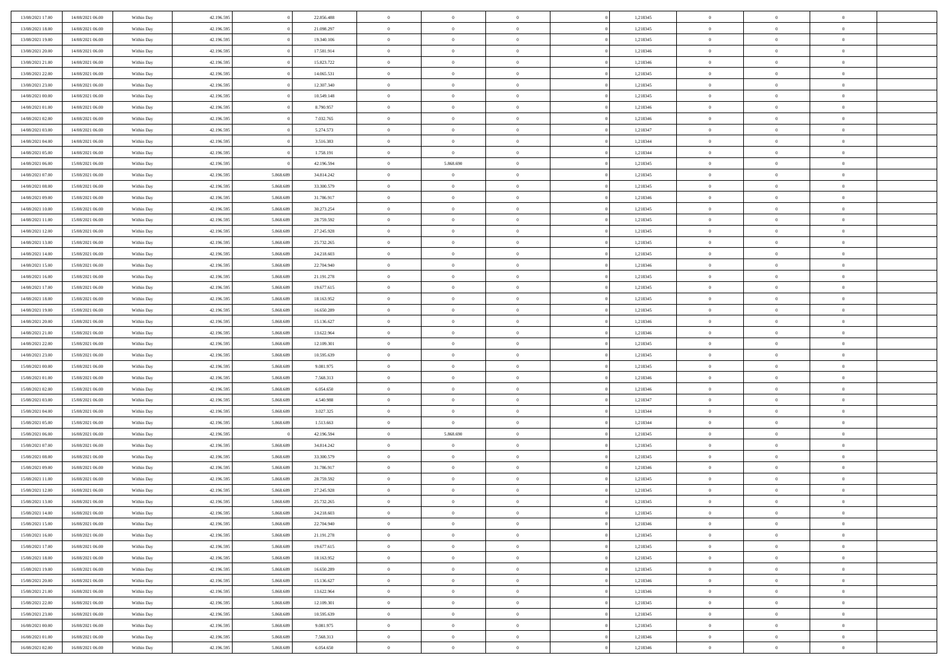| 13/08/2021 17:00 | 14/08/2021 06:00 | Within Day               | 42.196.595 |                        | 22.856.488 | $\,$ 0 $\,$    | $\overline{0}$ | $\overline{0}$ |          | 1,218345 | $\bf{0}$       | $\bf{0}$       | $\,0\,$        |  |
|------------------|------------------|--------------------------|------------|------------------------|------------|----------------|----------------|----------------|----------|----------|----------------|----------------|----------------|--|
| 13/08/2021 18:00 | 14/08/2021 06:00 | Within Day               | 42.196.595 |                        | 21.098.297 | $\theta$       | $\overline{0}$ | $\mathbf{0}$   |          | 1,218345 | $\theta$       | $\overline{0}$ | $\theta$       |  |
| 13/08/2021 19:00 | 14/08/2021 06:00 | Within Dav               | 42.196.595 |                        | 19.340.106 | $\theta$       | $\overline{0}$ | $\overline{0}$ |          | 1,218345 | $\mathbf{0}$   | $\overline{0}$ | $\overline{0}$ |  |
| 13/08/2021 20:00 | 14/08/2021 06:00 | Within Day               | 42.196.595 |                        | 17.581.914 | $\,$ 0 $\,$    | $\overline{0}$ | $\overline{0}$ |          | 1,218346 | $\bf{0}$       | $\overline{0}$ | $\bf{0}$       |  |
| 13/08/2021 21:00 | 14/08/2021 06:00 | Within Day               | 42.196.595 |                        | 15.823.722 | $\bf{0}$       | $\overline{0}$ | $\mathbf{0}$   |          | 1,218346 | $\bf{0}$       | $\bf{0}$       | $\,0\,$        |  |
| 13/08/2021 22:00 | 14/08/2021 06:00 | Within Dav               | 42.196.595 |                        | 14.065.531 | $\theta$       | $\overline{0}$ | $\mathbf{0}$   |          | 1,218345 | $\mathbf{0}$   | $\overline{0}$ | $\overline{0}$ |  |
| 13/08/2021 23:00 | 14/08/2021 06:00 | Within Day               | 42.196.595 |                        | 12.307.340 | $\,$ 0 $\,$    | $\overline{0}$ | $\overline{0}$ |          | 1,218345 | $\bf{0}$       | $\overline{0}$ | $\bf{0}$       |  |
|                  |                  |                          |            |                        |            | $\overline{0}$ |                |                |          |          |                | $\overline{0}$ |                |  |
| 14/08/2021 00:00 | 14/08/2021 06:00 | Within Day               | 42.196.595 |                        | 10.549.148 |                | $\overline{0}$ | $\mathbf{0}$   |          | 1,218345 | $\,$ 0 $\,$    |                | $\theta$       |  |
| 14/08/2021 01:00 | 14/08/2021 06:00 | Within Day               | 42.196.595 |                        | 8.790.957  | $\theta$       | $\overline{0}$ | $\mathbf{0}$   |          | 1,218346 | $\mathbf{0}$   | $\overline{0}$ | $\overline{0}$ |  |
| 14/08/2021 02:00 | 14/08/2021 06:00 | Within Day               | 42.196.595 |                        | 7.032.765  | $\,$ 0 $\,$    | $\overline{0}$ | $\Omega$       |          | 1,218346 | $\bf{0}$       | $\overline{0}$ | $\,0\,$        |  |
| 14/08/2021 03:00 | 14/08/2021 06:00 | Within Day               | 42.196.595 |                        | 5.274.573  | $\bf{0}$       | $\overline{0}$ | $\mathbf{0}$   |          | 1,218347 | $\bf{0}$       | $\mathbf{0}$   | $\theta$       |  |
| 14/08/2021 04:00 | 14/08/2021 06:00 | Within Dav               | 42.196.595 |                        | 3.516.383  | $\theta$       | $\overline{0}$ | $\mathbf{0}$   |          | 1,218344 | $\mathbf{0}$   | $\overline{0}$ | $\overline{0}$ |  |
| 14/08/2021 05:00 | 14/08/2021 06:00 | Within Day               | 42.196.595 |                        | 1.758.191  | $\,$ 0 $\,$    | $\overline{0}$ | $\overline{0}$ |          | 1,218344 | $\bf{0}$       | $\overline{0}$ | $\bf{0}$       |  |
| 14/08/2021 06:00 | 15/08/2021 06:00 | Within Day               | 42.196.595 |                        | 42.196.594 | $\bf{0}$       | 5.868.690      | $\mathbf{0}$   |          | 1,218345 | $\bf{0}$       | $\theta$       | $\,0\,$        |  |
| 14/08/2021 07:00 | 15/08/2021 06:00 | Within Dav               | 42.196.595 | 5.868.689              | 34.814.242 | $\theta$       | $\overline{0}$ | $\mathbf{0}$   |          | 1,218345 | $\mathbf{0}$   | $\overline{0}$ | $\overline{0}$ |  |
| 14/08/2021 08:00 | 15/08/2021 06:00 | Within Day               | 42.196.595 | 5.868.689              | 33.300.579 | $\,$ 0 $\,$    | $\overline{0}$ | $\Omega$       |          | 1,218345 | $\bf{0}$       | $\overline{0}$ | $\bf{0}$       |  |
| 14/08/2021 09:00 | 15/08/2021 06:00 | Within Day               | 42.196.595 | 5.868,689              | 31.786.917 | $\,$ 0 $\,$    | $\overline{0}$ | $\mathbf{0}$   |          | 1,218346 | $\bf{0}$       | $\overline{0}$ | $\theta$       |  |
| 14/08/2021 10:00 | 15/08/2021 06:00 | Within Day               | 42.196.595 | 5.868.689              | 30.273.254 | $\theta$       | $\overline{0}$ | $\mathbf{0}$   |          | 1,218345 | $\mathbf{0}$   | $\overline{0}$ | $\overline{0}$ |  |
| 14/08/2021 11:00 | 15/08/2021 06:00 | Within Day               | 42.196.595 | 5.868.689              | 28.759.592 | $\,$ 0 $\,$    | $\overline{0}$ | $\Omega$       |          | 1,218345 | $\bf{0}$       | $\overline{0}$ | $\,0\,$        |  |
| 14/08/2021 12:00 | 15/08/2021 06:00 | Within Day               | 42.196.595 | 5.868.689              | 27.245.928 | $\bf{0}$       | $\overline{0}$ | $\mathbf{0}$   |          | 1,218345 | $\bf{0}$       | $\mathbf{0}$   | $\theta$       |  |
| 14/08/2021 13:00 | 15/08/2021 06:00 | Within Dav               | 42.196.595 | 5.868.689              | 25.732.265 | $\theta$       | $\overline{0}$ | $\mathbf{0}$   |          | 1,218345 | $\mathbf{0}$   | $\overline{0}$ | $\overline{0}$ |  |
| 14/08/2021 14:00 | 15/08/2021 06:00 | Within Day               | 42.196.595 | 5.868.689              | 24.218.603 | $\,$ 0 $\,$    | $\overline{0}$ | $\overline{0}$ |          | 1,218345 | $\bf{0}$       | $\overline{0}$ | $\bf{0}$       |  |
| 14/08/2021 15:00 | 15/08/2021 06:00 | Within Day               | 42.196.595 | 5.868.689              | 22.704.940 | $\,$ 0         | $\overline{0}$ | $\mathbf{0}$   |          | 1,218346 | $\,$ 0 $\,$    | $\overline{0}$ | $\,0\,$        |  |
| 14/08/2021 16:00 | 15/08/2021 06:00 | Within Dav               | 42.196.595 | 5.868.689              | 21.191.278 | $\theta$       | $\overline{0}$ | $\mathbf{0}$   |          | 1,218345 | $\mathbf{0}$   | $\overline{0}$ | $\overline{0}$ |  |
| 14/08/2021 17:00 | 15/08/2021 06:00 | Within Day               | 42.196.595 | 5.868.689              | 19.677.615 | $\,$ 0 $\,$    | $\overline{0}$ | $\overline{0}$ |          | 1,218345 | $\bf{0}$       | $\overline{0}$ | $\bf{0}$       |  |
| 14/08/2021 18:00 | 15/08/2021 06:00 | Within Day               | 42.196.595 | 5.868.689              | 18.163.952 | $\,$ 0         | $\overline{0}$ | $\mathbf{0}$   |          | 1,218345 | $\mathbf{0}$   | $\overline{0}$ | $\theta$       |  |
| 14/08/2021 19:00 | 15/08/2021 06:00 | Within Day               | 42.196.595 | 5.868.689              | 16.650.289 | $\theta$       | $\overline{0}$ | $\mathbf{0}$   |          | 1,218345 | $\mathbf{0}$   | $\overline{0}$ | $\overline{0}$ |  |
| 14/08/2021 20:00 | 15/08/2021 06:00 | Within Day               | 42.196.595 | 5.868.689              | 15.136.627 | $\,$ 0 $\,$    | $\overline{0}$ | $\Omega$       |          | 1,218346 | $\bf{0}$       | $\overline{0}$ | $\bf{0}$       |  |
| 14/08/2021 21:00 | 15/08/2021 06:00 | Within Day               | 42.196.595 | 5.868.689              | 13.622.964 | $\bf{0}$       | $\overline{0}$ | $\mathbf{0}$   |          | 1,218346 | $\bf{0}$       | $\overline{0}$ | $\overline{0}$ |  |
| 14/08/2021 22:00 | 15/08/2021 06:00 | Within Dav               | 42.196.595 | 5.868.689              | 12.109.301 | $\theta$       | $\overline{0}$ | $\overline{0}$ |          | 1,218345 | $\mathbf{0}$   | $\overline{0}$ | $\overline{0}$ |  |
| 14/08/2021 23:00 | 15/08/2021 06:00 | Within Day               | 42.196.595 | 5.868.689              | 10.595.639 | $\,$ 0 $\,$    | $\overline{0}$ | $\overline{0}$ |          | 1,218345 | $\,$ 0         | $\overline{0}$ | $\,$ 0 $\,$    |  |
| 15/08/2021 00:00 | 15/08/2021 06:00 |                          | 42.196.595 | 5.868.689              | 9.081.975  | $\,$ 0         | $\overline{0}$ | $\mathbf{0}$   |          | 1,218345 | $\bf{0}$       | $\overline{0}$ | $\overline{0}$ |  |
| 15/08/2021 01:00 | 15/08/2021 06:00 | Within Day<br>Within Dav | 42.196.595 | 5.868.689              | 7.568.313  | $\theta$       | $\overline{0}$ | $\overline{0}$ |          | 1,218346 | $\mathbf{0}$   | $\overline{0}$ | $\overline{0}$ |  |
|                  |                  |                          |            |                        |            | $\,$ 0 $\,$    | $\overline{0}$ | $\overline{0}$ |          |          | $\,$ 0         | $\overline{0}$ | $\theta$       |  |
| 15/08/2021 02:00 | 15/08/2021 06:00 | Within Day               | 42.196.595 | 5.868.689<br>5.868,689 | 6.054.650  |                |                |                |          | 1,218346 |                | $\overline{0}$ | $\overline{0}$ |  |
| 15/08/2021 03:00 | 15/08/2021 06:00 | Within Day               | 42.196.595 |                        | 4.540.988  | $\bf{0}$       | $\overline{0}$ | $\mathbf{0}$   |          | 1,218347 | $\mathbf{0}$   |                |                |  |
| 15/08/2021 04:00 | 15/08/2021 06:00 | Within Day               | 42.196.595 | 5.868.689              | 3.027.325  | $\theta$       | $\overline{0}$ | $\mathbf{0}$   |          | 1,218344 | $\mathbf{0}$   | $\overline{0}$ | $\overline{0}$ |  |
| 15/08/2021 05:00 | 15/08/2021 06:00 | Within Day               | 42.196.595 | 5.868.689              | 1.513.663  | $\theta$       | $\overline{0}$ | $\overline{0}$ |          | 1,218344 | $\,$ 0         | $\overline{0}$ | $\theta$       |  |
| 15/08/2021 06:00 | 16/08/2021 06:00 | Within Day               | 42.196.595 |                        | 42.196.594 | $\bf{0}$       | 5.868.690      | $\mathbf{0}$   |          | 1,218345 | $\bf{0}$       | $\mathbf{0}$   | $\overline{0}$ |  |
| 15/08/2021 07:00 | 16/08/2021 06:00 | Within Day               | 42.196.595 | 5.868.689              | 34.814.242 | $\theta$       | $\overline{0}$ | $\overline{0}$ |          | 1,218345 | $\mathbf{0}$   | $\overline{0}$ | $\overline{0}$ |  |
| 15/08/2021 08:00 | 16/08/2021 06:00 | Within Day               | 42.196.595 | 5.868.689              | 33.300.579 | $\,$ 0 $\,$    | $\overline{0}$ | $\overline{0}$ |          | 1,218345 | $\,$ 0         | $\overline{0}$ | $\,$ 0 $\,$    |  |
| 15/08/2021 09:00 | 16/08/2021 06:00 | Within Day               | 42.196.595 | 5.868.689              | 31.786.917 | $\bf{0}$       | $\,$ 0 $\,$    | $\overline{0}$ |          | 1,218346 | $\,$ 0 $\,$    | $\overline{0}$ | $\overline{0}$ |  |
| 15/08/2021 11:00 | 16/08/2021 06:00 | Within Dav               | 42.196.595 | 5.868.689              | 28.759.592 | $\theta$       | $\overline{0}$ | $\mathbf{0}$   |          | 1,218345 | $\mathbf{0}$   | $\overline{0}$ | $\theta$       |  |
| 15/08/2021 12:00 | 16/08/2021 06:00 | Within Day               | 42.196.595 | 5.868.689              | 27.245.928 | $\theta$       | $\overline{0}$ | $\overline{0}$ |          | 1,218345 | $\,$ 0         | $\overline{0}$ | $\theta$       |  |
| 15/08/2021 13:00 | 16/08/2021 06:00 | Within Day               | 42.196.595 | 5.868.689              | 25.732.265 | $\bf{0}$       | $\,$ 0 $\,$    | $\mathbf{0}$   |          | 1,218345 | $\,$ 0 $\,$    | $\overline{0}$ | $\overline{0}$ |  |
| 15/08/2021 14:00 | 16/08/2021 06:00 | Within Day               | 42.196.595 | 5.868.689              | 24.218.603 | $\overline{0}$ | $\theta$       |                |          | 1,218345 | $\overline{0}$ | $\theta$       | $\theta$       |  |
| 15/08/2021 15:00 | 16/08/2021 06:00 | Within Day               | 42.196.595 | 5.868.689              | 22.704.940 | $\,$ 0 $\,$    | $\overline{0}$ | $\overline{0}$ |          | 1,218346 | $\,$ 0 $\,$    | $\bf{0}$       | $\theta$       |  |
| 15/08/2021 16:00 | 16/08/2021 06:00 | Within Day               | 42.196.595 | 5.868,689              | 21.191.278 | $\overline{0}$ | $\,$ 0 $\,$    | $\overline{0}$ |          | 1,218345 | $\,$ 0 $\,$    | $\overline{0}$ | $\overline{0}$ |  |
| 15/08/2021 17:00 | 16/08/2021 06:00 | Within Day               | 42.196.595 | 5.868.689              | 19.677.615 | $\overline{0}$ | $\overline{0}$ | $\overline{0}$ |          | 1,218345 | $\,$ 0 $\,$    | $\bf{0}$       | $\mathbf{0}$   |  |
| 15/08/2021 18:00 | 16/08/2021 06:00 | Within Day               | 42.196.595 | 5.868.689              | 18.163.952 | $\,$ 0 $\,$    | $\overline{0}$ | $\overline{0}$ | $\theta$ | 1,218345 | $\,$ 0 $\,$    | $\bf{0}$       | $\,$ 0 $\,$    |  |
| 15/08/2021 19:00 | 16/08/2021 06:00 | Within Day               | 42.196.595 | 5.868.689              | 16.650.289 | $\,$ 0 $\,$    | $\,$ 0 $\,$    | $\overline{0}$ |          | 1,218345 | $\,$ 0 $\,$    | $\overline{0}$ | $\overline{0}$ |  |
| 15/08/2021 20:00 | 16/08/2021 06:00 | Within Day               | 42.196.595 | 5.868.689              | 15.136.627 | $\overline{0}$ | $\overline{0}$ | $\overline{0}$ |          | 1,218346 | $\mathbf{0}$   | $\overline{0}$ | $\overline{0}$ |  |
| 15/08/2021 21:00 | 16/08/2021 06:00 | Within Day               | 42.196.595 | 5.868.689              | 13.622.964 | $\,$ 0 $\,$    | $\overline{0}$ | $\overline{0}$ |          | 1,218346 | $\,$ 0 $\,$    | $\overline{0}$ | $\,$ 0 $\,$    |  |
| 15/08/2021 22.00 | 16/08/2021 06:00 | Within Day               | 42.196.595 | 5.868.689              | 12.109.301 | $\bf{0}$       | $\overline{0}$ | $\overline{0}$ |          | 1,218345 | $\,$ 0 $\,$    | $\overline{0}$ | $\overline{0}$ |  |
| 15/08/2021 23:00 | 16/08/2021 06:00 | Within Day               | 42.196.595 | 5.868.689              | 10.595.639 | $\overline{0}$ | $\overline{0}$ | $\overline{0}$ |          | 1,218345 | $\mathbf{0}$   | $\bf{0}$       | $\overline{0}$ |  |
| 16/08/2021 00:00 | 16/08/2021 06:00 | Within Day               | 42.196.595 | 5.868.689              | 9.081.975  | $\,$ 0 $\,$    | $\overline{0}$ | $\overline{0}$ |          | 1,218345 | $\,$ 0 $\,$    | $\overline{0}$ | $\,$ 0 $\,$    |  |
| 16/08/2021 01:00 | 16/08/2021 06:00 | Within Day               | 42.196.595 | 5.868.689              | 7.568.313  | $\,$ 0 $\,$    | $\,$ 0 $\,$    | $\overline{0}$ |          | 1,218346 | $\,$ 0 $\,$    | $\overline{0}$ | $\overline{0}$ |  |
| 16/08/2021 02:00 | 16/08/2021 06:00 | Within Day               | 42.196.595 | 5.868.689              | 6.054.650  | $\theta$       | $\overline{0}$ | $\overline{0}$ |          | 1,218346 | $\,$ 0 $\,$    | $\mathbf{0}$   | $\overline{0}$ |  |
|                  |                  |                          |            |                        |            |                |                |                |          |          |                |                |                |  |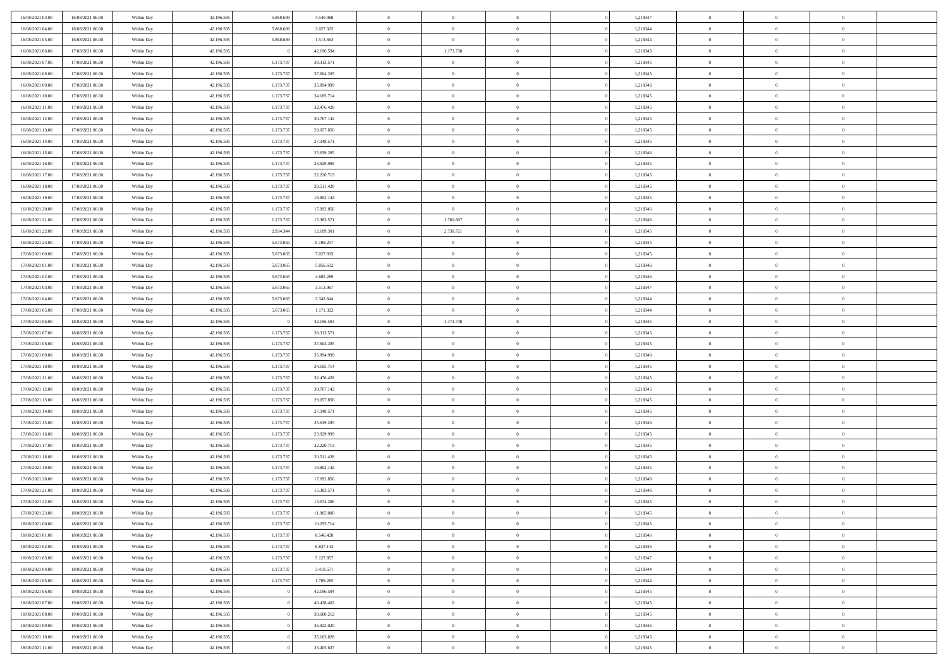| 16/08/2021 03:00 | 16/08/2021 06:00 | Within Day               | 42.196.595 | 5.868.68  | 4.540.988  | $\bf{0}$       | $\overline{0}$ | $\overline{0}$ | 1,218347 | $\bf{0}$       | $\overline{0}$ | $\bf{0}$       |  |
|------------------|------------------|--------------------------|------------|-----------|------------|----------------|----------------|----------------|----------|----------------|----------------|----------------|--|
| 16/08/2021 04:00 | 16/08/2021 06:00 | Within Day               | 42.196.595 | 5.868.68  | 3.027.325  | $\overline{0}$ | $\overline{0}$ | $\Omega$       | 1,218344 | $\overline{0}$ | $\theta$       | $\theta$       |  |
| 16/08/2021 05:00 | 16/08/2021 06:00 | Within Day               | 42.196.595 | 5.868.689 | 1.513.663  | $\overline{0}$ | $\overline{0}$ | $\overline{0}$ | 1,218344 | $\mathbf{0}$   | $\overline{0}$ | $\theta$       |  |
| 16/08/2021 06:00 | 17/08/2021 06:00 | Within Day               | 42.196.595 |           | 42.196.594 | $\bf{0}$       | 1.173.738      | $\overline{0}$ | 1,218345 | $\mathbf{0}$   | $\overline{0}$ | $\bf{0}$       |  |
| 16/08/2021 07:00 | 17/08/2021 06:00 | Within Day               | 42.196.595 | 1.173.73  | 39.313.571 | $\bf{0}$       | $\overline{0}$ | $\overline{0}$ | 1,218345 | $\bf{0}$       | $\overline{0}$ | $\bf{0}$       |  |
| 16/08/2021 08:00 | 17/08/2021 06:00 | Within Day               | 42.196.595 | 1.173.73  | 37.604.285 | $\overline{0}$ | $\overline{0}$ | $\overline{0}$ | 1,218345 | $\mathbf{0}$   | $\overline{0}$ | $\theta$       |  |
| 16/08/2021 09:00 | 17/08/2021 06:00 | Within Day               | 42.196.595 | 1.173.73  | 35.894.999 | $\bf{0}$       | $\overline{0}$ | $\Omega$       | 1,218346 | $\mathbf{0}$   | $\overline{0}$ | $\bf{0}$       |  |
| 16/08/2021 10:00 | 17/08/2021 06:00 |                          | 42.196.595 | 1.173.73  | 34.185.714 | $\overline{0}$ | $\overline{0}$ | $\overline{0}$ | 1,218345 | $\mathbf{0}$   | $\theta$       | $\theta$       |  |
|                  |                  | Within Day               |            | 1.173.73  |            | $\overline{0}$ | $\overline{0}$ |                |          |                |                | $\theta$       |  |
| 16/08/2021 11:00 | 17/08/2021 06:00 | Within Day               | 42.196.595 |           | 32.476.428 |                |                | $\overline{0}$ | 1,218345 | $\mathbf{0}$   | $\overline{0}$ |                |  |
| 16/08/2021 12:00 | 17/08/2021 06:00 | Within Day               | 42.196.595 | 1.173.737 | 30.767.142 | $\bf{0}$       | $\overline{0}$ | $\Omega$       | 1,218345 | $\mathbf{0}$   | $\overline{0}$ | $\bf{0}$       |  |
| 16/08/2021 13:00 | 17/08/2021 06:00 | Within Day               | 42.196.595 | 1.173.73  | 29.057.856 | $\bf{0}$       | $\overline{0}$ | $\overline{0}$ | 1,218345 | $\mathbf{0}$   | $\theta$       | $\overline{0}$ |  |
| 16/08/2021 14:00 | 17/08/2021 06:00 | Within Day               | 42.196.595 | 1.173.737 | 27.348.571 | $\overline{0}$ | $\overline{0}$ | $\overline{0}$ | 1,218345 | $\mathbf{0}$   | $\overline{0}$ | $\theta$       |  |
| 16/08/2021 15:00 | 17/08/2021 06:00 | Within Day               | 42.196.595 | 1.173.73  | 25.639.285 | $\bf{0}$       | $\overline{0}$ | $\overline{0}$ | 1,218346 | $\mathbf{0}$   | $\overline{0}$ | $\bf{0}$       |  |
| 16/08/2021 16:00 | 17/08/2021 06:00 | Within Day               | 42.196.595 | 1.173.73  | 23.929.999 | $\bf{0}$       | $\overline{0}$ | $\overline{0}$ | 1,218345 | $\bf{0}$       | $\theta$       | $\bf{0}$       |  |
| 16/08/2021 17:00 | 17/08/2021 06:00 | Within Day               | 42.196.595 | 1.173.737 | 22.220.713 | $\overline{0}$ | $\overline{0}$ | $\overline{0}$ | 1,218345 | $\mathbf{0}$   | $\overline{0}$ | $\theta$       |  |
| 16/08/2021 18:00 | 17/08/2021 06:00 | Within Day               | 42.196.595 | 1.173.737 | 20.511.428 | $\bf{0}$       | $\overline{0}$ | $\Omega$       | 1,218345 | $\mathbf{0}$   | $\overline{0}$ | $\bf{0}$       |  |
| 16/08/2021 19:00 | 17/08/2021 06:00 | Within Day               | 42.196.595 | 1.173.73  | 18.802.142 | $\,$ 0 $\,$    | $\overline{0}$ | $\overline{0}$ | 1,218345 | $\mathbf{0}$   | $\overline{0}$ | $\theta$       |  |
| 16/08/2021 20:00 | 17/08/2021 06:00 | Within Day               | 42.196.595 | 1.173.73  | 17.092.856 | $\overline{0}$ | $\overline{0}$ | $\overline{0}$ | 1,218346 | $\mathbf{0}$   | $\overline{0}$ | $\theta$       |  |
| 16/08/2021 21:00 | 17/08/2021 06:00 | Within Day               | 42.196.595 | 1.173.73  | 15.383.571 | $\bf{0}$       | 1.760.607      | $\Omega$       | 1,218346 | $\bf{0}$       | $\overline{0}$ | $\bf{0}$       |  |
| 16/08/2021 22:00 | 17/08/2021 06:00 | Within Day               | 42.196.595 | 2.934.344 | 12.109.301 | $\bf{0}$       | 2.738.721      | $\overline{0}$ | 1,218345 | $\mathbf{0}$   | $\overline{0}$ | $\overline{0}$ |  |
| 16/08/2021 23:00 | 17/08/2021 06:00 | Within Day               | 42.196.595 | 5.673.065 | 8.199.257  | $\overline{0}$ | $\overline{0}$ | $\overline{0}$ | 1,218345 | $\mathbf{0}$   | $\overline{0}$ | $\theta$       |  |
| 17/08/2021 00:00 | 17/08/2021 06:00 | Within Day               | 42.196.595 | 5.673.065 | 7.027.935  | $\bf{0}$       | $\overline{0}$ | $\overline{0}$ | 1,218345 | $\mathbf{0}$   | $\overline{0}$ | $\bf{0}$       |  |
| 17/08/2021 01:00 | 17/08/2021 06:00 | Within Day               | 42.196.595 | 5.673.065 | 5.856.612  | $\,$ 0 $\,$    | $\overline{0}$ | $\overline{0}$ | 1,218346 | $\,$ 0 $\,$    | $\overline{0}$ | $\bf{0}$       |  |
| 17/08/2021 02:00 | 17/08/2021 06:00 | Within Day               | 42.196.595 | 5.673.065 | 4.685.289  | $\overline{0}$ | $\overline{0}$ | $\overline{0}$ | 1,218346 | $\mathbf{0}$   | $\overline{0}$ | $\theta$       |  |
| 17/08/2021 03:00 | 17/08/2021 06:00 | Within Day               | 42.196.595 | 5.673.065 | 3.513.967  | $\bf{0}$       | $\overline{0}$ | $\overline{0}$ | 1,218347 | $\bf{0}$       | $\overline{0}$ | $\bf{0}$       |  |
| 17/08/2021 04:00 | 17/08/2021 06:00 | Within Day               | 42.196.595 | 5.673.065 | 2.342.644  | $\,$ 0 $\,$    | $\overline{0}$ | $\overline{0}$ | 1,218344 | $\mathbf{0}$   | $\overline{0}$ | $\overline{0}$ |  |
| 17/08/2021 05:00 | 17/08/2021 06:00 | Within Day               | 42.196.595 | 5.673.065 | 1.171.322  | $\overline{0}$ | $\overline{0}$ | $\overline{0}$ | 1,218344 | $\mathbf{0}$   | $\overline{0}$ | $\theta$       |  |
| 17/08/2021 06:00 | 18/08/2021 06:00 | Within Day               | 42.196.595 |           | 42.196.594 | $\bf{0}$       | 1.173.738      | $\Omega$       | 1,218345 | $\mathbf{0}$   | $\overline{0}$ | $\bf{0}$       |  |
| 17/08/2021 07:00 | 18/08/2021 06:00 | Within Day               | 42.196.595 | 1.173.73  | 39.313.571 | $\bf{0}$       | $\overline{0}$ | $\overline{0}$ | 1,218345 | $\mathbf{0}$   | $\mathbf{0}$   | $\overline{0}$ |  |
| 17/08/2021 08:00 | 18/08/2021 06:00 | Within Day               | 42.196.595 | 1.173.737 | 37.604.285 | $\overline{0}$ | $\overline{0}$ | $\overline{0}$ | 1,218345 | $\mathbf{0}$   | $\overline{0}$ | $\theta$       |  |
| 17/08/2021 09:00 | 18/08/2021 06:00 | Within Day               | 42.196.595 | 1.173.73  | 35.894.999 | $\,$ 0         | $\overline{0}$ | $\overline{0}$ | 1,218346 | $\,$ 0 $\,$    | $\overline{0}$ | $\,0\,$        |  |
| 17/08/2021 10:00 | 18/08/2021 06:00 | Within Day               | 42.196.595 | 1.173.73  | 34.185.714 | $\bf{0}$       | $\overline{0}$ | $\overline{0}$ | 1,218345 | $\mathbf{0}$   | $\overline{0}$ | $\bf{0}$       |  |
| 17/08/2021 11:00 | 18/08/2021 06:00 | Within Day               | 42.196.595 | 1.173.737 | 32.476.428 | $\overline{0}$ | $\overline{0}$ | $\overline{0}$ | 1,218345 | $\mathbf{0}$   | $\overline{0}$ | $\theta$       |  |
| 17/08/2021 12:00 | 18/08/2021 06:00 | Within Day               | 42.196.595 | 1.173.737 | 30.767.142 | $\,$ 0         | $\overline{0}$ | $\theta$       | 1,218345 | $\,$ 0         | $\overline{0}$ | $\mathbf{0}$   |  |
| 17/08/2021 13:00 | 18/08/2021 06:00 | Within Day               | 42.196.595 | 1.173.73  | 29.057.856 | $\bf{0}$       | $\overline{0}$ | $\overline{0}$ | 1,218345 | $\mathbf{0}$   | $\overline{0}$ | $\overline{0}$ |  |
| 17/08/2021 14:00 | 18/08/2021 06:00 | Within Day               | 42.196.595 | 1.173.73  | 27.348.571 | $\overline{0}$ | $\overline{0}$ | $\overline{0}$ | 1,218345 | $\mathbf{0}$   | $\overline{0}$ | $\theta$       |  |
| 17/08/2021 15:00 | 18/08/2021 06:00 | Within Day               | 42.196.595 | 1.173.737 | 25.639.285 | $\,$ 0         | $\overline{0}$ | $\overline{0}$ | 1,218346 | $\,$ 0 $\,$    | $\overline{0}$ | $\mathbf{0}$   |  |
| 17/08/2021 16:00 | 18/08/2021 06:00 | Within Day               | 42.196.595 | 1.173.73  | 23.929.999 | $\bf{0}$       | $\overline{0}$ | $\overline{0}$ | 1,218345 | $\mathbf{0}$   | $\overline{0}$ | $\overline{0}$ |  |
| 17/08/2021 17:00 | 18/08/2021 06:00 | Within Day               | 42.196.595 | 1.173.737 | 22.220.713 | $\overline{0}$ | $\overline{0}$ | $\overline{0}$ | 1,218345 | $\mathbf{0}$   | $\overline{0}$ | $\theta$       |  |
| 17/08/2021 18:00 | 18/08/2021 06:00 |                          | 42.196.595 | 1.173.737 | 20.511.428 | $\,$ 0         | $\overline{0}$ | $\overline{0}$ | 1,218345 | $\,$ 0 $\,$    | $\overline{0}$ | $\,0\,$        |  |
| 17/08/2021 19:00 | 18/08/2021 06:00 | Within Day               | 42.196.595 | 1.173.73  | 18.802.142 | $\,$ 0 $\,$    | $\,$ 0 $\,$    | $\overline{0}$ | 1,218345 | $\,$ 0 $\,$    | $\overline{0}$ | $\overline{0}$ |  |
| 17/08/2021 20:00 | 18/08/2021 06:00 | Within Day<br>Within Day | 42.196.595 | 1.173.73  | 17.092.856 | $\overline{0}$ | $\overline{0}$ | $\overline{0}$ | 1,218346 | $\mathbf{0}$   | $\overline{0}$ | $\theta$       |  |
| 17/08/2021 21:00 | 18/08/2021 06:00 | Within Day               | 42.196.595 | 1.173.737 | 15.383.571 | $\overline{0}$ | $\overline{0}$ | $\overline{0}$ | 1,218346 | $\,$ 0         | $\overline{0}$ | $\mathbf{0}$   |  |
| 17/08/2021 22.00 | 18/08/2021 06:00 |                          | 42.196.595 | 1.173.73  | 13.674.286 | $\bf{0}$       | $\overline{0}$ | $\overline{0}$ | 1,218345 | $\mathbf{0}$   | $\overline{0}$ | $\overline{0}$ |  |
| 17/08/2021 23:00 | 18/08/2021 06:00 | Within Day<br>Within Day | 42.196.595 | 1.173.737 | 11.965.000 | $\overline{0}$ | $\theta$       |                | 1,218345 | $\overline{0}$ | $\Omega$       | $\overline{0}$ |  |
|                  |                  |                          |            |           |            | $\,$ 0 $\,$    | $\overline{0}$ | $\overline{0}$ |          | $\,$ 0 $\,$    | $\bf{0}$       | $\mathbf{0}$   |  |
| 18/08/2021 00:00 | 18/08/2021 06:00 | Within Day               | 42.196.595 | 1.173.737 | 10.255.714 |                |                |                | 1,218345 |                |                |                |  |
| 18/08/2021 01:00 | 18/08/2021 06:00 | Within Day               | 42.196.595 | 1.173.73  | 8.546.428  | $\mathbf{0}$   | $\overline{0}$ | $\overline{0}$ | 1,218346 | $\,$ 0 $\,$    | $\overline{0}$ | $\overline{0}$ |  |
| 18/08/2021 02:00 | 18/08/2021 06:00 | Within Day               | 42.196.595 | 1.173.737 | 6.837.143  | $\mathbf{0}$   | $\overline{0}$ | $\overline{0}$ | 1,218346 | $\mathbf{0}$   | $\bf{0}$       | $\overline{0}$ |  |
| 18/08/2021 03:00 | 18/08/2021 06:00 | Within Day               | 42.196.595 | 1.173.737 | 5.127.857  | $\,$ 0 $\,$    | $\overline{0}$ | $\overline{0}$ | 1,218347 | $\,$ 0 $\,$    | $\bf{0}$       | $\theta$       |  |
| 18/08/2021 04:00 | 18/08/2021 06:00 | Within Day               | 42.196.595 | 1.173.73  | 3.418.571  | $\,$ 0 $\,$    | $\,$ 0 $\,$    | $\overline{0}$ | 1,218344 | $\,$ 0 $\,$    | $\overline{0}$ | $\overline{0}$ |  |
| 18/08/2021 05:00 | 18/08/2021 06:00 | Within Day               | 42.196.595 | 1.173.73  | 1.709.285  | $\mathbf{0}$   | $\overline{0}$ | $\overline{0}$ | 1,218344 | $\mathbf{0}$   | $\overline{0}$ | $\overline{0}$ |  |
| 18/08/2021 06:00 | 19/08/2021 06:00 | Within Day               | 42.196.595 |           | 42.196.594 | $\,$ 0 $\,$    | $\overline{0}$ | $\overline{0}$ | 1,218345 | $\,$ 0 $\,$    | $\overline{0}$ | $\theta$       |  |
| 18/08/2021 07:00 | 19/08/2021 06:00 | Within Day               | 42.196.595 |           | 40.438.402 | $\mathbf{0}$   | $\overline{0}$ | $\overline{0}$ | 1,218345 | $\mathbf{0}$   | $\overline{0}$ | $\overline{0}$ |  |
| 18/08/2021 08:00 | 19/08/2021 06:00 | Within Day               | 42.196.595 |           | 38.680.212 | $\mathbf{0}$   | $\overline{0}$ | $\overline{0}$ | 1,218345 | $\mathbf{0}$   | $\bf{0}$       | $\overline{0}$ |  |
| 18/08/2021 09:00 | 19/08/2021 06:00 | Within Day               | 42.196.595 |           | 36.922.020 | $\,$ 0 $\,$    | $\overline{0}$ | $\overline{0}$ | 1,218346 | $\,$ 0 $\,$    | $\mathbf{0}$   | $\theta$       |  |
| 18/08/2021 10:00 | 19/08/2021 06:00 | Within Day               | 42.196.595 |           | 35.163.828 | $\mathbf{0}$   | $\overline{0}$ | $\overline{0}$ | 1,218345 | $\,$ 0 $\,$    | $\overline{0}$ | $\overline{0}$ |  |
| 18/08/2021 11:00 | 19/08/2021 06:00 | Within Day               | 42.196.595 |           | 33.405.637 | $\mathbf{0}$   | $\overline{0}$ | $\overline{0}$ | 1,218345 | $\mathbf{0}$   | $\mathbf{0}$   | $\overline{0}$ |  |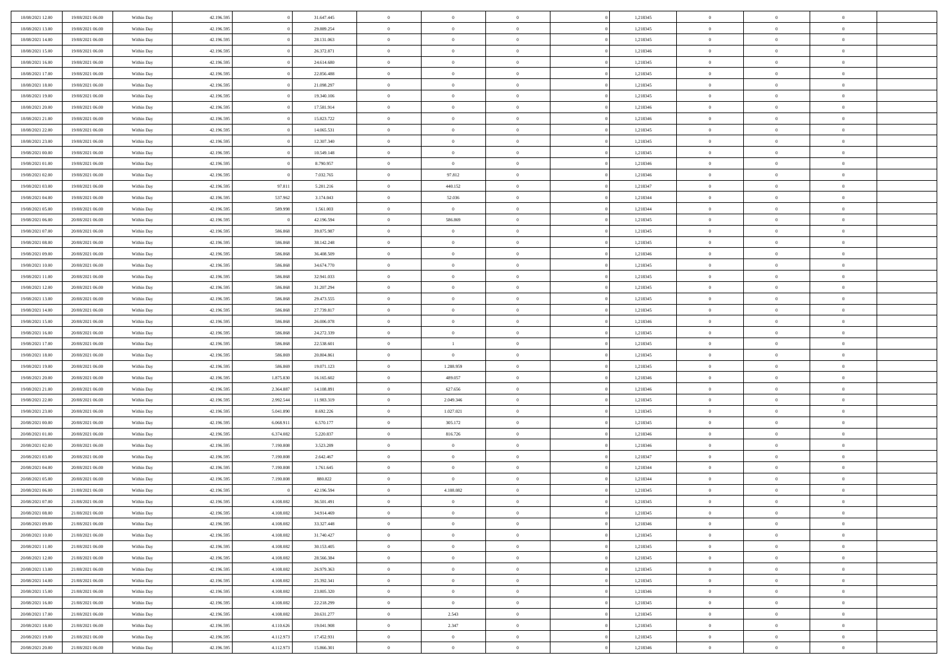| 18/08/2021 12:00 | 19/08/2021 06:00 | Within Day | 42.196.595 |           | 31.647.445 | $\bf{0}$       | $\overline{0}$ | $\Omega$       | 1,218345 | $\bf{0}$       | $\overline{0}$ | $\bf{0}$       |  |
|------------------|------------------|------------|------------|-----------|------------|----------------|----------------|----------------|----------|----------------|----------------|----------------|--|
| 18/08/2021 13:00 | 19/08/2021 06:00 | Within Day | 42.196.595 |           | 29.889.254 | $\theta$       | $\overline{0}$ | $\overline{0}$ | 1,218345 | $\mathbf{0}$   | $\bf{0}$       | $\overline{0}$ |  |
| 18/08/2021 14:00 | 19/08/2021 06:00 | Within Day | 42.196.595 |           | 28.131.063 | $\theta$       | $\overline{0}$ | $\overline{0}$ | 1,218345 | $\,$ 0         | $\overline{0}$ | $\,$ 0 $\,$    |  |
| 18/08/2021 15:00 | 19/08/2021 06:00 | Within Day | 42.196.595 |           | 26.372.871 | $\overline{0}$ | $\overline{0}$ | $\mathbf{0}$   | 1,218346 | $\bf{0}$       | $\mathbf{0}$   | $\theta$       |  |
| 18/08/2021 16:00 | 19/08/2021 06:00 | Within Day | 42.196.595 |           | 24.614.680 | $\mathbf{0}$   | $\overline{0}$ | $\overline{0}$ | 1,218345 | $\mathbf{0}$   | $\bf{0}$       | $\overline{0}$ |  |
| 18/08/2021 17:00 | 19/08/2021 06:00 | Within Day | 42.196.595 |           | 22.856.488 | $\theta$       | $\overline{0}$ | $\bf{0}$       | 1,218345 | $\,$ 0         | $\overline{0}$ | $\,$ 0 $\,$    |  |
| 18/08/2021 18:00 | 19/08/2021 06:00 | Within Day | 42.196.595 |           | 21.098.297 | $\bf{0}$       | $\overline{0}$ | $\mathbf{0}$   | 1,218345 | $\bf{0}$       | $\bf{0}$       | $\theta$       |  |
| 18/08/2021 19:00 | 19/08/2021 06:00 | Within Day | 42.196.595 |           | 19.340.106 | $\overline{0}$ | $\overline{0}$ | $\overline{0}$ | 1,218345 | $\mathbf{0}$   | $\bf{0}$       | $\overline{0}$ |  |
| 18/08/2021 20:00 | 19/08/2021 06:00 | Within Day | 42.196.595 |           | 17.581.914 | $\theta$       | $\overline{0}$ | $\bf{0}$       | 1,218346 | $\,$ 0         | $\overline{0}$ | $\,$ 0 $\,$    |  |
| 18/08/2021 21:00 | 19/08/2021 06:00 | Within Day | 42.196.595 |           | 15.823.722 | $\overline{0}$ | $\overline{0}$ | $\mathbf{0}$   | 1,218346 | $\bf{0}$       | $\mathbf{0}$   | $\theta$       |  |
| 18/08/2021 22:00 | 19/08/2021 06:00 | Within Day | 42.196.595 |           | 14.065.531 | $\mathbf{0}$   | $\overline{0}$ | $\overline{0}$ | 1,218345 | $\mathbf{0}$   | $\bf{0}$       | $\overline{0}$ |  |
| 18/08/2021 23:00 | 19/08/2021 06:00 | Within Day | 42.196.595 |           | 12.307.340 | $\theta$       | $\overline{0}$ | $\bf{0}$       | 1,218345 | $\,$ 0         | $\overline{0}$ | $\,$ 0 $\,$    |  |
| 19/08/2021 00:00 | 19/08/2021 06:00 | Within Day | 42.196.595 |           | 10.549.148 | $\overline{0}$ | $\overline{0}$ | $\mathbf{0}$   | 1,218345 | $\bf{0}$       | $\mathbf{0}$   | $\theta$       |  |
| 19/08/2021 01:00 | 19/08/2021 06:00 | Within Day | 42.196.595 |           | 8.790.957  | $\mathbf{0}$   | $\overline{0}$ | $\overline{0}$ | 1,218346 | $\mathbf{0}$   | $\bf{0}$       | $\overline{0}$ |  |
| 19/08/2021 02:00 | 19/08/2021 06:00 | Within Day | 42.196.595 |           | 7.032.765  | $\theta$       | 97.812         | $\overline{0}$ | 1,218346 | $\,$ 0         | $\overline{0}$ | $\,$ 0 $\,$    |  |
| 19/08/2021 03:00 | 19/08/2021 06:00 | Within Day | 42.196.595 | 97.811    | 5.201.216  | $\bf{0}$       | 440.152        | $\mathbf{0}$   | 1,218347 | $\bf{0}$       | $\mathbf{0}$   | $\theta$       |  |
| 19/08/2021 04:00 | 19/08/2021 06:00 | Within Day | 42.196.595 | 537.962   | 3.174.043  | $\overline{0}$ | 52.036         | $\overline{0}$ | 1,218344 | $\mathbf{0}$   | $\bf{0}$       | $\overline{0}$ |  |
| 19/08/2021 05:00 | 19/08/2021 06:00 | Within Day | 42.196.595 | 589.998   | 1.561.003  | $\theta$       | $\overline{0}$ | $\bf{0}$       | 1,218344 | $\,$ 0         | $\overline{0}$ | $\,$ 0 $\,$    |  |
| 19/08/2021 06:00 | 20/08/2021 06:00 | Within Day | 42.196.595 |           | 42.196.594 | $\overline{0}$ | 586,869        | $\mathbf{0}$   | 1,218345 | $\theta$       | $\mathbf{0}$   | $\theta$       |  |
| 19/08/2021 07:00 | 20/08/2021 06:00 | Within Day | 42.196.595 | 586.868   | 39.875.987 | $\overline{0}$ | $\overline{0}$ | $\overline{0}$ | 1,218345 | $\mathbf{0}$   | $\bf{0}$       | $\overline{0}$ |  |
| 19/08/2021 08:00 | 20/08/2021 06:00 | Within Day | 42.196.595 | 586.868   | 38.142.248 | $\theta$       | $\overline{0}$ | $\bf{0}$       | 1,218345 | $\,$ 0         | $\overline{0}$ | $\,$ 0 $\,$    |  |
| 19/08/2021 09:00 | 20/08/2021 06:00 | Within Day | 42.196.595 | 586,868   | 36,408,509 | $\theta$       | $\overline{0}$ | $\mathbf{0}$   | 1,218346 | $\bf{0}$       | $\mathbf{0}$   | $\theta$       |  |
| 19/08/2021 10:00 | 20/08/2021 06:00 | Within Day | 42.196.595 | 586.868   | 34.674.770 | $\mathbf{0}$   | $\overline{0}$ | $\overline{0}$ | 1,218345 | $\mathbf{0}$   | $\bf{0}$       | $\overline{0}$ |  |
| 19/08/2021 11:00 | 20/08/2021 06:00 | Within Day | 42.196.595 | 586.868   | 32.941.033 | $\theta$       | $\overline{0}$ | $\bf{0}$       | 1,218345 | $\,$ 0         | $\overline{0}$ | $\,$ 0 $\,$    |  |
| 19/08/2021 12:00 | 20/08/2021 06:00 | Within Day | 42.196.595 | 586.868   | 31.207.294 | $\bf{0}$       | $\overline{0}$ | $\mathbf{0}$   | 1,218345 | $\bf{0}$       | $\bf{0}$       | $\bf{0}$       |  |
| 19/08/2021 13:00 | 20/08/2021 06:00 | Within Day | 42.196.595 | 586.868   | 29.473.555 | $\overline{0}$ | $\overline{0}$ | $\overline{0}$ | 1,218345 | $\mathbf{0}$   | $\bf{0}$       | $\overline{0}$ |  |
| 19/08/2021 14:00 | 20/08/2021 06:00 | Within Day | 42.196.595 | 586.868   | 27.739.817 | $\theta$       | $\overline{0}$ | $\bf{0}$       | 1,218345 | $\,$ 0         | $\overline{0}$ | $\,$ 0 $\,$    |  |
| 19/08/2021 15:00 | 20/08/2021 06:00 | Within Day | 42.196.595 | 586,868   | 26,006,078 | $\overline{0}$ | $\overline{0}$ | $\mathbf{0}$   | 1,218346 | $\bf{0}$       | $\mathbf{0}$   | $\theta$       |  |
| 19/08/2021 16:00 | 20/08/2021 06:00 | Within Day | 42.196.595 | 586.868   | 24.272.339 | $\mathbf{0}$   | $\overline{0}$ | $\overline{0}$ | 1,218345 | $\mathbf{0}$   | $\bf{0}$       | $\overline{0}$ |  |
| 19/08/2021 17:00 | 20/08/2021 06:00 | Within Day | 42.196.595 | 586.868   | 22.538.601 | $\theta$       | $\mathbf{1}$   | $\bf{0}$       | 1,218345 | $\,$ 0         | $\overline{0}$ | $\,$ 0 $\,$    |  |
| 19/08/2021 18:00 | 20/08/2021 06:00 | Within Day | 42.196.595 | 586.869   | 20.804.861 | $\,$ 0 $\,$    | $\overline{0}$ | $\overline{0}$ | 1,218345 | $\bf{0}$       | $\overline{0}$ | $\,0\,$        |  |
| 19/08/2021 19:00 | 20/08/2021 06:00 | Within Day | 42.196.595 | 586.869   | 19.071.123 | $\overline{0}$ | 1.288.959      | $\overline{0}$ | 1,218345 | $\mathbf{0}$   | $\bf{0}$       | $\overline{0}$ |  |
| 19/08/2021 20:00 | 20/08/2021 06:00 | Within Day | 42.196.595 | 1.875.830 | 16.165.602 | $\theta$       | 489.057        | $\overline{0}$ | 1,218346 | $\,$ 0         | $\overline{0}$ | $\,$ 0 $\,$    |  |
| 19/08/2021 21:00 | 20/08/2021 06:00 | Within Day | 42.196.595 | 2.364.887 | 14.108.891 | $\,$ 0 $\,$    | 627.656        | $\overline{0}$ | 1,218346 | $\bf{0}$       | $\overline{0}$ | $\,0\,$        |  |
| 19/08/2021 22:00 | 20/08/2021 06:00 | Within Day | 42.196.595 | 2.992.544 | 11.983.319 | $\overline{0}$ | 2.049.346      | $\overline{0}$ | 1,218345 | $\mathbf{0}$   | $\bf{0}$       | $\overline{0}$ |  |
| 19/08/2021 23:00 | 20/08/2021 06:00 | Within Day | 42.196.595 | 5.041.890 | 8.692.226  | $\theta$       | 1.027.021      | $\bf{0}$       | 1,218345 | $\,$ 0         | $\overline{0}$ | $\,$ 0 $\,$    |  |
| 20/08/2021 00:00 | 20/08/2021 06:00 | Within Day | 42.196.595 | 6.068.911 | 6.570.177  | $\,$ 0 $\,$    | 305.172        | $\overline{0}$ | 1,218345 | $\bf{0}$       | $\overline{0}$ | $\,0\,$        |  |
| 20/08/2021 01:00 | 20/08/2021 06:00 | Within Day | 42.196.595 | 6.374.082 | 5.220.837  | $\mathbf{0}$   | 816.726        | $\overline{0}$ | 1,218346 | $\mathbf{0}$   | $\bf{0}$       | $\overline{0}$ |  |
| 20/08/2021 02:00 | 20/08/2021 06:00 | Within Day | 42.196.595 | 7.190.808 | 3.523.289  | $\theta$       | $\overline{0}$ | $\bf{0}$       | 1,218346 | $\,$ 0         | $\overline{0}$ | $\,$ 0 $\,$    |  |
| 20/08/2021 03:00 | 20/08/2021 06:00 | Within Day | 42.196.595 | 7.190.808 | 2.642.467  | $\,$ 0 $\,$    | $\overline{0}$ | $\overline{0}$ | 1,218347 | $\bf{0}$       | $\overline{0}$ | $\,0\,$        |  |
| 20/08/2021 04:00 | 20/08/2021 06:00 | Within Day | 42.196.595 | 7.190.808 | 1.761.645  | $\mathbf{0}$   | $\overline{0}$ | $\overline{0}$ | 1,218344 | $\mathbf{0}$   | $\bf{0}$       | $\overline{0}$ |  |
| 20/08/2021 05:00 | 20/08/2021 06:00 | Within Day | 42.196.595 | 7.190.808 | 880.822    | $\theta$       | $\overline{0}$ | $\bf{0}$       | 1,218344 | $\,$ 0         | $\overline{0}$ | $\,$ 0 $\,$    |  |
| 20/08/2021 06:00 | 21/08/2021 06:00 | Within Day | 42.196.595 |           | 42.196.594 | $\,$ 0 $\,$    | 4.108.082      | $\overline{0}$ | 1,218345 | $\bf{0}$       | $\overline{0}$ | $\,0\,$        |  |
| 20/08/2021 07:00 | 21/08/2021 06:00 | Within Dav | 42.196.595 | 4.108.082 | 36.501.491 | $\theta$       | $\overline{0}$ | $\overline{0}$ | 1,218345 | $\mathbf{0}$   | $\bf{0}$       | $\overline{0}$ |  |
| 20/08/2021 08:00 | 21/08/2021 06:00 | Within Day | 42.196.595 | 4.108.082 | 34.914.469 | $\overline{0}$ | $\overline{0}$ | $\overline{0}$ | 1,218345 | $\overline{0}$ | $\overline{0}$ | $\theta$       |  |
| 20/08/2021 09:00 | 21/08/2021 06:00 | Within Day | 42.196.595 | 4.108.082 | 33.327.448 | $\bf{0}$       | $\overline{0}$ | $\overline{0}$ | 1,218346 | $\mathbf{0}$   | $\overline{0}$ | $\bf{0}$       |  |
| 20/08/2021 10:00 | 21/08/2021 06:00 | Within Day | 42.196.595 | 4.108.082 | 31.740.427 | $\overline{0}$ | $\overline{0}$ | $\overline{0}$ | 1,218345 | $\overline{0}$ | $\overline{0}$ | $\overline{0}$ |  |
| 20/08/2021 11:00 | 21/08/2021 06:00 | Within Day | 42.196.595 | 4.108.082 | 30.153.405 | $\,$ 0         | $\overline{0}$ | $\overline{0}$ | 1,218345 | $\,$ 0 $\,$    | $\,$ 0 $\,$    | $\,$ 0 $\,$    |  |
| 20/08/2021 12:00 | 21/08/2021 06:00 | Within Day | 42.196.595 | 4.108.082 | 28.566.384 | $\bf{0}$       | $\overline{0}$ | $\overline{0}$ | 1,218345 | $\mathbf{0}$   | $\overline{0}$ | $\bf{0}$       |  |
| 20/08/2021 13:00 | 21/08/2021 06:00 | Within Day | 42.196.595 | 4.108.082 | 26.979.363 | $\mathbf{0}$   | $\overline{0}$ | $\overline{0}$ | 1,218345 | $\,$ 0 $\,$    | $\bf{0}$       | $\overline{0}$ |  |
| 20/08/2021 14:00 | 21/08/2021 06:00 | Within Day | 42.196.595 | 4.108.082 | 25.392.341 | $\,$ 0         | $\overline{0}$ | $\overline{0}$ | 1,218345 | $\,$ 0 $\,$    | $\overline{0}$ | $\,$ 0 $\,$    |  |
| 20/08/2021 15:00 | 21/08/2021 06:00 | Within Day | 42.196.595 | 4.108.082 | 23.805.320 | $\bf{0}$       | $\overline{0}$ | $\overline{0}$ | 1,218346 | $\overline{0}$ | $\overline{0}$ | $\overline{0}$ |  |
| 20/08/2021 16:00 | 21/08/2021 06:00 | Within Day | 42.196.595 | 4.108.082 | 22.218.299 | $\mathbf{0}$   | $\overline{0}$ | $\overline{0}$ | 1,218345 | $\,$ 0 $\,$    | $\overline{0}$ | $\overline{0}$ |  |
| 20/08/2021 17:00 | 21/08/2021 06:00 | Within Day | 42.196.595 | 4.108.082 | 20.631.277 | $\,$ 0         | 2.543          | $\overline{0}$ | 1,218345 | $\,$ 0 $\,$    | $\,$ 0 $\,$    | $\,$ 0 $\,$    |  |
| 20/08/2021 18:00 | 21/08/2021 06:00 | Within Day | 42.196.595 | 4.110.626 | 19.041.908 | $\bf{0}$       | 2.347          | $\overline{0}$ | 1,218345 | $\mathbf{0}$   | $\overline{0}$ | $\bf{0}$       |  |
| 20/08/2021 19:00 | 21/08/2021 06:00 | Within Day | 42.196.595 | 4.112.973 | 17.452.931 | $\mathbf{0}$   | $\overline{0}$ | $\overline{0}$ | 1,218345 | $\overline{0}$ | $\bf{0}$       | $\overline{0}$ |  |
| 20/08/2021 20:00 | 21/08/2021 06:00 | Within Day | 42.196.595 | 4.112.973 | 15.866.301 | $\,$ 0 $\,$    | $\overline{0}$ | $\overline{0}$ | 1,218346 | $\,$ 0 $\,$    | $\overline{0}$ | $\,$ 0 $\,$    |  |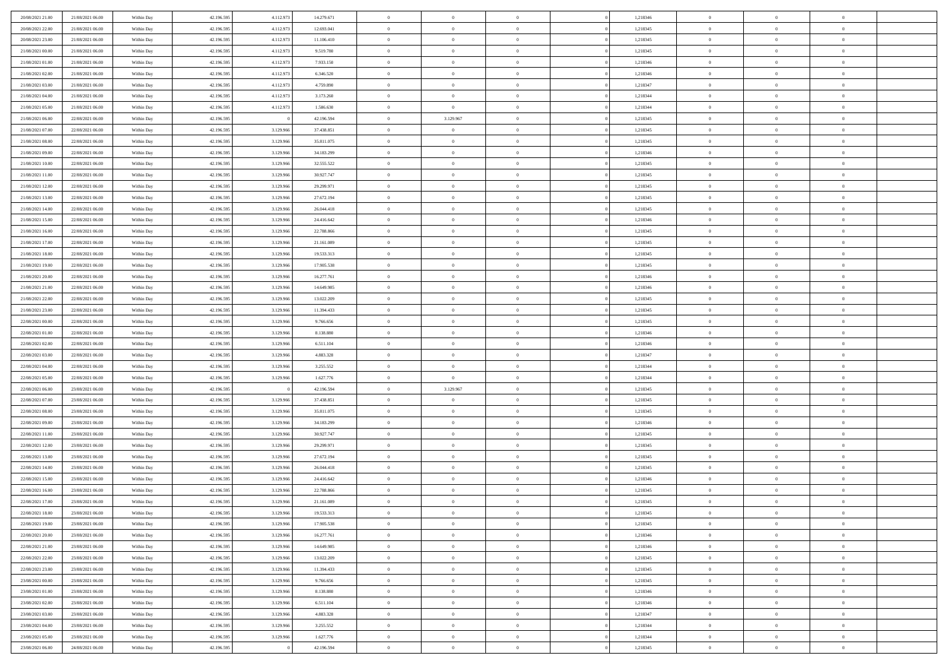| 20/08/2021 21:00 | 21/08/2021 06:00 | Within Day | 42.196.595 | 4.112.973 | 14.279.671 | $\,$ 0 $\,$    | $\overline{0}$ | $\overline{0}$ |          | 1,218346 | $\bf{0}$       | $\overline{0}$ | $\,0\,$        |  |
|------------------|------------------|------------|------------|-----------|------------|----------------|----------------|----------------|----------|----------|----------------|----------------|----------------|--|
| 20/08/2021 22:00 | 21/08/2021 06:00 | Within Day | 42.196.595 | 4.112.973 | 12.693.041 | $\overline{0}$ | $\overline{0}$ | $\mathbf{0}$   |          | 1,218345 | $\theta$       | $\overline{0}$ | $\theta$       |  |
| 20/08/2021 23:00 | 21/08/2021 06:00 | Within Day | 42.196.595 | 4.112.973 | 11.106.410 | $\theta$       | $\overline{0}$ | $\overline{0}$ |          | 1,218345 | $\mathbf{0}$   | $\overline{0}$ | $\overline{0}$ |  |
| 21/08/2021 00:00 | 21/08/2021 06:00 | Within Day | 42.196.595 | 4.112.973 | 9.519.780  | $\,$ 0 $\,$    | $\overline{0}$ | $\overline{0}$ |          | 1,218345 | $\bf{0}$       | $\overline{0}$ | $\bf{0}$       |  |
| 21/08/2021 01:00 | 21/08/2021 06:00 | Within Day | 42.196.595 | 4.112.973 | 7.933.150  | $\,$ 0         | $\overline{0}$ | $\mathbf{0}$   |          | 1,218346 | $\bf{0}$       | $\bf{0}$       | $\,0\,$        |  |
| 21/08/2021 02:00 | 21/08/2021 06:00 | Within Day | 42.196.595 | 4.112.973 | 6.346.520  | $\theta$       | $\overline{0}$ | $\mathbf{0}$   |          | 1,218346 | $\mathbf{0}$   | $\overline{0}$ | $\overline{0}$ |  |
| 21/08/2021 03:00 | 21/08/2021 06:00 | Within Day | 42.196.595 | 4.112.973 | 4.759.890  | $\,$ 0 $\,$    | $\overline{0}$ | $\overline{0}$ |          | 1,218347 | $\bf{0}$       | $\overline{0}$ | $\bf{0}$       |  |
|                  |                  |            |            |           |            | $\,$ 0         | $\overline{0}$ |                |          |          | $\,$ 0 $\,$    | $\overline{0}$ | $\theta$       |  |
| 21/08/2021 04:00 | 21/08/2021 06:00 | Within Day | 42.196.595 | 4.112.973 | 3.173.260  |                |                | $\mathbf{0}$   |          | 1,218344 |                |                |                |  |
| 21/08/2021 05:00 | 21/08/2021 06:00 | Within Day | 42.196.595 | 4.112.973 | 1.586.630  | $\theta$       | $\overline{0}$ | $\overline{0}$ |          | 1,218344 | $\mathbf{0}$   | $\overline{0}$ | $\overline{0}$ |  |
| 21/08/2021 06:00 | 22/08/2021 06:00 | Within Day | 42.196.595 |           | 42.196.594 | $\,$ 0 $\,$    | 3.129.967      | $\Omega$       |          | 1,218345 | $\bf{0}$       | $\overline{0}$ | $\bf{0}$       |  |
| 21/08/2021 07:00 | 22/08/2021 06:00 | Within Day | 42.196.595 | 3.129.966 | 37.438.851 | $\bf{0}$       | $\overline{0}$ | $\mathbf{0}$   |          | 1,218345 | $\bf{0}$       | $\mathbf{0}$   | $\theta$       |  |
| 21/08/2021 08:00 | 22/08/2021 06:00 | Within Day | 42.196.595 | 3.129.966 | 35.811.075 | $\theta$       | $\overline{0}$ | $\overline{0}$ |          | 1,218345 | $\mathbf{0}$   | $\overline{0}$ | $\overline{0}$ |  |
| 21/08/2021 09:00 | 22/08/2021 06:00 | Within Day | 42.196.595 | 3.129.966 | 34.183.299 | $\,$ 0 $\,$    | $\overline{0}$ | $\overline{0}$ |          | 1,218346 | $\bf{0}$       | $\overline{0}$ | $\bf{0}$       |  |
| 21/08/2021 10:00 | 22/08/2021 06:00 | Within Day | 42.196.595 | 3.129.966 | 32.555.522 | $\,$ 0         | $\overline{0}$ | $\mathbf{0}$   |          | 1,218345 | $\bf{0}$       | $\theta$       | $\,0\,$        |  |
| 21/08/2021 11:00 | 22/08/2021 06:00 | Within Day | 42.196.595 | 3.129.966 | 30.927.747 | $\theta$       | $\overline{0}$ | $\overline{0}$ |          | 1,218345 | $\mathbf{0}$   | $\overline{0}$ | $\overline{0}$ |  |
| 21/08/2021 12:00 | 22/08/2021 06:00 | Within Day | 42.196.595 | 3.129.966 | 29.299.971 | $\,$ 0 $\,$    | $\overline{0}$ | $\Omega$       |          | 1,218345 | $\bf{0}$       | $\overline{0}$ | $\bf{0}$       |  |
| 21/08/2021 13:00 | 22/08/2021 06:00 | Within Day | 42.196.595 | 3.129.966 | 27.672.194 | $\,$ 0 $\,$    | $\overline{0}$ | $\mathbf{0}$   |          | 1,218345 | $\mathbf{0}$   | $\overline{0}$ | $\theta$       |  |
| 21/08/2021 14:00 | 22/08/2021 06:00 | Within Day | 42.196.595 | 3.129.966 | 26.044.418 | $\theta$       | $\overline{0}$ | $\mathbf{0}$   |          | 1,218345 | $\mathbf{0}$   | $\overline{0}$ | $\overline{0}$ |  |
| 21/08/2021 15:00 | 22/08/2021 06:00 | Within Day | 42.196.595 | 3.129.966 | 24.416.642 | $\,$ 0 $\,$    | $\overline{0}$ | $\Omega$       |          | 1,218346 | $\bf{0}$       | $\overline{0}$ | $\,0\,$        |  |
| 21/08/2021 16:00 | 22/08/2021 06:00 | Within Day | 42.196.595 | 3.129.966 | 22.788.866 | $\bf{0}$       | $\overline{0}$ | $\mathbf{0}$   |          | 1,218345 | $\bf{0}$       | $\mathbf{0}$   | $\theta$       |  |
| 21/08/2021 17:00 | 22/08/2021 06:00 | Within Day | 42.196.595 | 3.129.966 | 21.161.089 | $\theta$       | $\overline{0}$ | $\overline{0}$ |          | 1,218345 | $\mathbf{0}$   | $\overline{0}$ | $\overline{0}$ |  |
| 21/08/2021 18:00 | 22/08/2021 06:00 | Within Day | 42.196.595 | 3.129.966 | 19.533.313 | $\,$ 0 $\,$    | $\overline{0}$ | $\overline{0}$ |          | 1,218345 | $\bf{0}$       | $\overline{0}$ | $\bf{0}$       |  |
| 21/08/2021 19:00 | 22/08/2021 06:00 | Within Day | 42.196.595 | 3.129.966 | 17.905.538 | $\,$ 0         | $\overline{0}$ | $\mathbf{0}$   |          | 1,218345 | $\,$ 0 $\,$    | $\bf{0}$       | $\,0\,$        |  |
| 21/08/2021 20:00 | 22/08/2021 06:00 | Within Day | 42.196.595 | 3.129.966 | 16.277.761 | $\theta$       | $\overline{0}$ | $\mathbf{0}$   |          | 1,218346 | $\mathbf{0}$   | $\overline{0}$ | $\overline{0}$ |  |
| 21/08/2021 21:00 | 22/08/2021 06:00 | Within Day | 42.196.595 | 3.129.966 | 14.649.985 | $\,$ 0 $\,$    | $\overline{0}$ | $\overline{0}$ |          | 1,218346 | $\bf{0}$       | $\overline{0}$ | $\bf{0}$       |  |
| 21/08/2021 22:00 | 22/08/2021 06:00 | Within Day | 42.196.595 | 3.129.966 | 13.022.209 | $\,$ 0 $\,$    | $\overline{0}$ | $\mathbf{0}$   |          | 1,218345 | $\mathbf{0}$   | $\overline{0}$ | $\theta$       |  |
| 21/08/2021 23:00 | 22/08/2021 06:00 | Within Day | 42.196.595 | 3.129.966 | 11.394.433 | $\theta$       | $\overline{0}$ | $\overline{0}$ |          | 1,218345 | $\mathbf{0}$   | $\overline{0}$ | $\overline{0}$ |  |
| 22/08/2021 00:00 | 22/08/2021 06:00 | Within Day | 42.196.595 | 3.129.966 | 9.766.656  | $\,$ 0 $\,$    | $\overline{0}$ | $\Omega$       |          | 1,218345 | $\bf{0}$       | $\overline{0}$ | $\bf{0}$       |  |
|                  |                  |            |            |           |            |                |                | $\mathbf{0}$   |          |          | $\bf{0}$       | $\mathbf{0}$   | $\overline{0}$ |  |
| 22/08/2021 01:00 | 22/08/2021 06:00 | Within Day | 42.196.595 | 3.129.966 | 8.138.880  | $\bf{0}$       | $\overline{0}$ |                |          | 1,218346 |                |                |                |  |
| 22/08/2021 02:00 | 22/08/2021 06:00 | Within Day | 42.196.595 | 3.129.966 | 6.511.104  | $\theta$       | $\overline{0}$ | $\overline{0}$ |          | 1,218346 | $\mathbf{0}$   | $\overline{0}$ | $\overline{0}$ |  |
| 22/08/2021 03:00 | 22/08/2021 06:00 | Within Day | 42.196.595 | 3.129.966 | 4.883.328  | $\,$ 0 $\,$    | $\overline{0}$ | $\overline{0}$ |          | 1,218347 | $\,$ 0         | $\overline{0}$ | $\,$ 0 $\,$    |  |
| 22/08/2021 04:00 | 22/08/2021 06:00 | Within Day | 42.196.595 | 3.129.966 | 3.255.552  | $\,$ 0         | $\overline{0}$ | $\overline{0}$ |          | 1,218344 | $\bf{0}$       | $\bf{0}$       | $\overline{0}$ |  |
| 22/08/2021 05:00 | 22/08/2021 06:00 | Within Day | 42.196.595 | 3.129.966 | 1.627.776  | $\theta$       | $\overline{0}$ | $\mathbf{0}$   |          | 1,218344 | $\mathbf{0}$   | $\overline{0}$ | $\overline{0}$ |  |
| 22/08/2021 06:00 | 23/08/2021 06:00 | Within Day | 42.196.595 |           | 42.196.594 | $\theta$       | 3.129.967      | $\overline{0}$ |          | 1,218345 | $\,$ 0         | $\overline{0}$ | $\theta$       |  |
| 22/08/2021 07:00 | 23/08/2021 06:00 | Within Day | 42.196.595 | 3.129.966 | 37.438.851 | $\bf{0}$       | $\overline{0}$ | $\mathbf{0}$   |          | 1,218345 | $\mathbf{0}$   | $\overline{0}$ | $\overline{0}$ |  |
| 22/08/2021 08:00 | 23/08/2021 06:00 | Within Day | 42.196.595 | 3.129.966 | 35.811.075 | $\theta$       | $\overline{0}$ | $\mathbf{0}$   |          | 1,218345 | $\mathbf{0}$   | $\overline{0}$ | $\overline{0}$ |  |
| 22/08/2021 09:00 | 23/08/2021 06:00 | Within Day | 42.196.595 | 3.129.966 | 34.183.299 | $\theta$       | $\overline{0}$ | $\overline{0}$ |          | 1,218346 | $\,$ 0         | $\overline{0}$ | $\theta$       |  |
| 22/08/2021 11:00 | 23/08/2021 06:00 | Within Day | 42.196.595 | 3.129.966 | 30.927.747 | $\bf{0}$       | $\overline{0}$ | $\mathbf{0}$   |          | 1,218345 | $\bf{0}$       | $\mathbf{0}$   | $\overline{0}$ |  |
| 22/08/2021 12:00 | 23/08/2021 06:00 | Within Day | 42.196.595 | 3.129.966 | 29.299.971 | $\theta$       | $\overline{0}$ | $\overline{0}$ |          | 1,218345 | $\mathbf{0}$   | $\overline{0}$ | $\overline{0}$ |  |
| 22/08/2021 13:00 | 23/08/2021 06:00 | Within Day | 42.196.595 | 3.129.966 | 27.672.194 | $\,$ 0 $\,$    | $\overline{0}$ | $\overline{0}$ |          | 1,218345 | $\,$ 0         | $\overline{0}$ | $\,$ 0 $\,$    |  |
| 22/08/2021 14:00 | 23/08/2021 06:00 | Within Day | 42.196.595 | 3.129.966 | 26.044.418 | $\bf{0}$       | $\,$ 0 $\,$    | $\overline{0}$ |          | 1,218345 | $\,$ 0 $\,$    | $\overline{0}$ | $\overline{0}$ |  |
| 22/08/2021 15:00 | 23/08/2021 06:00 | Within Day | 42.196.595 | 3.129.966 | 24.416.642 | $\theta$       | $\overline{0}$ | $\mathbf{0}$   |          | 1,218346 | $\mathbf{0}$   | $\overline{0}$ | $\theta$       |  |
| 22/08/2021 16:00 | 23/08/2021 06:00 | Within Day | 42.196.595 | 3.129.966 | 22.788.866 | $\theta$       | $\overline{0}$ | $\overline{0}$ |          | 1,218345 | $\,$ 0         | $\overline{0}$ | $\theta$       |  |
| 22/08/2021 17:00 | 23/08/2021 06:00 | Within Day | 42.196.595 | 3.129.966 | 21.161.089 | $\bf{0}$       | $\,$ 0 $\,$    | $\mathbf{0}$   |          | 1,218345 | $\mathbf{0}$   | $\overline{0}$ | $\bf{0}$       |  |
| 22/08/2021 18:00 | 23/08/2021 06:00 | Within Day | 42.196.595 | 3.129.966 | 19.533.313 | $\overline{0}$ | $\theta$       |                |          | 1,218345 | $\overline{0}$ | $\theta$       | $\theta$       |  |
| 22/08/2021 19:00 | 23/08/2021 06:00 | Within Day | 42.196.595 | 3.129.966 | 17.905.538 | $\,$ 0 $\,$    | $\overline{0}$ | $\overline{0}$ |          | 1,218345 | $\,$ 0 $\,$    | $\bf{0}$       | $\theta$       |  |
| 22/08/2021 20:00 | 23/08/2021 06:00 | Within Day | 42.196.595 | 3.129.966 | 16.277.761 | $\overline{0}$ | $\,$ 0 $\,$    | $\overline{0}$ |          | 1,218346 | $\,$ 0 $\,$    | $\overline{0}$ | $\overline{0}$ |  |
| 22/08/2021 21:00 | 23/08/2021 06:00 | Within Day | 42.196.595 | 3.129.966 | 14.649.985 | $\overline{0}$ | $\overline{0}$ | $\overline{0}$ |          | 1,218346 | $\,$ 0 $\,$    | $\bf{0}$       | $\mathbf{0}$   |  |
| 22/08/2021 22:00 | 23/08/2021 06:00 | Within Day | 42.196.595 | 3.129.966 | 13.022.209 | $\,$ 0 $\,$    | $\overline{0}$ | $\overline{0}$ | $\theta$ | 1,218345 | $\,$ 0 $\,$    | $\bf{0}$       | $\,$ 0 $\,$    |  |
| 22/08/2021 23:00 | 23/08/2021 06:00 | Within Day | 42.196.595 | 3.129.966 | 11.394.433 | $\,$ 0 $\,$    | $\,$ 0 $\,$    | $\overline{0}$ |          | 1,218345 | $\,$ 0 $\,$    | $\overline{0}$ | $\overline{0}$ |  |
| 23/08/2021 00:00 | 23/08/2021 06:00 | Within Day | 42.196.595 | 3.129.966 | 9.766.656  | $\overline{0}$ | $\overline{0}$ | $\overline{0}$ |          | 1,218345 | $\mathbf{0}$   | $\overline{0}$ | $\overline{0}$ |  |
| 23/08/2021 01:00 | 23/08/2021 06:00 | Within Day | 42.196.595 | 3.129.966 | 8.138.880  | $\,$ 0 $\,$    | $\overline{0}$ | $\overline{0}$ |          | 1,218346 | $\,$ 0 $\,$    | $\overline{0}$ | $\,$ 0 $\,$    |  |
| 23/08/2021 02:00 | 23/08/2021 06:00 | Within Day | 42.196.595 | 3.129.966 | 6.511.104  | $\overline{0}$ | $\overline{0}$ | $\overline{0}$ |          | 1,218346 | $\,$ 0 $\,$    | $\overline{0}$ | $\overline{0}$ |  |
| 23/08/2021 03:00 | 23/08/2021 06:00 | Within Day | 42.196.595 | 3.129.966 | 4.883.328  | $\,$ 0 $\,$    | $\overline{0}$ | $\overline{0}$ |          | 1,218347 | $\mathbf{0}$   | $\bf{0}$       | $\overline{0}$ |  |
|                  |                  |            |            |           |            |                |                |                |          |          |                |                |                |  |
| 23/08/2021 04:00 | 23/08/2021 06:00 | Within Day | 42.196.595 | 3.129.966 | 3.255.552  | $\,$ 0 $\,$    | $\overline{0}$ | $\overline{0}$ |          | 1,218344 | $\,$ 0 $\,$    | $\overline{0}$ | $\,$ 0 $\,$    |  |
| 23/08/2021 05:00 | 23/08/2021 06:00 | Within Day | 42.196.595 | 3.129.966 | 1.627.776  | $\,$ 0 $\,$    | $\,$ 0 $\,$    | $\overline{0}$ |          | 1,218344 | $\,$ 0 $\,$    | $\overline{0}$ | $\overline{0}$ |  |
| 23/08/2021 06:00 | 24/08/2021 06:00 | Within Day | 42.196.595 |           | 42.196.594 | $\theta$       | $\overline{0}$ | $\overline{0}$ |          | 1,218345 | $\mathbf{0}$   | $\overline{0}$ | $\overline{0}$ |  |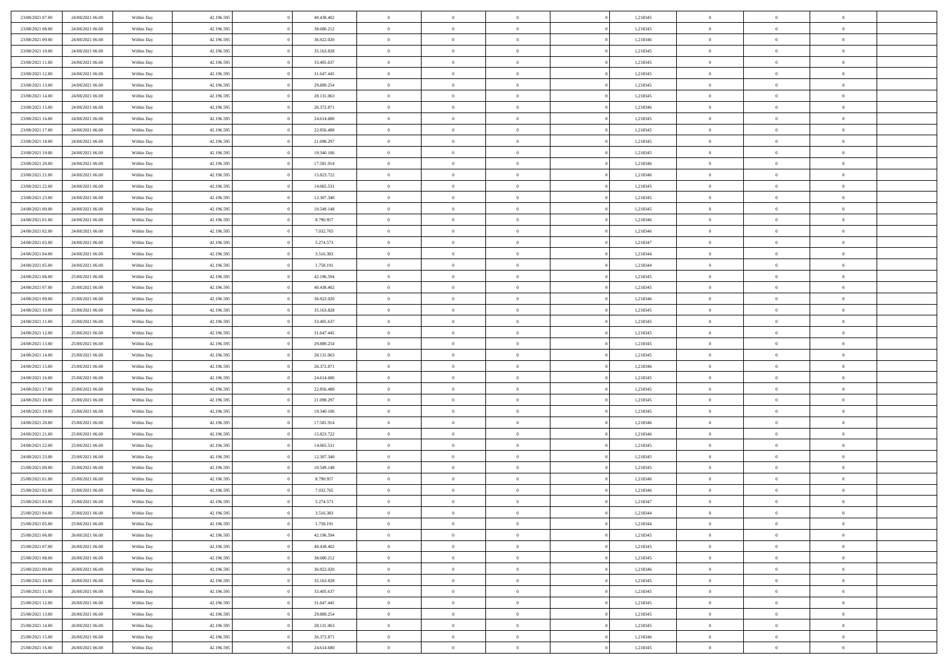| 23/08/2021 07:00 | 24/08/2021 06:00 | Within Day               | 42.196.595 | 40.438.402 | $\,$ 0 $\,$    | $\overline{0}$                    | $\overline{0}$ |          | 1,218345 | $\bf{0}$       | $\overline{0}$          | $\,0\,$        |  |
|------------------|------------------|--------------------------|------------|------------|----------------|-----------------------------------|----------------|----------|----------|----------------|-------------------------|----------------|--|
| 23/08/2021 08:00 | 24/08/2021 06:00 | Within Day               | 42.196.595 | 38.680.212 | $\overline{0}$ | $\overline{0}$                    | $\mathbf{0}$   |          | 1,218345 | $\theta$       | $\overline{0}$          | $\theta$       |  |
| 23/08/2021 09:00 | 24/08/2021 06:00 | Within Day               | 42.196.595 | 36.922.020 | $\theta$       | $\overline{0}$                    | $\overline{0}$ |          | 1,218346 | $\mathbf{0}$   | $\overline{0}$          | $\overline{0}$ |  |
| 23/08/2021 10:00 | 24/08/2021 06:00 | Within Day               | 42.196.595 | 35.163.828 | $\,$ 0 $\,$    | $\overline{0}$                    | $\overline{0}$ |          | 1,218345 | $\mathbf{0}$   | $\overline{0}$          | $\bf{0}$       |  |
| 23/08/2021 11:00 | 24/08/2021 06:00 | Within Day               | 42.196.595 | 33.405.637 | $\bf{0}$       | $\overline{0}$                    | $\mathbf{0}$   |          | 1,218345 | $\bf{0}$       | $\overline{0}$          | $\,0\,$        |  |
| 23/08/2021 12:00 | 24/08/2021 06:00 | Within Day               | 42.196.595 | 31.647.445 | $\theta$       | $\overline{0}$                    | $\mathbf{0}$   |          | 1,218345 | $\mathbf{0}$   | $\overline{0}$          | $\overline{0}$ |  |
| 23/08/2021 13:00 | 24/08/2021 06:00 | Within Day               | 42.196.595 | 29.889.254 | $\,$ 0 $\,$    | $\overline{0}$                    | $\overline{0}$ |          | 1,218345 | $\bf{0}$       | $\overline{0}$          | $\bf{0}$       |  |
|                  |                  |                          |            |            | $\overline{0}$ |                                   |                |          |          |                | $\overline{0}$          | $\overline{0}$ |  |
| 23/08/2021 14:00 | 24/08/2021 06:00 | Within Day               | 42.196.595 | 28.131.063 |                | $\overline{0}$                    | $\mathbf{0}$   |          | 1,218345 | $\,$ 0 $\,$    |                         |                |  |
| 23/08/2021 15:00 | 24/08/2021 06:00 | Within Day               | 42.196.595 | 26.372.871 | $\theta$       | $\overline{0}$                    | $\mathbf{0}$   |          | 1,218346 | $\mathbf{0}$   | $\overline{0}$          | $\overline{0}$ |  |
| 23/08/2021 16:00 | 24/08/2021 06:00 | Within Day               | 42.196.595 | 24.614.680 | $\,$ 0 $\,$    | $\overline{0}$                    | $\Omega$       |          | 1,218345 | $\bf{0}$       | $\overline{0}$          | $\bf{0}$       |  |
| 23/08/2021 17:00 | 24/08/2021 06:00 | Within Day               | 42.196.595 | 22.856.488 | $\bf{0}$       | $\overline{0}$                    | $\mathbf{0}$   |          | 1,218345 | $\bf{0}$       | $\overline{0}$          | $\theta$       |  |
| 23/08/2021 18:00 | 24/08/2021 06:00 | Within Day               | 42.196.595 | 21.098.297 | $\theta$       | $\overline{0}$                    | $\overline{0}$ |          | 1,218345 | $\mathbf{0}$   | $\overline{0}$          | $\overline{0}$ |  |
| 23/08/2021 19:00 | 24/08/2021 06:00 | Within Day               | 42.196.595 | 19.340.106 | $\,$ 0 $\,$    | $\overline{0}$                    | $\overline{0}$ |          | 1,218345 | $\bf{0}$       | $\overline{0}$          | $\overline{0}$ |  |
| 23/08/2021 20:00 | 24/08/2021 06:00 | Within Day               | 42.196.595 | 17.581.914 | $\bf{0}$       | $\overline{0}$                    | $\mathbf{0}$   |          | 1,218346 | $\bf{0}$       | $\overline{0}$          | $\bf{0}$       |  |
| 23/08/2021 21:00 | 24/08/2021 06:00 | Within Day               | 42.196.595 | 15.823.722 | $\overline{0}$ | $\overline{0}$                    | $\overline{0}$ |          | 1,218346 | $\mathbf{0}$   | $\overline{0}$          | $\overline{0}$ |  |
| 23/08/2021 22:00 | 24/08/2021 06:00 | Within Day               | 42.196.595 | 14.065.531 | $\,$ 0 $\,$    | $\overline{0}$                    | $\Omega$       |          | 1,218345 | $\bf{0}$       | $\overline{0}$          | $\bf{0}$       |  |
| 23/08/2021 23:00 | 24/08/2021 06:00 | Within Day               | 42.196.595 | 12.307.340 | $\,$ 0         | $\overline{0}$                    | $\mathbf{0}$   |          | 1,218345 | $\,$ 0 $\,$    | $\overline{0}$          | $\theta$       |  |
| 24/08/2021 00:00 | 24/08/2021 06:00 | Within Day               | 42.196.595 | 10.549.148 | $\theta$       | $\overline{0}$                    | $\mathbf{0}$   |          | 1,218345 | $\mathbf{0}$   | $\overline{0}$          | $\overline{0}$ |  |
| 24/08/2021 01:00 | 24/08/2021 06:00 | Within Day               | 42.196.595 | 8.790.957  | $\,$ 0 $\,$    | $\overline{0}$                    | $\Omega$       |          | 1,218346 | $\bf{0}$       | $\overline{0}$          | $\bf{0}$       |  |
| 24/08/2021 02:00 | 24/08/2021 06:00 | Within Day               | 42.196.595 | 7.032.765  | $\bf{0}$       | $\overline{0}$                    | $\mathbf{0}$   |          | 1,218346 | $\bf{0}$       | $\overline{\mathbf{0}}$ | $\overline{0}$ |  |
| 24/08/2021 03:00 | 24/08/2021 06:00 | Within Day               | 42.196.595 | 5.274.573  | $\theta$       | $\overline{0}$                    | $\overline{0}$ |          | 1,218347 | $\mathbf{0}$   | $\overline{0}$          | $\overline{0}$ |  |
| 24/08/2021 04:00 | 24/08/2021 06:00 | Within Day               | 42.196.595 | 3.516.383  | $\,$ 0 $\,$    | $\overline{0}$                    | $\overline{0}$ |          | 1,218344 | $\bf{0}$       | $\overline{0}$          | $\bf{0}$       |  |
| 24/08/2021 05:00 | 24/08/2021 06:00 | Within Day               | 42.196.595 | 1.758.191  | $\bf{0}$       | $\overline{0}$                    | $\mathbf{0}$   |          | 1,218344 | $\,$ 0 $\,$    | $\bf{0}$                | $\bf{0}$       |  |
| 24/08/2021 06:00 | 25/08/2021 06:00 | Within Day               | 42.196.595 | 42.196.594 | $\theta$       | $\overline{0}$                    | $\mathbf{0}$   |          | 1,218345 | $\mathbf{0}$   | $\overline{0}$          | $\overline{0}$ |  |
| 24/08/2021 07:00 | 25/08/2021 06:00 | Within Day               | 42.196.595 | 40.438.402 | $\,$ 0 $\,$    | $\overline{0}$                    | $\overline{0}$ |          | 1,218345 | $\bf{0}$       | $\overline{0}$          | $\bf{0}$       |  |
| 24/08/2021 09:00 | 25/08/2021 06:00 | Within Day               | 42.196.595 | 36.922.020 | $\,$ 0         | $\overline{0}$                    | $\mathbf{0}$   |          | 1,218346 | $\mathbf{0}$   | $\overline{0}$          | $\overline{0}$ |  |
| 24/08/2021 10:00 | 25/08/2021 06:00 | Within Day               | 42.196.595 | 35.163.828 | $\theta$       | $\overline{0}$                    | $\mathbf{0}$   |          | 1,218345 | $\mathbf{0}$   | $\overline{0}$          | $\overline{0}$ |  |
| 24/08/2021 11:00 | 25/08/2021 06:00 | Within Day               | 42.196.595 | 33.405.637 | $\,$ 0 $\,$    | $\overline{0}$                    | $\Omega$       |          | 1,218345 | $\bf{0}$       | $\overline{0}$          | $\bf{0}$       |  |
| 24/08/2021 12:00 | 25/08/2021 06:00 | Within Day               | 42.196.595 | 31.647.445 | $\bf{0}$       | $\overline{0}$                    | $\mathbf{0}$   |          | 1,218345 | $\bf{0}$       | $\overline{0}$          | $\overline{0}$ |  |
| 24/08/2021 13:00 | 25/08/2021 06:00 | Within Day               | 42.196.595 | 29.889.254 | $\theta$       | $\overline{0}$                    | $\overline{0}$ |          | 1,218345 | $\mathbf{0}$   | $\overline{0}$          | $\overline{0}$ |  |
| 24/08/2021 14:00 | 25/08/2021 06:00 | Within Day               | 42.196.595 | 28.131.063 | $\,$ 0 $\,$    | $\overline{0}$                    | $\overline{0}$ |          | 1,218345 | $\,$ 0         | $\overline{0}$          | $\,$ 0 $\,$    |  |
| 24/08/2021 15:00 | 25/08/2021 06:00 | Within Day               | 42.196.595 | 26.372.871 | $\bf{0}$       | $\overline{0}$                    | $\overline{0}$ |          | 1,218346 | $\bf{0}$       | $\bf{0}$                | $\overline{0}$ |  |
| 24/08/2021 16:00 | 25/08/2021 06:00 | Within Day               | 42.196.595 | 24.614.680 | $\theta$       | $\overline{0}$                    | $\overline{0}$ |          | 1,218345 | $\mathbf{0}$   | $\overline{0}$          | $\overline{0}$ |  |
| 24/08/2021 17:00 | 25/08/2021 06:00 | Within Day               | 42.196.595 | 22.856.488 | $\theta$       | $\overline{0}$                    | $\overline{0}$ |          | 1,218345 | $\,$ 0         | $\overline{0}$          | $\theta$       |  |
| 24/08/2021 18:00 | 25/08/2021 06:00 |                          | 42.196.595 | 21.098.297 | $\bf{0}$       | $\overline{0}$                    | $\mathbf{0}$   |          | 1,218345 | $\overline{0}$ | $\overline{0}$          | $\overline{0}$ |  |
| 24/08/2021 19:00 | 25/08/2021 06:00 | Within Day<br>Within Day | 42.196.595 | 19.340.106 | $\theta$       | $\overline{0}$                    | $\mathbf{0}$   |          | 1,218345 | $\mathbf{0}$   | $\overline{0}$          | $\overline{0}$ |  |
|                  |                  |                          |            |            | $\theta$       |                                   | $\overline{0}$ |          |          | $\,$ 0         | $\overline{0}$          | $\,$ 0 $\,$    |  |
| 24/08/2021 20:00 | 25/08/2021 06:00 | Within Day               | 42.196.595 | 17.581.914 |                | $\overline{0}$                    |                |          | 1,218346 |                |                         |                |  |
| 24/08/2021 21:00 | 25/08/2021 06:00 | Within Day               | 42.196.595 | 15.823.722 | $\bf{0}$       | $\overline{0}$                    | $\mathbf{0}$   |          | 1,218346 | $\bf{0}$       | $\overline{0}$          | $\overline{0}$ |  |
| 24/08/2021 22:00 | 25/08/2021 06:00 | Within Day               | 42.196.595 | 14.065.531 | $\theta$       | $\overline{0}$                    | $\overline{0}$ |          | 1,218345 | $\mathbf{0}$   | $\overline{0}$          | $\overline{0}$ |  |
| 24/08/2021 23:00 | 25/08/2021 06:00 | Within Day               | 42.196.595 | 12.307.340 | $\,$ 0 $\,$    | $\overline{0}$                    | $\overline{0}$ |          | 1,218345 | $\,$ 0         | $\overline{0}$          | $\,$ 0 $\,$    |  |
| 25/08/2021 00:00 | 25/08/2021 06:00 | Within Day               | 42.196.595 | 10.549.148 | $\bf{0}$       | $\,$ 0 $\,$                       | $\overline{0}$ |          | 1,218345 | $\,$ 0 $\,$    | $\overline{0}$          | $\overline{0}$ |  |
| 25/08/2021 01:00 | 25/08/2021 06:00 | Within Day               | 42.196.595 | 8.790.957  | $\theta$       | $\overline{0}$                    | $\mathbf{0}$   |          | 1,218346 | $\mathbf{0}$   | $\overline{0}$          | $\overline{0}$ |  |
| 25/08/2021 02:00 | 25/08/2021 06:00 | Within Day               | 42.196.595 | 7.032.765  | $\theta$       | $\overline{0}$                    | $\overline{0}$ |          | 1,218346 | $\,$ 0         | $\overline{0}$          | $\,$ 0 $\,$    |  |
| 25/08/2021 03:00 | 25/08/2021 06:00 | Within Day               | 42.196.595 | 5.274.573  | $\bf{0}$       | $\,$ 0 $\,$                       | $\mathbf{0}$   |          | 1,218347 | $\mathbf{0}$   | $\overline{0}$          | $\overline{0}$ |  |
| 25/08/2021 04:00 | 25/08/2021 06:00 | Within Day               | 42.196.595 | 3.516.383  | $\overline{0}$ | $\theta$                          |                |          | 1,218344 | $\overline{0}$ | $\theta$                | $\theta$       |  |
| 25/08/2021 05:00 | 25/08/2021 06:00 | Within Day               | 42.196.595 | 1.758.191  | $\,$ 0 $\,$    | $\overline{0}$                    | $\overline{0}$ |          | 1,218344 | $\,$ 0 $\,$    | $\bf{0}$                | $\,$ 0 $\,$    |  |
| 25/08/2021 06:00 | 26/08/2021 06:00 | Within Day               | 42.196.595 | 42.196.594 | $\overline{0}$ | $\hspace{0.1cm} 0 \hspace{0.1cm}$ | $\overline{0}$ |          | 1,218345 | $\,$ 0 $\,$    | $\overline{0}$          | $\overline{0}$ |  |
| 25/08/2021 07:00 | 26/08/2021 06:00 | Within Day               | 42.196.595 | 40.438.402 | $\mathbf{0}$   | $\overline{0}$                    | $\overline{0}$ |          | 1,218345 | $\,$ 0 $\,$    | $\bf{0}$                | $\mathbf{0}$   |  |
| 25/08/2021 08:00 | 26/08/2021 06:00 | Within Day               | 42.196.595 | 38.680.212 | $\,$ 0 $\,$    | $\overline{0}$                    | $\overline{0}$ | $\theta$ | 1,218345 | $\,$ 0 $\,$    | $\bf{0}$                | $\,$ 0 $\,$    |  |
| 25/08/2021 09:00 | 26/08/2021 06:00 | Within Day               | 42.196.595 | 36.922.020 | $\,$ 0 $\,$    | $\,$ 0 $\,$                       | $\overline{0}$ |          | 1,218346 | $\,$ 0 $\,$    | $\overline{0}$          | $\overline{0}$ |  |
| 25/08/2021 10:00 | 26/08/2021 06:00 | Within Day               | 42.196.595 | 35.163.828 | $\overline{0}$ | $\overline{0}$                    | $\overline{0}$ |          | 1,218345 | $\mathbf{0}$   | $\bf{0}$                | $\overline{0}$ |  |
| 25/08/2021 11:00 | 26/08/2021 06:00 | Within Day               | 42.196.595 | 33.405.637 | $\,$ 0 $\,$    | $\overline{0}$                    | $\overline{0}$ |          | 1,218345 | $\,$ 0 $\,$    | $\bf{0}$                | $\,$ 0 $\,$    |  |
| 25/08/2021 12:00 | 26/08/2021 06:00 | Within Day               | 42.196.595 | 31.647.445 | $\overline{0}$ | $\overline{0}$                    | $\overline{0}$ |          | 1,218345 | $\,$ 0 $\,$    | $\overline{0}$          | $\overline{0}$ |  |
| 25/08/2021 13:00 | 26/08/2021 06:00 | Within Day               | 42.196.595 | 29.889.254 | $\,$ 0 $\,$    | $\overline{0}$                    | $\overline{0}$ |          | 1,218345 | $\,$ 0 $\,$    | $\bf{0}$                | $\overline{0}$ |  |
| 25/08/2021 14:00 | 26/08/2021 06:00 | Within Day               | 42.196.595 | 28.131.063 | $\,$ 0 $\,$    | $\overline{0}$                    | $\overline{0}$ |          | 1,218345 | $\,$ 0 $\,$    | $\bf{0}$                | $\,$ 0 $\,$    |  |
| 25/08/2021 15:00 | 26/08/2021 06:00 | Within Day               | 42.196.595 | 26.372.871 | $\,$ 0 $\,$    | $\,$ 0 $\,$                       | $\overline{0}$ |          | 1,218346 | $\,$ 0 $\,$    | $\overline{0}$          | $\overline{0}$ |  |
| 25/08/2021 16:00 | 26/08/2021 06:00 | Within Day               | 42.196.595 | 24.614.680 | $\theta$       | $\overline{0}$                    | $\overline{0}$ |          | 1,218345 | $\,$ 0 $\,$    | $\mathbf{0}$            | $\overline{0}$ |  |
|                  |                  |                          |            |            |                |                                   |                |          |          |                |                         |                |  |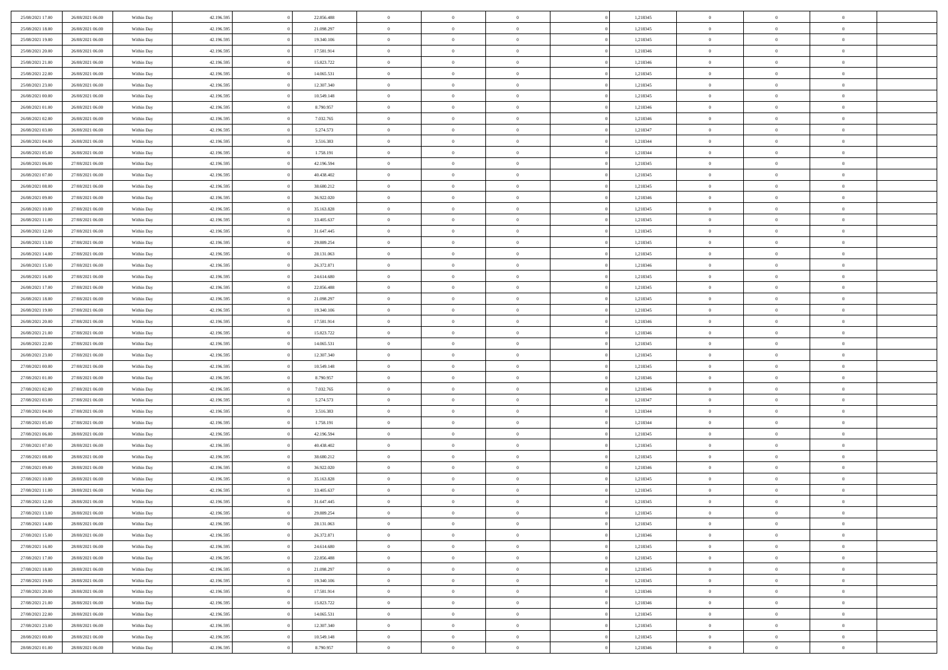| 25/08/2021 17:00 | 26/08/2021 06:00 | Within Day               | 42.196.595 | 22.856.488               | $\,$ 0 $\,$    | $\overline{0}$                                      | $\overline{0}$                   |          | 1,218345 | $\bf{0}$                   | $\overline{0}$ | $\,0\,$                        |  |
|------------------|------------------|--------------------------|------------|--------------------------|----------------|-----------------------------------------------------|----------------------------------|----------|----------|----------------------------|----------------|--------------------------------|--|
| 25/08/2021 18:00 | 26/08/2021 06:00 | Within Day               | 42.196.595 | 21.098.297               | $\overline{0}$ | $\overline{0}$                                      | $\mathbf{0}$                     |          | 1,218345 | $\theta$                   | $\overline{0}$ | $\theta$                       |  |
| 25/08/2021 19:00 | 26/08/2021 06:00 | Within Day               | 42.196.595 | 19.340.106               | $\theta$       | $\overline{0}$                                      | $\overline{0}$                   |          | 1,218345 | $\mathbf{0}$               | $\overline{0}$ | $\overline{0}$                 |  |
| 25/08/2021 20:00 | 26/08/2021 06:00 | Within Day               | 42.196.595 | 17.581.914               | $\,$ 0 $\,$    | $\overline{0}$                                      | $\overline{0}$                   |          | 1,218346 | $\mathbf{0}$               | $\overline{0}$ | $\bf{0}$                       |  |
| 25/08/2021 21:00 | 26/08/2021 06:00 | Within Day               | 42.196.595 | 15.823.722               | $\bf{0}$       | $\overline{0}$                                      | $\mathbf{0}$                     |          | 1,218346 | $\bf{0}$                   | $\bf{0}$       | $\,0\,$                        |  |
| 25/08/2021 22:00 | 26/08/2021 06:00 | Within Day               | 42.196.595 | 14.065.531               | $\theta$       | $\overline{0}$                                      | $\mathbf{0}$                     |          | 1,218345 | $\mathbf{0}$               | $\overline{0}$ | $\overline{0}$                 |  |
| 25/08/2021 23:00 | 26/08/2021 06:00 |                          | 42.196.595 | 12.307.340               | $\,$ 0 $\,$    | $\overline{0}$                                      | $\overline{0}$                   |          | 1,218345 | $\bf{0}$                   | $\overline{0}$ | $\bf{0}$                       |  |
|                  |                  | Within Day               |            |                          | $\overline{0}$ |                                                     |                                  |          |          |                            | $\overline{0}$ | $\overline{0}$                 |  |
| 26/08/2021 00:00 | 26/08/2021 06:00 | Within Day               | 42.196.595 | 10.549.148               |                | $\overline{0}$                                      | $\mathbf{0}$                     |          | 1,218345 | $\,$ 0 $\,$                |                |                                |  |
| 26/08/2021 01:00 | 26/08/2021 06:00 | Within Day               | 42.196.595 | 8.790.957                | $\theta$       | $\overline{0}$                                      | $\mathbf{0}$                     |          | 1,218346 | $\mathbf{0}$               | $\overline{0}$ | $\overline{0}$                 |  |
| 26/08/2021 02:00 | 26/08/2021 06:00 | Within Day               | 42.196.595 | 7.032.765                | $\,$ 0 $\,$    | $\overline{0}$                                      | $\Omega$                         |          | 1,218346 | $\bf{0}$                   | $\overline{0}$ | $\bf{0}$                       |  |
| 26/08/2021 03:00 | 26/08/2021 06:00 | Within Day               | 42.196.595 | 5.274.573                | $\bf{0}$       | $\overline{0}$                                      | $\mathbf{0}$                     |          | 1,218347 | $\bf{0}$                   | $\overline{0}$ | $\theta$                       |  |
| 26/08/2021 04:00 | 26/08/2021 06:00 | Within Day               | 42.196.595 | 3.516.383                | $\theta$       | $\overline{0}$                                      | $\overline{0}$                   |          | 1,218344 | $\mathbf{0}$               | $\overline{0}$ | $\overline{0}$                 |  |
| 26/08/2021 05:00 | 26/08/2021 06:00 | Within Day               | 42.196.595 | 1.758.191                | $\,$ 0 $\,$    | $\overline{0}$                                      | $\overline{0}$                   |          | 1,218344 | $\bf{0}$                   | $\overline{0}$ | $\overline{0}$                 |  |
| 26/08/2021 06:00 | 27/08/2021 06:00 | Within Day               | 42.196.595 | 42.196.594               | $\bf{0}$       | $\overline{0}$                                      | $\mathbf{0}$                     |          | 1,218345 | $\bf{0}$                   | $\mathbf{0}$   | $\bf{0}$                       |  |
| 26/08/2021 07:00 | 27/08/2021 06:00 | Within Day               | 42.196.595 | 40.438.402               | $\overline{0}$ | $\overline{0}$                                      | $\overline{0}$                   |          | 1,218345 | $\mathbf{0}$               | $\overline{0}$ | $\overline{0}$                 |  |
| 26/08/2021 08:00 | 27/08/2021 06:00 | Within Day               | 42.196.595 | 38.680.212               | $\,$ 0 $\,$    | $\overline{0}$                                      | $\Omega$                         |          | 1,218345 | $\bf{0}$                   | $\overline{0}$ | $\bf{0}$                       |  |
| 26/08/2021 09:00 | 27/08/2021 06:00 | Within Day               | 42.196.595 | 36.922.020               | $\,$ 0         | $\overline{0}$                                      | $\mathbf{0}$                     |          | 1,218346 | $\,$ 0 $\,$                | $\overline{0}$ | $\theta$                       |  |
| 26/08/2021 10:00 | 27/08/2021 06:00 | Within Day               | 42.196.595 | 35.163.828               | $\theta$       | $\overline{0}$                                      | $\mathbf{0}$                     |          | 1,218345 | $\mathbf{0}$               | $\overline{0}$ | $\overline{0}$                 |  |
| 26/08/2021 11:00 | 27/08/2021 06:00 | Within Day               | 42.196.595 | 33.405.637               | $\,$ 0 $\,$    | $\overline{0}$                                      | $\Omega$                         |          | 1,218345 | $\bf{0}$                   | $\overline{0}$ | $\bf{0}$                       |  |
| 26/08/2021 12:00 | 27/08/2021 06:00 | Within Day               | 42.196.595 | 31.647.445               | $\bf{0}$       | $\overline{0}$                                      | $\mathbf{0}$                     |          | 1,218345 | $\bf{0}$                   | $\overline{0}$ | $\overline{0}$                 |  |
| 26/08/2021 13:00 | 27/08/2021 06:00 | Within Day               | 42.196.595 | 29.889.254               | $\theta$       | $\overline{0}$                                      | $\overline{0}$                   |          | 1,218345 | $\mathbf{0}$               | $\overline{0}$ | $\overline{0}$                 |  |
| 26/08/2021 14:00 | 27/08/2021 06:00 | Within Day               | 42.196.595 | 28.131.063               | $\,$ 0 $\,$    | $\overline{0}$                                      | $\overline{0}$                   |          | 1,218345 | $\bf{0}$                   | $\overline{0}$ | $\bf{0}$                       |  |
| 26/08/2021 15:00 | 27/08/2021 06:00 | Within Day               | 42.196.595 | 26.372.871               | $\,$ 0         | $\overline{0}$                                      | $\mathbf{0}$                     |          | 1,218346 | $\,$ 0 $\,$                | $\bf{0}$       | $\bf{0}$                       |  |
| 26/08/2021 16:00 | 27/08/2021 06:00 | Within Day               | 42.196.595 | 24.614.680               | $\theta$       | $\overline{0}$                                      | $\mathbf{0}$                     |          | 1,218345 | $\mathbf{0}$               | $\overline{0}$ | $\overline{0}$                 |  |
| 26/08/2021 17:00 | 27/08/2021 06:00 | Within Day               | 42.196.595 | 22.856.488               | $\,$ 0 $\,$    | $\overline{0}$                                      | $\overline{0}$                   |          | 1,218345 | $\bf{0}$                   | $\overline{0}$ | $\bf{0}$                       |  |
| 26/08/2021 18:00 | 27/08/2021 06:00 | Within Day               | 42.196.595 | 21.098.297               | $\,$ 0         | $\overline{0}$                                      | $\mathbf{0}$                     |          | 1,218345 | $\mathbf{0}$               | $\overline{0}$ | $\overline{0}$                 |  |
| 26/08/2021 19:00 | 27/08/2021 06:00 | Within Day               | 42.196.595 | 19.340.106               | $\theta$       | $\overline{0}$                                      | $\mathbf{0}$                     |          | 1,218345 | $\mathbf{0}$               | $\overline{0}$ | $\overline{0}$                 |  |
| 26/08/2021 20:00 | 27/08/2021 06:00 | Within Day               | 42.196.595 | 17.581.914               | $\,$ 0 $\,$    | $\overline{0}$                                      | $\Omega$                         |          | 1,218346 | $\bf{0}$                   | $\overline{0}$ | $\bf{0}$                       |  |
| 26/08/2021 21:00 | 27/08/2021 06:00 | Within Day               | 42.196.595 | 15.823.722               | $\bf{0}$       | $\overline{0}$                                      | $\mathbf{0}$                     |          | 1,218346 | $\bf{0}$                   | $\overline{0}$ | $\overline{0}$                 |  |
| 26/08/2021 22:00 | 27/08/2021 06:00 | Within Day               | 42.196.595 | 14.065.531               | $\theta$       | $\overline{0}$                                      | $\overline{0}$                   |          | 1,218345 | $\mathbf{0}$               | $\overline{0}$ | $\overline{0}$                 |  |
| 26/08/2021 23:00 | 27/08/2021 06:00 | Within Day               | 42.196.595 | 12.307.340               | $\,$ 0 $\,$    | $\overline{0}$                                      | $\overline{0}$                   |          | 1,218345 | $\,$ 0                     | $\overline{0}$ | $\,$ 0 $\,$                    |  |
| 27/08/2021 00:00 | 27/08/2021 06:00 | Within Day               | 42.196.595 | 10.549.148               | $\bf{0}$       | $\overline{0}$                                      | $\overline{0}$                   |          | 1,218345 | $\bf{0}$                   | $\bf{0}$       | $\bf{0}$                       |  |
| 27/08/2021 01:00 | 27/08/2021 06:00 | Within Day               | 42.196.595 | 8.790.957                | $\theta$       | $\overline{0}$                                      | $\overline{0}$                   |          | 1,218346 | $\mathbf{0}$               | $\overline{0}$ | $\overline{0}$                 |  |
| 27/08/2021 02:00 | 27/08/2021 06:00 | Within Day               | 42.196.595 | 7.032.765                | $\theta$       | $\overline{0}$                                      | $\overline{0}$                   |          | 1,218346 | $\,$ 0                     | $\overline{0}$ | $\theta$                       |  |
| 27/08/2021 03:00 | 27/08/2021 06:00 | Within Day               | 42.196.595 | 5.274.573                | $\bf{0}$       | $\overline{0}$                                      | $\mathbf{0}$                     |          | 1,218347 | $\mathbf{0}$               | $\overline{0}$ | $\overline{0}$                 |  |
| 27/08/2021 04:00 | 27/08/2021 06:00 | Within Day               | 42.196.595 | 3.516.383                | $\theta$       | $\overline{0}$                                      | $\mathbf{0}$                     |          | 1,218344 | $\mathbf{0}$               | $\overline{0}$ | $\overline{0}$                 |  |
| 27/08/2021 05:00 | 27/08/2021 06:00 | Within Day               | 42.196.595 | 1.758.191                | $\theta$       | $\overline{0}$                                      | $\overline{0}$                   |          | 1,218344 | $\,$ 0                     | $\overline{0}$ | $\,$ 0 $\,$                    |  |
| 27/08/2021 06:00 | 28/08/2021 06:00 | Within Day               | 42.196.595 | 42.196.594               | $\bf{0}$       | $\overline{0}$                                      | $\mathbf{0}$                     |          | 1,218345 | $\bf{0}$                   | $\overline{0}$ | $\bf{0}$                       |  |
| 27/08/2021 07:00 | 28/08/2021 06:00 | Within Day               | 42.196.595 | 40.438.402               | $\theta$       | $\overline{0}$                                      | $\overline{0}$                   |          | 1,218345 | $\mathbf{0}$               | $\overline{0}$ | $\overline{0}$                 |  |
| 27/08/2021 08:00 | 28/08/2021 06:00 | Within Day               | 42.196.595 | 38.680.212               | $\,$ 0 $\,$    | $\overline{0}$                                      | $\overline{0}$                   |          | 1,218345 | $\,$ 0                     | $\overline{0}$ | $\,$ 0 $\,$                    |  |
| 27/08/2021 09:00 | 28/08/2021 06:00 | Within Day               | 42.196.595 | 36.922.020               | $\bf{0}$       | $\,$ 0 $\,$                                         | $\overline{0}$                   |          | 1,218346 | $\,$ 0 $\,$                | $\overline{0}$ | $\bf{0}$                       |  |
| 27/08/2021 10:00 | 28/08/2021 06:00 | Within Day               | 42.196.595 | 35.163.828               | $\theta$       | $\overline{0}$                                      | $\mathbf{0}$                     |          | 1,218345 | $\mathbf{0}$               | $\overline{0}$ | $\overline{0}$                 |  |
| 27/08/2021 11:00 | 28/08/2021 06:00 | Within Day               | 42.196.595 | 33.405.637               | $\theta$       | $\overline{0}$                                      | $\overline{0}$                   |          | 1,218345 | $\,$ 0                     | $\overline{0}$ | $\,$ 0 $\,$                    |  |
| 27/08/2021 12:00 | 28/08/2021 06:00 | Within Day               | 42.196.595 | 31.647.445               | $\bf{0}$       | $\,$ 0 $\,$                                         | $\mathbf{0}$                     |          | 1,218345 | $\mathbf{0}$               | $\overline{0}$ | $\bf{0}$                       |  |
| 27/08/2021 13:00 | 28/08/2021 06:00 | Within Day               | 42.196.595 | 29.889.254               | $\overline{0}$ | $\theta$                                            |                                  |          | 1,218345 | $\overline{0}$             | $\theta$       | $\theta$                       |  |
| 27/08/2021 14:00 | 28/08/2021 06:00 | Within Day               | 42.196.595 | 28.131.063               | $\,$ 0 $\,$    | $\overline{0}$                                      | $\overline{0}$                   |          | 1,218345 | $\,$ 0 $\,$                | $\bf{0}$       | $\,$ 0 $\,$                    |  |
| 27/08/2021 15:00 | 28/08/2021 06:00 |                          | 42.196.595 |                          | $\overline{0}$ |                                                     |                                  |          | 1,218346 |                            | $\overline{0}$ |                                |  |
| 27/08/2021 16:00 | 28/08/2021 06:00 | Within Day<br>Within Day | 42.196.595 | 26.372.871<br>24.614.680 | $\,$ 0 $\,$    | $\hspace{0.1cm} 0 \hspace{0.1cm}$<br>$\overline{0}$ | $\overline{0}$<br>$\overline{0}$ |          | 1,218345 | $\,$ 0 $\,$<br>$\,$ 0 $\,$ | $\bf{0}$       | $\overline{0}$<br>$\mathbf{0}$ |  |
|                  |                  |                          |            |                          |                |                                                     |                                  |          |          |                            |                |                                |  |
| 27/08/2021 17:00 | 28/08/2021 06:00 | Within Day               | 42.196.595 | 22.856.488               | $\,$ 0 $\,$    | $\overline{0}$                                      | $\overline{0}$                   | $\theta$ | 1,218345 | $\,$ 0 $\,$                | $\bf{0}$       | $\,$ 0 $\,$                    |  |
| 27/08/2021 18:00 | 28/08/2021 06:00 | Within Day               | 42.196.595 | 21.098.297               | $\,$ 0 $\,$    | $\,$ 0 $\,$                                         | $\overline{0}$                   |          | 1,218345 | $\,$ 0 $\,$                | $\overline{0}$ | $\overline{0}$                 |  |
| 27/08/2021 19:00 | 28/08/2021 06:00 | Within Day               | 42.196.595 | 19.340.106               | $\overline{0}$ | $\overline{0}$                                      | $\overline{0}$                   |          | 1,218345 | $\mathbf{0}$               | $\bf{0}$       | $\overline{0}$                 |  |
| 27/08/2021 20:00 | 28/08/2021 06:00 | Within Day               | 42.196.595 | 17.581.914               | $\,$ 0 $\,$    | $\overline{0}$                                      | $\overline{0}$                   |          | 1,218346 | $\,$ 0 $\,$                | $\bf{0}$       | $\,$ 0 $\,$                    |  |
| 27/08/2021 21:00 | 28/08/2021 06:00 | Within Day               | 42.196.595 | 15.823.722               | $\,$ 0 $\,$    | $\overline{0}$                                      | $\overline{0}$                   |          | 1,218346 | $\,$ 0 $\,$                | $\overline{0}$ | $\mathbf{0}$                   |  |
| 27/08/2021 22:00 | 28/08/2021 06:00 | Within Day               | 42.196.595 | 14.065.531               | $\mathbf{0}$   | $\overline{0}$                                      | $\overline{0}$                   |          | 1,218345 | $\,$ 0 $\,$                | $\bf{0}$       | $\overline{0}$                 |  |
| 27/08/2021 23:00 | 28/08/2021 06:00 | Within Day               | 42.196.595 | 12.307.340               | $\,$ 0 $\,$    | $\overline{0}$                                      | $\overline{0}$                   |          | 1,218345 | $\,$ 0 $\,$                | $\bf{0}$       | $\,$ 0 $\,$                    |  |
| 28/08/2021 00:00 | 28/08/2021 06:00 | Within Day               | 42.196.595 | 10.549.148               | $\,$ 0 $\,$    | $\,$ 0 $\,$                                         | $\overline{0}$                   |          | 1,218345 | $\,$ 0 $\,$                | $\overline{0}$ | $\overline{0}$                 |  |
| 28/08/2021 01:00 | 28/08/2021 06:00 | Within Day               | 42.196.595 | 8.790.957                | $\theta$       | $\overline{0}$                                      | $\overline{0}$                   |          | 1,218346 | $\,$ 0 $\,$                | $\overline{0}$ | $\overline{0}$                 |  |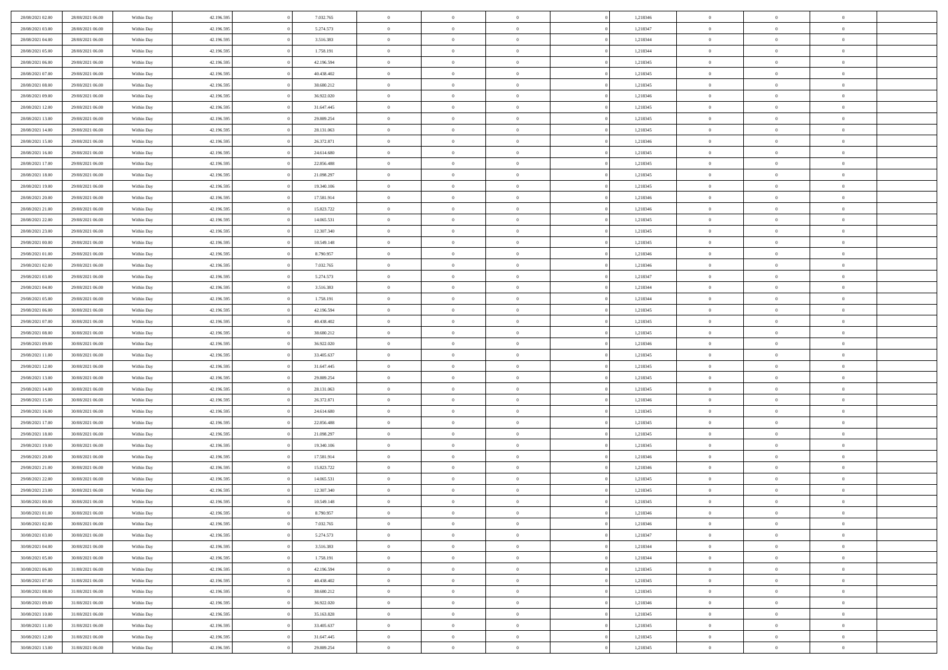| 28/08/2021 02:00                     | 28/08/2021 06:00                     | Within Day               | 42.196.595               | 7.032.765                | $\,$ 0 $\,$        | $\overline{0}$                    | $\overline{0}$ |          | 1,218346             | $\bf{0}$                    | $\overline{0}$ | $\,0\,$                          |  |
|--------------------------------------|--------------------------------------|--------------------------|--------------------------|--------------------------|--------------------|-----------------------------------|----------------|----------|----------------------|-----------------------------|----------------|----------------------------------|--|
| 28/08/2021 03:00                     | 28/08/2021 06:00                     | Within Day               | 42.196.595               | 5.274.573                | $\theta$           | $\overline{0}$                    | $\mathbf{0}$   |          | 1,218347             | $\theta$                    | $\overline{0}$ | $\theta$                         |  |
| 28/08/2021 04:00                     | 28/08/2021 06:00                     | Within Day               | 42.196.595               | 3.516.383                | $\theta$           | $\overline{0}$                    | $\overline{0}$ |          | 1,218344             | $\mathbf{0}$                | $\overline{0}$ | $\overline{0}$                   |  |
| 28/08/2021 05:00                     | 28/08/2021 06:00                     | Within Day               | 42.196.595               | 1.758.191                | $\,$ 0 $\,$        | $\overline{0}$                    | $\overline{0}$ |          | 1,218344             | $\mathbf{0}$                | $\overline{0}$ | $\bf{0}$                         |  |
| 28/08/2021 06:00                     | 29/08/2021 06:00                     | Within Day               | 42.196.595               | 42.196.594               | $\bf{0}$           | $\overline{0}$                    | $\mathbf{0}$   |          | 1,218345             | $\bf{0}$                    | $\bf{0}$       | $\,0\,$                          |  |
| 28/08/2021 07:00                     | 29/08/2021 06:00                     | Within Day               | 42.196.595               | 40.438.402               | $\theta$           | $\overline{0}$                    | $\mathbf{0}$   |          | 1,218345             | $\mathbf{0}$                | $\overline{0}$ | $\overline{0}$                   |  |
| 28/08/2021 08:00                     | 29/08/2021 06:00                     | Within Day               | 42.196.595               | 38.680.212               | $\,$ 0 $\,$        | $\overline{0}$                    | $\overline{0}$ |          | 1,218345             | $\bf{0}$                    | $\overline{0}$ | $\bf{0}$                         |  |
|                                      |                                      |                          |                          |                          | $\overline{0}$     |                                   |                |          |                      |                             | $\overline{0}$ | $\overline{0}$                   |  |
| 28/08/2021 09:00                     | 29/08/2021 06:00                     | Within Day               | 42.196.595               | 36.922.020               |                    | $\overline{0}$                    | $\mathbf{0}$   |          | 1,218346             | $\,$ 0 $\,$                 |                |                                  |  |
| 28/08/2021 12:00                     | 29/08/2021 06:00                     | Within Day               | 42.196.595               | 31.647.445               | $\theta$           | $\overline{0}$                    | $\mathbf{0}$   |          | 1,218345             | $\mathbf{0}$                | $\overline{0}$ | $\overline{0}$                   |  |
| 28/08/2021 13:00                     | 29/08/2021 06:00                     | Within Day               | 42.196.595               | 29.889.254               | $\,$ 0 $\,$        | $\overline{0}$                    | $\Omega$       |          | 1,218345             | $\bf{0}$                    | $\overline{0}$ | $\bf{0}$                         |  |
| 28/08/2021 14:00                     | 29/08/2021 06:00                     | Within Day               | 42.196.595               | 28.131.063               | $\bf{0}$           | $\overline{0}$                    | $\mathbf{0}$   |          | 1,218345             | $\bf{0}$                    | $\overline{0}$ | $\theta$                         |  |
| 28/08/2021 15:00                     | 29/08/2021 06:00                     | Within Day               | 42.196.595               | 26.372.871               | $\theta$           | $\overline{0}$                    | $\overline{0}$ |          | 1,218346             | $\mathbf{0}$                | $\overline{0}$ | $\overline{0}$                   |  |
| 28/08/2021 16:00                     | 29/08/2021 06:00                     | Within Day               | 42.196.595               | 24.614.680               | $\,$ 0 $\,$        | $\overline{0}$                    | $\overline{0}$ |          | 1,218345             | $\bf{0}$                    | $\overline{0}$ | $\overline{0}$                   |  |
| 28/08/2021 17:00                     | 29/08/2021 06:00                     | Within Day               | 42.196.595               | 22.856.488               | $\bf{0}$           | $\overline{0}$                    | $\mathbf{0}$   |          | 1,218345             | $\bf{0}$                    | $\mathbf{0}$   | $\,0\,$                          |  |
| 28/08/2021 18:00                     | 29/08/2021 06:00                     | Within Day               | 42.196.595               | 21.098.297               | $\theta$           | $\overline{0}$                    | $\overline{0}$ |          | 1,218345             | $\mathbf{0}$                | $\overline{0}$ | $\overline{0}$                   |  |
| 28/08/2021 19:00                     | 29/08/2021 06:00                     | Within Day               | 42.196.595               | 19.340.106               | $\,$ 0 $\,$        | $\overline{0}$                    | $\Omega$       |          | 1,218345             | $\bf{0}$                    | $\overline{0}$ | $\bf{0}$                         |  |
| 28/08/2021 20:00                     | 29/08/2021 06:00                     | Within Day               | 42.196.595               | 17.581.914               | $\,$ 0             | $\overline{0}$                    | $\mathbf{0}$   |          | 1,218346             | $\,$ 0 $\,$                 | $\overline{0}$ | $\theta$                         |  |
| 28/08/2021 21:00                     | 29/08/2021 06:00                     | Within Day               | 42.196.595               | 15.823.722               | $\theta$           | $\overline{0}$                    | $\mathbf{0}$   |          | 1,218346             | $\mathbf{0}$                | $\overline{0}$ | $\overline{0}$                   |  |
| 28/08/2021 22:00                     | 29/08/2021 06:00                     | Within Day               | 42.196.595               | 14.065.531               | $\,$ 0 $\,$        | $\overline{0}$                    | $\Omega$       |          | 1,218345             | $\bf{0}$                    | $\overline{0}$ | $\bf{0}$                         |  |
| 28/08/2021 23:00                     | 29/08/2021 06:00                     | Within Day               | 42.196.595               | 12.307.340               | $\bf{0}$           | $\overline{0}$                    | $\mathbf{0}$   |          | 1,218345             | $\bf{0}$                    | $\overline{0}$ | $\overline{0}$                   |  |
| 29/08/2021 00:00                     | 29/08/2021 06:00                     | Within Day               | 42.196.595               | 10.549.148               | $\theta$           | $\overline{0}$                    | $\overline{0}$ |          | 1,218345             | $\mathbf{0}$                | $\overline{0}$ | $\overline{0}$                   |  |
| 29/08/2021 01:00                     | 29/08/2021 06:00                     | Within Day               | 42.196.595               | 8.790.957                | $\,$ 0 $\,$        | $\overline{0}$                    | $\overline{0}$ |          | 1,218346             | $\bf{0}$                    | $\overline{0}$ | $\bf{0}$                         |  |
| 29/08/2021 02:00                     | 29/08/2021 06:00                     | Within Day               | 42.196.595               | 7.032.765                | $\bf{0}$           | $\overline{0}$                    | $\mathbf{0}$   |          | 1,218346             | $\,$ 0 $\,$                 | $\overline{0}$ | $\bf{0}$                         |  |
| 29/08/2021 03:00                     | 29/08/2021 06:00                     | Within Day               | 42.196.595               | 5.274.573                | $\theta$           | $\overline{0}$                    | $\mathbf{0}$   |          | 1,218347             | $\mathbf{0}$                | $\overline{0}$ | $\overline{0}$                   |  |
| 29/08/2021 04:00                     | 29/08/2021 06:00                     | Within Day               | 42.196.595               | 3.516.383                | $\,$ 0 $\,$        | $\overline{0}$                    | $\overline{0}$ |          | 1,218344             | $\bf{0}$                    | $\overline{0}$ | $\bf{0}$                         |  |
| 29/08/2021 05:00                     | 29/08/2021 06:00                     | Within Day               | 42.196.595               | 1.758.191                | $\,$ 0             | $\overline{0}$                    | $\mathbf{0}$   |          | 1,218344             | $\mathbf{0}$                | $\overline{0}$ | $\overline{0}$                   |  |
| 29/08/2021 06:00                     | 30/08/2021 06:00                     | Within Day               | 42.196.595               | 42.196.594               | $\theta$           | $\overline{0}$                    | $\mathbf{0}$   |          | 1,218345             | $\mathbf{0}$                | $\overline{0}$ | $\overline{0}$                   |  |
| 29/08/2021 07:00                     | 30/08/2021 06:00                     | Within Day               | 42.196.595               | 40.438.402               | $\,$ 0 $\,$        | $\overline{0}$                    | $\Omega$       |          | 1,218345             | $\bf{0}$                    | $\overline{0}$ | $\bf{0}$                         |  |
| 29/08/2021 08:00                     | 30/08/2021 06:00                     | Within Day               | 42.196.595               | 38.680.212               | $\bf{0}$           | $\overline{0}$                    | $\mathbf{0}$   |          | 1,218345             | $\bf{0}$                    | $\overline{0}$ | $\overline{0}$                   |  |
| 29/08/2021 09:00                     | 30/08/2021 06:00                     | Within Day               | 42.196.595               | 36.922.020               | $\theta$           | $\overline{0}$                    | $\overline{0}$ |          | 1,218346             | $\mathbf{0}$                | $\overline{0}$ | $\overline{0}$                   |  |
| 29/08/2021 11:00                     | 30/08/2021 06:00                     | Within Day               | 42.196.595               | 33.405.637               | $\,$ 0 $\,$        | $\overline{0}$                    | $\overline{0}$ |          | 1,218345             | $\,$ 0                      | $\overline{0}$ | $\,$ 0 $\,$                      |  |
| 29/08/2021 12:00                     | 30/08/2021 06:00                     | Within Day               | 42.196.595               | 31.647.445               | $\bf{0}$           | $\overline{0}$                    | $\overline{0}$ |          | 1,218345             | $\bf{0}$                    | $\overline{0}$ | $\overline{0}$                   |  |
| 29/08/2021 13:00                     | 30/08/2021 06:00                     | Within Day               | 42.196.595               | 29.889.254               | $\theta$           | $\overline{0}$                    | $\overline{0}$ |          | 1,218345             | $\mathbf{0}$                | $\overline{0}$ | $\overline{0}$                   |  |
| 29/08/2021 14:00                     | 30/08/2021 06:00                     | Within Day               | 42.196.595               | 28.131.063               | $\theta$           | $\overline{0}$                    | $\overline{0}$ |          | 1,218345             | $\,$ 0                      | $\overline{0}$ | $\theta$                         |  |
| 29/08/2021 15:00                     | 30/08/2021 06:00                     | Within Day               | 42.196.595               | 26.372.871               | $\bf{0}$           | $\overline{0}$                    | $\mathbf{0}$   |          | 1,218346             | $\overline{0}$              | $\overline{0}$ | $\overline{0}$                   |  |
| 29/08/2021 16:00                     | 30/08/2021 06:00                     | Within Day               | 42.196.595               | 24.614.680               | $\theta$           | $\overline{0}$                    | $\mathbf{0}$   |          | 1,218345             | $\mathbf{0}$                | $\overline{0}$ | $\overline{0}$                   |  |
| 29/08/2021 17:00                     | 30/08/2021 06:00                     | Within Day               | 42.196.595               | 22.856.488               | $\theta$           | $\overline{0}$                    | $\overline{0}$ |          | 1,218345             | $\,$ 0                      | $\overline{0}$ | $\,$ 0 $\,$                      |  |
| 29/08/2021 18:00                     | 30/08/2021 06:00                     | Within Day               | 42.196.595               | 21.098.297               | $\bf{0}$           | $\overline{0}$                    | $\mathbf{0}$   |          | 1,218345             | $\bf{0}$                    | $\overline{0}$ | $\overline{0}$                   |  |
| 29/08/2021 19:00                     | 30/08/2021 06:00                     | Within Day               | 42.196.595               | 19.340.106               | $\theta$           | $\overline{0}$                    | $\overline{0}$ |          | 1,218345             | $\mathbf{0}$                | $\overline{0}$ | $\overline{0}$                   |  |
|                                      |                                      |                          |                          |                          |                    |                                   |                |          |                      |                             | $\overline{0}$ |                                  |  |
| 29/08/2021 20:00                     | 30/08/2021 06:00                     | Within Day               | 42.196.595               | 17.581.914               | $\,$ 0 $\,$        | $\overline{0}$                    | $\overline{0}$ |          | 1,218346             | $\,$ 0                      | $\overline{0}$ | $\,$ 0 $\,$                      |  |
| 29/08/2021 21:00<br>29/08/2021 22:00 | 30/08/2021 06:00<br>30/08/2021 06:00 | Within Day<br>Within Day | 42.196.595<br>42.196.595 | 15.823.722<br>14.065.531 | $\,$ 0<br>$\theta$ | $\,$ 0 $\,$<br>$\overline{0}$     | $\overline{0}$ |          | 1,218346<br>1,218345 | $\,$ 0 $\,$<br>$\mathbf{0}$ | $\overline{0}$ | $\overline{0}$<br>$\overline{0}$ |  |
|                                      |                                      |                          |                          |                          |                    |                                   | $\mathbf{0}$   |          |                      |                             |                |                                  |  |
| 29/08/2021 23:00                     | 30/08/2021 06:00                     | Within Day               | 42.196.595               | 12.307.340               | $\theta$           | $\overline{0}$                    | $\overline{0}$ |          | 1,218345             | $\,$ 0                      | $\overline{0}$ | $\,$ 0 $\,$                      |  |
| 30/08/2021 00:00<br>30/08/2021 01:00 | 30/08/2021 06:00                     | Within Day               | 42.196.595               | 10.549.148               | $\bf{0}$           | $\,$ 0 $\,$                       | $\mathbf{0}$   |          | 1,218345             | $\,$ 0 $\,$                 | $\overline{0}$ | $\overline{0}$                   |  |
|                                      | 30/08/2021 06:00                     | Within Day               | 42.196.595               | 8.790.957                | $\overline{0}$     | $\theta$                          |                |          | 1,218346             | $\overline{0}$              | $\theta$       | $\theta$                         |  |
| 30/08/2021 02:00                     | 30/08/2021 06:00                     | Within Day               | 42.196.595               | 7.032.765                | $\,$ 0 $\,$        | $\overline{0}$                    | $\overline{0}$ |          | 1,218346             | $\,$ 0 $\,$                 | $\bf{0}$       | $\,$ 0 $\,$                      |  |
| 30/08/2021 03:00                     | 30/08/2021 06:00                     | Within Day               | 42.196.595               | 5.274.573                | $\overline{0}$     | $\hspace{0.1cm} 0 \hspace{0.1cm}$ | $\overline{0}$ |          | 1,218347             | $\,$ 0 $\,$                 | $\overline{0}$ | $\overline{0}$                   |  |
| 30/08/2021 04:00                     | 30/08/2021 06:00                     | Within Day               | 42.196.595               | 3.516.383                | $\,$ 0 $\,$        | $\overline{0}$                    | $\overline{0}$ |          | 1,218344             | $\,$ 0 $\,$                 | $\bf{0}$       | $\mathbf{0}$                     |  |
| 30/08/2021 05:00                     | 30/08/2021 06:00                     | Within Day               | 42.196.595               | 1.758.191                | $\,$ 0 $\,$        | $\overline{0}$                    | $\overline{0}$ | $\theta$ | 1,218344             | $\,$ 0 $\,$                 | $\bf{0}$       | $\,$ 0 $\,$                      |  |
| 30/08/2021 06:00                     | 31/08/2021 06:00                     | Within Day               | 42.196.595               | 42.196.594               | $\,$ 0 $\,$        | $\,$ 0 $\,$                       | $\overline{0}$ |          | 1,218345             | $\,$ 0 $\,$                 | $\overline{0}$ | $\overline{0}$                   |  |
| 30/08/2021 07:00                     | 31/08/2021 06:00                     | Within Day               | 42.196.595               | 40.438.402               | $\mathbf{0}$       | $\overline{0}$                    | $\overline{0}$ |          | 1,218345             | $\mathbf{0}$                | $\bf{0}$       | $\overline{0}$                   |  |
| 30/08/2021 08:00                     | 31/08/2021 06:00                     | Within Day               | 42.196.595               | 38.680.212               | $\,$ 0 $\,$        | $\overline{0}$                    | $\overline{0}$ |          | 1,218345             | $\,$ 0 $\,$                 | $\bf{0}$       | $\,$ 0 $\,$                      |  |
| 30/08/2021 09:00                     | 31/08/2021 06:00                     | Within Day               | 42.196.595               | 36.922.020               | $\overline{0}$     | $\overline{0}$                    | $\overline{0}$ |          | 1,218346             | $\,$ 0 $\,$                 | $\overline{0}$ | $\mathbf{0}$                     |  |
| 30/08/2021 10:00                     | 31/08/2021 06:00                     | Within Day               | 42.196.595               | 35.163.828               | $\,$ 0 $\,$        | $\overline{0}$                    | $\overline{0}$ |          | 1,218345             | $\,$ 0 $\,$                 | $\bf{0}$       | $\overline{0}$                   |  |
| 30/08/2021 11:00                     | 31/08/2021 06:00                     | Within Day               | 42.196.595               | 33.405.637               | $\,$ 0 $\,$        | $\overline{0}$                    | $\overline{0}$ |          | 1,218345             | $\,$ 0 $\,$                 | $\bf{0}$       | $\,$ 0 $\,$                      |  |
| 30/08/2021 12:00                     | 31/08/2021 06:00                     | Within Day               | 42.196.595               | 31.647.445               | $\,$ 0 $\,$        | $\,$ 0 $\,$                       | $\overline{0}$ |          | 1,218345             | $\,$ 0 $\,$                 | $\overline{0}$ | $\overline{0}$                   |  |
| 30/08/2021 13:00                     | 31/08/2021 06:00                     | Within Day               | 42.196.595               | 29.889.254               | $\theta$           | $\overline{0}$                    | $\overline{0}$ |          | 1,218345             | $\,$ 0 $\,$                 | $\mathbf{0}$   | $\overline{0}$                   |  |